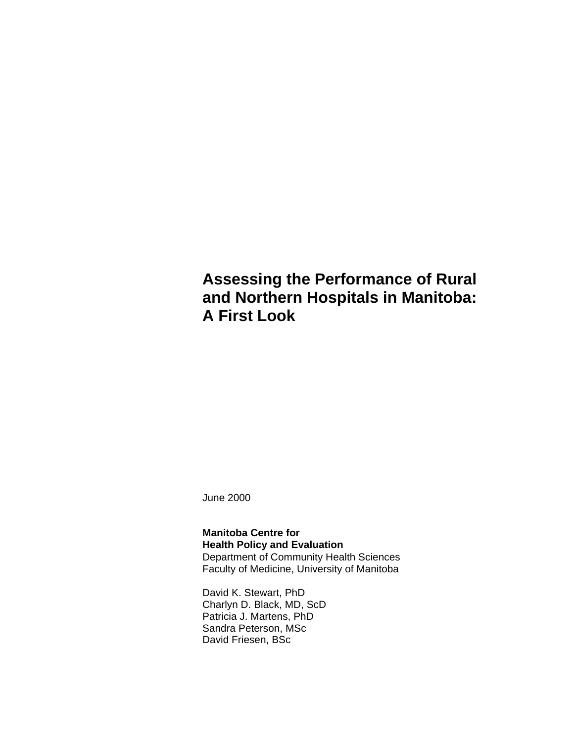## **Assessing the Performance of Rural and Northern Hospitals in Manitoba: A First Look**

June 2000

### **Manitoba Centre for Health Policy and Evaluation** Department of Community Health Sciences Faculty of Medicine, University of Manitoba

David K. Stewart, PhD Charlyn D. Black, MD, ScD Patricia J. Martens, PhD Sandra Peterson, MSc David Friesen, BSc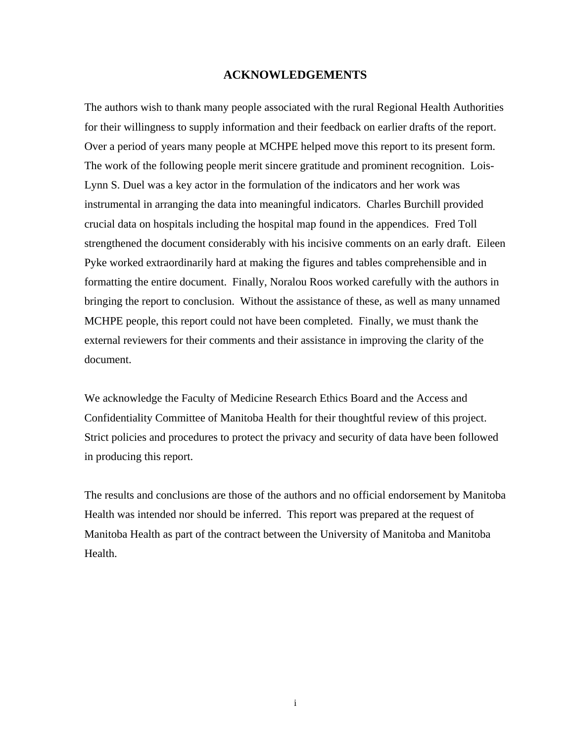### **ACKNOWLEDGEMENTS**

The authors wish to thank many people associated with the rural Regional Health Authorities for their willingness to supply information and their feedback on earlier drafts of the report. Over a period of years many people at MCHPE helped move this report to its present form. The work of the following people merit sincere gratitude and prominent recognition. Lois-Lynn S. Duel was a key actor in the formulation of the indicators and her work was instrumental in arranging the data into meaningful indicators. Charles Burchill provided crucial data on hospitals including the hospital map found in the appendices. Fred Toll strengthened the document considerably with his incisive comments on an early draft. Eileen Pyke worked extraordinarily hard at making the figures and tables comprehensible and in formatting the entire document. Finally, Noralou Roos worked carefully with the authors in bringing the report to conclusion. Without the assistance of these, as well as many unnamed MCHPE people, this report could not have been completed. Finally, we must thank the external reviewers for their comments and their assistance in improving the clarity of the document.

We acknowledge the Faculty of Medicine Research Ethics Board and the Access and Confidentiality Committee of Manitoba Health for their thoughtful review of this project. Strict policies and procedures to protect the privacy and security of data have been followed in producing this report.

The results and conclusions are those of the authors and no official endorsement by Manitoba Health was intended nor should be inferred. This report was prepared at the request of Manitoba Health as part of the contract between the University of Manitoba and Manitoba Health.

i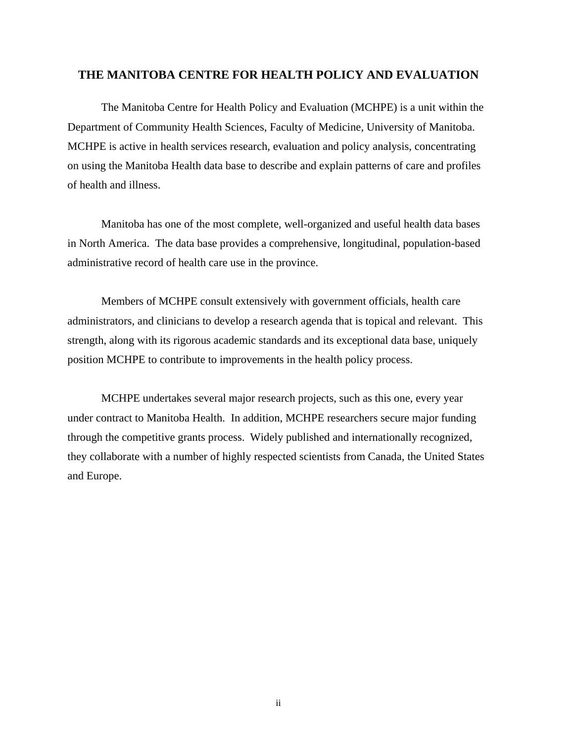### **THE MANITOBA CENTRE FOR HEALTH POLICY AND EVALUATION**

The Manitoba Centre for Health Policy and Evaluation (MCHPE) is a unit within the Department of Community Health Sciences, Faculty of Medicine, University of Manitoba. MCHPE is active in health services research, evaluation and policy analysis, concentrating on using the Manitoba Health data base to describe and explain patterns of care and profiles of health and illness.

Manitoba has one of the most complete, well-organized and useful health data bases in North America. The data base provides a comprehensive, longitudinal, population-based administrative record of health care use in the province.

Members of MCHPE consult extensively with government officials, health care administrators, and clinicians to develop a research agenda that is topical and relevant. This strength, along with its rigorous academic standards and its exceptional data base, uniquely position MCHPE to contribute to improvements in the health policy process.

MCHPE undertakes several major research projects, such as this one, every year under contract to Manitoba Health. In addition, MCHPE researchers secure major funding through the competitive grants process. Widely published and internationally recognized, they collaborate with a number of highly respected scientists from Canada, the United States and Europe.

ii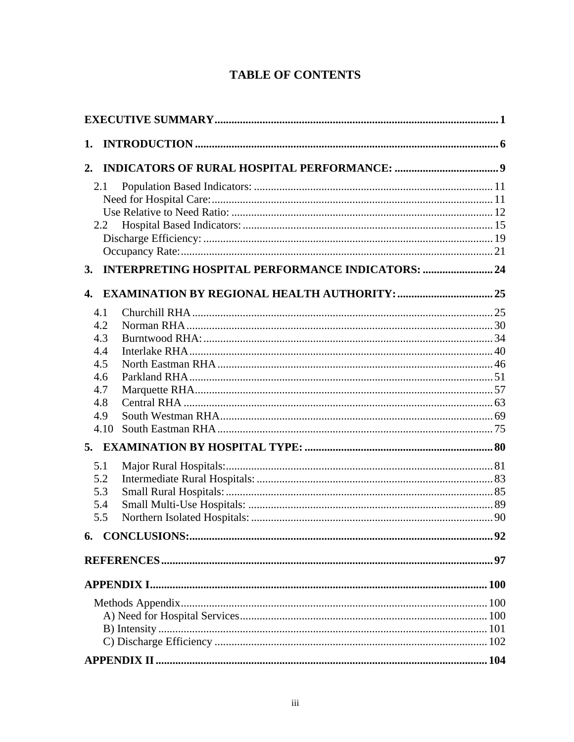## **TABLE OF CONTENTS**

| 1. |                                                          |  |
|----|----------------------------------------------------------|--|
| 2. |                                                          |  |
|    | 2.1                                                      |  |
|    |                                                          |  |
|    |                                                          |  |
|    | 2.2                                                      |  |
|    |                                                          |  |
|    |                                                          |  |
| 3. | <b>INTERPRETING HOSPITAL PERFORMANCE INDICATORS:  24</b> |  |
| 4. |                                                          |  |
|    | 4.1                                                      |  |
|    | 4.2                                                      |  |
|    | 4.3                                                      |  |
|    | 4.4                                                      |  |
|    | 4.5                                                      |  |
|    | 4.6                                                      |  |
|    | 4.7                                                      |  |
|    | 4.8                                                      |  |
|    | 4.9                                                      |  |
|    | 4.10                                                     |  |
|    |                                                          |  |
|    | 5.1                                                      |  |
|    | 5.2                                                      |  |
|    | 5.3                                                      |  |
|    | 5.4                                                      |  |
|    | 5.5                                                      |  |
|    |                                                          |  |
|    |                                                          |  |
|    |                                                          |  |
|    |                                                          |  |
|    |                                                          |  |
|    |                                                          |  |
|    |                                                          |  |
|    |                                                          |  |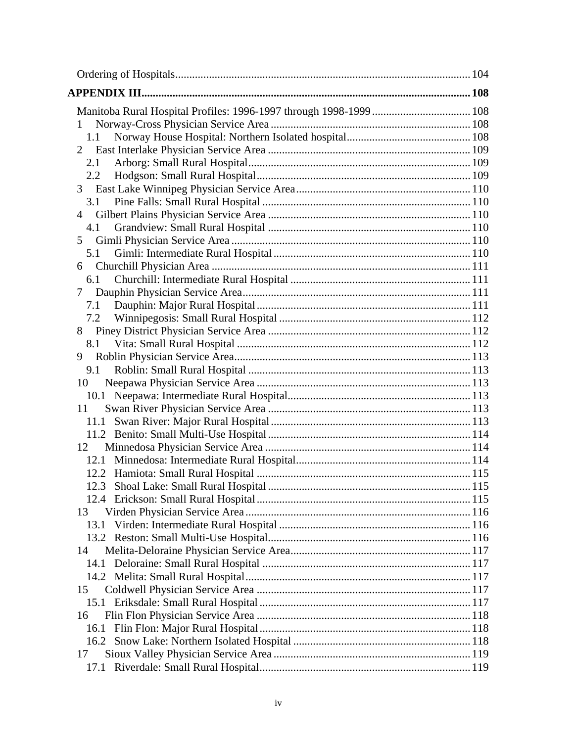| <b>APPENDIX III.</b> |  |
|----------------------|--|
|                      |  |
| 1                    |  |
| 1.1                  |  |
| 2                    |  |
| 2.1                  |  |
| $2.2\,$              |  |
| 3                    |  |
| 3.1                  |  |
| 4                    |  |
| 4.1                  |  |
| 5                    |  |
| 5.1                  |  |
| 6                    |  |
| 6.1                  |  |
| 7                    |  |
| 7.1                  |  |
| 7.2                  |  |
| 8                    |  |
| 8.1                  |  |
| 9                    |  |
| 9.1                  |  |
| 10                   |  |
|                      |  |
| 11                   |  |
| 11.1                 |  |
|                      |  |
| 12                   |  |
| 12.1                 |  |
| 12.2                 |  |
|                      |  |
|                      |  |
| 13                   |  |
| 13.1                 |  |
|                      |  |
| 14                   |  |
| 14.1                 |  |
|                      |  |
| 15                   |  |
|                      |  |
| 16                   |  |
| 16.1                 |  |
| 17                   |  |
|                      |  |
|                      |  |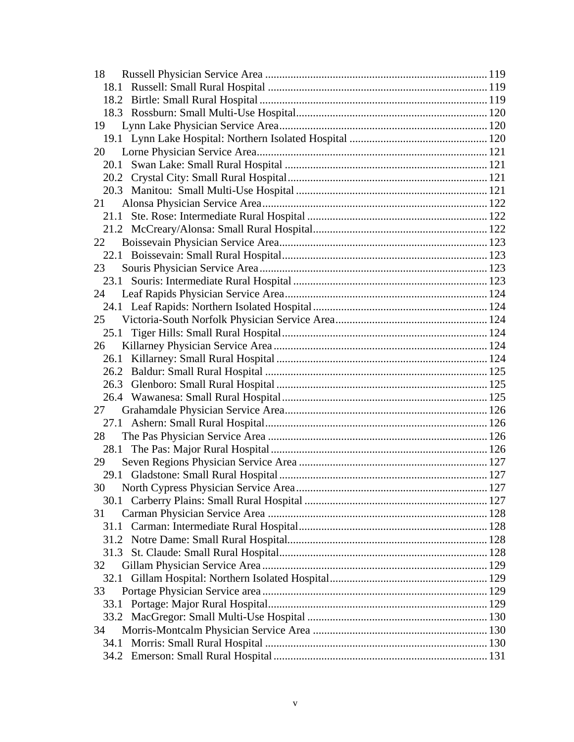| 18   |  |
|------|--|
| 18.1 |  |
|      |  |
|      |  |
| 19   |  |
|      |  |
| 20   |  |
| 20.1 |  |
|      |  |
|      |  |
| 21   |  |
|      |  |
|      |  |
| 22   |  |
|      |  |
| 23   |  |
|      |  |
| 24   |  |
|      |  |
|      |  |
|      |  |
| 26   |  |
|      |  |
|      |  |
|      |  |
|      |  |
| 27   |  |
|      |  |
| 28   |  |
|      |  |
| 29   |  |
|      |  |
| 30   |  |
|      |  |
| 31   |  |
|      |  |
|      |  |
|      |  |
| 32   |  |
| 32.1 |  |
| 33   |  |
| 33.1 |  |
|      |  |
| 34   |  |
| 34.1 |  |
|      |  |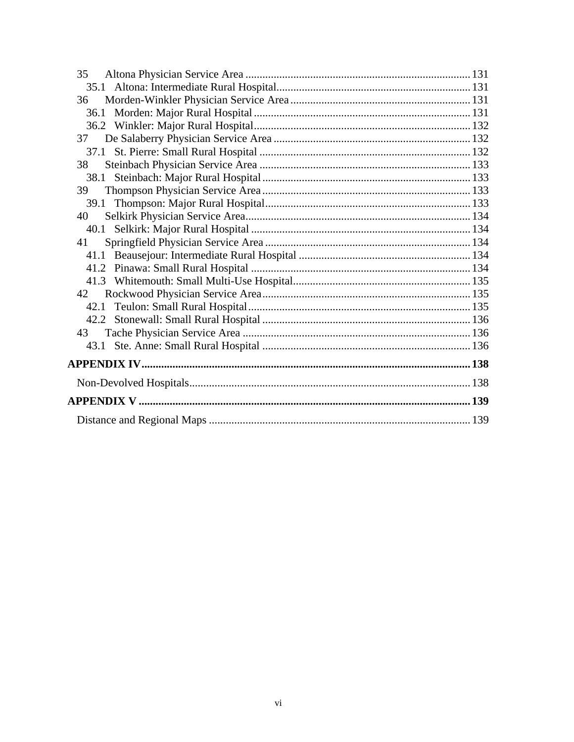| 35 |  |
|----|--|
|    |  |
| 36 |  |
|    |  |
|    |  |
| 37 |  |
|    |  |
| 38 |  |
|    |  |
| 39 |  |
|    |  |
| 40 |  |
|    |  |
| 41 |  |
|    |  |
|    |  |
|    |  |
| 42 |  |
|    |  |
|    |  |
| 43 |  |
|    |  |
|    |  |
|    |  |
|    |  |
|    |  |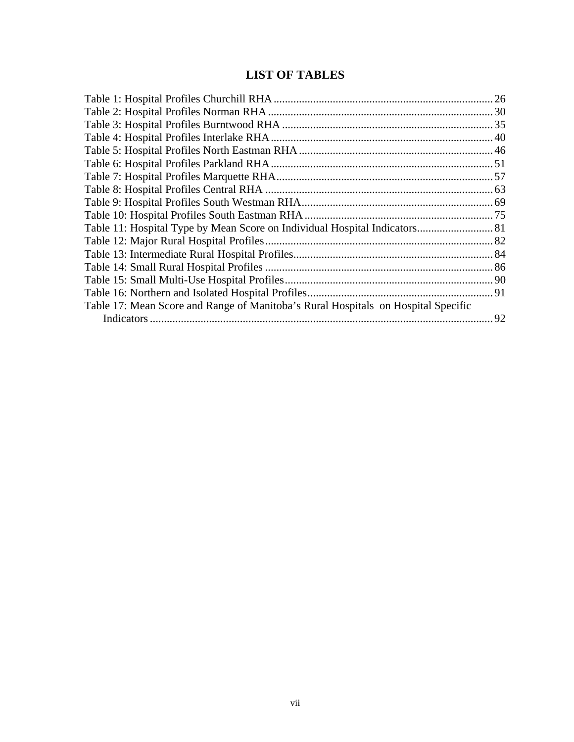### **LIST OF TABLES**

| Table 17: Mean Score and Range of Manitoba's Rural Hospitals on Hospital Specific |  |
|-----------------------------------------------------------------------------------|--|
|                                                                                   |  |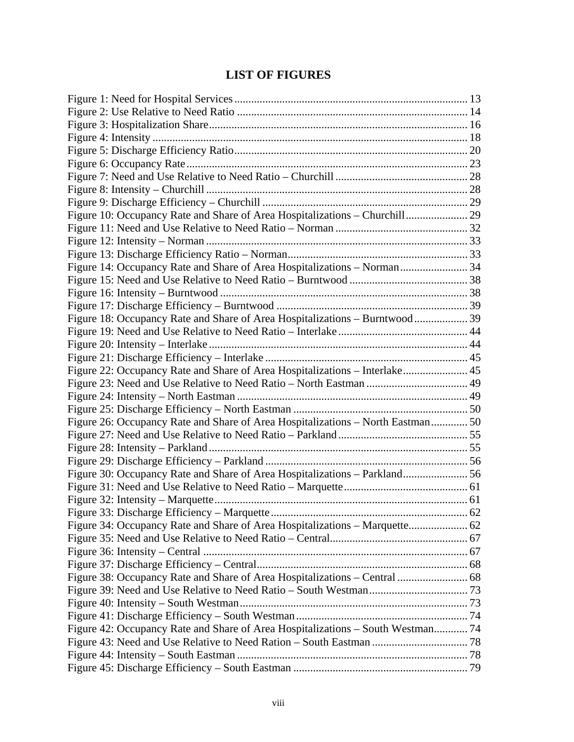## **LIST OF FIGURES**

| Figure 10: Occupancy Rate and Share of Area Hospitalizations - Churchill 29     |  |
|---------------------------------------------------------------------------------|--|
|                                                                                 |  |
|                                                                                 |  |
|                                                                                 |  |
| Figure 14: Occupancy Rate and Share of Area Hospitalizations - Norman 34        |  |
|                                                                                 |  |
|                                                                                 |  |
|                                                                                 |  |
| Figure 18: Occupancy Rate and Share of Area Hospitalizations - Burntwood  39    |  |
|                                                                                 |  |
|                                                                                 |  |
|                                                                                 |  |
| Figure 22: Occupancy Rate and Share of Area Hospitalizations - Interlake 45     |  |
|                                                                                 |  |
|                                                                                 |  |
|                                                                                 |  |
| Figure 26: Occupancy Rate and Share of Area Hospitalizations - North Eastman 50 |  |
|                                                                                 |  |
|                                                                                 |  |
|                                                                                 |  |
| Figure 30: Occupancy Rate and Share of Area Hospitalizations - Parkland 56      |  |
|                                                                                 |  |
|                                                                                 |  |
|                                                                                 |  |
|                                                                                 |  |
|                                                                                 |  |
|                                                                                 |  |
|                                                                                 |  |
| Figure 38: Occupancy Rate and Share of Area Hospitalizations - Central  68      |  |
|                                                                                 |  |
|                                                                                 |  |
|                                                                                 |  |
| Figure 42: Occupancy Rate and Share of Area Hospitalizations - South Westman 74 |  |
|                                                                                 |  |
|                                                                                 |  |
|                                                                                 |  |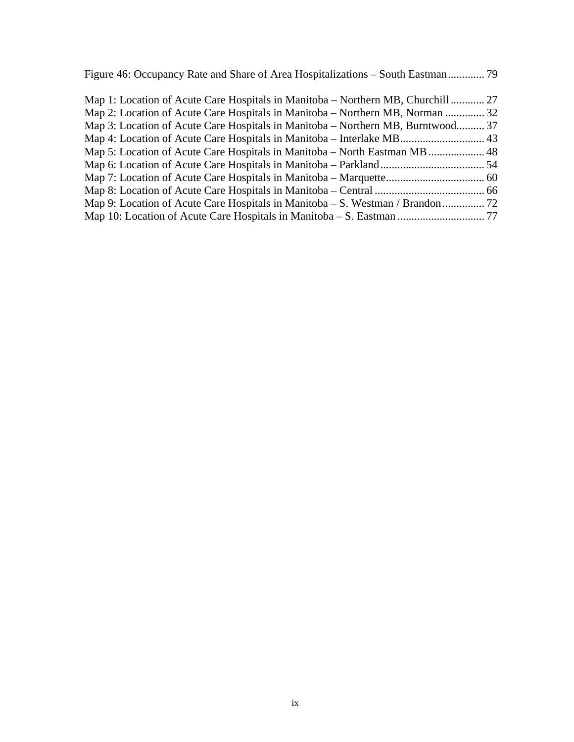Figure 46: Occupancy Rate and Share of Area Hospitalizations – South Eastman............. 79

| Map 1: Location of Acute Care Hospitals in Manitoba – Northern MB, Churchill  27 |  |
|----------------------------------------------------------------------------------|--|
| Map 2: Location of Acute Care Hospitals in Manitoba – Northern MB, Norman  32    |  |
| Map 3: Location of Acute Care Hospitals in Manitoba – Northern MB, Burntwood 37  |  |
|                                                                                  |  |
| Map 5: Location of Acute Care Hospitals in Manitoba – North Eastman MB  48       |  |
|                                                                                  |  |
|                                                                                  |  |
|                                                                                  |  |
|                                                                                  |  |
|                                                                                  |  |
|                                                                                  |  |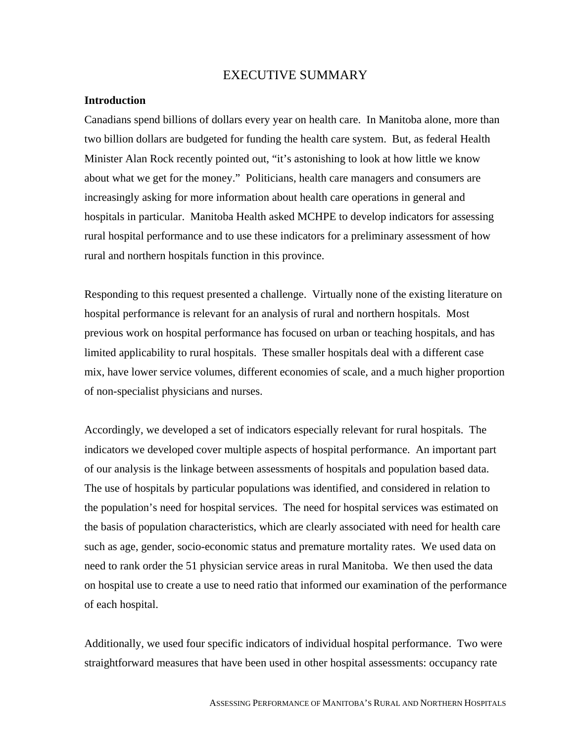### EXECUTIVE SUMMARY

#### **Introduction**

Canadians spend billions of dollars every year on health care. In Manitoba alone, more than two billion dollars are budgeted for funding the health care system. But, as federal Health Minister Alan Rock recently pointed out, "it's astonishing to look at how little we know about what we get for the money." Politicians, health care managers and consumers are increasingly asking for more information about health care operations in general and hospitals in particular. Manitoba Health asked MCHPE to develop indicators for assessing rural hospital performance and to use these indicators for a preliminary assessment of how rural and northern hospitals function in this province.

Responding to this request presented a challenge. Virtually none of the existing literature on hospital performance is relevant for an analysis of rural and northern hospitals. Most previous work on hospital performance has focused on urban or teaching hospitals, and has limited applicability to rural hospitals. These smaller hospitals deal with a different case mix, have lower service volumes, different economies of scale, and a much higher proportion of non-specialist physicians and nurses.

Accordingly, we developed a set of indicators especially relevant for rural hospitals. The indicators we developed cover multiple aspects of hospital performance. An important part of our analysis is the linkage between assessments of hospitals and population based data. The use of hospitals by particular populations was identified, and considered in relation to the population's need for hospital services. The need for hospital services was estimated on the basis of population characteristics, which are clearly associated with need for health care such as age, gender, socio-economic status and premature mortality rates. We used data on need to rank order the 51 physician service areas in rural Manitoba. We then used the data on hospital use to create a use to need ratio that informed our examination of the performance of each hospital.

Additionally, we used four specific indicators of individual hospital performance. Two were straightforward measures that have been used in other hospital assessments: occupancy rate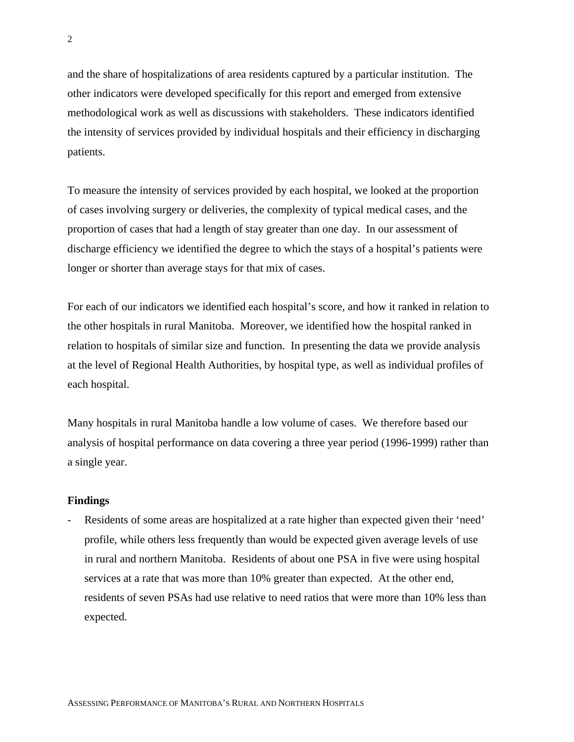and the share of hospitalizations of area residents captured by a particular institution. The other indicators were developed specifically for this report and emerged from extensive methodological work as well as discussions with stakeholders. These indicators identified the intensity of services provided by individual hospitals and their efficiency in discharging patients.

To measure the intensity of services provided by each hospital, we looked at the proportion of cases involving surgery or deliveries, the complexity of typical medical cases, and the proportion of cases that had a length of stay greater than one day. In our assessment of discharge efficiency we identified the degree to which the stays of a hospital's patients were longer or shorter than average stays for that mix of cases.

For each of our indicators we identified each hospital's score, and how it ranked in relation to the other hospitals in rural Manitoba. Moreover, we identified how the hospital ranked in relation to hospitals of similar size and function. In presenting the data we provide analysis at the level of Regional Health Authorities, by hospital type, as well as individual profiles of each hospital.

Many hospitals in rural Manitoba handle a low volume of cases. We therefore based our analysis of hospital performance on data covering a three year period (1996-1999) rather than a single year.

#### **Findings**

Residents of some areas are hospitalized at a rate higher than expected given their 'need' profile, while others less frequently than would be expected given average levels of use in rural and northern Manitoba. Residents of about one PSA in five were using hospital services at a rate that was more than 10% greater than expected. At the other end, residents of seven PSAs had use relative to need ratios that were more than 10% less than expected.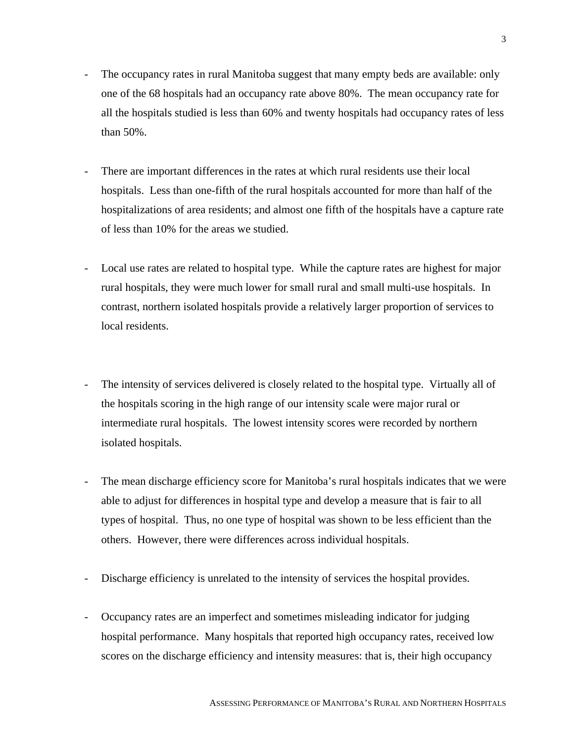- The occupancy rates in rural Manitoba suggest that many empty beds are available: only one of the 68 hospitals had an occupancy rate above 80%. The mean occupancy rate for all the hospitals studied is less than 60% and twenty hospitals had occupancy rates of less than 50%.
- There are important differences in the rates at which rural residents use their local hospitals. Less than one-fifth of the rural hospitals accounted for more than half of the hospitalizations of area residents; and almost one fifth of the hospitals have a capture rate of less than 10% for the areas we studied.
- Local use rates are related to hospital type. While the capture rates are highest for major rural hospitals, they were much lower for small rural and small multi-use hospitals. In contrast, northern isolated hospitals provide a relatively larger proportion of services to local residents.
- The intensity of services delivered is closely related to the hospital type. Virtually all of the hospitals scoring in the high range of our intensity scale were major rural or intermediate rural hospitals. The lowest intensity scores were recorded by northern isolated hospitals.
- The mean discharge efficiency score for Manitoba's rural hospitals indicates that we were able to adjust for differences in hospital type and develop a measure that is fair to all types of hospital. Thus, no one type of hospital was shown to be less efficient than the others. However, there were differences across individual hospitals.
- Discharge efficiency is unrelated to the intensity of services the hospital provides.
- Occupancy rates are an imperfect and sometimes misleading indicator for judging hospital performance. Many hospitals that reported high occupancy rates, received low scores on the discharge efficiency and intensity measures: that is, their high occupancy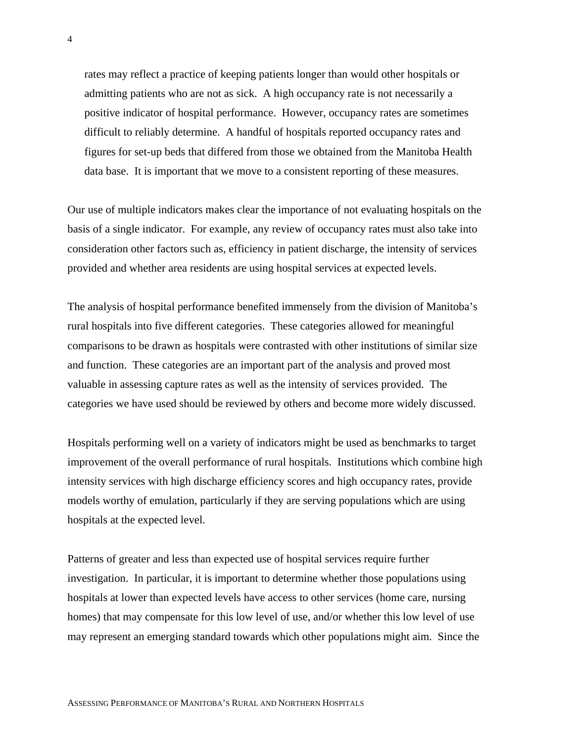rates may reflect a practice of keeping patients longer than would other hospitals or admitting patients who are not as sick. A high occupancy rate is not necessarily a positive indicator of hospital performance. However, occupancy rates are sometimes difficult to reliably determine. A handful of hospitals reported occupancy rates and figures for set-up beds that differed from those we obtained from the Manitoba Health data base. It is important that we move to a consistent reporting of these measures.

Our use of multiple indicators makes clear the importance of not evaluating hospitals on the basis of a single indicator. For example, any review of occupancy rates must also take into consideration other factors such as, efficiency in patient discharge, the intensity of services provided and whether area residents are using hospital services at expected levels.

The analysis of hospital performance benefited immensely from the division of Manitoba's rural hospitals into five different categories. These categories allowed for meaningful comparisons to be drawn as hospitals were contrasted with other institutions of similar size and function. These categories are an important part of the analysis and proved most valuable in assessing capture rates as well as the intensity of services provided. The categories we have used should be reviewed by others and become more widely discussed.

Hospitals performing well on a variety of indicators might be used as benchmarks to target improvement of the overall performance of rural hospitals. Institutions which combine high intensity services with high discharge efficiency scores and high occupancy rates, provide models worthy of emulation, particularly if they are serving populations which are using hospitals at the expected level.

Patterns of greater and less than expected use of hospital services require further investigation. In particular, it is important to determine whether those populations using hospitals at lower than expected levels have access to other services (home care, nursing homes) that may compensate for this low level of use, and/or whether this low level of use may represent an emerging standard towards which other populations might aim. Since the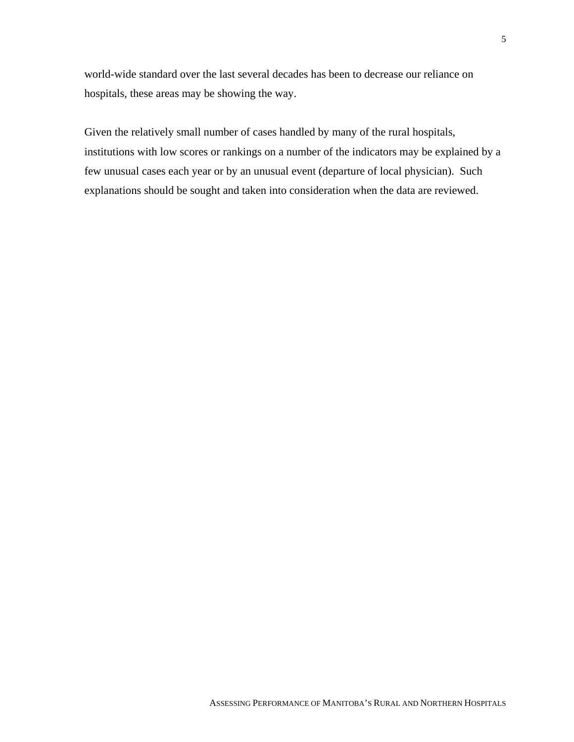world-wide standard over the last several decades has been to decrease our reliance on hospitals, these areas may be showing the way.

Given the relatively small number of cases handled by many of the rural hospitals, institutions with low scores or rankings on a number of the indicators may be explained by a few unusual cases each year or by an unusual event (departure of local physician). Such explanations should be sought and taken into consideration when the data are reviewed.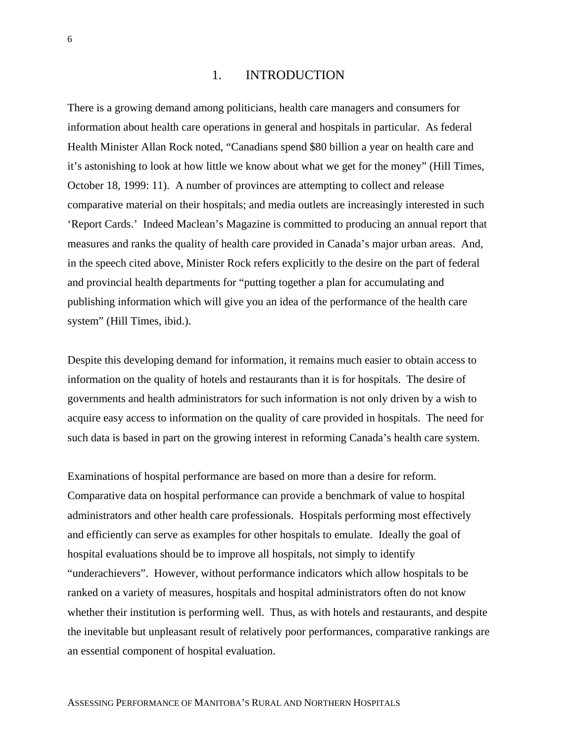### 1. INTRODUCTION

There is a growing demand among politicians, health care managers and consumers for information about health care operations in general and hospitals in particular. As federal Health Minister Allan Rock noted, "Canadians spend \$80 billion a year on health care and it's astonishing to look at how little we know about what we get for the money" (Hill Times, October 18, 1999: 11). A number of provinces are attempting to collect and release comparative material on their hospitals; and media outlets are increasingly interested in such 'Report Cards.' Indeed Maclean's Magazine is committed to producing an annual report that measures and ranks the quality of health care provided in Canada's major urban areas. And, in the speech cited above, Minister Rock refers explicitly to the desire on the part of federal and provincial health departments for "putting together a plan for accumulating and publishing information which will give you an idea of the performance of the health care system" (Hill Times, ibid.).

Despite this developing demand for information, it remains much easier to obtain access to information on the quality of hotels and restaurants than it is for hospitals. The desire of governments and health administrators for such information is not only driven by a wish to acquire easy access to information on the quality of care provided in hospitals. The need for such data is based in part on the growing interest in reforming Canada's health care system.

Examinations of hospital performance are based on more than a desire for reform. Comparative data on hospital performance can provide a benchmark of value to hospital administrators and other health care professionals. Hospitals performing most effectively and efficiently can serve as examples for other hospitals to emulate. Ideally the goal of hospital evaluations should be to improve all hospitals, not simply to identify "underachievers". However, without performance indicators which allow hospitals to be ranked on a variety of measures, hospitals and hospital administrators often do not know whether their institution is performing well. Thus, as with hotels and restaurants, and despite the inevitable but unpleasant result of relatively poor performances, comparative rankings are an essential component of hospital evaluation.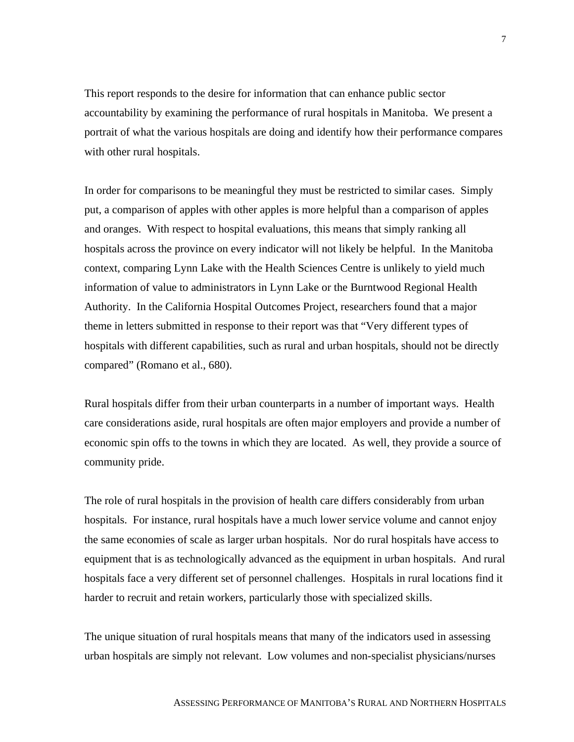This report responds to the desire for information that can enhance public sector accountability by examining the performance of rural hospitals in Manitoba. We present a portrait of what the various hospitals are doing and identify how their performance compares with other rural hospitals.

In order for comparisons to be meaningful they must be restricted to similar cases. Simply put, a comparison of apples with other apples is more helpful than a comparison of apples and oranges. With respect to hospital evaluations, this means that simply ranking all hospitals across the province on every indicator will not likely be helpful. In the Manitoba context, comparing Lynn Lake with the Health Sciences Centre is unlikely to yield much information of value to administrators in Lynn Lake or the Burntwood Regional Health Authority. In the California Hospital Outcomes Project, researchers found that a major theme in letters submitted in response to their report was that "Very different types of hospitals with different capabilities, such as rural and urban hospitals, should not be directly compared" (Romano et al., 680).

Rural hospitals differ from their urban counterparts in a number of important ways. Health care considerations aside, rural hospitals are often major employers and provide a number of economic spin offs to the towns in which they are located. As well, they provide a source of community pride.

The role of rural hospitals in the provision of health care differs considerably from urban hospitals. For instance, rural hospitals have a much lower service volume and cannot enjoy the same economies of scale as larger urban hospitals. Nor do rural hospitals have access to equipment that is as technologically advanced as the equipment in urban hospitals. And rural hospitals face a very different set of personnel challenges. Hospitals in rural locations find it harder to recruit and retain workers, particularly those with specialized skills.

The unique situation of rural hospitals means that many of the indicators used in assessing urban hospitals are simply not relevant. Low volumes and non-specialist physicians/nurses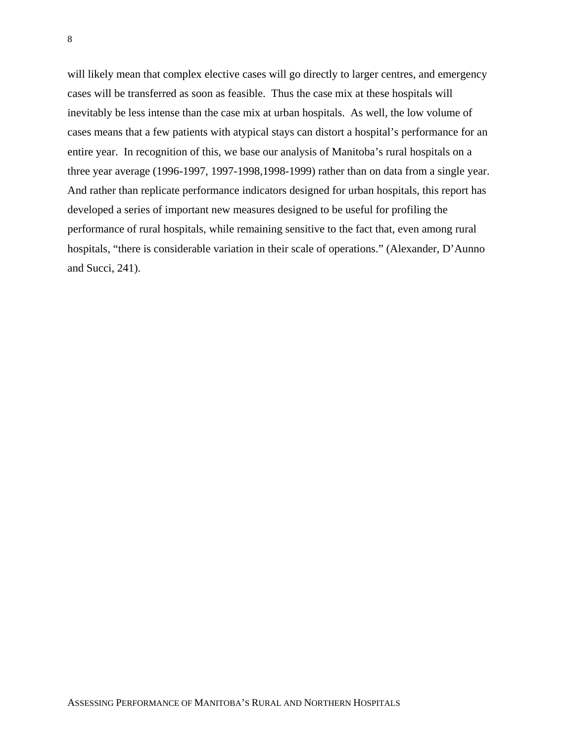will likely mean that complex elective cases will go directly to larger centres, and emergency cases will be transferred as soon as feasible. Thus the case mix at these hospitals will inevitably be less intense than the case mix at urban hospitals. As well, the low volume of cases means that a few patients with atypical stays can distort a hospital's performance for an entire year. In recognition of this, we base our analysis of Manitoba's rural hospitals on a three year average (1996-1997, 1997-1998,1998-1999) rather than on data from a single year. And rather than replicate performance indicators designed for urban hospitals, this report has developed a series of important new measures designed to be useful for profiling the performance of rural hospitals, while remaining sensitive to the fact that, even among rural hospitals, "there is considerable variation in their scale of operations." (Alexander, D'Aunno and Succi, 241).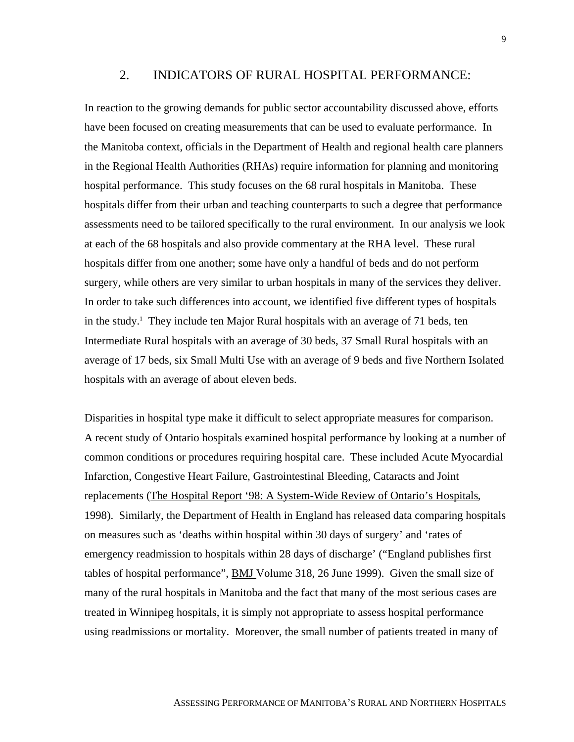### 2. INDICATORS OF RURAL HOSPITAL PERFORMANCE:

In reaction to the growing demands for public sector accountability discussed above, efforts have been focused on creating measurements that can be used to evaluate performance. In the Manitoba context, officials in the Department of Health and regional health care planners in the Regional Health Authorities (RHAs) require information for planning and monitoring hospital performance. This study focuses on the 68 rural hospitals in Manitoba. These hospitals differ from their urban and teaching counterparts to such a degree that performance assessments need to be tailored specifically to the rural environment. In our analysis we look at each of the 68 hospitals and also provide commentary at the RHA level. These rural hospitals differ from one another; some have only a handful of beds and do not perform surgery, while others are very similar to urban hospitals in many of the services they deliver. In order to take such differences into account, we identified five different types of hospitals in the study.<sup>1</sup> They include ten Major Rural hospitals with an average of 71 beds, ten Intermediate Rural hospitals with an average of 30 beds, 37 Small Rural hospitals with an average of 17 beds, six Small Multi Use with an average of 9 beds and five Northern Isolated hospitals with an average of about eleven beds.

Disparities in hospital type make it difficult to select appropriate measures for comparison. A recent study of Ontario hospitals examined hospital performance by looking at a number of common conditions or procedures requiring hospital care. These included Acute Myocardial Infarction, Congestive Heart Failure, Gastrointestinal Bleeding, Cataracts and Joint replacements (The Hospital Report '98: A System-Wide Review of Ontario's Hospitals, 1998). Similarly, the Department of Health in England has released data comparing hospitals on measures such as 'deaths within hospital within 30 days of surgery' and 'rates of emergency readmission to hospitals within 28 days of discharge' ("England publishes first tables of hospital performance", BMJ Volume 318, 26 June 1999). Given the small size of many of the rural hospitals in Manitoba and the fact that many of the most serious cases are treated in Winnipeg hospitals, it is simply not appropriate to assess hospital performance using readmissions or mortality. Moreover, the small number of patients treated in many of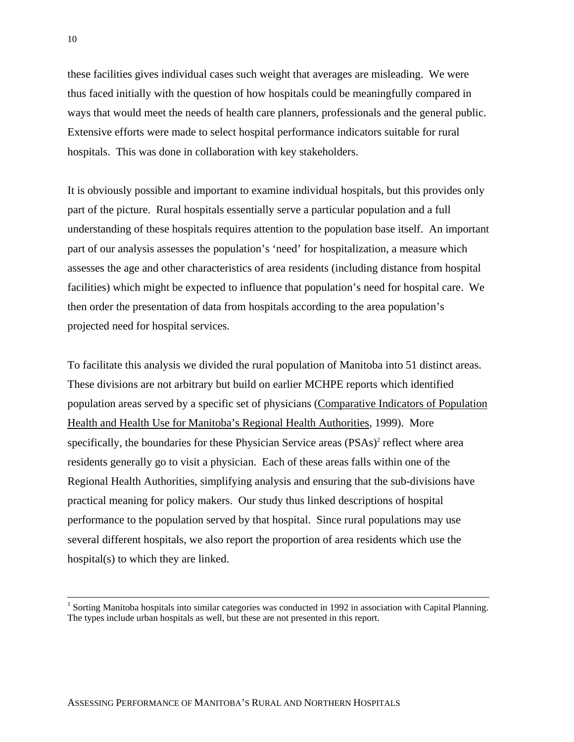these facilities gives individual cases such weight that averages are misleading. We were thus faced initially with the question of how hospitals could be meaningfully compared in ways that would meet the needs of health care planners, professionals and the general public. Extensive efforts were made to select hospital performance indicators suitable for rural hospitals. This was done in collaboration with key stakeholders.

It is obviously possible and important to examine individual hospitals, but this provides only part of the picture. Rural hospitals essentially serve a particular population and a full understanding of these hospitals requires attention to the population base itself. An important part of our analysis assesses the population's 'need' for hospitalization, a measure which assesses the age and other characteristics of area residents (including distance from hospital facilities) which might be expected to influence that population's need for hospital care. We then order the presentation of data from hospitals according to the area population's projected need for hospital services.

To facilitate this analysis we divided the rural population of Manitoba into 51 distinct areas. These divisions are not arbitrary but build on earlier MCHPE reports which identified population areas served by a specific set of physicians (Comparative Indicators of Population Health and Health Use for Manitoba's Regional Health Authorities, 1999). More specifically, the boundaries for these Physician Service areas (PSAs)<sup>2</sup> reflect where area residents generally go to visit a physician. Each of these areas falls within one of the Regional Health Authorities, simplifying analysis and ensuring that the sub-divisions have practical meaning for policy makers. Our study thus linked descriptions of hospital performance to the population served by that hospital. Since rural populations may use several different hospitals, we also report the proportion of area residents which use the hospital(s) to which they are linked.

<sup>|&</sup>lt;br>|<br>| <sup>1</sup> Sorting Manitoba hospitals into similar categories was conducted in 1992 in association with Capital Planning. The types include urban hospitals as well, but these are not presented in this report.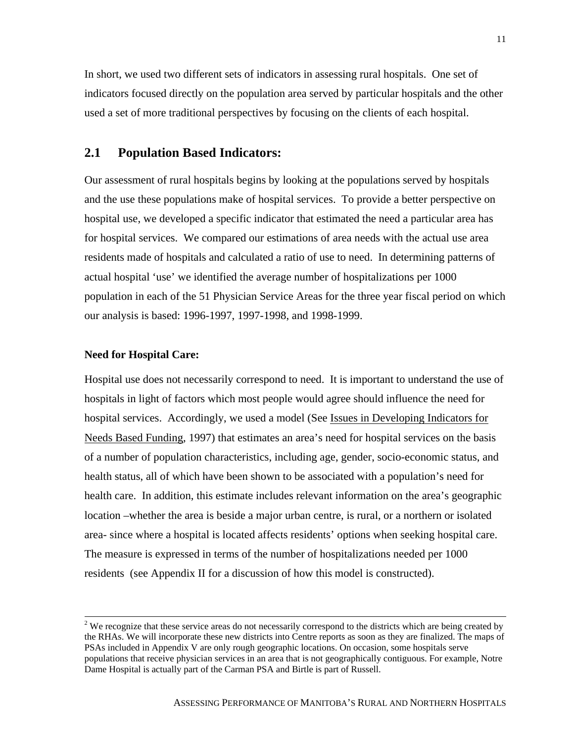In short, we used two different sets of indicators in assessing rural hospitals. One set of indicators focused directly on the population area served by particular hospitals and the other used a set of more traditional perspectives by focusing on the clients of each hospital.

### **2.1 Population Based Indicators:**

Our assessment of rural hospitals begins by looking at the populations served by hospitals and the use these populations make of hospital services. To provide a better perspective on hospital use, we developed a specific indicator that estimated the need a particular area has for hospital services. We compared our estimations of area needs with the actual use area residents made of hospitals and calculated a ratio of use to need. In determining patterns of actual hospital 'use' we identified the average number of hospitalizations per 1000 population in each of the 51 Physician Service Areas for the three year fiscal period on which our analysis is based: 1996-1997, 1997-1998, and 1998-1999.

#### **Need for Hospital Care:**

Hospital use does not necessarily correspond to need. It is important to understand the use of hospitals in light of factors which most people would agree should influence the need for hospital services. Accordingly, we used a model (See Issues in Developing Indicators for Needs Based Funding, 1997) that estimates an area's need for hospital services on the basis of a number of population characteristics, including age, gender, socio-economic status, and health status, all of which have been shown to be associated with a population's need for health care. In addition, this estimate includes relevant information on the area's geographic location –whether the area is beside a major urban centre, is rural, or a northern or isolated area- since where a hospital is located affects residents' options when seeking hospital care. The measure is expressed in terms of the number of hospitalizations needed per 1000 residents (see Appendix II for a discussion of how this model is constructed).

 $2^2$  We recognize that these service areas do not necessarily correspond to the districts which are being created by the RHAs. We will incorporate these new districts into Centre reports as soon as they are finalized. The maps of PSAs included in Appendix V are only rough geographic locations. On occasion, some hospitals serve populations that receive physician services in an area that is not geographically contiguous. For example, Notre Dame Hospital is actually part of the Carman PSA and Birtle is part of Russell.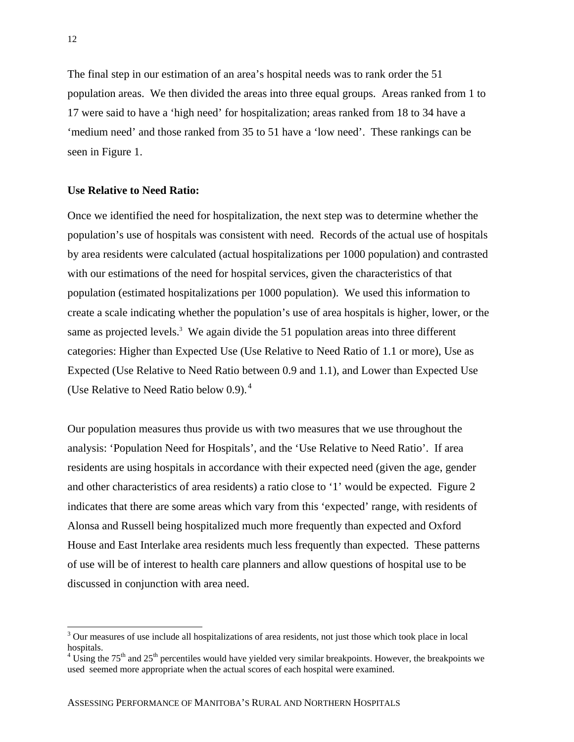The final step in our estimation of an area's hospital needs was to rank order the 51 population areas. We then divided the areas into three equal groups. Areas ranked from 1 to 17 were said to have a 'high need' for hospitalization; areas ranked from 18 to 34 have a 'medium need' and those ranked from 35 to 51 have a 'low need'. These rankings can be seen in Figure 1.

#### **Use Relative to Need Ratio:**

Once we identified the need for hospitalization, the next step was to determine whether the population's use of hospitals was consistent with need. Records of the actual use of hospitals by area residents were calculated (actual hospitalizations per 1000 population) and contrasted with our estimations of the need for hospital services, given the characteristics of that population (estimated hospitalizations per 1000 population). We used this information to create a scale indicating whether the population's use of area hospitals is higher, lower, or the same as projected levels.<sup>3</sup> We again divide the 51 population areas into three different categories: Higher than Expected Use (Use Relative to Need Ratio of 1.1 or more), Use as Expected (Use Relative to Need Ratio between 0.9 and 1.1), and Lower than Expected Use (Use Relative to Need Ratio below 0.9). <sup>4</sup>

Our population measures thus provide us with two measures that we use throughout the analysis: 'Population Need for Hospitals', and the 'Use Relative to Need Ratio'. If area residents are using hospitals in accordance with their expected need (given the age, gender and other characteristics of area residents) a ratio close to '1' would be expected. Figure 2 indicates that there are some areas which vary from this 'expected' range, with residents of Alonsa and Russell being hospitalized much more frequently than expected and Oxford House and East Interlake area residents much less frequently than expected. These patterns of use will be of interest to health care planners and allow questions of hospital use to be discussed in conjunction with area need.

 $\overline{a}$ 

 $3$  Our measures of use include all hospitalizations of area residents, not just those which took place in local hospitals.

 $4 \text{ Using the } 75^{\text{th}}$  and  $25^{\text{th}}$  percentiles would have yielded very similar breakpoints. However, the breakpoints we used seemed more appropriate when the actual scores of each hospital were examined.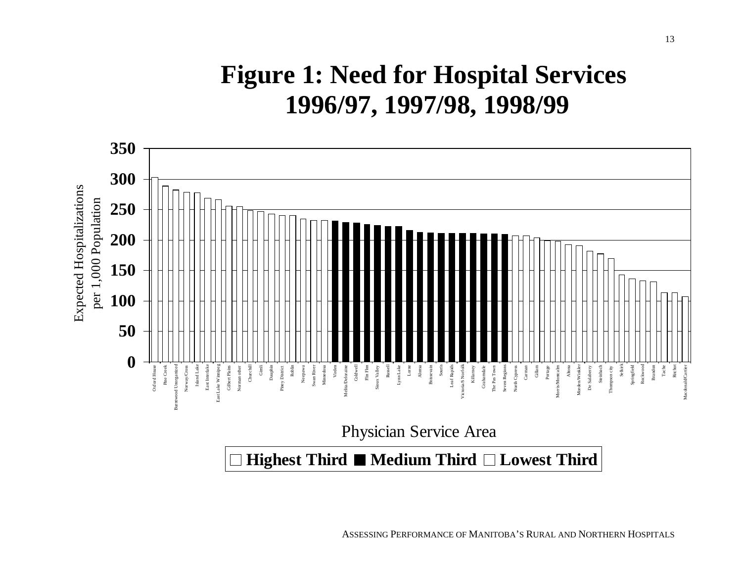# **Figure 1: Need for Hospital Services 1996/97, 1997/98, 1998/99**



ASSESSING PERFORMANCE OF MANITOBA'S RURAL AND NORTHERN HOSPITALS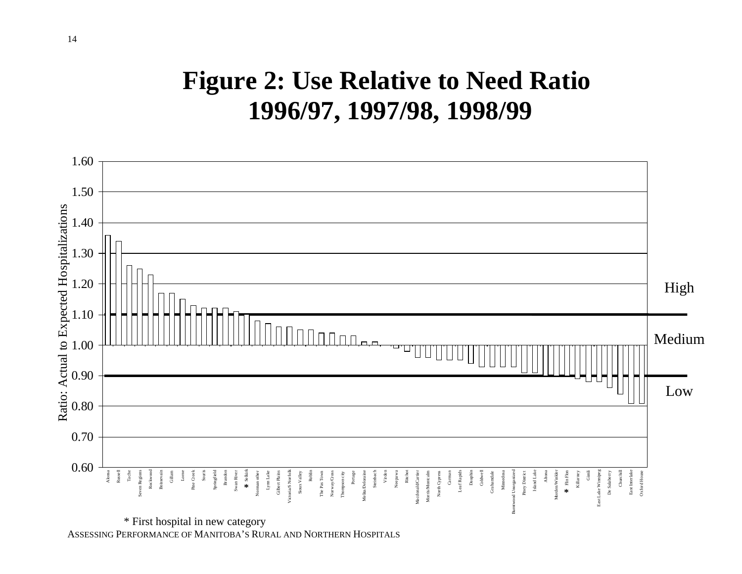## **Figure 2: Use Relative to Need Ratio 1996/97, 1997/98, 1998/99**



ASSESSING PERFORMANCE OF MANITOBA'S RURAL AND NORTHERN HOSPITALS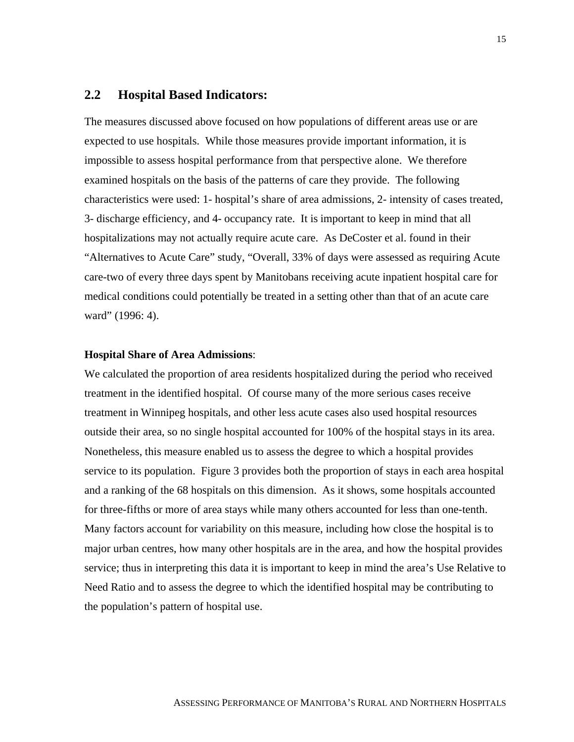### **2.2 Hospital Based Indicators:**

The measures discussed above focused on how populations of different areas use or are expected to use hospitals. While those measures provide important information, it is impossible to assess hospital performance from that perspective alone. We therefore examined hospitals on the basis of the patterns of care they provide. The following characteristics were used: 1- hospital's share of area admissions, 2- intensity of cases treated, 3- discharge efficiency, and 4- occupancy rate. It is important to keep in mind that all hospitalizations may not actually require acute care. As DeCoster et al. found in their "Alternatives to Acute Care" study, "Overall, 33% of days were assessed as requiring Acute care-two of every three days spent by Manitobans receiving acute inpatient hospital care for medical conditions could potentially be treated in a setting other than that of an acute care ward" (1996: 4).

### **Hospital Share of Area Admissions**:

We calculated the proportion of area residents hospitalized during the period who received treatment in the identified hospital. Of course many of the more serious cases receive treatment in Winnipeg hospitals, and other less acute cases also used hospital resources outside their area, so no single hospital accounted for 100% of the hospital stays in its area. Nonetheless, this measure enabled us to assess the degree to which a hospital provides service to its population. Figure 3 provides both the proportion of stays in each area hospital and a ranking of the 68 hospitals on this dimension. As it shows, some hospitals accounted for three-fifths or more of area stays while many others accounted for less than one-tenth. Many factors account for variability on this measure, including how close the hospital is to major urban centres, how many other hospitals are in the area, and how the hospital provides service; thus in interpreting this data it is important to keep in mind the area's Use Relative to Need Ratio and to assess the degree to which the identified hospital may be contributing to the population's pattern of hospital use.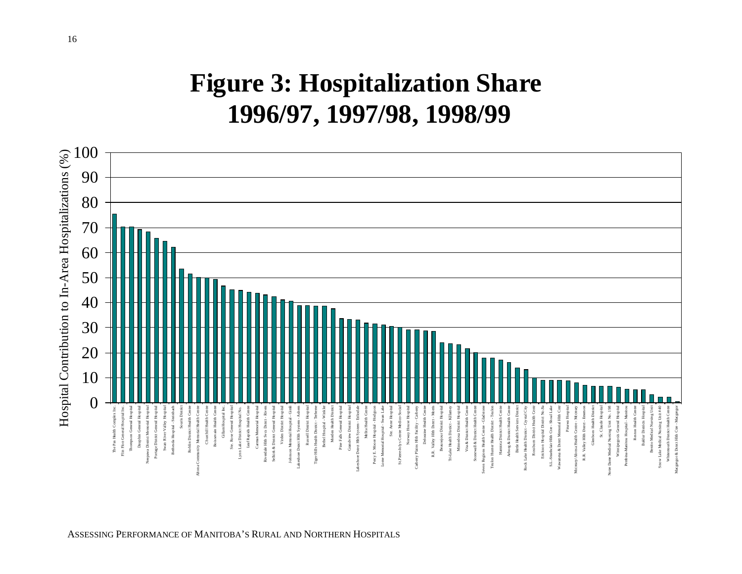# **Figure 3: Hospitalization Share 1996/97, 1997/98, 1998/99**



ASSESSING PERFORMANCE OF MANITOBA'S RURAL AND NORTHERN HOSPITALS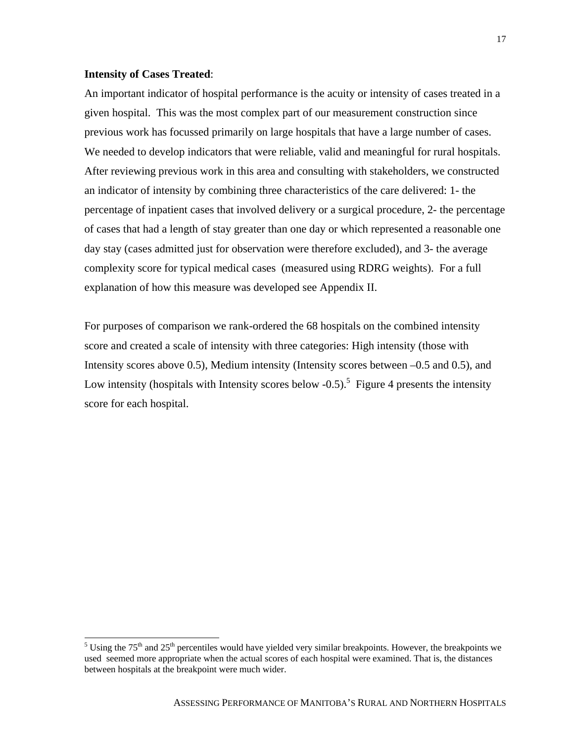### **Intensity of Cases Treated**:

An important indicator of hospital performance is the acuity or intensity of cases treated in a given hospital. This was the most complex part of our measurement construction since previous work has focussed primarily on large hospitals that have a large number of cases. We needed to develop indicators that were reliable, valid and meaningful for rural hospitals. After reviewing previous work in this area and consulting with stakeholders, we constructed an indicator of intensity by combining three characteristics of the care delivered: 1- the percentage of inpatient cases that involved delivery or a surgical procedure, 2- the percentage of cases that had a length of stay greater than one day or which represented a reasonable one day stay (cases admitted just for observation were therefore excluded), and 3- the average complexity score for typical medical cases (measured using RDRG weights). For a full explanation of how this measure was developed see Appendix II.

For purposes of comparison we rank-ordered the 68 hospitals on the combined intensity score and created a scale of intensity with three categories: High intensity (those with Intensity scores above 0.5), Medium intensity (Intensity scores between –0.5 and 0.5), and Low intensity (hospitals with Intensity scores below  $-0.5$ ).<sup>5</sup> Figure 4 presents the intensity score for each hospital.

 $5 \text{ Using the } 75^{\text{th}}$  and  $25^{\text{th}}$  percentiles would have yielded very similar breakpoints. However, the breakpoints we used seemed more appropriate when the actual scores of each hospital were examined. That is, the distances between hospitals at the breakpoint were much wider.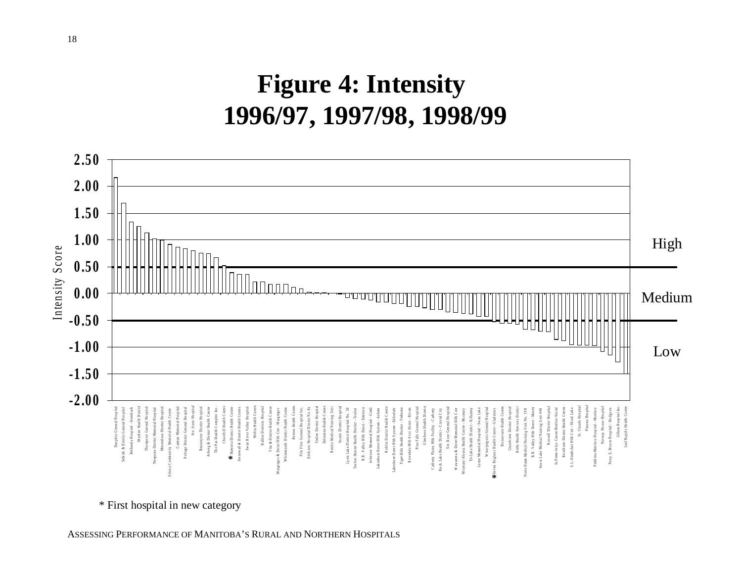# **Figure 4: Intensity 1996/97, 1997/98, 1998/99**



\* First hospital in new category

ASSESSING PERFORMANCE OF MANITOBA'S RURAL AND NORTHERN HOSPITALS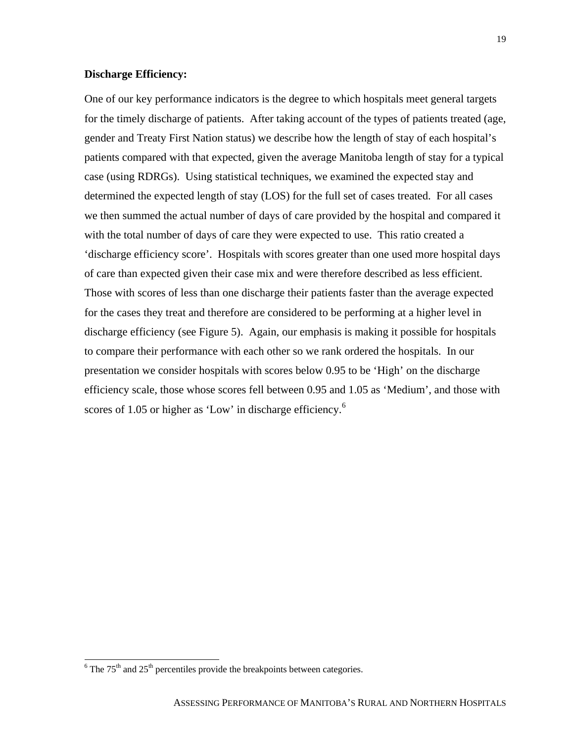#### **Discharge Efficiency:**

One of our key performance indicators is the degree to which hospitals meet general targets for the timely discharge of patients. After taking account of the types of patients treated (age, gender and Treaty First Nation status) we describe how the length of stay of each hospital's patients compared with that expected, given the average Manitoba length of stay for a typical case (using RDRGs). Using statistical techniques, we examined the expected stay and determined the expected length of stay (LOS) for the full set of cases treated. For all cases we then summed the actual number of days of care provided by the hospital and compared it with the total number of days of care they were expected to use. This ratio created a 'discharge efficiency score'. Hospitals with scores greater than one used more hospital days of care than expected given their case mix and were therefore described as less efficient. Those with scores of less than one discharge their patients faster than the average expected for the cases they treat and therefore are considered to be performing at a higher level in discharge efficiency (see Figure 5). Again, our emphasis is making it possible for hospitals to compare their performance with each other so we rank ordered the hospitals. In our presentation we consider hospitals with scores below 0.95 to be 'High' on the discharge efficiency scale, those whose scores fell between 0.95 and 1.05 as 'Medium', and those with scores of 1.05 or higher as 'Low' in discharge efficiency.<sup>6</sup>

 $\frac{6}{6}$  The 75<sup>th</sup> and 25<sup>th</sup> percentiles provide the breakpoints between categories.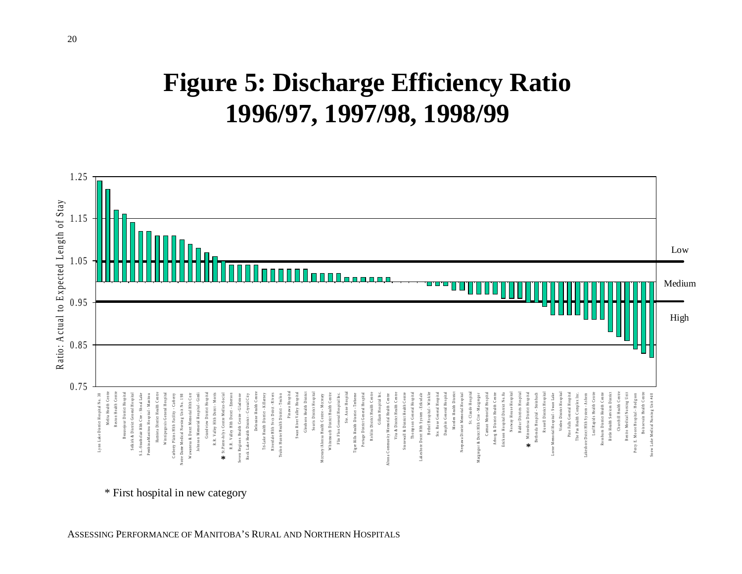# **Figure 5: Discharge Efficiency Ratio 1996/97, 1997/98, 1998/99**



\* First hospital in new category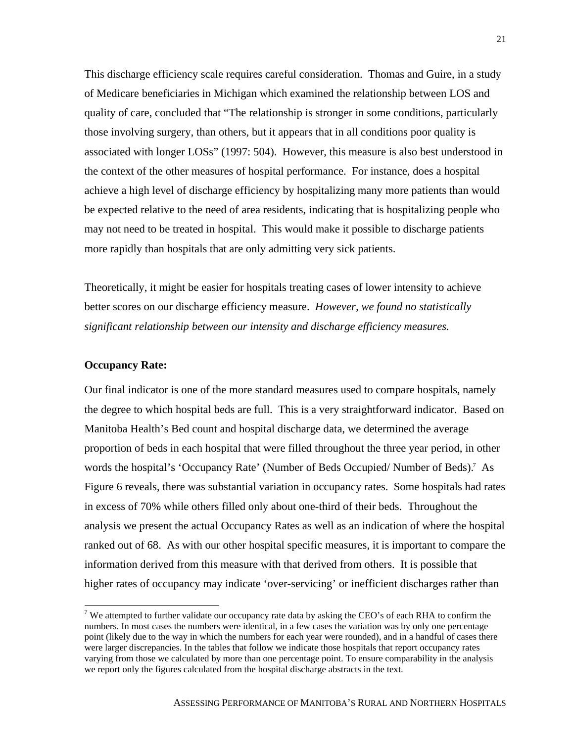This discharge efficiency scale requires careful consideration. Thomas and Guire, in a study of Medicare beneficiaries in Michigan which examined the relationship between LOS and quality of care, concluded that "The relationship is stronger in some conditions, particularly those involving surgery, than others, but it appears that in all conditions poor quality is associated with longer LOSs" (1997: 504). However, this measure is also best understood in the context of the other measures of hospital performance. For instance, does a hospital achieve a high level of discharge efficiency by hospitalizing many more patients than would be expected relative to the need of area residents, indicating that is hospitalizing people who may not need to be treated in hospital. This would make it possible to discharge patients more rapidly than hospitals that are only admitting very sick patients.

Theoretically, it might be easier for hospitals treating cases of lower intensity to achieve better scores on our discharge efficiency measure. *However, we found no statistically significant relationship between our intensity and discharge efficiency measures.*

#### **Occupancy Rate:**

 $\overline{a}$ 

Our final indicator is one of the more standard measures used to compare hospitals, namely the degree to which hospital beds are full. This is a very straightforward indicator. Based on Manitoba Health's Bed count and hospital discharge data, we determined the average proportion of beds in each hospital that were filled throughout the three year period, in other words the hospital's 'Occupancy Rate' (Number of Beds Occupied/ Number of Beds).<sup>7</sup> As Figure 6 reveals, there was substantial variation in occupancy rates. Some hospitals had rates in excess of 70% while others filled only about one-third of their beds. Throughout the analysis we present the actual Occupancy Rates as well as an indication of where the hospital ranked out of 68. As with our other hospital specific measures, it is important to compare the information derived from this measure with that derived from others. It is possible that higher rates of occupancy may indicate 'over-servicing' or inefficient discharges rather than

<sup>&</sup>lt;sup>7</sup> We attempted to further validate our occupancy rate data by asking the CEO's of each RHA to confirm the numbers. In most cases the numbers were identical, in a few cases the variation was by only one percentage point (likely due to the way in which the numbers for each year were rounded), and in a handful of cases there were larger discrepancies. In the tables that follow we indicate those hospitals that report occupancy rates varying from those we calculated by more than one percentage point. To ensure comparability in the analysis we report only the figures calculated from the hospital discharge abstracts in the text.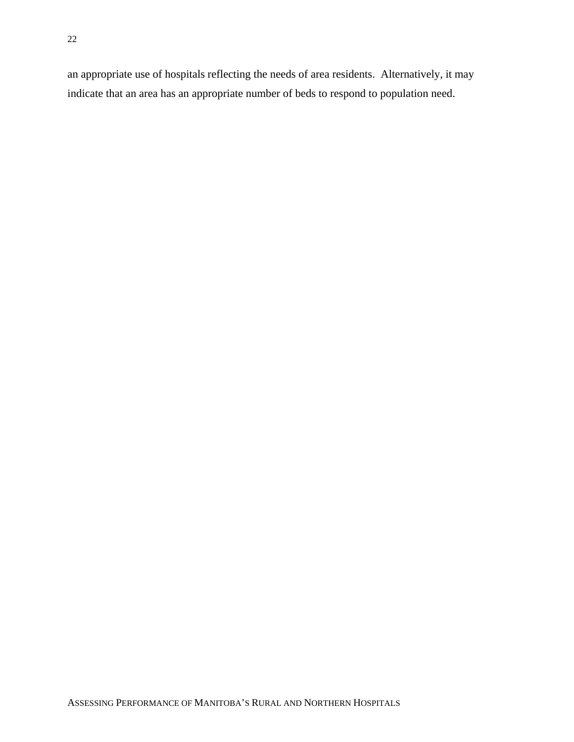an appropriate use of hospitals reflecting the needs of area residents. Alternatively, it may indicate that an area has an appropriate number of beds to respond to population need.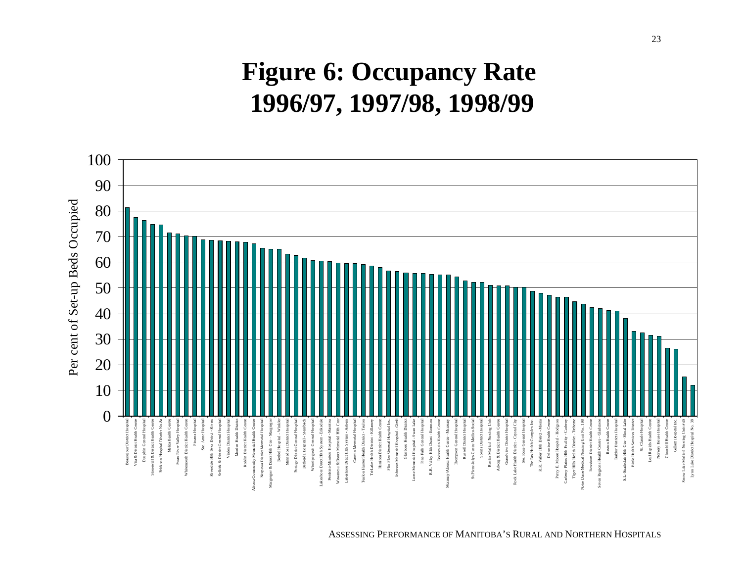# **Figure 6: Occupancy Rate 1996/97, 1997/98, 1998/99**



ASSESSING PERFORMANCE OF MANITOBA'S RURAL AND NORTHERN HOSPITALS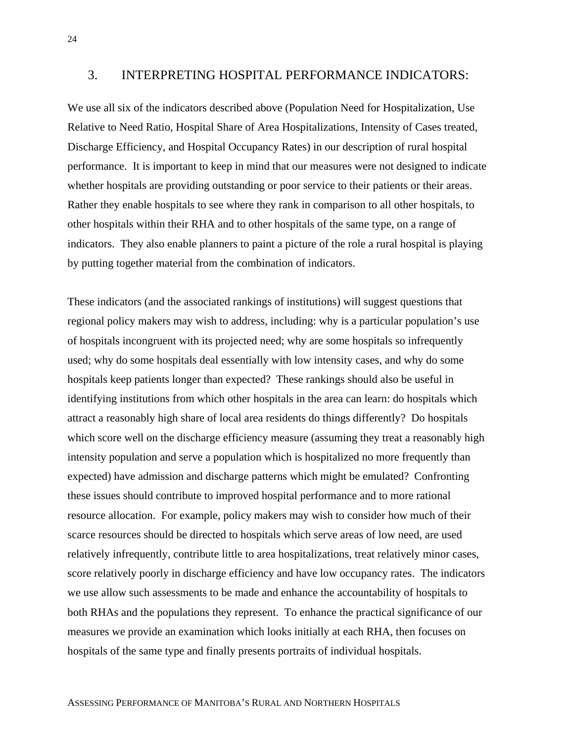### 3. INTERPRETING HOSPITAL PERFORMANCE INDICATORS:

We use all six of the indicators described above (Population Need for Hospitalization, Use Relative to Need Ratio, Hospital Share of Area Hospitalizations, Intensity of Cases treated, Discharge Efficiency, and Hospital Occupancy Rates) in our description of rural hospital performance. It is important to keep in mind that our measures were not designed to indicate whether hospitals are providing outstanding or poor service to their patients or their areas. Rather they enable hospitals to see where they rank in comparison to all other hospitals, to other hospitals within their RHA and to other hospitals of the same type, on a range of indicators. They also enable planners to paint a picture of the role a rural hospital is playing by putting together material from the combination of indicators.

These indicators (and the associated rankings of institutions) will suggest questions that regional policy makers may wish to address, including: why is a particular population's use of hospitals incongruent with its projected need; why are some hospitals so infrequently used; why do some hospitals deal essentially with low intensity cases, and why do some hospitals keep patients longer than expected? These rankings should also be useful in identifying institutions from which other hospitals in the area can learn: do hospitals which attract a reasonably high share of local area residents do things differently? Do hospitals which score well on the discharge efficiency measure (assuming they treat a reasonably high intensity population and serve a population which is hospitalized no more frequently than expected) have admission and discharge patterns which might be emulated? Confronting these issues should contribute to improved hospital performance and to more rational resource allocation. For example, policy makers may wish to consider how much of their scarce resources should be directed to hospitals which serve areas of low need, are used relatively infrequently, contribute little to area hospitalizations, treat relatively minor cases, score relatively poorly in discharge efficiency and have low occupancy rates. The indicators we use allow such assessments to be made and enhance the accountability of hospitals to both RHAs and the populations they represent. To enhance the practical significance of our measures we provide an examination which looks initially at each RHA, then focuses on hospitals of the same type and finally presents portraits of individual hospitals.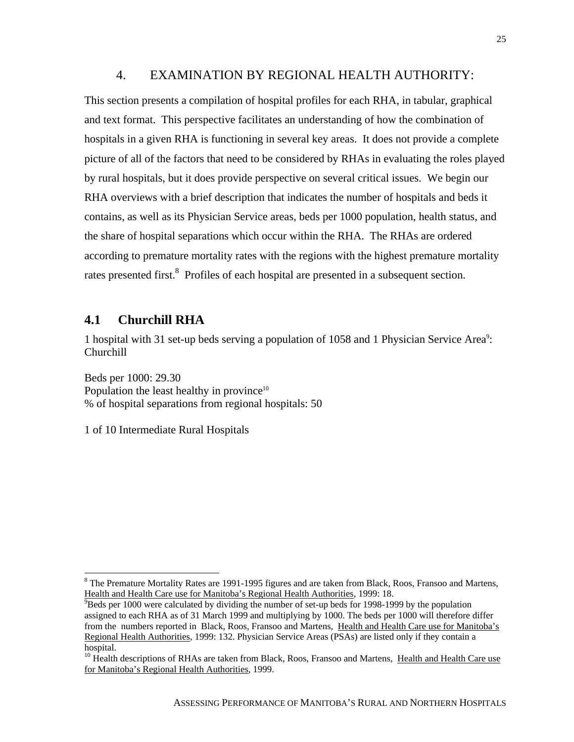### 4. EXAMINATION BY REGIONAL HEALTH AUTHORITY:

This section presents a compilation of hospital profiles for each RHA, in tabular, graphical and text format. This perspective facilitates an understanding of how the combination of hospitals in a given RHA is functioning in several key areas. It does not provide a complete picture of all of the factors that need to be considered by RHAs in evaluating the roles played by rural hospitals, but it does provide perspective on several critical issues. We begin our RHA overviews with a brief description that indicates the number of hospitals and beds it contains, as well as its Physician Service areas, beds per 1000 population, health status, and the share of hospital separations which occur within the RHA. The RHAs are ordered according to premature mortality rates with the regions with the highest premature mortality rates presented first.<sup>8</sup> Profiles of each hospital are presented in a subsequent section.

### **4.1 Churchill RHA**

 $\overline{a}$ 

1 hospital with 31 set-up beds serving a population of 1058 and 1 Physician Service Area<sup>9</sup>: Churchill

Beds per 1000: 29.30 Population the least healthy in province<sup>10</sup> % of hospital separations from regional hospitals: 50

1 of 10 Intermediate Rural Hospitals

<sup>&</sup>lt;sup>8</sup> The Premature Mortality Rates are 1991-1995 figures and are taken from Black, Roos, Fransoo and Martens, Health and Health Care use for Manitoba's Regional Health Authorities, 1999: 18.

 $\rm{P}$ Beds per 1000 were calculated by dividing the number of set-up beds for 1998-1999 by the population assigned to each RHA as of 31 March 1999 and multiplying by 1000. The beds per 1000 will therefore differ from the numbers reported in Black, Roos, Fransoo and Martens, Health and Health Care use for Manitoba's Regional Health Authorities, 1999: 132. Physician Service Areas (PSAs) are listed only if they contain a hospital.

<sup>&</sup>lt;sup>10</sup> Health descriptions of RHAs are taken from Black, Roos, Fransoo and Martens, Health and Health Care use for Manitoba's Regional Health Authorities, 1999.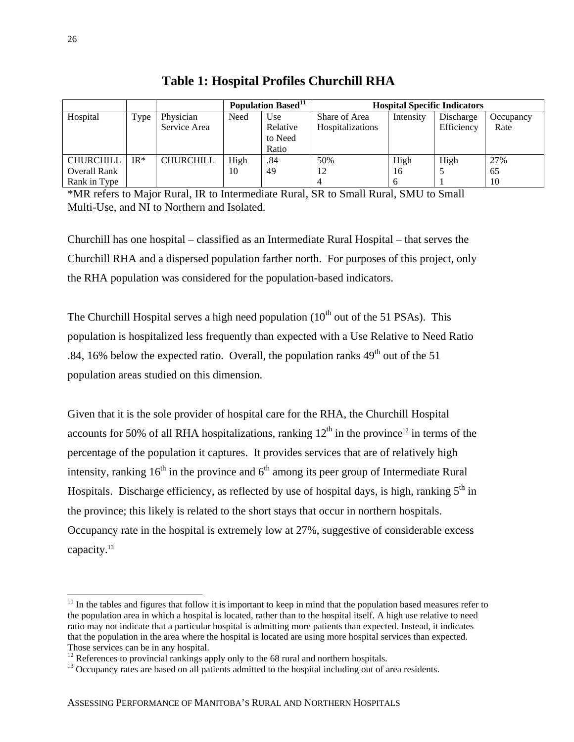|                                         |       |                           | Population Based <sup>11</sup><br><b>Hospital Specific Indicators</b> |                                     |                                   |            |                         |                   |
|-----------------------------------------|-------|---------------------------|-----------------------------------------------------------------------|-------------------------------------|-----------------------------------|------------|-------------------------|-------------------|
| Hospital                                | Type  | Physician<br>Service Area | Need                                                                  | Use<br>Relative<br>to Need<br>Ratio | Share of Area<br>Hospitalizations | Intensity  | Discharge<br>Efficiency | Occupancy<br>Rate |
| <b>CHURCHILL</b><br><b>Overall Rank</b> | $IR*$ | CHURCHILL                 | High<br>10                                                            | .84<br>49                           | 50%<br>12                         | High<br>16 | High                    | 27%<br>65         |
| Rank in Type                            |       |                           |                                                                       |                                     |                                   |            |                         | 10                |

**Table 1: Hospital Profiles Churchill RHA**

\*MR refers to Major Rural, IR to Intermediate Rural, SR to Small Rural, SMU to Small Multi-Use, and NI to Northern and Isolated.

Churchill has one hospital – classified as an Intermediate Rural Hospital – that serves the Churchill RHA and a dispersed population farther north. For purposes of this project, only the RHA population was considered for the population-based indicators.

The Churchill Hospital serves a high need population  $(10<sup>th</sup>$  out of the 51 PSAs). This population is hospitalized less frequently than expected with a Use Relative to Need Ratio .84, 16% below the expected ratio. Overall, the population ranks  $49<sup>th</sup>$  out of the 51 population areas studied on this dimension.

Given that it is the sole provider of hospital care for the RHA, the Churchill Hospital accounts for 50% of all RHA hospitalizations, ranking  $12<sup>th</sup>$  in the province<sup>12</sup> in terms of the percentage of the population it captures. It provides services that are of relatively high intensity, ranking  $16<sup>th</sup>$  in the province and  $6<sup>th</sup>$  among its peer group of Intermediate Rural Hospitals. Discharge efficiency, as reflected by use of hospital days, is high, ranking  $5<sup>th</sup>$  in the province; this likely is related to the short stays that occur in northern hospitals. Occupancy rate in the hospital is extremely low at 27%, suggestive of considerable excess capacity.<sup>13</sup>

 $\overline{a}$ 

 $11$  In the tables and figures that follow it is important to keep in mind that the population based measures refer to the population area in which a hospital is located, rather than to the hospital itself. A high use relative to need ratio may not indicate that a particular hospital is admitting more patients than expected. Instead, it indicates that the population in the area where the hospital is located are using more hospital services than expected. Those services can be in any hospital.

 $12$  References to provincial rankings apply only to the 68 rural and northern hospitals.

<sup>&</sup>lt;sup>13</sup> Occupancy rates are based on all patients admitted to the hospital including out of area residents.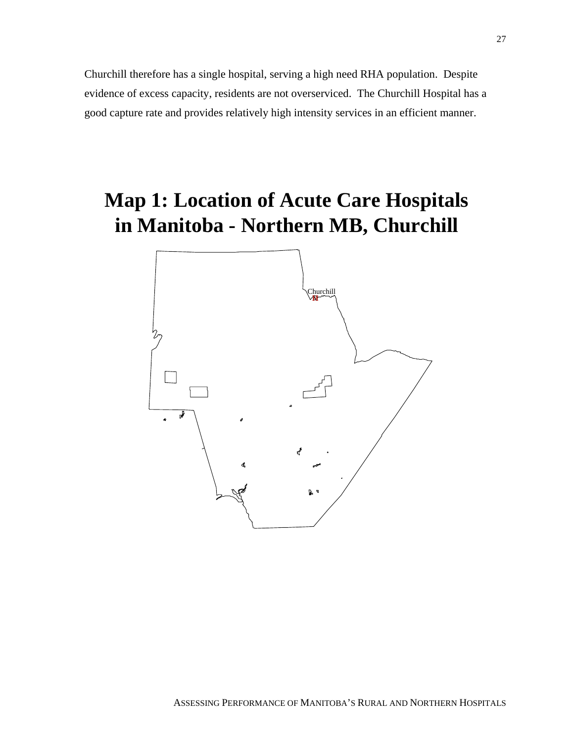Churchill therefore has a single hospital, serving a high need RHA population. Despite evidence of excess capacity, residents are not overserviced. The Churchill Hospital has a good capture rate and provides relatively high intensity services in an efficient manner.

# **Map 1: Location of Acute Care Hospitals in Manitoba - Northern MB, Churchill**

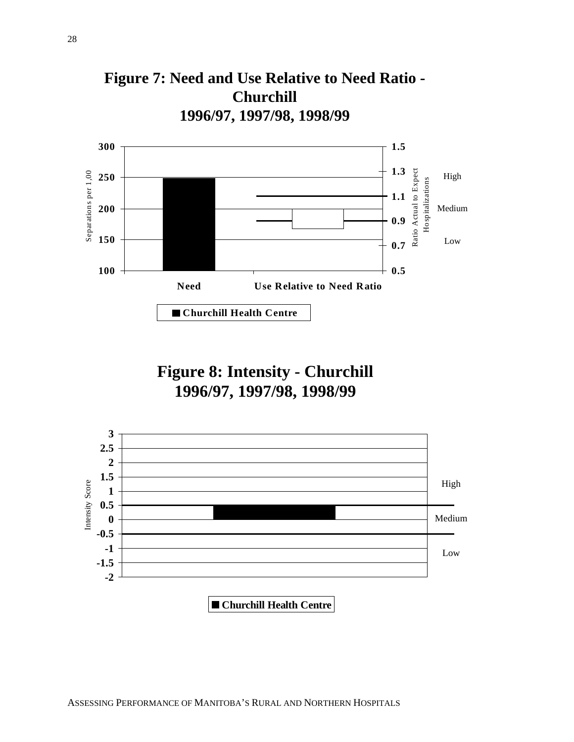



**Figure 8: Intensity - Churchill 1996/97, 1997/98, 1998/99**

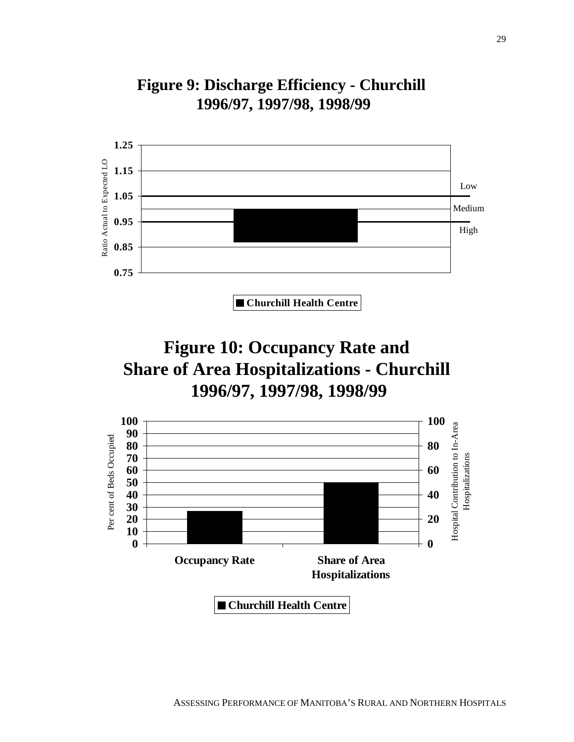





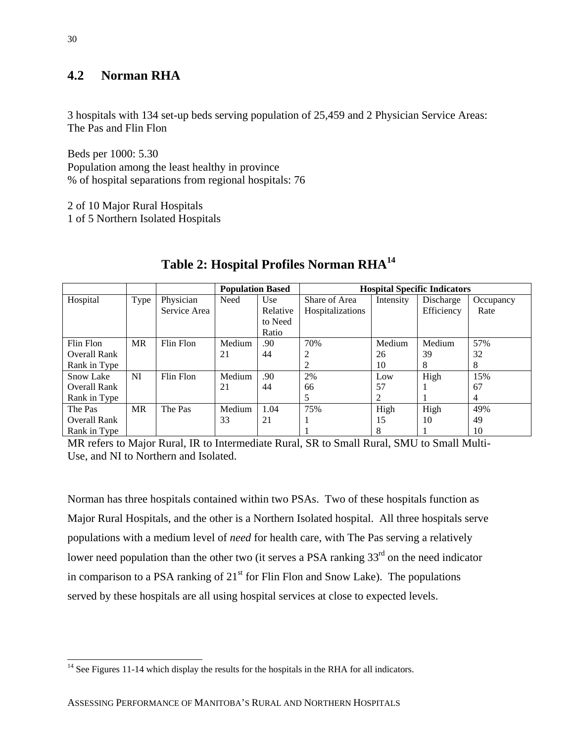#### **4.2 Norman RHA**

3 hospitals with 134 set-up beds serving population of 25,459 and 2 Physician Service Areas: The Pas and Flin Flon

Beds per 1000: 5.30 Population among the least healthy in province % of hospital separations from regional hospitals: 76

2 of 10 Major Rural Hospitals 1 of 5 Northern Isolated Hospitals

|                     |           |              | <b>Population Based</b> |          | <b>Hospital Specific Indicators</b> |           |            |           |  |
|---------------------|-----------|--------------|-------------------------|----------|-------------------------------------|-----------|------------|-----------|--|
| Hospital            | Type      | Physician    | Need                    | Use      | Share of Area                       | Intensity | Discharge  | Occupancy |  |
|                     |           | Service Area |                         | Relative | Hospitalizations                    |           | Efficiency | Rate      |  |
|                     |           |              |                         | to Need  |                                     |           |            |           |  |
|                     |           |              |                         | Ratio    |                                     |           |            |           |  |
| Flin Flon           | <b>MR</b> | Flin Flon    | Medium                  | .90      | 70%                                 | Medium    | Medium     | 57%       |  |
| Overall Rank        |           |              | 21                      | 44       |                                     | 26        | 39         | 32        |  |
| Rank in Type        |           |              |                         |          |                                     | 10        | 8          | 8         |  |
| <b>Snow Lake</b>    | NI        | Flin Flon    | Medium                  | .90      | 2%                                  | Low       | High       | 15%       |  |
| <b>Overall Rank</b> |           |              | 21                      | 44       | 66                                  | 57        |            | 67        |  |
| Rank in Type        |           |              |                         |          | 5                                   | 2         |            | 4         |  |
| The Pas             | <b>MR</b> | The Pas      | Medium                  | 1.04     | 75%                                 | High      | High       | 49%       |  |
| Overall Rank        |           |              | 33                      | 21       |                                     | 15        | 10         | 49        |  |
| Rank in Type        |           |              |                         |          |                                     | 8         |            | 10        |  |

#### **Table 2: Hospital Profiles Norman RHA14**

MR refers to Major Rural, IR to Intermediate Rural, SR to Small Rural, SMU to Small Multi-Use, and NI to Northern and Isolated.

Norman has three hospitals contained within two PSAs. Two of these hospitals function as Major Rural Hospitals, and the other is a Northern Isolated hospital. All three hospitals serve populations with a medium level of *need* for health care, with The Pas serving a relatively lower need population than the other two (it serves a PSA ranking  $33<sup>rd</sup>$  on the need indicator in comparison to a PSA ranking of  $21<sup>st</sup>$  for Flin Flon and Snow Lake). The populations served by these hospitals are all using hospital services at close to expected levels.

 $\overline{a}$ 

 $14$  See Figures 11-14 which display the results for the hospitals in the RHA for all indicators.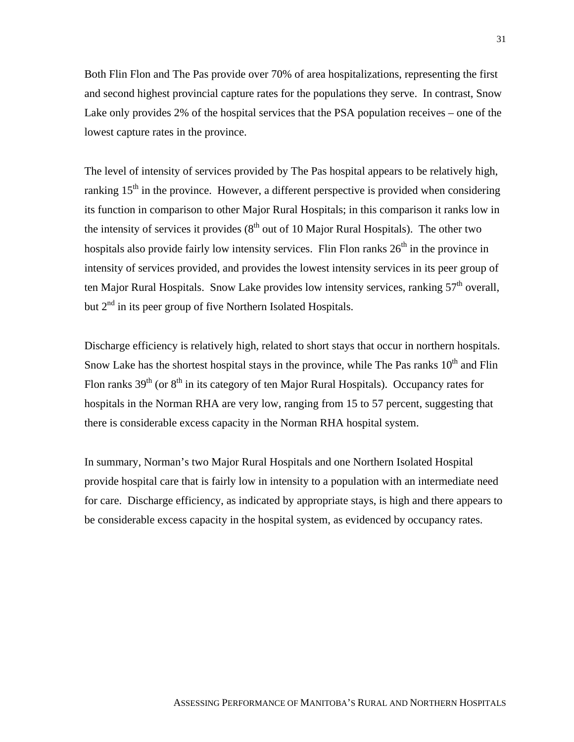Both Flin Flon and The Pas provide over 70% of area hospitalizations, representing the first and second highest provincial capture rates for the populations they serve. In contrast, Snow Lake only provides 2% of the hospital services that the PSA population receives – one of the lowest capture rates in the province.

The level of intensity of services provided by The Pas hospital appears to be relatively high, ranking  $15<sup>th</sup>$  in the province. However, a different perspective is provided when considering its function in comparison to other Major Rural Hospitals; in this comparison it ranks low in the intensity of services it provides  $(8<sup>th</sup>$  out of 10 Major Rural Hospitals). The other two hospitals also provide fairly low intensity services. Flin Flon ranks  $26<sup>th</sup>$  in the province in intensity of services provided, and provides the lowest intensity services in its peer group of ten Major Rural Hospitals. Snow Lake provides low intensity services, ranking  $57<sup>th</sup>$  overall, but  $2<sup>nd</sup>$  in its peer group of five Northern Isolated Hospitals.

Discharge efficiency is relatively high, related to short stays that occur in northern hospitals. Snow Lake has the shortest hospital stays in the province, while The Pas ranks  $10<sup>th</sup>$  and Flin Flon ranks  $39<sup>th</sup>$  (or  $8<sup>th</sup>$  in its category of ten Major Rural Hospitals). Occupancy rates for hospitals in the Norman RHA are very low, ranging from 15 to 57 percent, suggesting that there is considerable excess capacity in the Norman RHA hospital system.

In summary, Norman's two Major Rural Hospitals and one Northern Isolated Hospital provide hospital care that is fairly low in intensity to a population with an intermediate need for care. Discharge efficiency, as indicated by appropriate stays, is high and there appears to be considerable excess capacity in the hospital system, as evidenced by occupancy rates.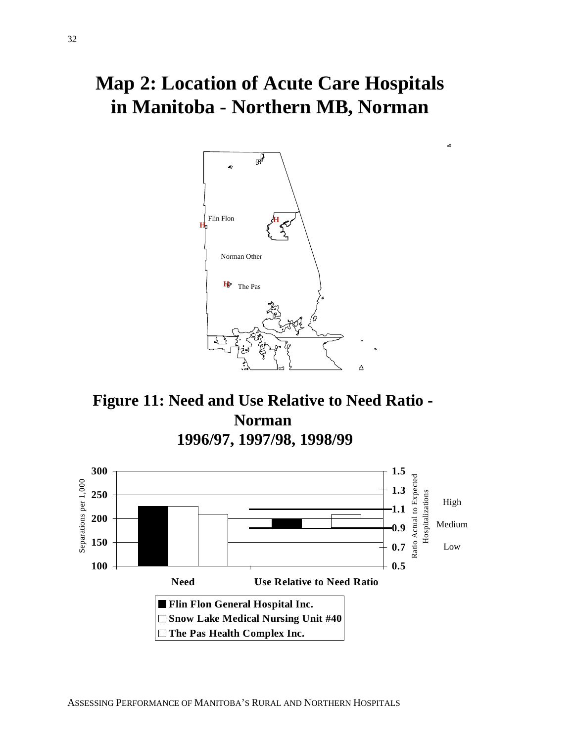## **Map 2: Location of Acute Care Hospitals in Manitoba - Northern MB, Norman**

a





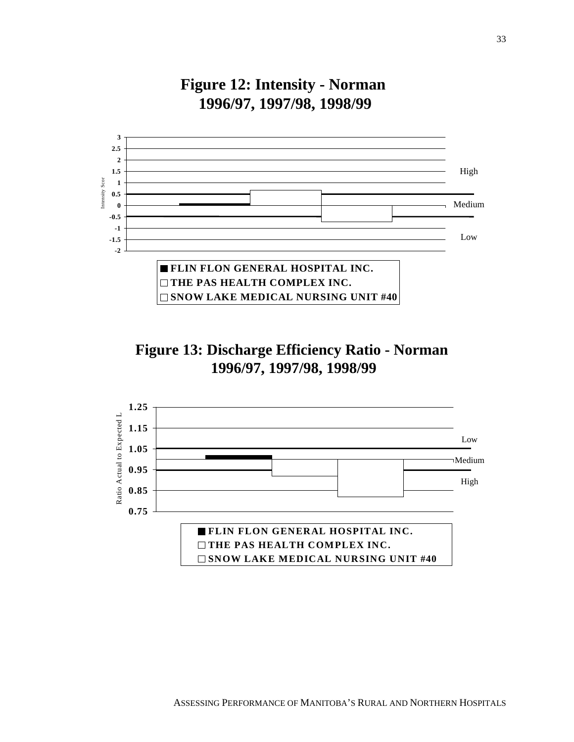

### **Figure 13: Discharge Efficiency Ratio - Norman 1996/97, 1997/98, 1998/99**

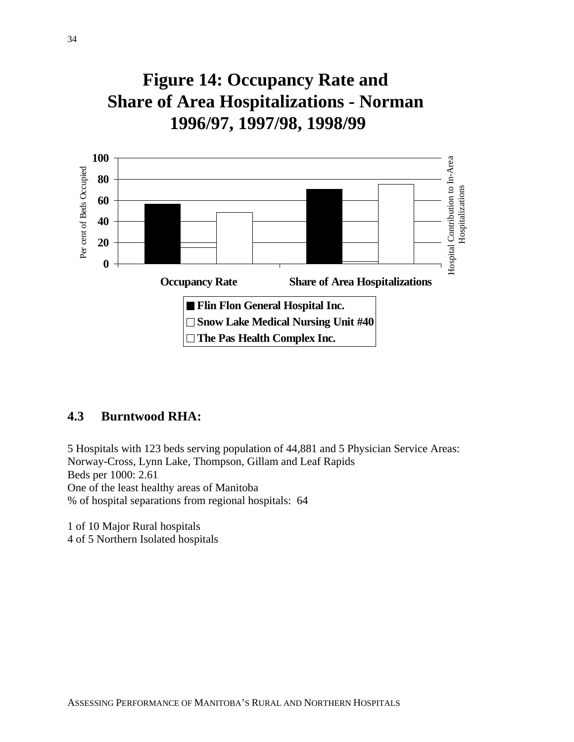**Figure 14: Occupancy Rate and Share of Area Hospitalizations - Norman 1996/97, 1997/98, 1998/99**



#### **4.3 Burntwood RHA:**

5 Hospitals with 123 beds serving population of 44,881 and 5 Physician Service Areas: Norway-Cross, Lynn Lake, Thompson, Gillam and Leaf Rapids Beds per 1000: 2.61 One of the least healthy areas of Manitoba % of hospital separations from regional hospitals: 64

1 of 10 Major Rural hospitals 4 of 5 Northern Isolated hospitals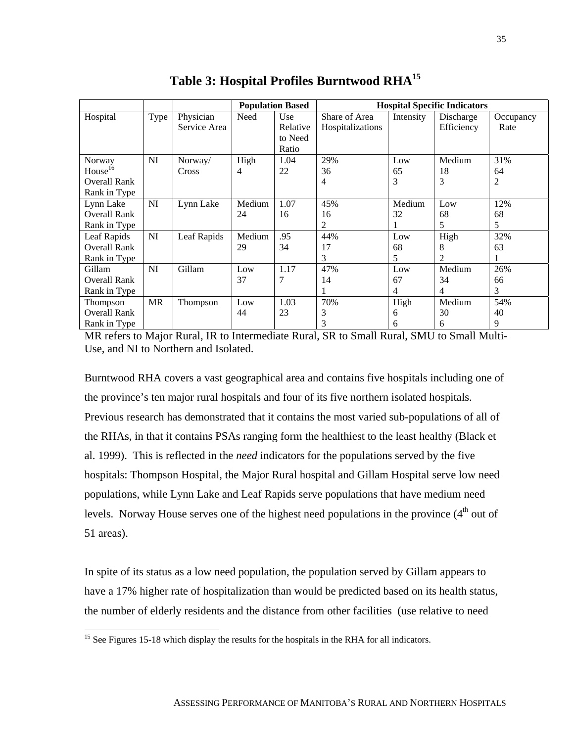|                                                                      |      |                           |              | <b>Population Based</b>             | <b>Hospital Specific Indicators</b> |                |                         |                   |  |
|----------------------------------------------------------------------|------|---------------------------|--------------|-------------------------------------|-------------------------------------|----------------|-------------------------|-------------------|--|
| Hospital                                                             | Type | Physician<br>Service Area | Need         | Use<br>Relative<br>to Need<br>Ratio | Share of Area<br>Hospitalizations   | Intensity      | Discharge<br>Efficiency | Occupancy<br>Rate |  |
| Norway<br>House <sup>16</sup><br><b>Overall Rank</b><br>Rank in Type | NI   | Norway/<br>Cross          | High<br>4    | 1.04<br>22                          | 29%<br>36<br>4                      | Low<br>65<br>3 | Medium<br>18<br>3       | 31%<br>64<br>2    |  |
| Lynn Lake<br>Overall Rank<br>Rank in Type                            | NI   | Lynn Lake                 | Medium<br>24 | 1.07<br>16                          | 45%<br>16<br>2                      | Medium<br>32   | Low<br>68<br>5          | 12%<br>68<br>5    |  |
| Leaf Rapids<br><b>Overall Rank</b><br>Rank in Type                   | NI   | Leaf Rapids               | Medium<br>29 | .95<br>34                           | 44%<br>17<br>3                      | Low<br>68<br>5 | High<br>8<br>2          | 32%<br>63         |  |
| Gillam<br><b>Overall Rank</b><br>Rank in Type                        | NI   | Gillam                    | Low<br>37    | 1.17<br>7                           | 47%<br>14                           | Low<br>67<br>4 | Medium<br>34<br>4       | 26%<br>66<br>3    |  |
| Thompson<br><b>Overall Rank</b><br>Rank in Type                      | MR   | Thompson                  | Low<br>44    | 1.03<br>23                          | 70%<br>3<br>3                       | High<br>6<br>6 | Medium<br>30<br>6       | 54%<br>40<br>9    |  |

**Table 3: Hospital Profiles Burntwood RHA15**

MR refers to Major Rural, IR to Intermediate Rural, SR to Small Rural, SMU to Small Multi-Use, and NI to Northern and Isolated.

Burntwood RHA covers a vast geographical area and contains five hospitals including one of the province's ten major rural hospitals and four of its five northern isolated hospitals. Previous research has demonstrated that it contains the most varied sub-populations of all of the RHAs, in that it contains PSAs ranging form the healthiest to the least healthy (Black et al. 1999). This is reflected in the *need* indicators for the populations served by the five hospitals: Thompson Hospital, the Major Rural hospital and Gillam Hospital serve low need populations, while Lynn Lake and Leaf Rapids serve populations that have medium need levels. Norway House serves one of the highest need populations in the province (4<sup>th</sup> out of 51 areas).

In spite of its status as a low need population, the population served by Gillam appears to have a 17% higher rate of hospitalization than would be predicted based on its health status, the number of elderly residents and the distance from other facilities (use relative to need

 $\overline{a}$ 

<sup>&</sup>lt;sup>15</sup> See Figures 15-18 which display the results for the hospitals in the RHA for all indicators.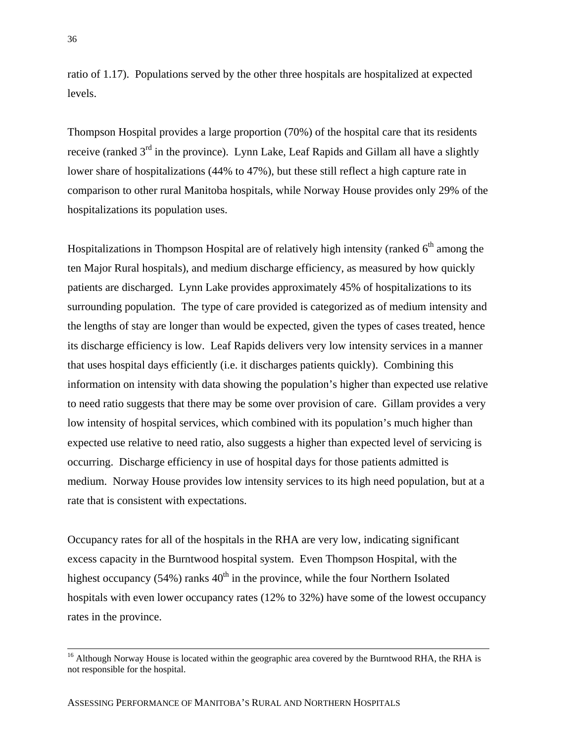ratio of 1.17). Populations served by the other three hospitals are hospitalized at expected levels.

Thompson Hospital provides a large proportion (70%) of the hospital care that its residents receive (ranked  $3<sup>rd</sup>$  in the province). Lynn Lake, Leaf Rapids and Gillam all have a slightly lower share of hospitalizations (44% to 47%), but these still reflect a high capture rate in comparison to other rural Manitoba hospitals, while Norway House provides only 29% of the hospitalizations its population uses.

Hospitalizations in Thompson Hospital are of relatively high intensity (ranked  $6<sup>th</sup>$  among the ten Major Rural hospitals), and medium discharge efficiency, as measured by how quickly patients are discharged. Lynn Lake provides approximately 45% of hospitalizations to its surrounding population. The type of care provided is categorized as of medium intensity and the lengths of stay are longer than would be expected, given the types of cases treated, hence its discharge efficiency is low. Leaf Rapids delivers very low intensity services in a manner that uses hospital days efficiently (i.e. it discharges patients quickly). Combining this information on intensity with data showing the population's higher than expected use relative to need ratio suggests that there may be some over provision of care. Gillam provides a very low intensity of hospital services, which combined with its population's much higher than expected use relative to need ratio, also suggests a higher than expected level of servicing is occurring. Discharge efficiency in use of hospital days for those patients admitted is medium. Norway House provides low intensity services to its high need population, but at a rate that is consistent with expectations.

Occupancy rates for all of the hospitals in the RHA are very low, indicating significant excess capacity in the Burntwood hospital system. Even Thompson Hospital, with the highest occupancy (54%) ranks  $40<sup>th</sup>$  in the province, while the four Northern Isolated hospitals with even lower occupancy rates (12% to 32%) have some of the lowest occupancy rates in the province.

<sup>&</sup>lt;sup>16</sup> Although Norway House is located within the geographic area covered by the Burntwood RHA, the RHA is not responsible for the hospital.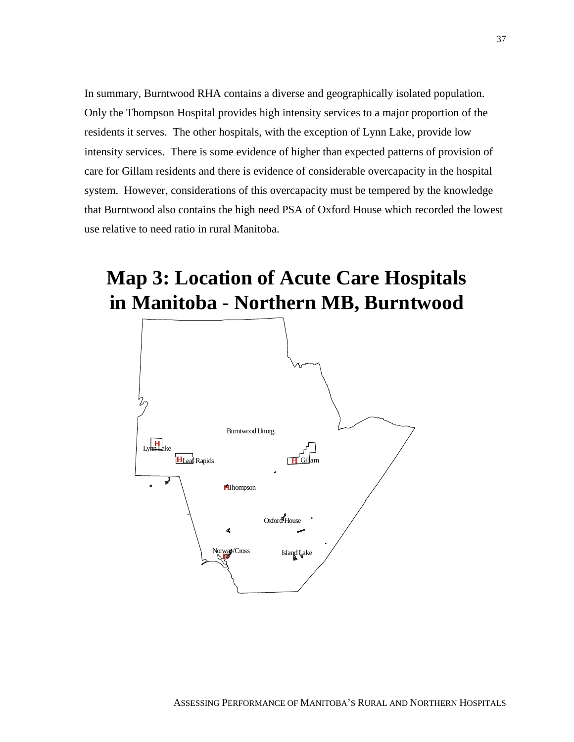In summary, Burntwood RHA contains a diverse and geographically isolated population. Only the Thompson Hospital provides high intensity services to a major proportion of the residents it serves. The other hospitals, with the exception of Lynn Lake, provide low intensity services. There is some evidence of higher than expected patterns of provision of care for Gillam residents and there is evidence of considerable overcapacity in the hospital system. However, considerations of this overcapacity must be tempered by the knowledge that Burntwood also contains the high need PSA of Oxford House which recorded the lowest use relative to need ratio in rural Manitoba.

## **Map 3: Location of Acute Care Hospitals in Manitoba - Northern MB, Burntwood**

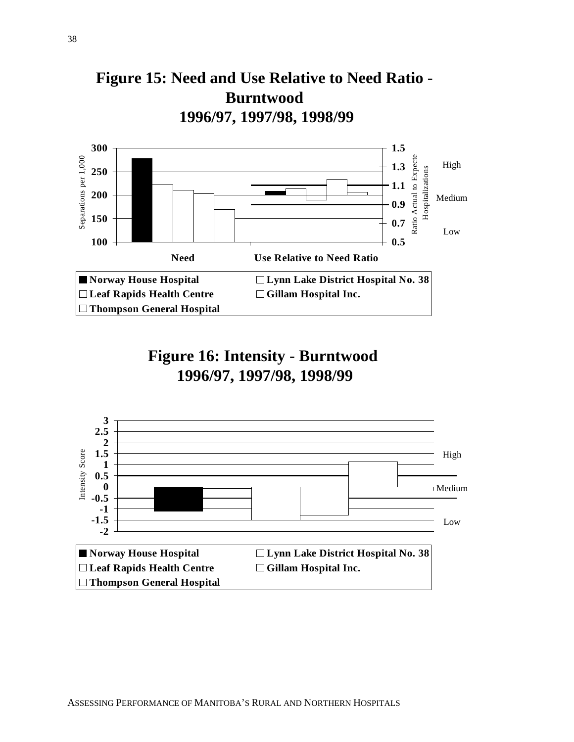



## **Figure 16: Intensity - Burntwood 1996/97, 1997/98, 1998/99**

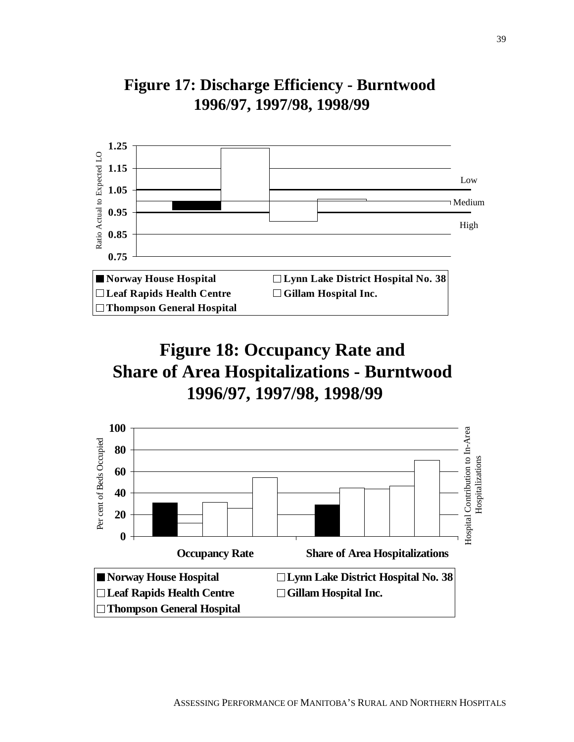

## **Figure 17: Discharge Efficiency - Burntwood 1996/97, 1997/98, 1998/99**

## **Figure 18: Occupancy Rate and Share of Area Hospitalizations - Burntwood 1996/97, 1997/98, 1998/99**

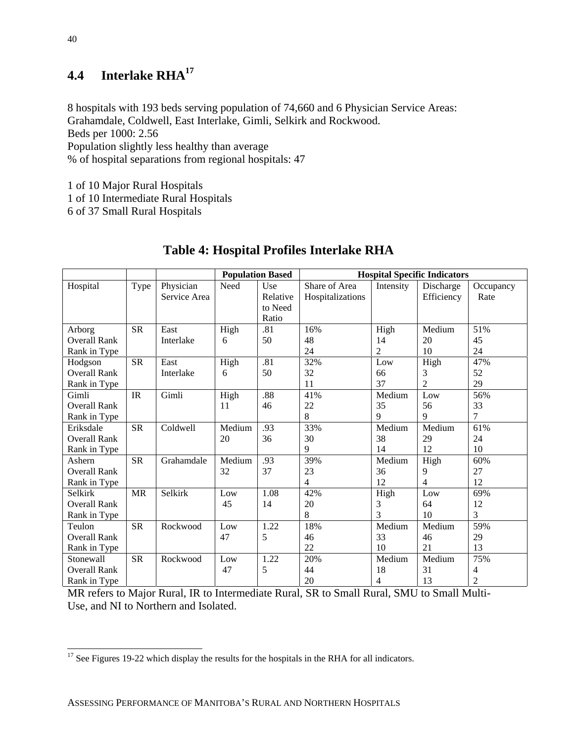### **4.4 Interlake RHA17**

8 hospitals with 193 beds serving population of 74,660 and 6 Physician Service Areas: Grahamdale, Coldwell, East Interlake, Gimli, Selkirk and Rockwood. Beds per 1000: 2.56 Population slightly less healthy than average % of hospital separations from regional hospitals: 47

1 of 10 Major Rural Hospitals

1 of 10 Intermediate Rural Hospitals

6 of 37 Small Rural Hospitals

|                     |                                   |              |        | <b>Population Based</b> | <b>Hospital Specific Indicators</b> |                |                 |                |  |
|---------------------|-----------------------------------|--------------|--------|-------------------------|-------------------------------------|----------------|-----------------|----------------|--|
| Hospital            | Type                              | Physician    | Need   | Use                     | Share of Area                       | Intensity      | Discharge       | Occupancy      |  |
|                     |                                   | Service Area |        | Relative                | Hospitalizations                    |                | Efficiency      | Rate           |  |
|                     |                                   |              |        | to Need                 |                                     |                |                 |                |  |
|                     |                                   |              |        | Ratio                   |                                     |                |                 |                |  |
| Arborg              | <b>SR</b>                         | East         | High   | .81                     | 16%                                 | High           | Medium          | 51%            |  |
| <b>Overall Rank</b> |                                   | Interlake    | 6      | 50                      | 48                                  | 14             | 20              | 45             |  |
| Rank in Type        |                                   |              |        |                         | 24                                  | $\overline{c}$ | 10              | 24             |  |
| Hodgson             | <b>SR</b>                         | East         | High   | .81                     | 32%                                 | Low            | High            | 47%            |  |
| <b>Overall Rank</b> |                                   | Interlake    | 6      | 50                      | 32                                  | 66             | 3               | 52             |  |
| Rank in Type        |                                   |              |        |                         | 11                                  | 37             | $\overline{2}$  | 29             |  |
| Gimli               | $\ensuremath{\mathsf{IR}}\xspace$ | Gimli        | High   | .88                     | 41%                                 | Medium         | $_{\text{Low}}$ | 56%            |  |
| <b>Overall Rank</b> |                                   |              | 11     | 46                      | 22                                  | 35             | 56              | 33             |  |
| Rank in Type        |                                   |              |        |                         | 8                                   | 9              | 9               | 7              |  |
| Eriksdale           | <b>SR</b>                         | Coldwell     | Medium | .93                     | 33%                                 | Medium         | Medium          | 61%            |  |
| <b>Overall Rank</b> |                                   |              | 20     | 36                      | 30                                  | 38             | 29              | 24             |  |
| Rank in Type        |                                   |              |        |                         | 9                                   | 14             | 12              | 10             |  |
| Ashern              | <b>SR</b>                         | Grahamdale   | Medium | .93                     | 39%                                 | Medium         | High            | 60%            |  |
| <b>Overall Rank</b> |                                   |              | 32     | 37                      | 23                                  | 36             | 9               | 27             |  |
| Rank in Type        |                                   |              |        |                         | $\overline{4}$                      | 12             | $\overline{4}$  | 12             |  |
| Selkirk             | <b>MR</b>                         | Selkirk      | Low    | 1.08                    | 42%                                 | High           | Low             | 69%            |  |
| <b>Overall Rank</b> |                                   |              | 45     | 14                      | 20                                  | 3              | 64              | 12             |  |
| Rank in Type        |                                   |              |        |                         | 8                                   | 3              | 10              | 3              |  |
| Teulon              | <b>SR</b>                         | Rockwood     | Low    | 1.22                    | 18%                                 | Medium         | Medium          | 59%            |  |
| <b>Overall Rank</b> |                                   |              | 47     | 5                       | 46                                  | 33             | 46              | 29             |  |
| Rank in Type        |                                   |              |        |                         | 22                                  | 10             | 21              | 13             |  |
| Stonewall           | <b>SR</b>                         | Rockwood     | Low    | 1.22                    | 20%                                 | Medium         | Medium          | 75%            |  |
| <b>Overall Rank</b> |                                   |              | 47     | 5                       | 44                                  | 18             | 31              | 4              |  |
| Rank in Type        |                                   |              |        |                         | 20                                  | 4              | 13              | $\overline{2}$ |  |

#### **Table 4: Hospital Profiles Interlake RHA**

MR refers to Major Rural, IR to Intermediate Rural, SR to Small Rural, SMU to Small Multi-Use, and NI to Northern and Isolated.

 $\overline{a}$ 

 $17$  See Figures 19-22 which display the results for the hospitals in the RHA for all indicators.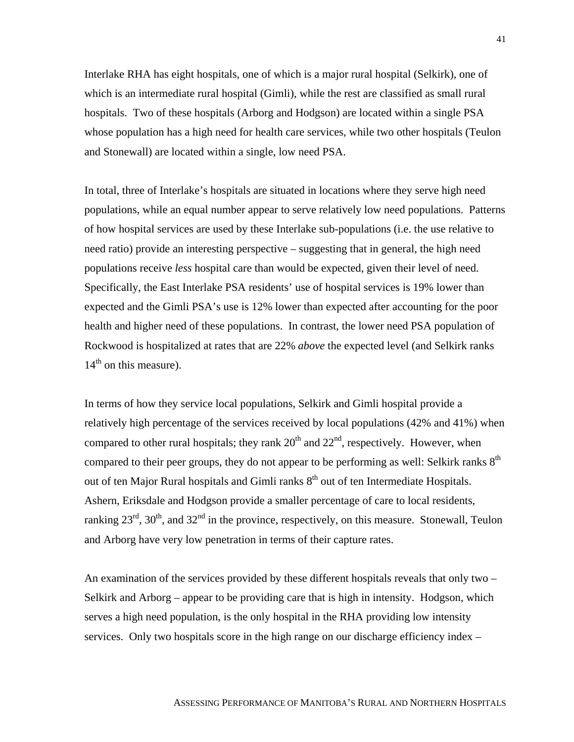Interlake RHA has eight hospitals, one of which is a major rural hospital (Selkirk), one of which is an intermediate rural hospital (Gimli), while the rest are classified as small rural hospitals. Two of these hospitals (Arborg and Hodgson) are located within a single PSA whose population has a high need for health care services, while two other hospitals (Teulon and Stonewall) are located within a single, low need PSA.

In total, three of Interlake's hospitals are situated in locations where they serve high need populations, while an equal number appear to serve relatively low need populations. Patterns of how hospital services are used by these Interlake sub-populations (i.e. the use relative to need ratio) provide an interesting perspective – suggesting that in general, the high need populations receive *less* hospital care than would be expected, given their level of need. Specifically, the East Interlake PSA residents' use of hospital services is 19% lower than expected and the Gimli PSA's use is 12% lower than expected after accounting for the poor health and higher need of these populations. In contrast, the lower need PSA population of Rockwood is hospitalized at rates that are 22% *above* the expected level (and Selkirk ranks  $14<sup>th</sup>$  on this measure).

In terms of how they service local populations, Selkirk and Gimli hospital provide a relatively high percentage of the services received by local populations (42% and 41%) when compared to other rural hospitals; they rank  $20<sup>th</sup>$  and  $22<sup>nd</sup>$ , respectively. However, when compared to their peer groups, they do not appear to be performing as well: Selkirk ranks  $8<sup>th</sup>$ out of ten Major Rural hospitals and Gimli ranks  $8<sup>th</sup>$  out of ten Intermediate Hospitals. Ashern, Eriksdale and Hodgson provide a smaller percentage of care to local residents, ranking  $23^{\text{rd}}$ ,  $30^{\text{th}}$ , and  $32^{\text{nd}}$  in the province, respectively, on this measure. Stonewall, Teulon and Arborg have very low penetration in terms of their capture rates.

An examination of the services provided by these different hospitals reveals that only two – Selkirk and Arborg – appear to be providing care that is high in intensity. Hodgson, which serves a high need population, is the only hospital in the RHA providing low intensity services. Only two hospitals score in the high range on our discharge efficiency index –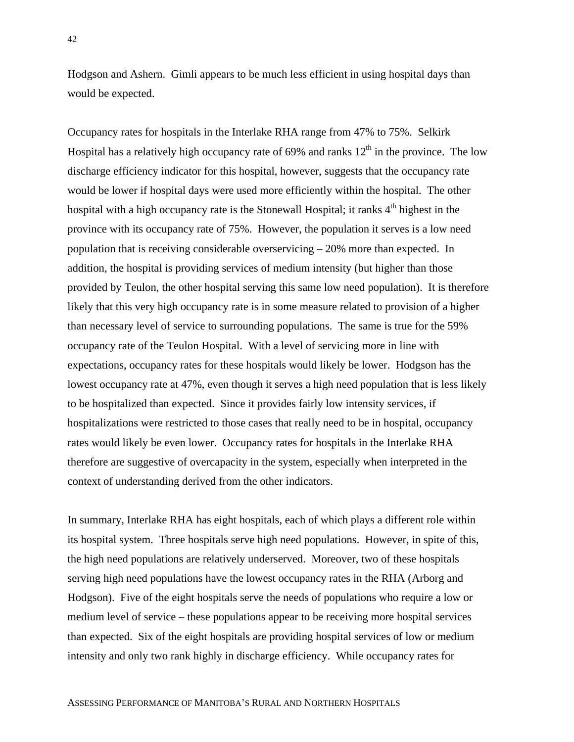Hodgson and Ashern. Gimli appears to be much less efficient in using hospital days than would be expected.

Occupancy rates for hospitals in the Interlake RHA range from 47% to 75%. Selkirk Hospital has a relatively high occupancy rate of  $69\%$  and ranks  $12<sup>th</sup>$  in the province. The low discharge efficiency indicator for this hospital, however, suggests that the occupancy rate would be lower if hospital days were used more efficiently within the hospital. The other hospital with a high occupancy rate is the Stonewall Hospital; it ranks  $4<sup>th</sup>$  highest in the province with its occupancy rate of 75%. However, the population it serves is a low need population that is receiving considerable overservicing – 20% more than expected. In addition, the hospital is providing services of medium intensity (but higher than those provided by Teulon, the other hospital serving this same low need population). It is therefore likely that this very high occupancy rate is in some measure related to provision of a higher than necessary level of service to surrounding populations. The same is true for the 59% occupancy rate of the Teulon Hospital. With a level of servicing more in line with expectations, occupancy rates for these hospitals would likely be lower. Hodgson has the lowest occupancy rate at 47%, even though it serves a high need population that is less likely to be hospitalized than expected. Since it provides fairly low intensity services, if hospitalizations were restricted to those cases that really need to be in hospital, occupancy rates would likely be even lower. Occupancy rates for hospitals in the Interlake RHA therefore are suggestive of overcapacity in the system, especially when interpreted in the context of understanding derived from the other indicators.

In summary, Interlake RHA has eight hospitals, each of which plays a different role within its hospital system. Three hospitals serve high need populations. However, in spite of this, the high need populations are relatively underserved. Moreover, two of these hospitals serving high need populations have the lowest occupancy rates in the RHA (Arborg and Hodgson). Five of the eight hospitals serve the needs of populations who require a low or medium level of service – these populations appear to be receiving more hospital services than expected. Six of the eight hospitals are providing hospital services of low or medium intensity and only two rank highly in discharge efficiency. While occupancy rates for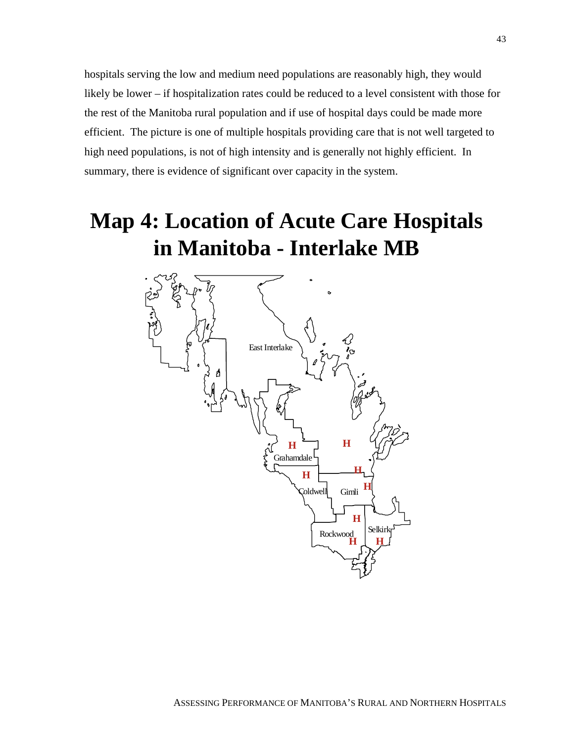hospitals serving the low and medium need populations are reasonably high, they would likely be lower – if hospitalization rates could be reduced to a level consistent with those for the rest of the Manitoba rural population and if use of hospital days could be made more efficient. The picture is one of multiple hospitals providing care that is not well targeted to high need populations, is not of high intensity and is generally not highly efficient. In summary, there is evidence of significant over capacity in the system.

# **Map 4: Location of Acute Care Hospitals in Manitoba - Interlake MB**

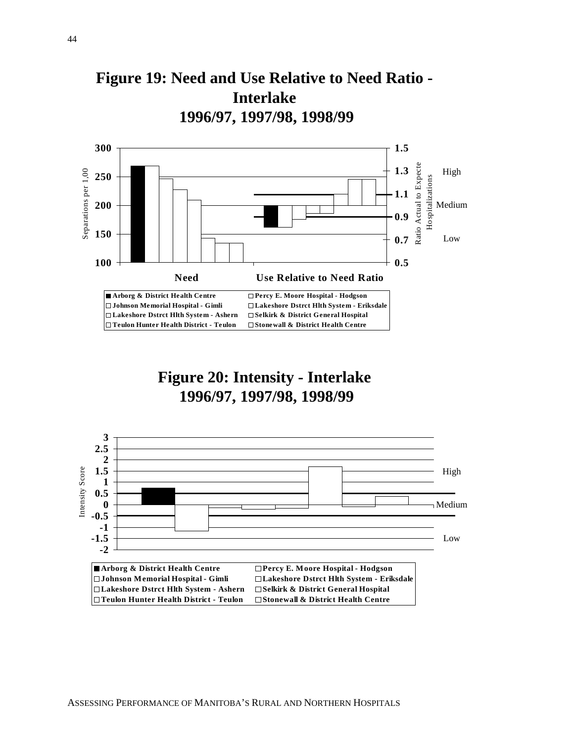



**Figure 20: Intensity - Interlake 1996/97, 1997/98, 1998/99**

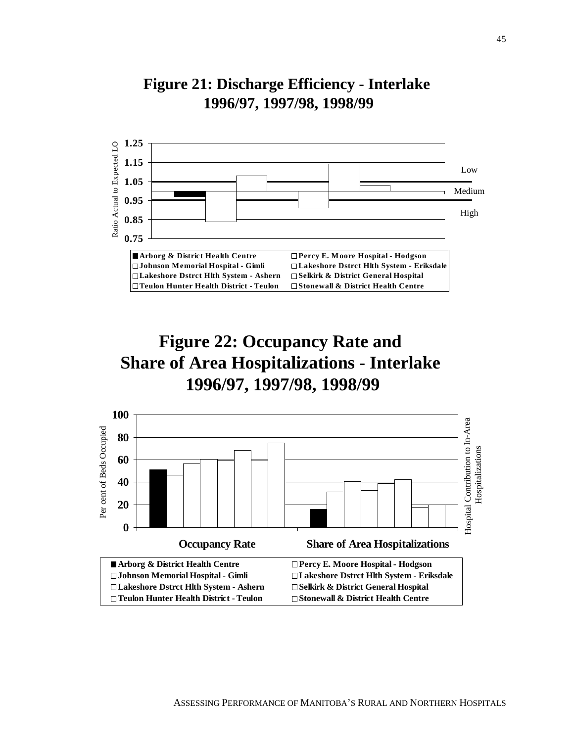

### **Figure 21: Discharge Efficiency - Interlake 1996/97, 1997/98, 1998/99**



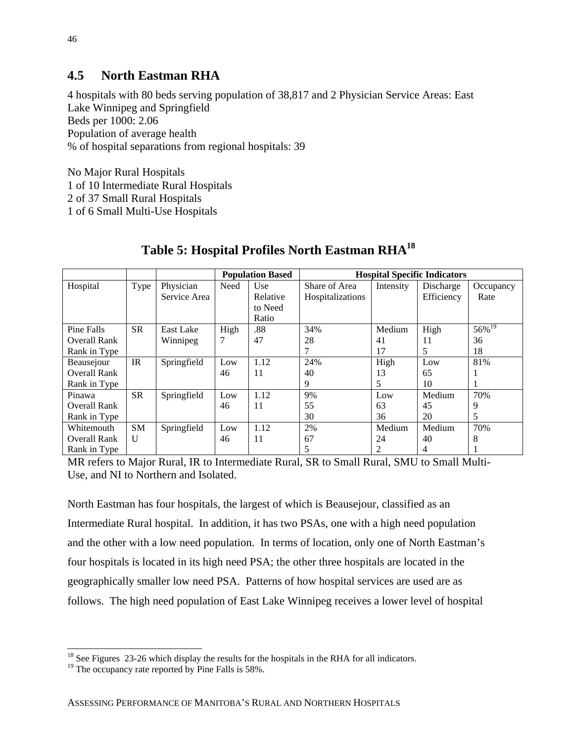#### **4.5 North Eastman RHA**

4 hospitals with 80 beds serving population of 38,817 and 2 Physician Service Areas: East Lake Winnipeg and Springfield Beds per 1000: 2.06 Population of average health % of hospital separations from regional hospitals: 39

No Major Rural Hospitals 1 of 10 Intermediate Rural Hospitals 2 of 37 Small Rural Hospitals 1 of 6 Small Multi-Use Hospitals

|                     |              |              | <b>Population Based</b> |          | <b>Hospital Specific Indicators</b> |           |            |                      |
|---------------------|--------------|--------------|-------------------------|----------|-------------------------------------|-----------|------------|----------------------|
| Hospital            | Type         | Physician    | Need                    | Use      | Share of Area                       | Intensity | Discharge  | Occupancy            |
|                     |              | Service Area |                         | Relative | Hospitalizations                    |           | Efficiency | Rate                 |
|                     |              |              |                         | to Need  |                                     |           |            |                      |
|                     |              |              |                         | Ratio    |                                     |           |            |                      |
| Pine Falls          | <b>SR</b>    | East Lake    | High                    | .88      | 34%                                 | Medium    | High       | $56\%$ <sup>19</sup> |
| <b>Overall Rank</b> |              | Winnipeg     |                         | 47       | 28                                  | 41        | 11         | 36                   |
| Rank in Type        |              |              |                         |          |                                     | 17        | 5          | 18                   |
| Beausejour          | IR           | Springfield  | Low                     | 1.12     | 24%                                 | High      | Low        | 81%                  |
| <b>Overall Rank</b> |              |              | 46                      | 11       | 40                                  | 13        | 65         |                      |
| Rank in Type        |              |              |                         |          | 9                                   | 5         | 10         |                      |
| Pinawa              | <b>SR</b>    | Springfield  | Low                     | 1.12     | 9%                                  | Low       | Medium     | 70%                  |
| <b>Overall Rank</b> |              |              | 46                      | 11       | 55                                  | 63        | 45         | 9                    |
| Rank in Type        |              |              |                         |          | 30                                  | 36        | 20         | 5                    |
| Whitemouth          | <b>SM</b>    | Springfield  | Low                     | 1.12     | 2%                                  | Medium    | Medium     | 70%                  |
| <b>Overall Rank</b> | $\mathbf{U}$ |              | 46                      | 11       | 67                                  | 24        | 40         |                      |
| Rank in Type        |              |              |                         |          |                                     | 2         | 4          |                      |

#### **Table 5: Hospital Profiles North Eastman RHA18**

MR refers to Major Rural, IR to Intermediate Rural, SR to Small Rural, SMU to Small Multi-Use, and NI to Northern and Isolated.

North Eastman has four hospitals, the largest of which is Beausejour, classified as an Intermediate Rural hospital. In addition, it has two PSAs, one with a high need population and the other with a low need population. In terms of location, only one of North Eastman's four hospitals is located in its high need PSA; the other three hospitals are located in the geographically smaller low need PSA. Patterns of how hospital services are used are as follows. The high need population of East Lake Winnipeg receives a lower level of hospital

 $\overline{a}$  $18$  See Figures 23-26 which display the results for the hospitals in the RHA for all indicators.

<sup>&</sup>lt;sup>19</sup> The occupancy rate reported by Pine Falls is 58%.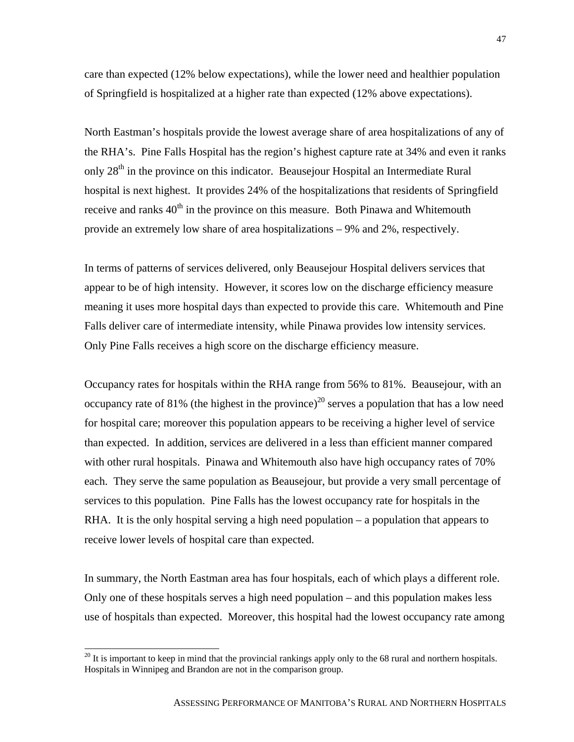care than expected (12% below expectations), while the lower need and healthier population of Springfield is hospitalized at a higher rate than expected (12% above expectations).

North Eastman's hospitals provide the lowest average share of area hospitalizations of any of the RHA's. Pine Falls Hospital has the region's highest capture rate at 34% and even it ranks only 28<sup>th</sup> in the province on this indicator. Beausejour Hospital an Intermediate Rural hospital is next highest. It provides 24% of the hospitalizations that residents of Springfield receive and ranks  $40<sup>th</sup>$  in the province on this measure. Both Pinawa and Whitemouth provide an extremely low share of area hospitalizations – 9% and 2%, respectively.

In terms of patterns of services delivered, only Beausejour Hospital delivers services that appear to be of high intensity. However, it scores low on the discharge efficiency measure meaning it uses more hospital days than expected to provide this care. Whitemouth and Pine Falls deliver care of intermediate intensity, while Pinawa provides low intensity services. Only Pine Falls receives a high score on the discharge efficiency measure.

Occupancy rates for hospitals within the RHA range from 56% to 81%. Beausejour, with an occupancy rate of 81% (the highest in the province)<sup>20</sup> serves a population that has a low need for hospital care; moreover this population appears to be receiving a higher level of service than expected. In addition, services are delivered in a less than efficient manner compared with other rural hospitals. Pinawa and Whitemouth also have high occupancy rates of 70% each. They serve the same population as Beausejour, but provide a very small percentage of services to this population. Pine Falls has the lowest occupancy rate for hospitals in the RHA. It is the only hospital serving a high need population – a population that appears to receive lower levels of hospital care than expected.

In summary, the North Eastman area has four hospitals, each of which plays a different role. Only one of these hospitals serves a high need population – and this population makes less use of hospitals than expected. Moreover, this hospital had the lowest occupancy rate among

 $\overline{a}$ 

 $20$  It is important to keep in mind that the provincial rankings apply only to the 68 rural and northern hospitals. Hospitals in Winnipeg and Brandon are not in the comparison group.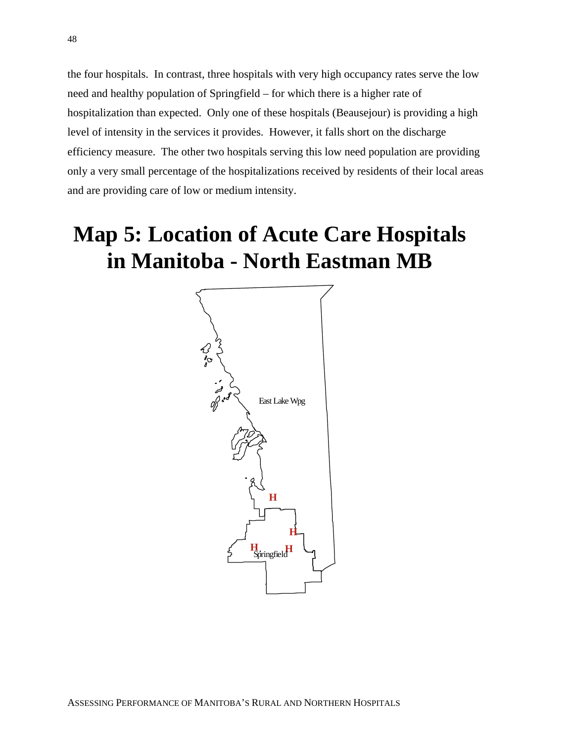the four hospitals. In contrast, three hospitals with very high occupancy rates serve the low need and healthy population of Springfield – for which there is a higher rate of hospitalization than expected. Only one of these hospitals (Beausejour) is providing a high level of intensity in the services it provides. However, it falls short on the discharge efficiency measure. The other two hospitals serving this low need population are providing only a very small percentage of the hospitalizations received by residents of their local areas and are providing care of low or medium intensity.

# **Map 5: Location of Acute Care Hospitals in Manitoba - North Eastman MB**

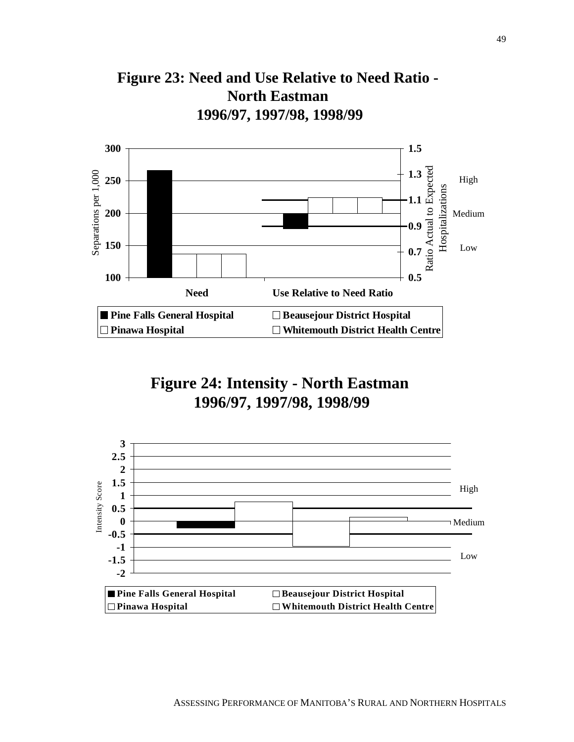



## **Figure 24: Intensity - North Eastman 1996/97, 1997/98, 1998/99**

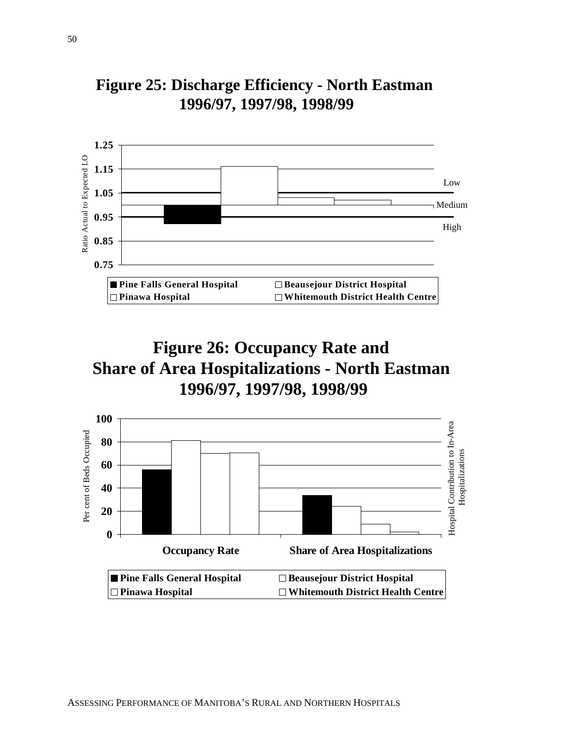

## **Figure 25: Discharge Efficiency - North Eastman 1996/97, 1997/98, 1998/99**



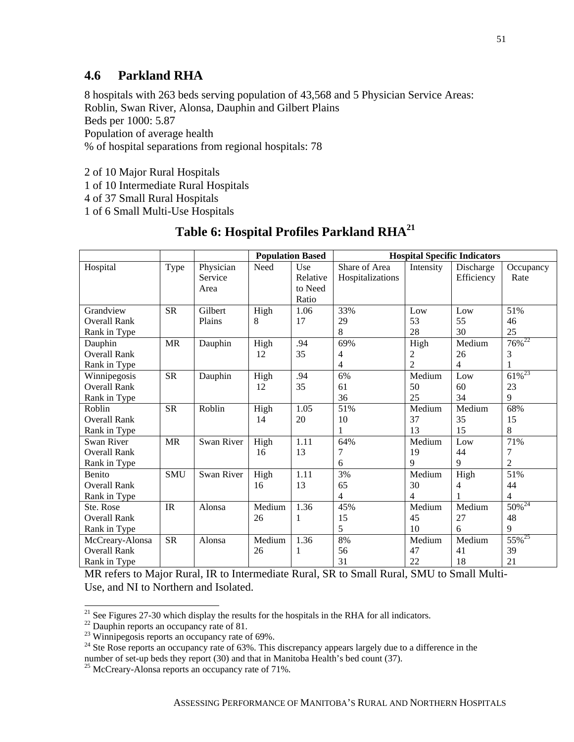#### **4.6 Parkland RHA**

8 hospitals with 263 beds serving population of 43,568 and 5 Physician Service Areas: Roblin, Swan River, Alonsa, Dauphin and Gilbert Plains Beds per 1000: 5.87 Population of average health % of hospital separations from regional hospitals: 78

2 of 10 Major Rural Hospitals

1 of 10 Intermediate Rural Hospitals

4 of 37 Small Rural Hospitals

1 of 6 Small Multi-Use Hospitals

#### Table 6: Hospital Profiles Parkland RHA<sup>21</sup>

|                     |            |            |        | <b>Population Based</b> | <b>Hospital Specific Indicators</b> |                |            |                        |
|---------------------|------------|------------|--------|-------------------------|-------------------------------------|----------------|------------|------------------------|
| Hospital            | Type       | Physician  | Need   | Use                     | Share of Area                       | Intensity      | Discharge  | Occupancy              |
|                     |            | Service    |        | Relative                | Hospitalizations                    |                | Efficiency | Rate                   |
|                     |            | Area       |        | to Need                 |                                     |                |            |                        |
|                     |            |            |        | Ratio                   |                                     |                |            |                        |
| Grandview           | <b>SR</b>  | Gilbert    | High   | 1.06                    | 33%                                 | Low            | Low        | 51%                    |
| <b>Overall Rank</b> |            | Plains     | 8      | 17                      | 29                                  | 53             | 55         | 46                     |
| Rank in Type        |            |            |        |                         | 8                                   | 28             | 30         | 25                     |
| Dauphin             | <b>MR</b>  | Dauphin    | High   | .94                     | 69%                                 | High           | Medium     | $76\%^{22}$            |
| <b>Overall Rank</b> |            |            | 12     | 35                      | 4                                   | 2              | 26         | 3                      |
| Rank in Type        |            |            |        |                         | 4                                   | $\overline{2}$ | 4          |                        |
| Winnipegosis        | <b>SR</b>  | Dauphin    | High   | .94                     | 6%                                  | Medium         | Low        | $61\overline{\%}^{23}$ |
| <b>Overall Rank</b> |            |            | 12     | 35                      | 61                                  | 50             | 60         | 23                     |
| Rank in Type        |            |            |        |                         | 36                                  | 25             | 34         | 9                      |
| Roblin              | <b>SR</b>  | Roblin     | High   | 1.05                    | 51%                                 | Medium         | Medium     | 68%                    |
| <b>Overall Rank</b> |            |            | 14     | 20                      | 10                                  | 37             | 35         | 15                     |
| Rank in Type        |            |            |        |                         | 1                                   | 13             | 15         | 8                      |
| Swan River          | <b>MR</b>  | Swan River | High   | 1.11                    | 64%                                 | Medium         | Low        | 71%                    |
| <b>Overall Rank</b> |            |            | 16     | 13                      | 7                                   | 19             | 44         | 7                      |
| Rank in Type        |            |            |        |                         | 6                                   | 9              | 9          | $\overline{2}$         |
| Benito              | <b>SMU</b> | Swan River | High   | 1.11                    | 3%                                  | Medium         | High       | 51%                    |
| <b>Overall Rank</b> |            |            | 16     | 13                      | 65                                  | 30             | 4          | 44                     |
| Rank in Type        |            |            |        |                         | $\overline{4}$                      | 4              |            | $\overline{4}$         |
| Ste. Rose           | IR         | Alonsa     | Medium | 1.36                    | 45%                                 | Medium         | Medium     | $50\sqrt{24}$          |
| <b>Overall Rank</b> |            |            | 26     | 1                       | 15                                  | 45             | 27         | 48                     |
| Rank in Type        |            |            |        |                         | 5                                   | 10             | 6          | 9                      |
| McCreary-Alonsa     | <b>SR</b>  | Alonsa     | Medium | 1.36                    | 8%                                  | Medium         | Medium     | $55\%^{25}$            |
| <b>Overall Rank</b> |            |            | 26     | 1                       | 56                                  | 47             | 41         | 39                     |
| Rank in Type        |            |            |        |                         | 31                                  | 22             | 18         | 21                     |

MR refers to Major Rural, IR to Intermediate Rural, SR to Small Rural, SMU to Small Multi-Use, and NI to Northern and Isolated.

 $\overline{a}$  $21$  See Figures 27-30 which display the results for the hospitals in the RHA for all indicators.

 $22$  Dauphin reports an occupancy rate of 81.

 $23$  Winnipegosis reports an occupancy rate of 69%.

<sup>&</sup>lt;sup>24</sup> Ste Rose reports an occupancy rate of 63%. This discrepancy appears largely due to a difference in the number of set-up beds they report (30) and that in Manitoba Health's bed count (37).<br><sup>25</sup> McCreary-Alonsa reports an occupancy rate of 71%.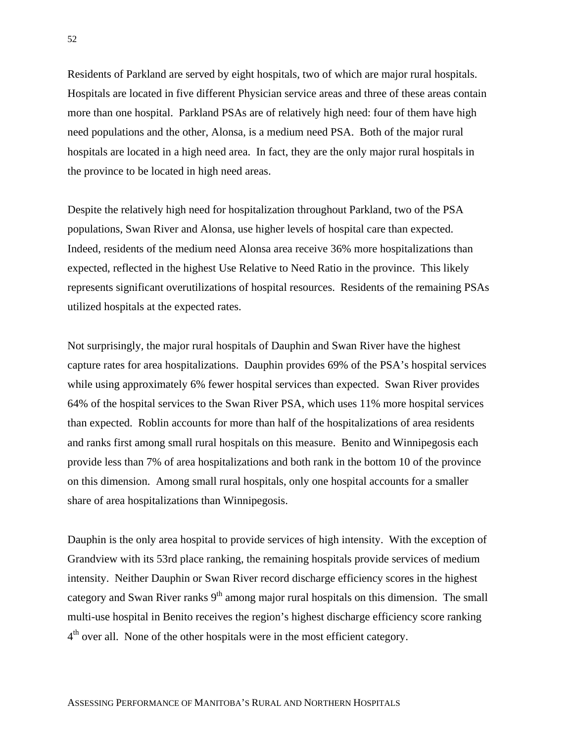Residents of Parkland are served by eight hospitals, two of which are major rural hospitals. Hospitals are located in five different Physician service areas and three of these areas contain more than one hospital. Parkland PSAs are of relatively high need: four of them have high need populations and the other, Alonsa, is a medium need PSA. Both of the major rural hospitals are located in a high need area. In fact, they are the only major rural hospitals in the province to be located in high need areas.

Despite the relatively high need for hospitalization throughout Parkland, two of the PSA populations, Swan River and Alonsa, use higher levels of hospital care than expected. Indeed, residents of the medium need Alonsa area receive 36% more hospitalizations than expected, reflected in the highest Use Relative to Need Ratio in the province. This likely represents significant overutilizations of hospital resources. Residents of the remaining PSAs utilized hospitals at the expected rates.

Not surprisingly, the major rural hospitals of Dauphin and Swan River have the highest capture rates for area hospitalizations. Dauphin provides 69% of the PSA's hospital services while using approximately 6% fewer hospital services than expected. Swan River provides 64% of the hospital services to the Swan River PSA, which uses 11% more hospital services than expected. Roblin accounts for more than half of the hospitalizations of area residents and ranks first among small rural hospitals on this measure. Benito and Winnipegosis each provide less than 7% of area hospitalizations and both rank in the bottom 10 of the province on this dimension. Among small rural hospitals, only one hospital accounts for a smaller share of area hospitalizations than Winnipegosis.

Dauphin is the only area hospital to provide services of high intensity. With the exception of Grandview with its 53rd place ranking, the remaining hospitals provide services of medium intensity. Neither Dauphin or Swan River record discharge efficiency scores in the highest category and Swan River ranks  $9<sup>th</sup>$  among major rural hospitals on this dimension. The small multi-use hospital in Benito receives the region's highest discharge efficiency score ranking  $4<sup>th</sup>$  over all. None of the other hospitals were in the most efficient category.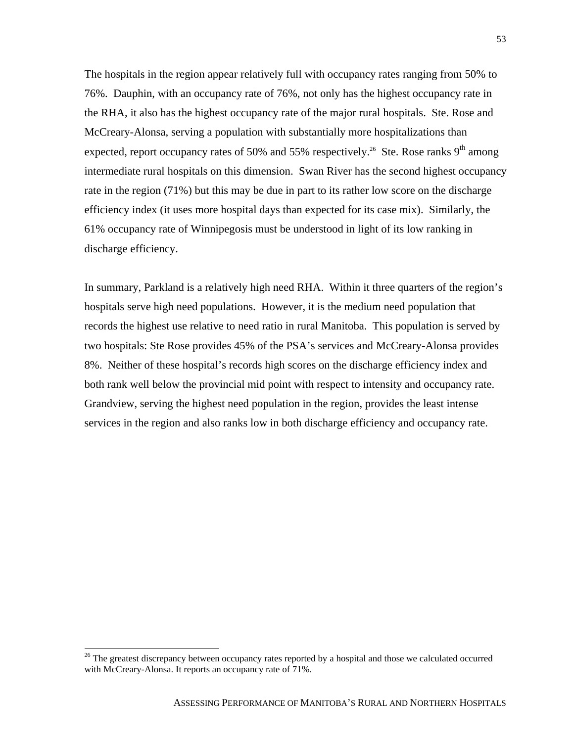The hospitals in the region appear relatively full with occupancy rates ranging from 50% to 76%. Dauphin, with an occupancy rate of 76%, not only has the highest occupancy rate in the RHA, it also has the highest occupancy rate of the major rural hospitals. Ste. Rose and McCreary-Alonsa, serving a population with substantially more hospitalizations than expected, report occupancy rates of 50% and 55% respectively.<sup>26</sup> Ste. Rose ranks 9<sup>th</sup> among intermediate rural hospitals on this dimension. Swan River has the second highest occupancy rate in the region (71%) but this may be due in part to its rather low score on the discharge efficiency index (it uses more hospital days than expected for its case mix). Similarly, the 61% occupancy rate of Winnipegosis must be understood in light of its low ranking in discharge efficiency.

In summary, Parkland is a relatively high need RHA. Within it three quarters of the region's hospitals serve high need populations. However, it is the medium need population that records the highest use relative to need ratio in rural Manitoba. This population is served by two hospitals: Ste Rose provides 45% of the PSA's services and McCreary-Alonsa provides 8%. Neither of these hospital's records high scores on the discharge efficiency index and both rank well below the provincial mid point with respect to intensity and occupancy rate. Grandview, serving the highest need population in the region, provides the least intense services in the region and also ranks low in both discharge efficiency and occupancy rate.

 $\overline{a}$ 

<sup>&</sup>lt;sup>26</sup> The greatest discrepancy between occupancy rates reported by a hospital and those we calculated occurred with McCreary-Alonsa. It reports an occupancy rate of 71%.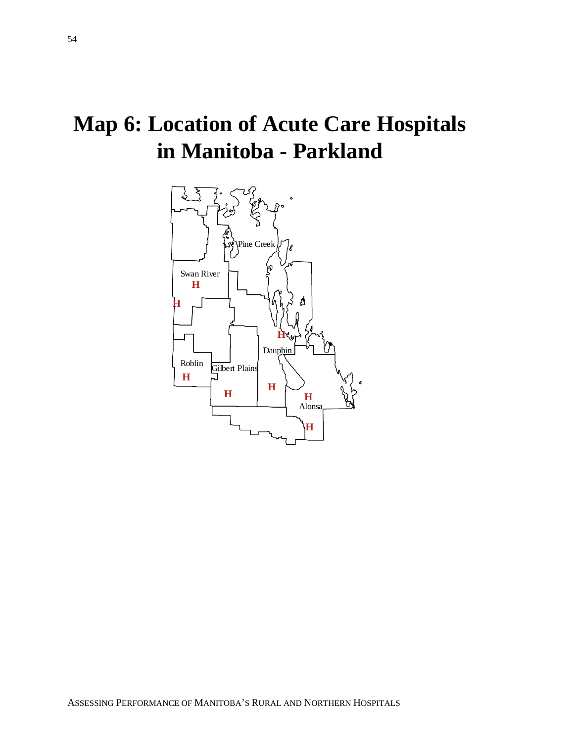# **Map 6: Location of Acute Care Hospitals in Manitoba - Parkland**

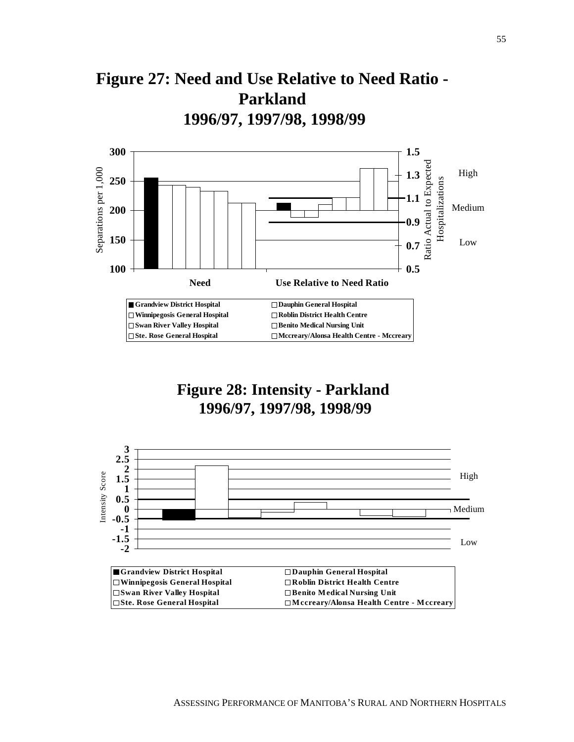



## **Figure 28: Intensity - Parkland 1996/97, 1997/98, 1998/99**

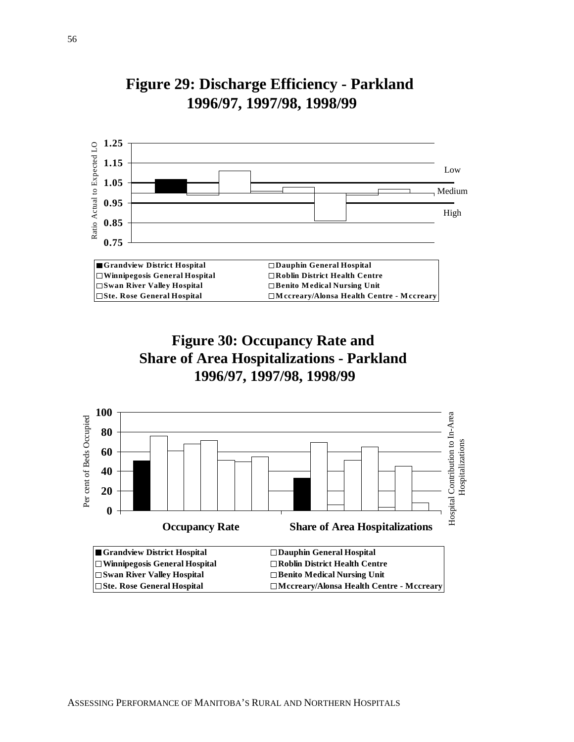





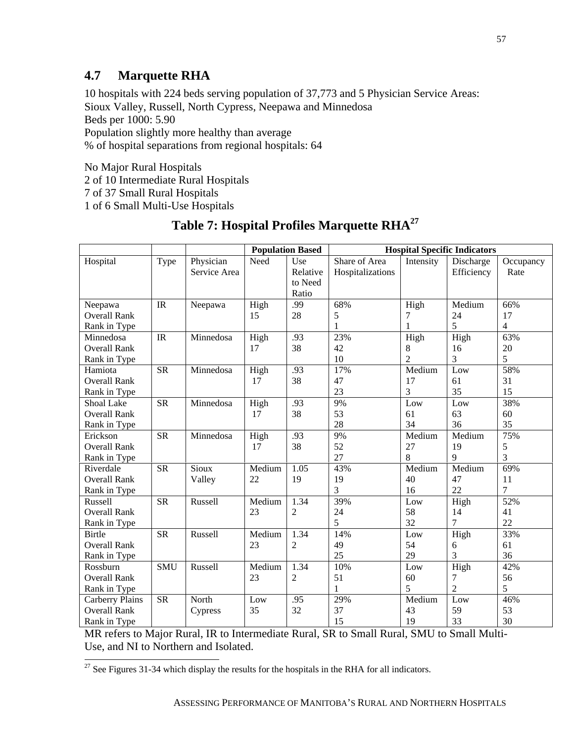#### **4.7 Marquette RHA**

10 hospitals with 224 beds serving population of 37,773 and 5 Physician Service Areas: Sioux Valley, Russell, North Cypress, Neepawa and Minnedosa Beds per 1000: 5.90 Population slightly more healthy than average % of hospital separations from regional hospitals: 64

No Major Rural Hospitals

 $\overline{a}$ 

2 of 10 Intermediate Rural Hospitals

7 of 37 Small Rural Hospitals

1 of 6 Small Multi-Use Hospitals

|                     |            |              | <b>Population Based</b> |                | <b>Hospital Specific Indicators</b> |                |                |                |
|---------------------|------------|--------------|-------------------------|----------------|-------------------------------------|----------------|----------------|----------------|
| Hospital            | Type       | Physician    | Need                    | Use            | Share of Area                       | Intensity      | Discharge      | Occupancy      |
|                     |            | Service Area |                         | Relative       | Hospitalizations                    |                | Efficiency     | Rate           |
|                     |            |              |                         | to Need        |                                     |                |                |                |
|                     |            |              |                         | Ratio          |                                     |                |                |                |
| Neepawa             | IR         | Neepawa      | High                    | .99            | 68%                                 | High           | Medium         | 66%            |
| <b>Overall Rank</b> |            |              | 15                      | 28             | 5                                   | 7              | 24             | 17             |
| Rank in Type        |            |              |                         |                | 1                                   | 1              | 5              | $\overline{4}$ |
| Minnedosa           | IR         | Minnedosa    | High                    | .93            | 23%                                 | High           | High           | 63%            |
| <b>Overall Rank</b> |            |              | 17                      | 38             | 42                                  | 8              | 16             | 20             |
| Rank in Type        |            |              |                         |                | 10                                  | $\overline{2}$ | 3              | 5              |
| Hamiota             | <b>SR</b>  | Minnedosa    | High                    | .93            | 17%                                 | Medium         | Low            | 58%            |
| <b>Overall Rank</b> |            |              | 17                      | 38             | 47                                  | 17             | 61             | 31             |
| Rank in Type        |            |              |                         |                | 23                                  | 3              | 35             | 15             |
| Shoal Lake          | <b>SR</b>  | Minnedosa    | High                    | .93            | 9%                                  | $_{\rm Low}$   | Low            | 38%            |
| <b>Overall Rank</b> |            |              | 17                      | 38             | 53                                  | 61             | 63             | 60             |
| Rank in Type        |            |              |                         |                | 28                                  | 34             | 36             | 35             |
| Erickson            | <b>SR</b>  | Minnedosa    | High                    | .93            | 9%                                  | Medium         | Medium         | 75%            |
| <b>Overall Rank</b> |            |              | 17                      | 38             | 52                                  | 27             | 19             | 5              |
| Rank in Type        |            |              |                         |                | 27                                  | 8              | 9              | 3              |
| Riverdale           | <b>SR</b>  | Sioux        | Medium                  | 1.05           | 43%                                 | Medium         | Medium         | 69%            |
| <b>Overall Rank</b> |            | Valley       | 22                      | 19             | 19                                  | 40             | 47             | 11             |
| Rank in Type        |            |              |                         |                | 3                                   | 16             | 22             | 7              |
| Russell             | <b>SR</b>  | Russell      | Medium                  | 1.34           | 39%                                 | $_{\rm Low}$   | High           | 52%            |
| <b>Overall Rank</b> |            |              | 23                      | $\overline{2}$ | 24                                  | 58             | 14             | 41             |
| Rank in Type        |            |              |                         |                | 5                                   | 32             | $\overline{7}$ | 22             |
| <b>Birtle</b>       | <b>SR</b>  | Russell      | Medium                  | 1.34           | 14%                                 | Low            | High           | 33%            |
| <b>Overall Rank</b> |            |              | 23                      | $\overline{c}$ | 49                                  | 54             | 6              | 61             |
| Rank in Type        |            |              |                         |                | 25                                  | 29             | 3              | 36             |
| Rossburn            | <b>SMU</b> | Russell      | Medium                  | 1.34           | 10%                                 | Low            | High           | 42%            |
| <b>Overall Rank</b> |            |              | 23                      | $\overline{2}$ | 51                                  | 60             | 7              | 56             |
| Rank in Type        |            |              |                         |                | 1                                   | 5              | $\overline{2}$ | 5              |
| Carberry Plains     | <b>SR</b>  | North        | Low                     | .95            | 29%                                 | Medium         | Low            | 46%            |
| <b>Overall Rank</b> |            | Cypress      | 35                      | 32             | 37                                  | 43             | 59             | 53             |
| Rank in Type        |            |              |                         |                | 15                                  | 19             | 33             | 30             |

## **Table 7: Hospital Profiles Marquette RHA27**

MR refers to Major Rural, IR to Intermediate Rural, SR to Small Rural, SMU to Small Multi-Use, and NI to Northern and Isolated.

 $27$  See Figures 31-34 which display the results for the hospitals in the RHA for all indicators.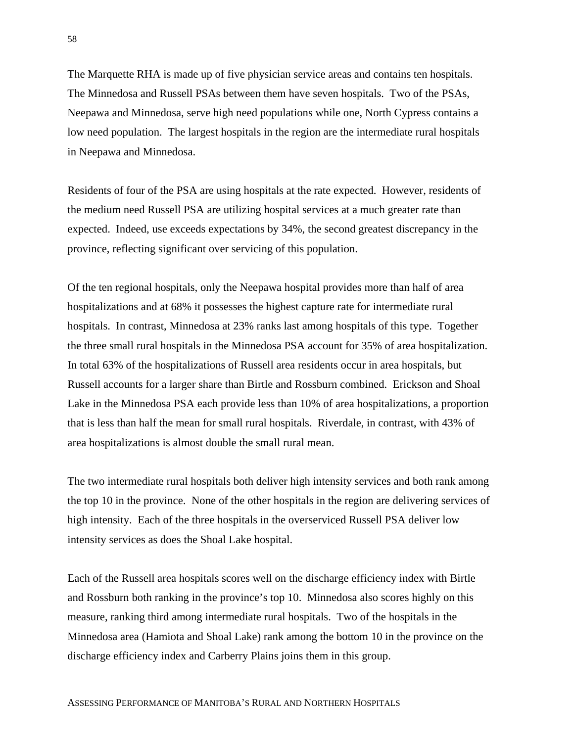The Marquette RHA is made up of five physician service areas and contains ten hospitals. The Minnedosa and Russell PSAs between them have seven hospitals. Two of the PSAs, Neepawa and Minnedosa, serve high need populations while one, North Cypress contains a low need population. The largest hospitals in the region are the intermediate rural hospitals in Neepawa and Minnedosa.

Residents of four of the PSA are using hospitals at the rate expected. However, residents of the medium need Russell PSA are utilizing hospital services at a much greater rate than expected. Indeed, use exceeds expectations by 34%, the second greatest discrepancy in the province, reflecting significant over servicing of this population.

Of the ten regional hospitals, only the Neepawa hospital provides more than half of area hospitalizations and at 68% it possesses the highest capture rate for intermediate rural hospitals. In contrast, Minnedosa at 23% ranks last among hospitals of this type. Together the three small rural hospitals in the Minnedosa PSA account for 35% of area hospitalization. In total 63% of the hospitalizations of Russell area residents occur in area hospitals, but Russell accounts for a larger share than Birtle and Rossburn combined. Erickson and Shoal Lake in the Minnedosa PSA each provide less than 10% of area hospitalizations, a proportion that is less than half the mean for small rural hospitals. Riverdale, in contrast, with 43% of area hospitalizations is almost double the small rural mean.

The two intermediate rural hospitals both deliver high intensity services and both rank among the top 10 in the province. None of the other hospitals in the region are delivering services of high intensity. Each of the three hospitals in the overserviced Russell PSA deliver low intensity services as does the Shoal Lake hospital.

Each of the Russell area hospitals scores well on the discharge efficiency index with Birtle and Rossburn both ranking in the province's top 10. Minnedosa also scores highly on this measure, ranking third among intermediate rural hospitals. Two of the hospitals in the Minnedosa area (Hamiota and Shoal Lake) rank among the bottom 10 in the province on the discharge efficiency index and Carberry Plains joins them in this group.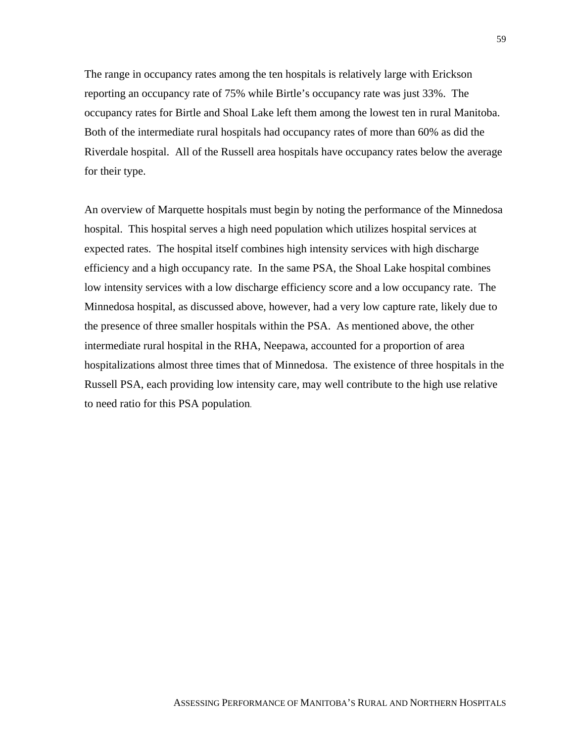The range in occupancy rates among the ten hospitals is relatively large with Erickson reporting an occupancy rate of 75% while Birtle's occupancy rate was just 33%. The occupancy rates for Birtle and Shoal Lake left them among the lowest ten in rural Manitoba. Both of the intermediate rural hospitals had occupancy rates of more than 60% as did the Riverdale hospital. All of the Russell area hospitals have occupancy rates below the average for their type.

An overview of Marquette hospitals must begin by noting the performance of the Minnedosa hospital. This hospital serves a high need population which utilizes hospital services at expected rates. The hospital itself combines high intensity services with high discharge efficiency and a high occupancy rate. In the same PSA, the Shoal Lake hospital combines low intensity services with a low discharge efficiency score and a low occupancy rate. The Minnedosa hospital, as discussed above, however, had a very low capture rate, likely due to the presence of three smaller hospitals within the PSA. As mentioned above, the other intermediate rural hospital in the RHA, Neepawa, accounted for a proportion of area hospitalizations almost three times that of Minnedosa. The existence of three hospitals in the Russell PSA, each providing low intensity care, may well contribute to the high use relative to need ratio for this PSA population.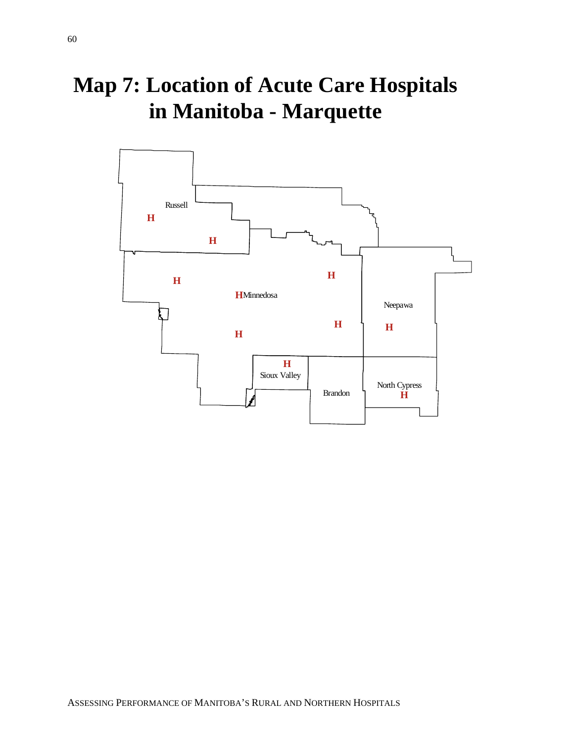# **Map 7: Location of Acute Care Hospitals in Manitoba - Marquette**

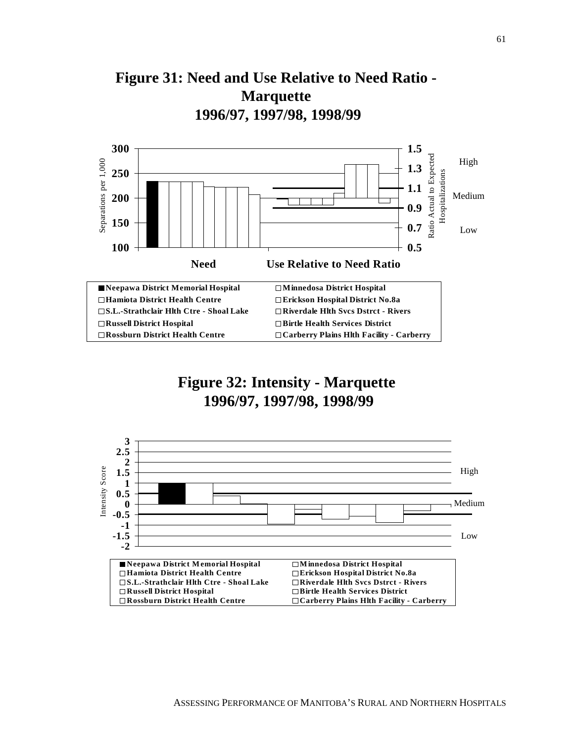



### **Figure 32: Intensity - Marquette 1996/97, 1997/98, 1998/99**

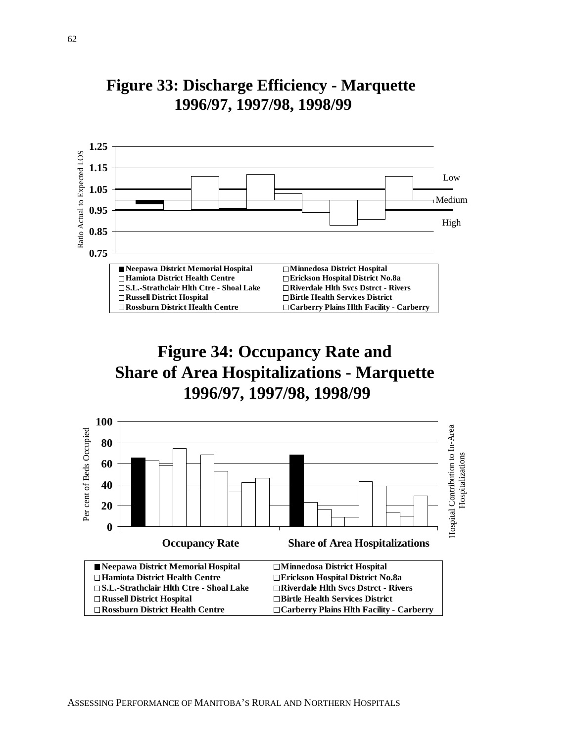

## **Figure 33: Discharge Efficiency - Marquette 1996/97, 1997/98, 1998/99**

## **Figure 34: Occupancy Rate and Share of Area Hospitalizations - Marquette 1996/97, 1997/98, 1998/99**

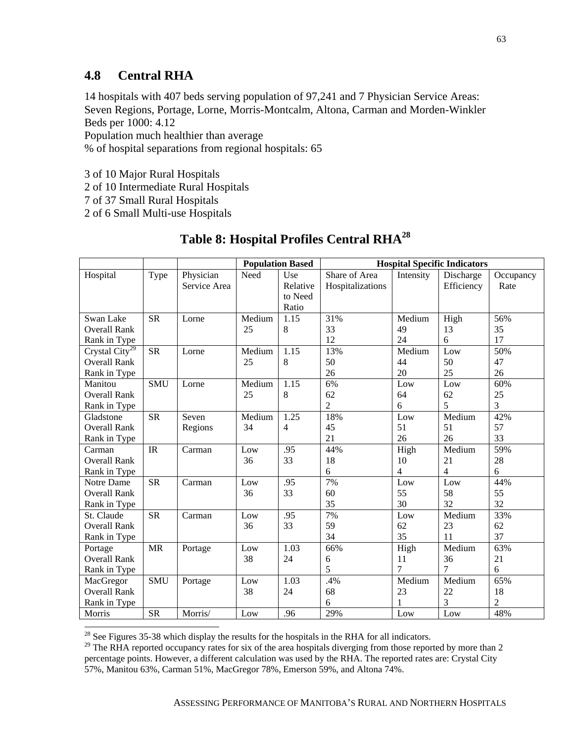### **4.8 Central RHA**

14 hospitals with 407 beds serving population of 97,241 and 7 Physician Service Areas: Seven Regions, Portage, Lorne, Morris-Montcalm, Altona, Carman and Morden-Winkler Beds per 1000: 4.12

Population much healthier than average

% of hospital separations from regional hospitals: 65

- 3 of 10 Major Rural Hospitals
- 2 of 10 Intermediate Rural Hospitals
- 7 of 37 Small Rural Hospitals

 $\overline{a}$ 

2 of 6 Small Multi-use Hospitals

|                                |            |              | <b>Population Based</b> |                | <b>Hospital Specific Indicators</b> |                |            |                |
|--------------------------------|------------|--------------|-------------------------|----------------|-------------------------------------|----------------|------------|----------------|
| Hospital                       | Type       | Physician    | Need                    | Use            | Share of Area                       | Intensity      | Discharge  | Occupancy      |
|                                |            | Service Area |                         | Relative       | Hospitalizations                    |                | Efficiency | Rate           |
|                                |            |              |                         | to Need        |                                     |                |            |                |
|                                |            |              |                         | Ratio          |                                     |                |            |                |
| Swan Lake                      | <b>SR</b>  | Lorne        | Medium                  | 1.15           | 31%                                 | Medium         | High       | 56%            |
| <b>Overall Rank</b>            |            |              | 25                      | 8              | 33                                  | 49             | 13         | 35             |
| Rank in Type                   |            |              |                         |                | 12                                  | 24             | 6          | 17             |
| Crystal $\overline{City}^{29}$ | <b>SR</b>  | Lorne        | Medium                  | 1.15           | 13%                                 | Medium         | Low        | 50%            |
| <b>Overall Rank</b>            |            |              | 25                      | $\,8\,$        | 50                                  | 44             | 50         | 47             |
| Rank in Type                   |            |              |                         |                | 26                                  | 20             | 25         | 26             |
| Manitou                        | <b>SMU</b> | Lorne        | Medium                  | 1.15           | 6%                                  | Low            | Low        | 60%            |
| <b>Overall Rank</b>            |            |              | 25                      | 8              | 62                                  | 64             | 62         | 25             |
| Rank in Type                   |            |              |                         |                | $\overline{c}$                      | 6              | 5          | $\overline{3}$ |
| Gladstone                      | <b>SR</b>  | Seven        | Medium                  | 1.25           | 18%                                 | Low            | Medium     | 42%            |
| <b>Overall Rank</b>            |            | Regions      | 34                      | $\overline{4}$ | 45                                  | 51             | 51         | 57             |
| Rank in Type                   |            |              |                         |                | 21                                  | 26             | 26         | 33             |
| Carman                         | IR         | Carman       | Low                     | .95            | 44%                                 | High           | Medium     | 59%            |
| <b>Overall Rank</b>            |            |              | 36                      | 33             | 18                                  | 10             | 21         | 28             |
| Rank in Type                   |            |              |                         |                | 6                                   | $\overline{4}$ | 4          | 6              |
| Notre Dame                     | <b>SR</b>  | Carman       | Low                     | .95            | 7%                                  | Low            | Low        | 44%            |
| <b>Overall Rank</b>            |            |              | 36                      | 33             | 60                                  | 55             | 58         | 55             |
| Rank in Type                   |            |              |                         |                | 35                                  | 30             | 32         | 32             |
| St. Claude                     | <b>SR</b>  | Carman       | Low                     | .95            | 7%                                  | Low            | Medium     | 33%            |
| <b>Overall Rank</b>            |            |              | 36                      | 33             | 59                                  | 62             | 23         | 62             |
| Rank in Type                   |            |              |                         |                | 34                                  | 35             | 11         | 37             |
| Portage                        | <b>MR</b>  | Portage      | Low                     | 1.03           | 66%                                 | High           | Medium     | 63%            |
| <b>Overall Rank</b>            |            |              | 38                      | 24             | 6                                   | 11             | 36         | 21             |
| Rank in Type                   |            |              |                         |                | 5                                   | 7              | 7          | 6              |
| MacGregor                      | <b>SMU</b> | Portage      | Low                     | 1.03           | .4%                                 | Medium         | Medium     | 65%            |
| <b>Overall Rank</b>            |            |              | 38                      | 24             | 68                                  | 23             | 22         | 18             |
| Rank in Type                   |            |              |                         |                | 6                                   |                | 3          | $\overline{c}$ |
| <b>Morris</b>                  | <b>SR</b>  | Morris/      | Low                     | .96            | 29%                                 | Low            | Low        | 48%            |

### **Table 8: Hospital Profiles Central RHA28**

 $2^8$  See Figures 35-38 which display the results for the hospitals in the RHA for all indicators.

 $^{29}$  The RHA reported occupancy rates for six of the area hospitals diverging from those reported by more than 2 percentage points. However, a different calculation was used by the RHA. The reported rates are: Crystal City 57%, Manitou 63%, Carman 51%, MacGregor 78%, Emerson 59%, and Altona 74%.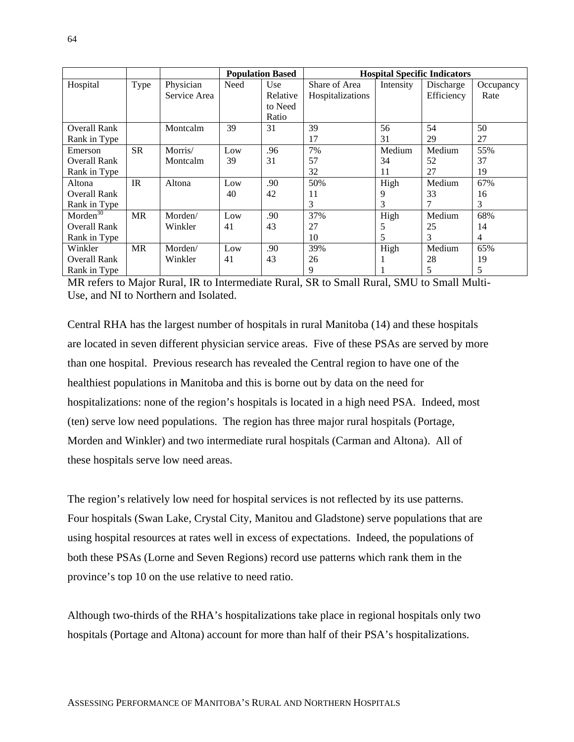|                      |           |              |      | <b>Population Based</b> |                  | <b>Hospital Specific Indicators</b> |            |           |
|----------------------|-----------|--------------|------|-------------------------|------------------|-------------------------------------|------------|-----------|
| Hospital             | Type      | Physician    | Need | Use                     | Share of Area    | Intensity                           | Discharge  | Occupancy |
|                      |           | Service Area |      | Relative                | Hospitalizations |                                     | Efficiency | Rate      |
|                      |           |              |      | to Need                 |                  |                                     |            |           |
|                      |           |              |      | Ratio                   |                  |                                     |            |           |
| <b>Overall Rank</b>  |           | Montcalm     | 39   | 31                      | 39               | 56                                  | 54         | 50        |
| Rank in Type         |           |              |      |                         | 17               | 31                                  | 29         | 27        |
| Emerson              | <b>SR</b> | Morris/      | Low  | .96                     | 7%               | Medium                              | Medium     | 55%       |
| Overall Rank         |           | Montcalm     | 39   | 31                      | 57               | 34                                  | 52         | 37        |
| Rank in Type         |           |              |      |                         | 32               | 11                                  | 27         | 19        |
| Altona               | IR        | Altona       | Low  | .90                     | 50%              | High                                | Medium     | 67%       |
| <b>Overall Rank</b>  |           |              | 40   | 42                      | 11               | 9                                   | 33         | 16        |
| Rank in Type         |           |              |      |                         | 3                | 3                                   |            | 3         |
| Morden <sup>30</sup> | <b>MR</b> | Morden/      | Low  | .90                     | 37%              | High                                | Medium     | 68%       |
| <b>Overall Rank</b>  |           | Winkler      | 41   | 43                      | 27               | 5                                   | 25         | 14        |
| Rank in Type         |           |              |      |                         | 10               | 5                                   | 3          | 4         |
| Winkler              | <b>MR</b> | Morden/      | Low  | .90                     | 39%              | High                                | Medium     | 65%       |
| Overall Rank         |           | Winkler      | 41   | 43                      | 26               |                                     | 28         | 19        |
| Rank in Type         |           |              |      |                         | 9                |                                     | 5          | 5         |

MR refers to Major Rural, IR to Intermediate Rural, SR to Small Rural, SMU to Small Multi-Use, and NI to Northern and Isolated.

Central RHA has the largest number of hospitals in rural Manitoba (14) and these hospitals are located in seven different physician service areas. Five of these PSAs are served by more than one hospital. Previous research has revealed the Central region to have one of the healthiest populations in Manitoba and this is borne out by data on the need for hospitalizations: none of the region's hospitals is located in a high need PSA. Indeed, most (ten) serve low need populations. The region has three major rural hospitals (Portage, Morden and Winkler) and two intermediate rural hospitals (Carman and Altona). All of these hospitals serve low need areas.

The region's relatively low need for hospital services is not reflected by its use patterns. Four hospitals (Swan Lake, Crystal City, Manitou and Gladstone) serve populations that are using hospital resources at rates well in excess of expectations. Indeed, the populations of both these PSAs (Lorne and Seven Regions) record use patterns which rank them in the province's top 10 on the use relative to need ratio.

Although two-thirds of the RHA's hospitalizations take place in regional hospitals only two hospitals (Portage and Altona) account for more than half of their PSA's hospitalizations.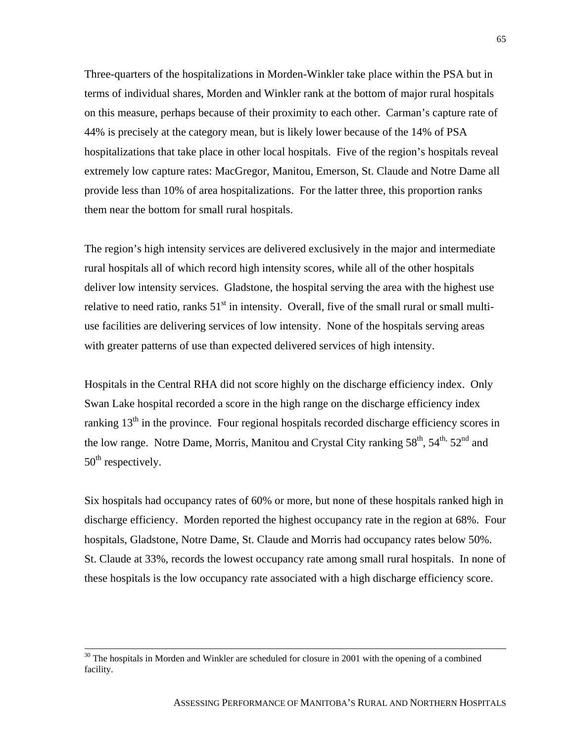Three-quarters of the hospitalizations in Morden-Winkler take place within the PSA but in terms of individual shares, Morden and Winkler rank at the bottom of major rural hospitals on this measure, perhaps because of their proximity to each other. Carman's capture rate of 44% is precisely at the category mean, but is likely lower because of the 14% of PSA hospitalizations that take place in other local hospitals. Five of the region's hospitals reveal extremely low capture rates: MacGregor, Manitou, Emerson, St. Claude and Notre Dame all provide less than 10% of area hospitalizations. For the latter three, this proportion ranks them near the bottom for small rural hospitals.

The region's high intensity services are delivered exclusively in the major and intermediate rural hospitals all of which record high intensity scores, while all of the other hospitals deliver low intensity services. Gladstone, the hospital serving the area with the highest use relative to need ratio, ranks  $51<sup>st</sup>$  in intensity. Overall, five of the small rural or small multiuse facilities are delivering services of low intensity. None of the hospitals serving areas with greater patterns of use than expected delivered services of high intensity.

Hospitals in the Central RHA did not score highly on the discharge efficiency index. Only Swan Lake hospital recorded a score in the high range on the discharge efficiency index ranking  $13<sup>th</sup>$  in the province. Four regional hospitals recorded discharge efficiency scores in the low range. Notre Dame, Morris, Manitou and Crystal City ranking  $58<sup>th</sup>$ ,  $54<sup>th</sup>$ ,  $52<sup>nd</sup>$  and 50<sup>th</sup> respectively.

Six hospitals had occupancy rates of 60% or more, but none of these hospitals ranked high in discharge efficiency. Morden reported the highest occupancy rate in the region at 68%. Four hospitals, Gladstone, Notre Dame, St. Claude and Morris had occupancy rates below 50%. St. Claude at 33%, records the lowest occupancy rate among small rural hospitals. In none of these hospitals is the low occupancy rate associated with a high discharge efficiency score.

<sup>&</sup>lt;sup>30</sup> The hospitals in Morden and Winkler are scheduled for closure in 2001 with the opening of a combined facility.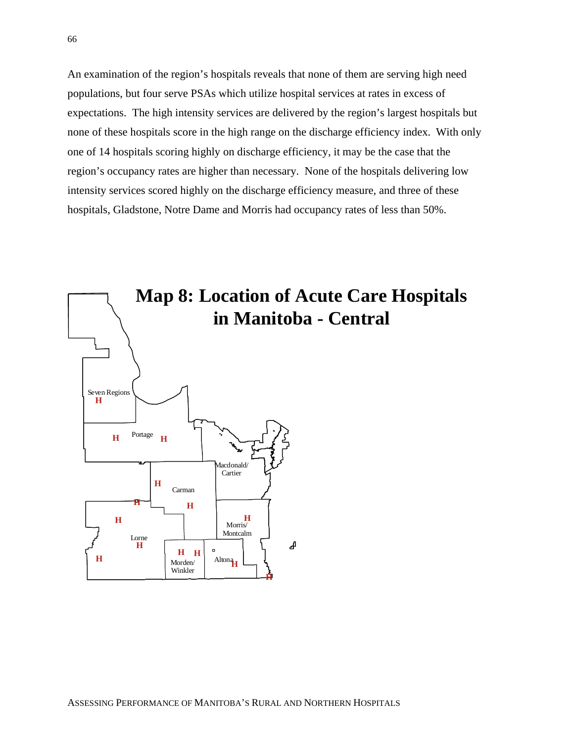An examination of the region's hospitals reveals that none of them are serving high need populations, but four serve PSAs which utilize hospital services at rates in excess of expectations. The high intensity services are delivered by the region's largest hospitals but none of these hospitals score in the high range on the discharge efficiency index. With only one of 14 hospitals scoring highly on discharge efficiency, it may be the case that the region's occupancy rates are higher than necessary. None of the hospitals delivering low intensity services scored highly on the discharge efficiency measure, and three of these hospitals, Gladstone, Notre Dame and Morris had occupancy rates of less than 50%.

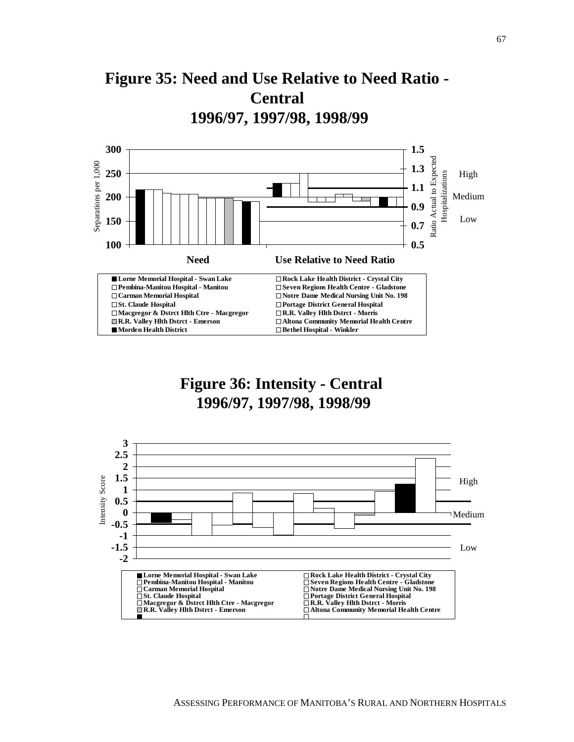



## **Figure 36: Intensity - Central 1996/97, 1997/98, 1998/99**

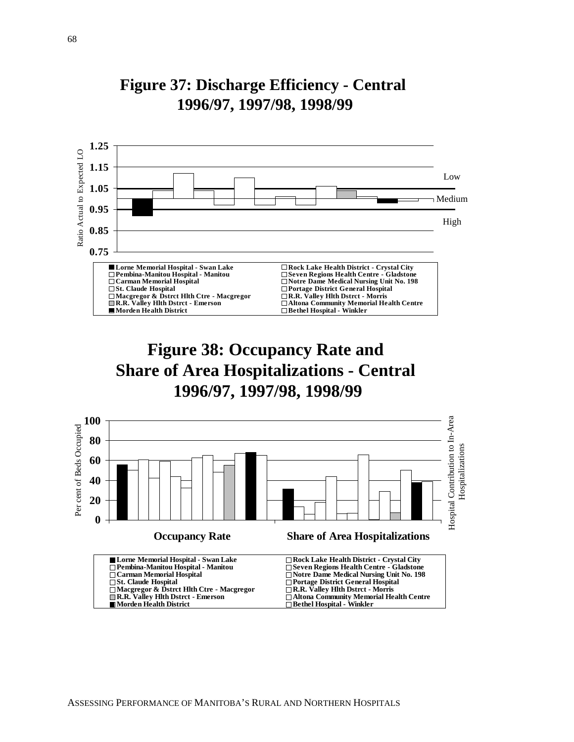

### **Figure 37: Discharge Efficiency - Central 1996/97, 1997/98, 1998/99**

## **Figure 38: Occupancy Rate and Share of Area Hospitalizations - Central 1996/97, 1997/98, 1998/99**

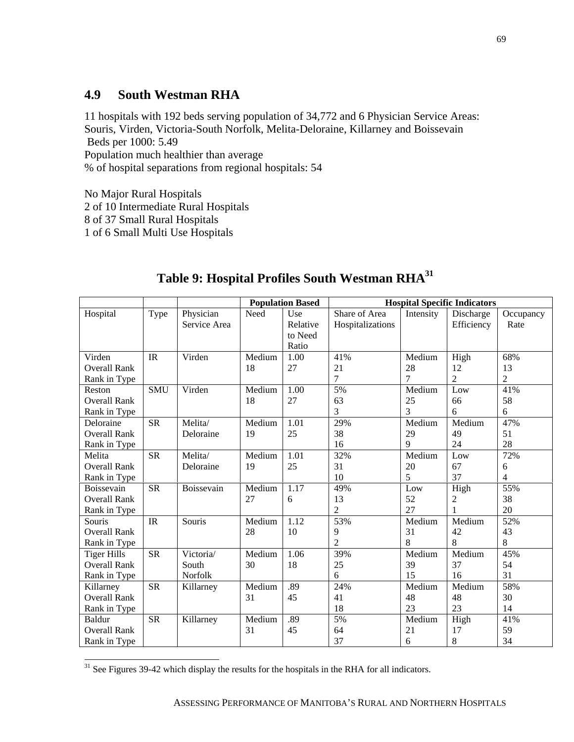### **4.9 South Westman RHA**

11 hospitals with 192 beds serving population of 34,772 and 6 Physician Service Areas: Souris, Virden, Victoria-South Norfolk, Melita-Deloraine, Killarney and Boissevain Beds per 1000: 5.49

Population much healthier than average % of hospital separations from regional hospitals: 54

No Major Rural Hospitals

2 of 10 Intermediate Rural Hospitals

8 of 37 Small Rural Hospitals

1 of 6 Small Multi Use Hospitals

|                     |            |              |                             | <b>Population Based</b> |                  |           | <b>Hospital Specific Indicators</b> |                |  |
|---------------------|------------|--------------|-----------------------------|-------------------------|------------------|-----------|-------------------------------------|----------------|--|
| Hospital            | Type       | Physician    | Need                        | Use                     | Share of Area    | Intensity | Discharge                           | Occupancy      |  |
|                     |            | Service Area |                             | Relative                | Hospitalizations |           | Efficiency                          | Rate           |  |
|                     |            |              |                             | to Need                 |                  |           |                                     |                |  |
|                     |            |              |                             | Ratio                   |                  |           |                                     |                |  |
| Virden              | IR         | Virden       | $\overline{\text{M}}$ edium | 1.00                    | 41%              | Medium    | High                                | 68%            |  |
| <b>Overall Rank</b> |            |              | 18                          | 27                      | 21               | 28        | 12                                  | 13             |  |
| Rank in Type        |            |              |                             |                         | 7                | $\tau$    | $\overline{2}$                      | 2              |  |
| Reston              | <b>SMU</b> | Virden       | Medium                      | 1.00                    | 5%               | Medium    | $_{\rm Low}$                        | 41%            |  |
| <b>Overall Rank</b> |            |              | 18                          | 27                      | 63               | 25        | 66                                  | 58             |  |
| Rank in Type        |            |              |                             |                         | 3                | 3         | 6                                   | 6              |  |
| Deloraine           | <b>SR</b>  | Melita/      | Medium                      | 1.01                    | 29%              | Medium    | Medium                              | 47%            |  |
| <b>Overall Rank</b> |            | Deloraine    | 19                          | 25                      | 38               | 29        | 49                                  | 51             |  |
| Rank in Type        |            |              |                             |                         | 16               | 9         | 24                                  | 28             |  |
| Melita              | <b>SR</b>  | Melita/      | Medium                      | 1.01                    | 32%              | Medium    | Low                                 | 72%            |  |
| <b>Overall Rank</b> |            | Deloraine    | 19                          | 25                      | 31               | 20        | 67                                  | 6              |  |
| Rank in Type        |            |              |                             |                         | 10               | 5         | 37                                  | $\overline{4}$ |  |
| Boissevain          | <b>SR</b>  | Boissevain   | Medium                      | 1.17                    | 49%              | Low       | High                                | 55%            |  |
| <b>Overall Rank</b> |            |              | 27                          | 6                       | 13               | 52        | 2                                   | 38             |  |
| Rank in Type        |            |              |                             |                         | $\overline{c}$   | 27        |                                     | 20             |  |
| Souris              | IR         | Souris       | Medium                      | 1.12                    | 53%              | Medium    | Medium                              | 52%            |  |
| <b>Overall Rank</b> |            |              | 28                          | 10                      | 9                | 31        | 42                                  | 43             |  |
| Rank in Type        |            |              |                             |                         | $\overline{2}$   | 8         | 8                                   | 8              |  |
| <b>Tiger Hills</b>  | <b>SR</b>  | Victoria/    | Medium                      | 1.06                    | 39%              | Medium    | Medium                              | 45%            |  |
| <b>Overall Rank</b> |            | South        | 30                          | 18                      | 25               | 39        | 37                                  | 54             |  |
| Rank in Type        |            | Norfolk      |                             |                         | 6                | 15        | 16                                  | 31             |  |
| Killarney           | <b>SR</b>  | Killarney    | Medium                      | .89                     | 24%              | Medium    | Medium                              | 58%            |  |
| <b>Overall Rank</b> |            |              | 31                          | 45                      | 41               | 48        | 48                                  | 30             |  |
| Rank in Type        |            |              |                             |                         | 18               | 23        | 23                                  | 14             |  |
| <b>Baldur</b>       | <b>SR</b>  | Killarney    | Medium                      | .89                     | 5%               | Medium    | High                                | 41%            |  |
| <b>Overall Rank</b> |            |              | 31                          | 45                      | 64               | 21        | 17                                  | 59             |  |
| Rank in Type        |            |              |                             |                         | 37               | 6         | 8                                   | 34             |  |

### **Table 9: Hospital Profiles South Westman RHA31**

 $\overline{a}$  $31$  See Figures 39-42 which display the results for the hospitals in the RHA for all indicators.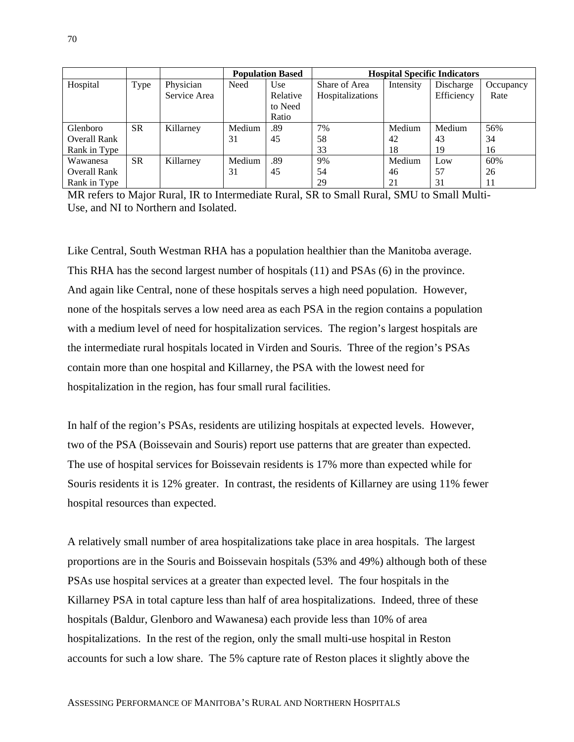|                     |           |              |        | <b>Population Based</b> | <b>Hospital Specific Indicators</b> |           |            |           |
|---------------------|-----------|--------------|--------|-------------------------|-------------------------------------|-----------|------------|-----------|
| Hospital            | Type      | Physician    | Need   | Use                     | Share of Area                       | Intensity | Discharge  | Occupancy |
|                     |           | Service Area |        | Relative                | Hospitalizations                    |           | Efficiency | Rate      |
|                     |           |              |        | to Need                 |                                     |           |            |           |
|                     |           |              |        | Ratio                   |                                     |           |            |           |
| Glenboro            | <b>SR</b> | Killarney    | Medium | .89                     | 7%                                  | Medium    | Medium     | 56%       |
| <b>Overall Rank</b> |           |              | 31     | 45                      | 58                                  | 42        | 43         | 34        |
| Rank in Type        |           |              |        |                         | 33                                  | 18        | 19         | 16        |
| Wawanesa            | <b>SR</b> | Killarney    | Medium | .89                     | 9%                                  | Medium    | Low        | 60%       |
| <b>Overall Rank</b> |           |              | 31     | 45                      | 54                                  | 46        | 57         | 26        |
| Rank in Type        |           |              |        |                         | 29                                  | 21        | 31         | 11        |

MR refers to Major Rural, IR to Intermediate Rural, SR to Small Rural, SMU to Small Multi-Use, and NI to Northern and Isolated.

Like Central, South Westman RHA has a population healthier than the Manitoba average. This RHA has the second largest number of hospitals (11) and PSAs (6) in the province. And again like Central, none of these hospitals serves a high need population. However, none of the hospitals serves a low need area as each PSA in the region contains a population with a medium level of need for hospitalization services. The region's largest hospitals are the intermediate rural hospitals located in Virden and Souris. Three of the region's PSAs contain more than one hospital and Killarney, the PSA with the lowest need for hospitalization in the region, has four small rural facilities.

In half of the region's PSAs, residents are utilizing hospitals at expected levels. However, two of the PSA (Boissevain and Souris) report use patterns that are greater than expected. The use of hospital services for Boissevain residents is 17% more than expected while for Souris residents it is 12% greater. In contrast, the residents of Killarney are using 11% fewer hospital resources than expected.

A relatively small number of area hospitalizations take place in area hospitals. The largest proportions are in the Souris and Boissevain hospitals (53% and 49%) although both of these PSAs use hospital services at a greater than expected level. The four hospitals in the Killarney PSA in total capture less than half of area hospitalizations. Indeed, three of these hospitals (Baldur, Glenboro and Wawanesa) each provide less than 10% of area hospitalizations. In the rest of the region, only the small multi-use hospital in Reston accounts for such a low share. The 5% capture rate of Reston places it slightly above the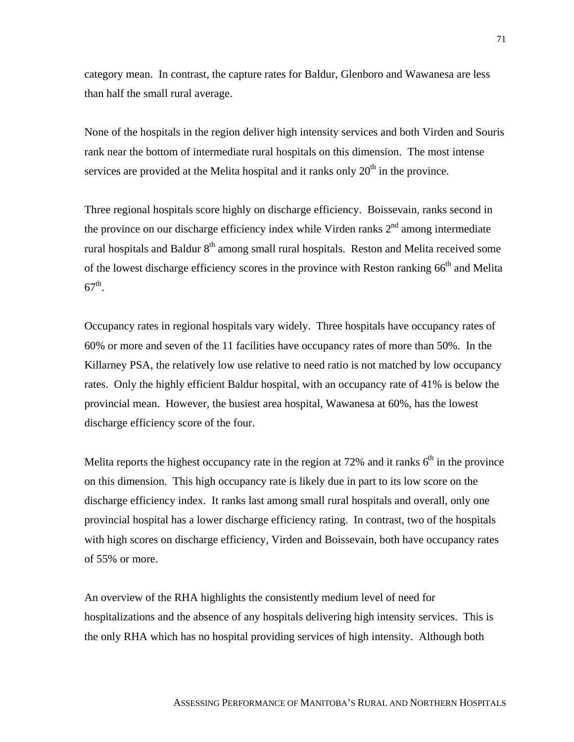category mean. In contrast, the capture rates for Baldur, Glenboro and Wawanesa are less than half the small rural average.

None of the hospitals in the region deliver high intensity services and both Virden and Souris rank near the bottom of intermediate rural hospitals on this dimension. The most intense services are provided at the Melita hospital and it ranks only  $20<sup>th</sup>$  in the province.

Three regional hospitals score highly on discharge efficiency. Boissevain, ranks second in the province on our discharge efficiency index while Virden ranks  $2<sup>nd</sup>$  among intermediate rural hospitals and Baldur  $8<sup>th</sup>$  among small rural hospitals. Reston and Melita received some of the lowest discharge efficiency scores in the province with Reston ranking 66<sup>th</sup> and Melita  $67^{\text{th}}$ .

Occupancy rates in regional hospitals vary widely. Three hospitals have occupancy rates of 60% or more and seven of the 11 facilities have occupancy rates of more than 50%. In the Killarney PSA, the relatively low use relative to need ratio is not matched by low occupancy rates. Only the highly efficient Baldur hospital, with an occupancy rate of 41% is below the provincial mean. However, the busiest area hospital, Wawanesa at 60%, has the lowest discharge efficiency score of the four.

Melita reports the highest occupancy rate in the region at 72% and it ranks  $6<sup>th</sup>$  in the province on this dimension. This high occupancy rate is likely due in part to its low score on the discharge efficiency index. It ranks last among small rural hospitals and overall, only one provincial hospital has a lower discharge efficiency rating. In contrast, two of the hospitals with high scores on discharge efficiency, Virden and Boissevain, both have occupancy rates of 55% or more.

An overview of the RHA highlights the consistently medium level of need for hospitalizations and the absence of any hospitals delivering high intensity services. This is the only RHA which has no hospital providing services of high intensity. Although both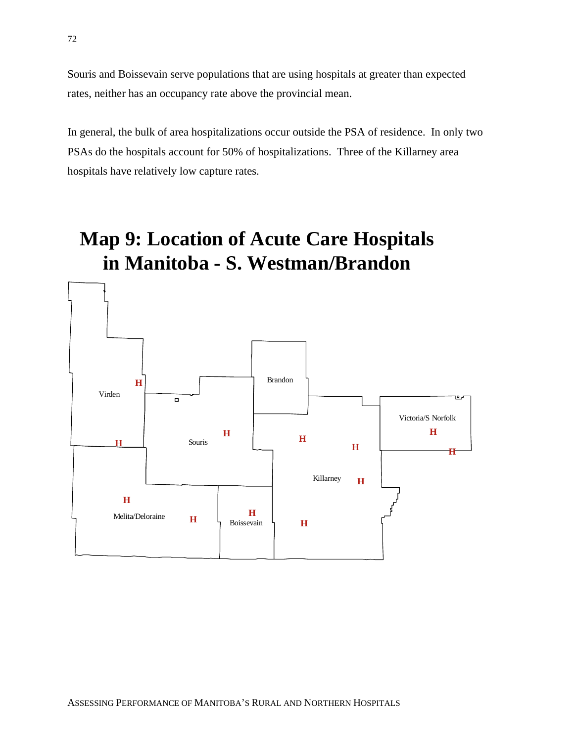Souris and Boissevain serve populations that are using hospitals at greater than expected rates, neither has an occupancy rate above the provincial mean.

In general, the bulk of area hospitalizations occur outside the PSA of residence. In only two PSAs do the hospitals account for 50% of hospitalizations. Three of the Killarney area hospitals have relatively low capture rates.

# **Map 9: Location of Acute Care Hospitals in Manitoba - S. Westman/Brandon**

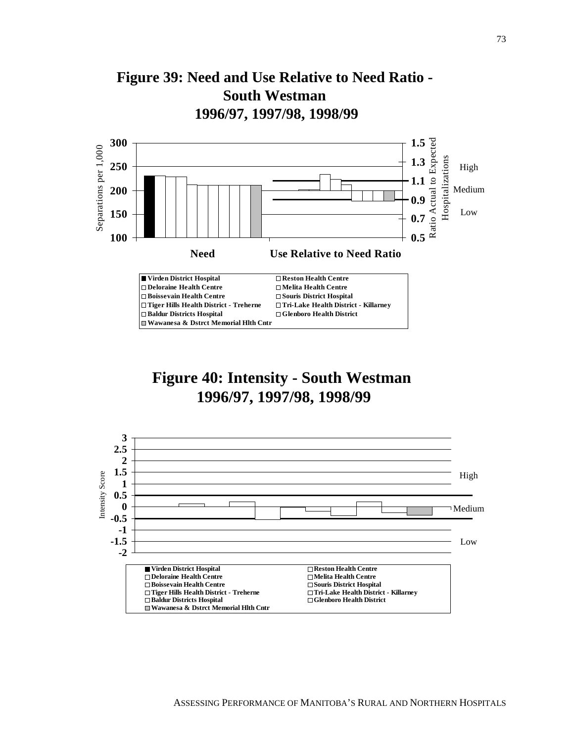

## **Figure 40: Intensity - South Westman 1996/97, 1997/98, 1998/99**

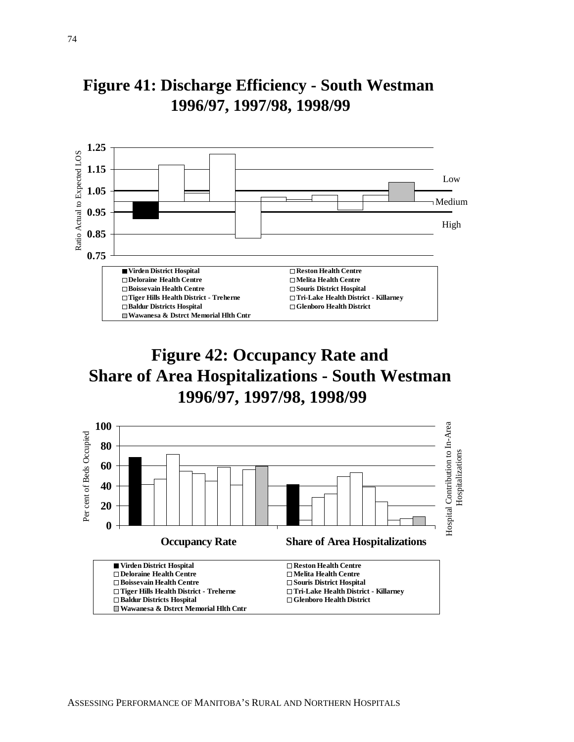

## **Figure 41: Discharge Efficiency - South Westman 1996/97, 1997/98, 1998/99**

## **Figure 42: Occupancy Rate and Share of Area Hospitalizations - South Westman 1996/97, 1997/98, 1998/99**

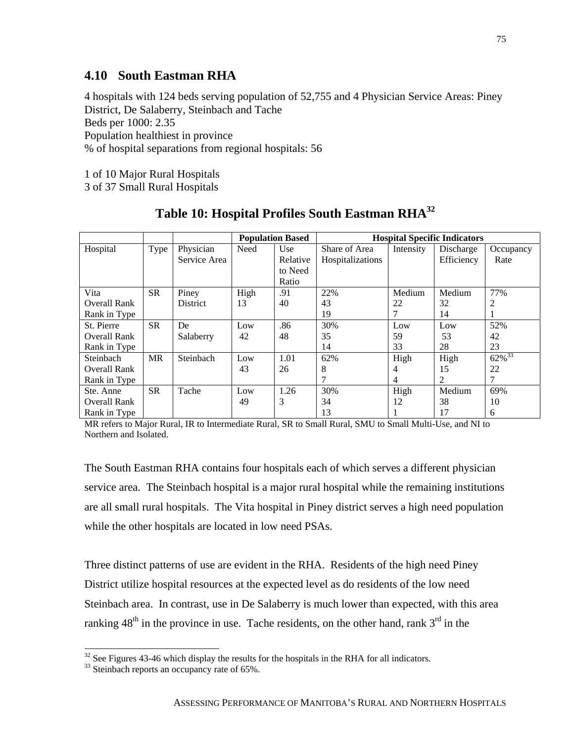#### **4.10 South Eastman RHA**

4 hospitals with 124 beds serving population of 52,755 and 4 Physician Service Areas: Piney District, De Salaberry, Steinbach and Tache Beds per 1000: 2.35 Population healthiest in province % of hospital separations from regional hospitals: 56

1 of 10 Major Rural Hospitals

3 of 37 Small Rural Hospitals

|                     |           |              |      | <b>Population Based</b> | <b>Hospital Specific Indicators</b> |           |            |             |
|---------------------|-----------|--------------|------|-------------------------|-------------------------------------|-----------|------------|-------------|
| Hospital            | Type      | Physician    | Need | Use                     | Share of Area                       | Intensity | Discharge  | Occupancy   |
|                     |           | Service Area |      | Relative                | Hospitalizations                    |           | Efficiency | Rate        |
|                     |           |              |      | to Need                 |                                     |           |            |             |
|                     |           |              |      | Ratio                   |                                     |           |            |             |
| Vita                | <b>SR</b> | Piney        | High | .91                     | 22%                                 | Medium    | Medium     | 77%         |
| <b>Overall Rank</b> |           | District     | 13   | 40                      | 43                                  | 22        | 32         |             |
| Rank in Type        |           |              |      |                         | 19                                  |           | 14         |             |
| St. Pierre          | <b>SR</b> | De           | Low  | .86                     | 30%                                 | Low       | Low        | 52%         |
| <b>Overall Rank</b> |           | Salaberry    | 42   | 48                      | 35                                  | 59        | 53         | 42          |
| Rank in Type        |           |              |      |                         | 14                                  | 33        | 28         | 23          |
| Steinbach           | <b>MR</b> | Steinbach    | Low  | 1.01                    | 62%                                 | High      | High       | $62\%^{33}$ |
| <b>Overall Rank</b> |           |              | 43   | 26                      | 8                                   | 4         | 15         | 22          |
| Rank in Type        |           |              |      |                         |                                     | 4         | 2          |             |
| Ste. Anne           | <b>SR</b> | Tache        | Low  | 1.26                    | 30%                                 | High      | Medium     | 69%         |
| Overall Rank        |           |              | 49   | 3                       | 34                                  | 12        | 38         | 10          |
| Rank in Type        |           |              |      |                         | 13                                  |           | 17         | 6           |

**Table 10: Hospital Profiles South Eastman RHA32**

MR refers to Major Rural, IR to Intermediate Rural, SR to Small Rural, SMU to Small Multi-Use, and NI to Northern and Isolated.

The South Eastman RHA contains four hospitals each of which serves a different physician service area. The Steinbach hospital is a major rural hospital while the remaining institutions are all small rural hospitals. The Vita hospital in Piney district serves a high need population while the other hospitals are located in low need PSAs.

Three distinct patterns of use are evident in the RHA. Residents of the high need Piney District utilize hospital resources at the expected level as do residents of the low need Steinbach area. In contrast, use in De Salaberry is much lower than expected, with this area ranking  $48<sup>th</sup>$  in the province in use. Tache residents, on the other hand, rank  $3<sup>rd</sup>$  in the

 $\overline{a}$ 

 $32$  See Figures 43-46 which display the results for the hospitals in the RHA for all indicators.

<sup>&</sup>lt;sup>33</sup> Steinbach reports an occupancy rate of 65%.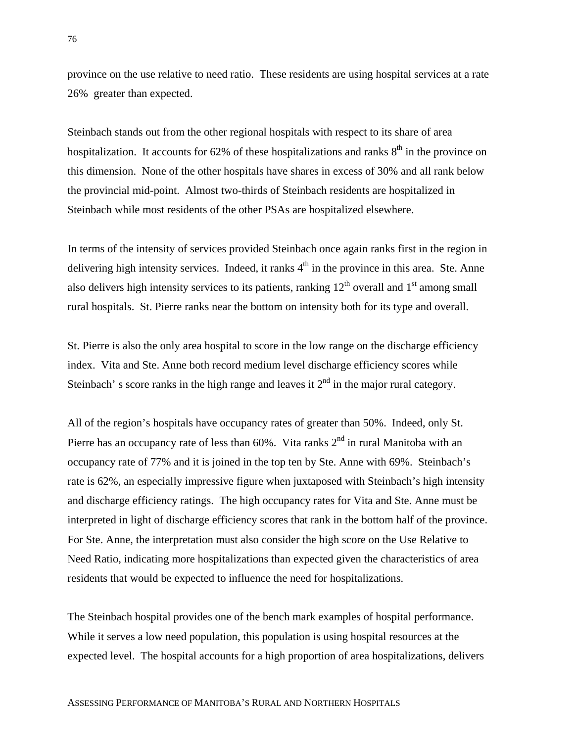province on the use relative to need ratio. These residents are using hospital services at a rate 26% greater than expected.

Steinbach stands out from the other regional hospitals with respect to its share of area hospitalization. It accounts for  $62\%$  of these hospitalizations and ranks  $8<sup>th</sup>$  in the province on this dimension. None of the other hospitals have shares in excess of 30% and all rank below the provincial mid-point. Almost two-thirds of Steinbach residents are hospitalized in Steinbach while most residents of the other PSAs are hospitalized elsewhere.

In terms of the intensity of services provided Steinbach once again ranks first in the region in delivering high intensity services. Indeed, it ranks  $4<sup>th</sup>$  in the province in this area. Ste. Anne also delivers high intensity services to its patients, ranking  $12<sup>th</sup>$  overall and  $1<sup>st</sup>$  among small rural hospitals. St. Pierre ranks near the bottom on intensity both for its type and overall.

St. Pierre is also the only area hospital to score in the low range on the discharge efficiency index. Vita and Ste. Anne both record medium level discharge efficiency scores while Steinbach' s score ranks in the high range and leaves it  $2<sup>nd</sup>$  in the major rural category.

All of the region's hospitals have occupancy rates of greater than 50%. Indeed, only St. Pierre has an occupancy rate of less than  $60\%$ . Vita ranks  $2<sup>nd</sup>$  in rural Manitoba with an occupancy rate of 77% and it is joined in the top ten by Ste. Anne with 69%. Steinbach's rate is 62%, an especially impressive figure when juxtaposed with Steinbach's high intensity and discharge efficiency ratings. The high occupancy rates for Vita and Ste. Anne must be interpreted in light of discharge efficiency scores that rank in the bottom half of the province. For Ste. Anne, the interpretation must also consider the high score on the Use Relative to Need Ratio, indicating more hospitalizations than expected given the characteristics of area residents that would be expected to influence the need for hospitalizations.

The Steinbach hospital provides one of the bench mark examples of hospital performance. While it serves a low need population, this population is using hospital resources at the expected level. The hospital accounts for a high proportion of area hospitalizations, delivers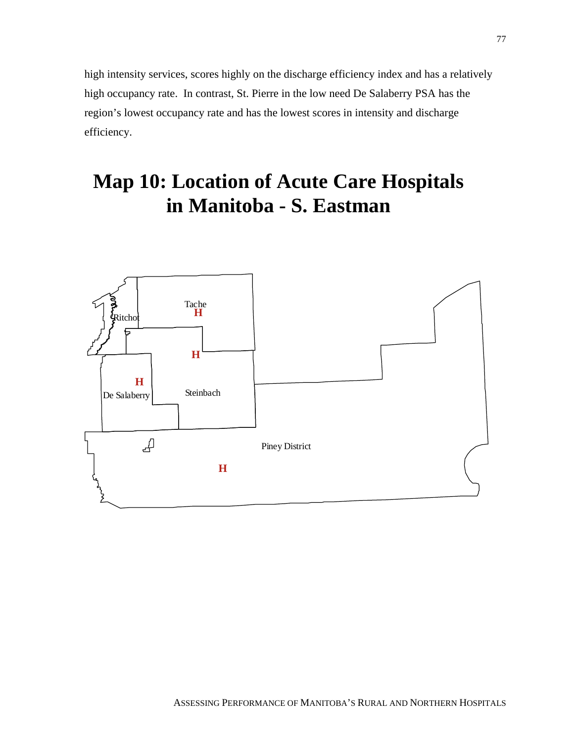high intensity services, scores highly on the discharge efficiency index and has a relatively high occupancy rate. In contrast, St. Pierre in the low need De Salaberry PSA has the region's lowest occupancy rate and has the lowest scores in intensity and discharge efficiency.

# **Map 10: Location of Acute Care Hospitals in Manitoba - S. Eastman**

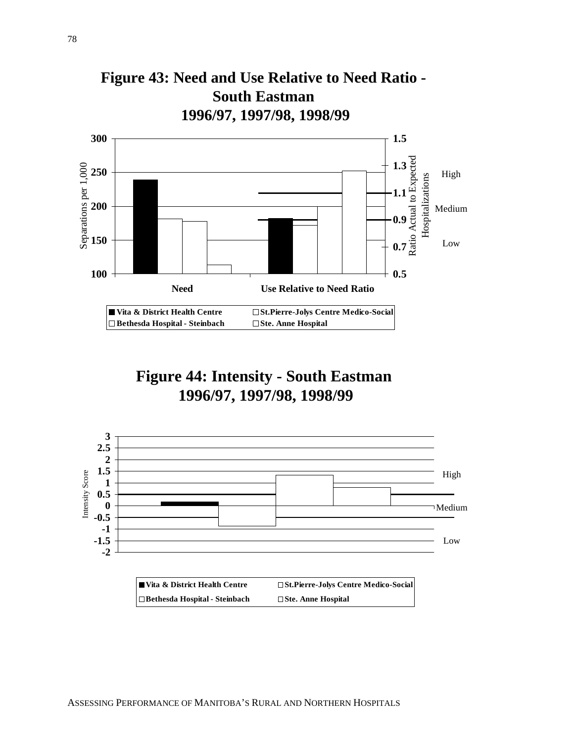

**Figure 44: Intensity - South Eastman 1996/97, 1997/98, 1998/99**

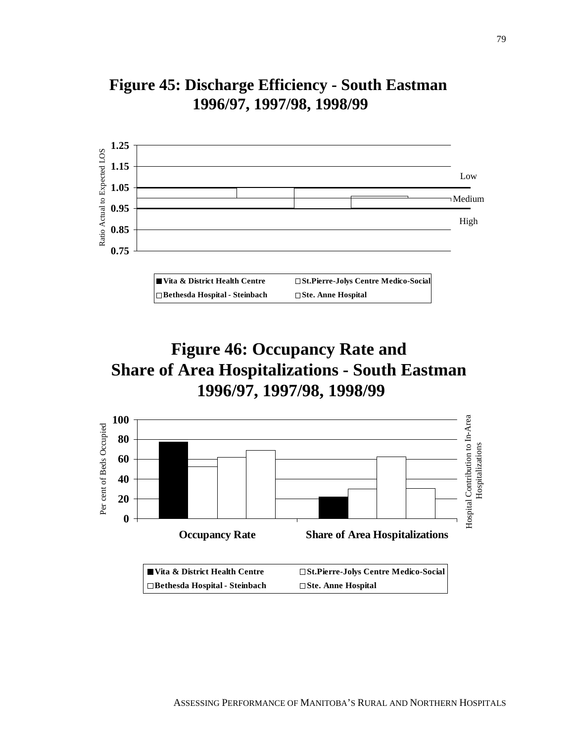

## **Figure 45: Discharge Efficiency - South Eastman 1996/97, 1997/98, 1998/99**

## **Figure 46: Occupancy Rate and Share of Area Hospitalizations - South Eastman 1996/97, 1997/98, 1998/99**

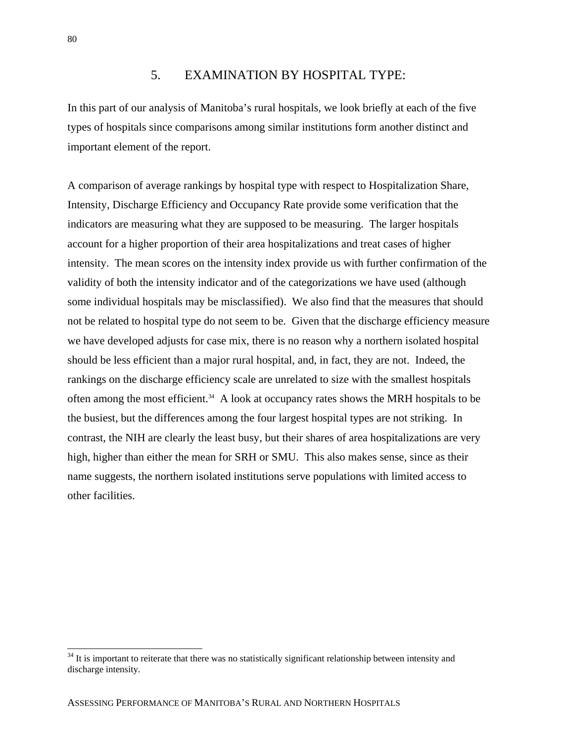#### 5. EXAMINATION BY HOSPITAL TYPE:

In this part of our analysis of Manitoba's rural hospitals, we look briefly at each of the five types of hospitals since comparisons among similar institutions form another distinct and important element of the report.

A comparison of average rankings by hospital type with respect to Hospitalization Share, Intensity, Discharge Efficiency and Occupancy Rate provide some verification that the indicators are measuring what they are supposed to be measuring. The larger hospitals account for a higher proportion of their area hospitalizations and treat cases of higher intensity. The mean scores on the intensity index provide us with further confirmation of the validity of both the intensity indicator and of the categorizations we have used (although some individual hospitals may be misclassified). We also find that the measures that should not be related to hospital type do not seem to be. Given that the discharge efficiency measure we have developed adjusts for case mix, there is no reason why a northern isolated hospital should be less efficient than a major rural hospital, and, in fact, they are not. Indeed, the rankings on the discharge efficiency scale are unrelated to size with the smallest hospitals often among the most efficient.<sup>34</sup> A look at occupancy rates shows the MRH hospitals to be the busiest, but the differences among the four largest hospital types are not striking. In contrast, the NIH are clearly the least busy, but their shares of area hospitalizations are very high, higher than either the mean for SRH or SMU. This also makes sense, since as their name suggests, the northern isolated institutions serve populations with limited access to other facilities.

 $\overline{a}$ 

<sup>&</sup>lt;sup>34</sup> It is important to reiterate that there was no statistically significant relationship between intensity and discharge intensity.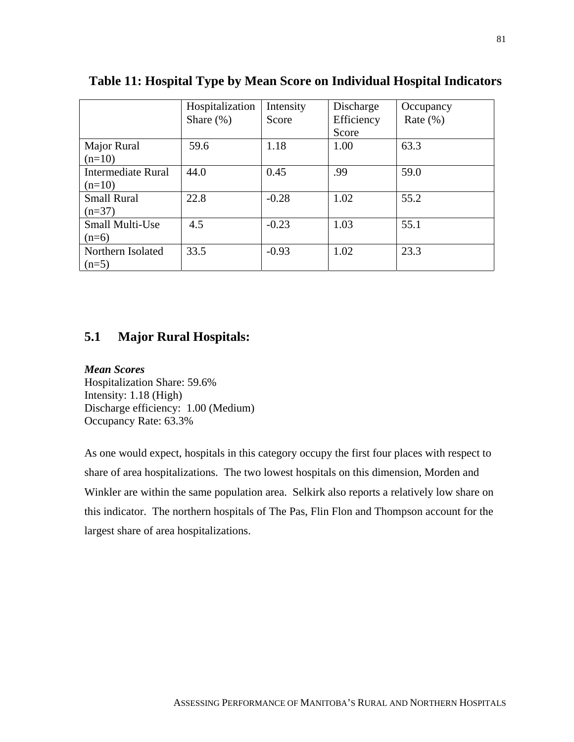|                                       | Hospitalization<br>Share $(\% )$ | Intensity<br>Score | Discharge<br>Efficiency<br>Score | Occupancy<br>Rate $(\% )$ |
|---------------------------------------|----------------------------------|--------------------|----------------------------------|---------------------------|
| Major Rural<br>$(n=10)$               | 59.6                             | 1.18               | 1.00                             | 63.3                      |
| <b>Intermediate Rural</b><br>$(n=10)$ | 44.0                             | 0.45               | .99                              | 59.0                      |
| <b>Small Rural</b><br>$(n=37)$        | 22.8                             | $-0.28$            | 1.02                             | 55.2                      |
| <b>Small Multi-Use</b><br>$(n=6)$     | 4.5                              | $-0.23$            | 1.03                             | 55.1                      |
| Northern Isolated<br>$(n=5)$          | 33.5                             | $-0.93$            | 1.02                             | 23.3                      |

#### **Table 11: Hospital Type by Mean Score on Individual Hospital Indicators**

### **5.1 Major Rural Hospitals:**

*Mean Scores* Hospitalization Share: 59.6% Intensity: 1.18 (High) Discharge efficiency: 1.00 (Medium) Occupancy Rate: 63.3%

As one would expect, hospitals in this category occupy the first four places with respect to share of area hospitalizations. The two lowest hospitals on this dimension, Morden and Winkler are within the same population area. Selkirk also reports a relatively low share on this indicator. The northern hospitals of The Pas, Flin Flon and Thompson account for the largest share of area hospitalizations.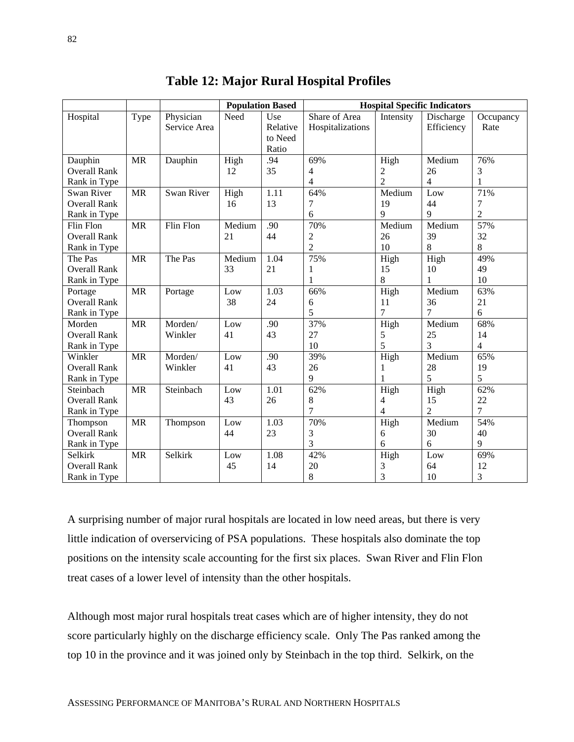|                     |                                   |                   |        | <b>Population Based</b> | <b>Hospital Specific Indicators</b> |                |                |                |
|---------------------|-----------------------------------|-------------------|--------|-------------------------|-------------------------------------|----------------|----------------|----------------|
| Hospital            | Type                              | Physician         | Need   | Use                     | Share of Area                       | Intensity      | Discharge      | Occupancy      |
|                     |                                   | Service Area      |        | Relative                | Hospitalizations                    |                | Efficiency     | Rate           |
|                     |                                   |                   |        | to Need                 |                                     |                |                |                |
|                     |                                   |                   |        | Ratio                   |                                     |                |                |                |
| Dauphin             | <b>MR</b>                         | Dauphin           | High   | .94                     | 69%                                 | High           | Medium         | 76%            |
| <b>Overall Rank</b> |                                   |                   | 12     | 35                      | 4                                   | 2              | 26             | 3              |
| Rank in Type        |                                   |                   |        |                         | 4                                   | $\overline{2}$ | $\overline{4}$ | 1              |
| Swan River          | <b>MR</b>                         | <b>Swan River</b> | High   | 1.11                    | 64%                                 | Medium         | Low            | 71%            |
| <b>Overall Rank</b> |                                   |                   | 16     | 13                      | 7                                   | 19             | 44             | 7              |
| Rank in Type        |                                   |                   |        |                         | 6                                   | 9              | 9              | $\overline{2}$ |
| Flin Flon           | <b>MR</b>                         | Flin Flon         | Medium | .90                     | 70%                                 | Medium         | Medium         | 57%            |
| <b>Overall Rank</b> |                                   |                   | 21     | 44                      | $\overline{c}$                      | 26             | 39             | 32             |
| Rank in Type        |                                   |                   |        |                         | $\overline{2}$                      | 10             | 8              | 8              |
| The Pas             | $\ensuremath{\mathsf{MR}}\xspace$ | The Pas           | Medium | 1.04                    | 75%                                 | High           | High           | 49%            |
| <b>Overall Rank</b> |                                   |                   | 33     | 21                      | 1                                   | 15             | 10             | 49             |
| Rank in Type        |                                   |                   |        |                         | 1                                   | 8              | 1              | 10             |
| Portage             | <b>MR</b>                         | Portage           | Low    | 1.03                    | 66%                                 | High           | Medium         | 63%            |
| <b>Overall Rank</b> |                                   |                   | 38     | 24                      | 6                                   | 11             | 36             | 21             |
| Rank in Type        |                                   |                   |        |                         | 5                                   | $\overline{7}$ | $\overline{7}$ | 6              |
| Morden              | <b>MR</b>                         | Morden/           | Low    | .90                     | 37%                                 | High           | Medium         | 68%            |
| <b>Overall Rank</b> |                                   | Winkler           | 41     | 43                      | 27                                  | 5              | 25             | 14             |
| Rank in Type        |                                   |                   |        |                         | 10                                  | 5              | 3              | $\overline{4}$ |
| Winkler             | <b>MR</b>                         | Morden/           | Low    | .90                     | 39%                                 | High           | Medium         | 65%            |
| <b>Overall Rank</b> |                                   | Winkler           | 41     | 43                      | 26                                  | 1              | 28             | 19             |
| Rank in Type        |                                   |                   |        |                         | 9                                   |                | 5              | 5              |
| Steinbach           | <b>MR</b>                         | Steinbach         | Low    | 1.01                    | 62%                                 | High           | High           | 62%            |
| <b>Overall Rank</b> |                                   |                   | 43     | 26                      | 8                                   | 4              | 15             | 22             |
| Rank in Type        |                                   |                   |        |                         | $\overline{7}$                      | $\overline{4}$ | $\overline{2}$ | $\overline{7}$ |
| Thompson            | <b>MR</b>                         | Thompson          | Low    | 1.03                    | 70%                                 | High           | Medium         | 54%            |
| <b>Overall Rank</b> |                                   |                   | 44     | 23                      | 3                                   | 6              | 30             | 40             |
| Rank in Type        |                                   |                   |        |                         | 3                                   | 6              | 6              | 9              |
| Selkirk             | <b>MR</b>                         | Selkirk           | Low    | 1.08                    | 42%                                 | High           | Low            | 69%            |
| <b>Overall Rank</b> |                                   |                   | 45     | 14                      | 20                                  | 3              | 64             | 12             |
| Rank in Type        |                                   |                   |        |                         | 8                                   | 3              | 10             | 3              |

|  |  |  | <b>Table 12: Major Rural Hospital Profiles</b> |  |
|--|--|--|------------------------------------------------|--|
|--|--|--|------------------------------------------------|--|

A surprising number of major rural hospitals are located in low need areas, but there is very little indication of overservicing of PSA populations. These hospitals also dominate the top positions on the intensity scale accounting for the first six places. Swan River and Flin Flon treat cases of a lower level of intensity than the other hospitals.

Although most major rural hospitals treat cases which are of higher intensity, they do not score particularly highly on the discharge efficiency scale. Only The Pas ranked among the top 10 in the province and it was joined only by Steinbach in the top third. Selkirk, on the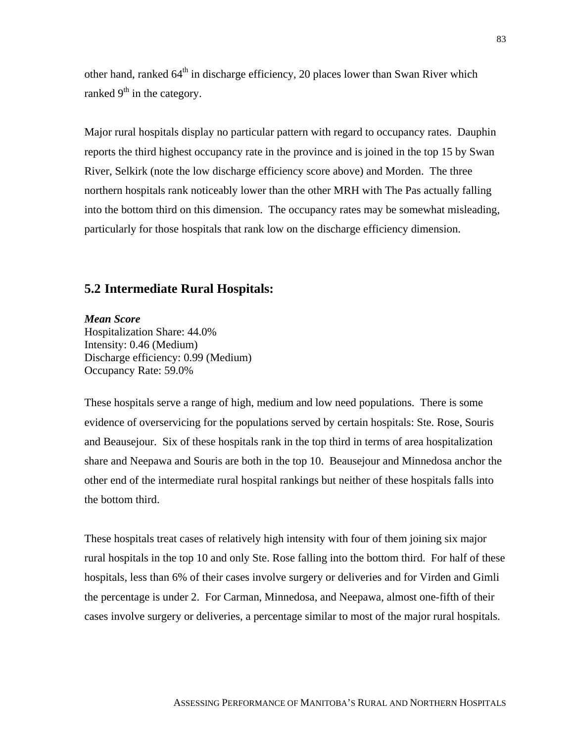other hand, ranked 64<sup>th</sup> in discharge efficiency, 20 places lower than Swan River which ranked  $9<sup>th</sup>$  in the category.

Major rural hospitals display no particular pattern with regard to occupancy rates. Dauphin reports the third highest occupancy rate in the province and is joined in the top 15 by Swan River, Selkirk (note the low discharge efficiency score above) and Morden. The three northern hospitals rank noticeably lower than the other MRH with The Pas actually falling into the bottom third on this dimension. The occupancy rates may be somewhat misleading, particularly for those hospitals that rank low on the discharge efficiency dimension.

#### **5.2 Intermediate Rural Hospitals:**

*Mean Score* Hospitalization Share: 44.0% Intensity: 0.46 (Medium) Discharge efficiency: 0.99 (Medium) Occupancy Rate: 59.0%

These hospitals serve a range of high, medium and low need populations. There is some evidence of overservicing for the populations served by certain hospitals: Ste. Rose, Souris and Beausejour. Six of these hospitals rank in the top third in terms of area hospitalization share and Neepawa and Souris are both in the top 10. Beausejour and Minnedosa anchor the other end of the intermediate rural hospital rankings but neither of these hospitals falls into the bottom third.

These hospitals treat cases of relatively high intensity with four of them joining six major rural hospitals in the top 10 and only Ste. Rose falling into the bottom third. For half of these hospitals, less than 6% of their cases involve surgery or deliveries and for Virden and Gimli the percentage is under 2. For Carman, Minnedosa, and Neepawa, almost one-fifth of their cases involve surgery or deliveries, a percentage similar to most of the major rural hospitals.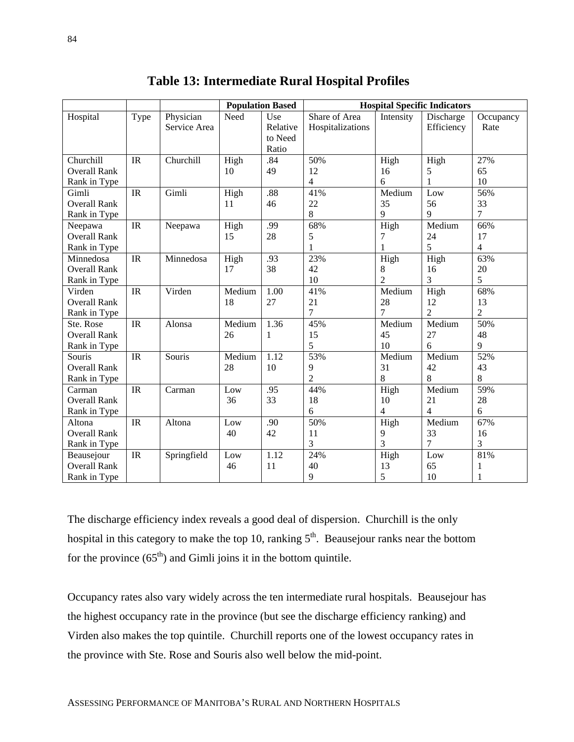|                     |      |              |        | <b>Population Based</b> | <b>Hospital Specific Indicators</b> |                |                |                |
|---------------------|------|--------------|--------|-------------------------|-------------------------------------|----------------|----------------|----------------|
| Hospital            | Type | Physician    | Need   | Use                     | Share of Area                       | Intensity      | Discharge      | Occupancy      |
|                     |      | Service Area |        | Relative                | Hospitalizations                    |                | Efficiency     | Rate           |
|                     |      |              |        | to Need                 |                                     |                |                |                |
|                     |      |              |        | Ratio                   |                                     |                |                |                |
| Churchill           | IR   | Churchill    | High   | .84                     | 50%                                 | High           | High           | 27%            |
| <b>Overall Rank</b> |      |              | 10     | 49                      | 12                                  | 16             | 5              | 65             |
| Rank in Type        |      |              |        |                         | 4                                   | 6              | 1              | 10             |
| Gimli               | IR   | Gimli        | High   | .88                     | 41%                                 | Medium         | Low            | 56%            |
| <b>Overall Rank</b> |      |              | 11     | 46                      | 22                                  | 35             | 56             | 33             |
| Rank in Type        |      |              |        |                         | 8                                   | 9              | 9              | $\overline{7}$ |
| Neepawa             | IR   | Neepawa      | High   | .99                     | 68%                                 | High           | Medium         | 66%            |
| <b>Overall Rank</b> |      |              | 15     | 28                      | 5                                   | 7              | 24             | 17             |
| Rank in Type        |      |              |        |                         | 1                                   | 1              | 5              | $\overline{4}$ |
| Minnedosa           | IR   | Minnedosa    | High   | .93                     | 23%                                 | High           | High           | 63%            |
| <b>Overall Rank</b> |      |              | 17     | 38                      | 42                                  | 8              | 16             | 20             |
| Rank in Type        |      |              |        |                         | 10                                  | $\overline{2}$ | $\overline{3}$ | 5              |
| Virden              | IR   | Virden       | Medium | 1.00                    | 41%                                 | Medium         | High           | 68%            |
| <b>Overall Rank</b> |      |              | 18     | 27                      | 21                                  | 28             | 12             | 13             |
| Rank in Type        |      |              |        |                         | $\overline{7}$                      | 7              | $\overline{2}$ | $\overline{2}$ |
| Ste. Rose           | IR   | Alonsa       | Medium | 1.36                    | 45%                                 | Medium         | Medium         | 50%            |
| <b>Overall Rank</b> |      |              | 26     | 1                       | 15                                  | 45             | 27             | 48             |
| Rank in Type        |      |              |        |                         | 5                                   | 10             | 6              | 9              |
| Souris              | IR   | Souris       | Medium | 1.12                    | 53%                                 | Medium         | Medium         | 52%            |
| <b>Overall Rank</b> |      |              | 28     | 10                      | 9                                   | 31             | 42             | 43             |
| Rank in Type        |      |              |        |                         | $\overline{2}$                      | 8              | 8              | 8              |
| Carman              | IR   | Carman       | Low    | .95                     | 44%                                 | High           | Medium         | 59%            |
| <b>Overall Rank</b> |      |              | 36     | 33                      | 18                                  | 10             | 21             | 28             |
| Rank in Type        |      |              |        |                         | 6                                   | $\overline{4}$ | $\overline{4}$ | 6              |
| Altona              | IR   | Altona       | Low    | .90                     | 50%                                 | High           | Medium         | 67%            |
| <b>Overall Rank</b> |      |              | 40     | 42                      | 11                                  | 9              | 33             | 16             |
| Rank in Type        |      |              |        |                         | 3                                   | 3              | $\tau$         | 3              |
| Beausejour          | IR   | Springfield  | Low    | 1.12                    | 24%                                 | High           | Low            | 81%            |
| <b>Overall Rank</b> |      |              | 46     | 11                      | 40                                  | 13             | 65             | 1              |
| Rank in Type        |      |              |        |                         | 9                                   | 5              | 10             | 1              |

The discharge efficiency index reveals a good deal of dispersion. Churchill is the only hospital in this category to make the top 10, ranking  $5<sup>th</sup>$ . Beausejour ranks near the bottom for the province  $(65<sup>th</sup>)$  and Gimli joins it in the bottom quintile.

Occupancy rates also vary widely across the ten intermediate rural hospitals. Beausejour has the highest occupancy rate in the province (but see the discharge efficiency ranking) and Virden also makes the top quintile. Churchill reports one of the lowest occupancy rates in the province with Ste. Rose and Souris also well below the mid-point.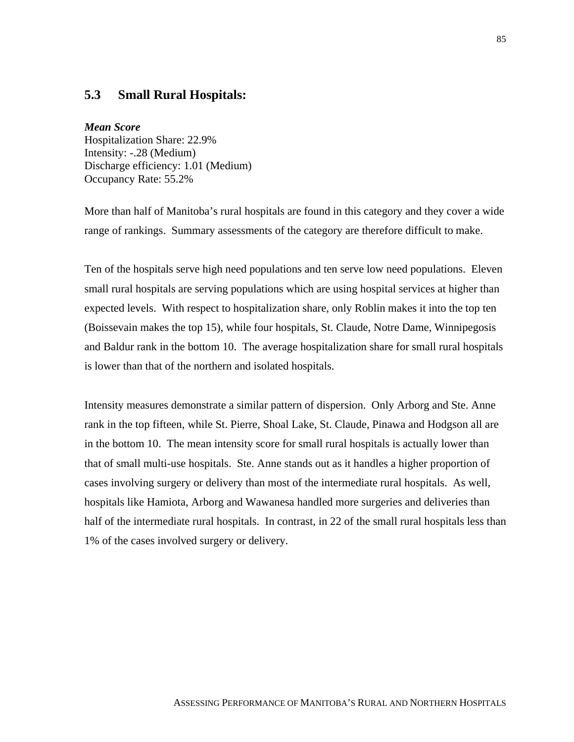#### **5.3 Small Rural Hospitals:**

#### *Mean Score*

Hospitalization Share: 22.9% Intensity: -.28 (Medium) Discharge efficiency: 1.01 (Medium) Occupancy Rate: 55.2%

More than half of Manitoba's rural hospitals are found in this category and they cover a wide range of rankings. Summary assessments of the category are therefore difficult to make.

Ten of the hospitals serve high need populations and ten serve low need populations. Eleven small rural hospitals are serving populations which are using hospital services at higher than expected levels. With respect to hospitalization share, only Roblin makes it into the top ten (Boissevain makes the top 15), while four hospitals, St. Claude, Notre Dame, Winnipegosis and Baldur rank in the bottom 10. The average hospitalization share for small rural hospitals is lower than that of the northern and isolated hospitals.

Intensity measures demonstrate a similar pattern of dispersion. Only Arborg and Ste. Anne rank in the top fifteen, while St. Pierre, Shoal Lake, St. Claude, Pinawa and Hodgson all are in the bottom 10. The mean intensity score for small rural hospitals is actually lower than that of small multi-use hospitals. Ste. Anne stands out as it handles a higher proportion of cases involving surgery or delivery than most of the intermediate rural hospitals. As well, hospitals like Hamiota, Arborg and Wawanesa handled more surgeries and deliveries than half of the intermediate rural hospitals. In contrast, in 22 of the small rural hospitals less than 1% of the cases involved surgery or delivery.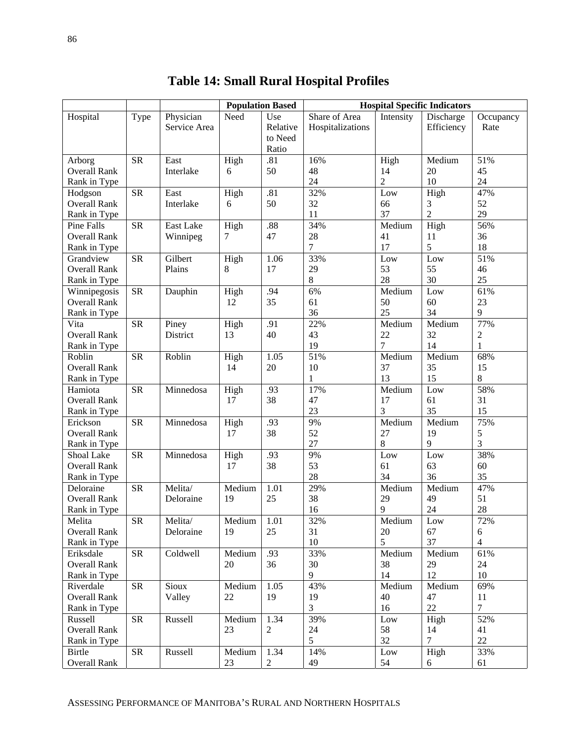|                     |            |              |        | <b>Population Based</b> | <b>Hospital Specific Indicators</b> |                |                |                |
|---------------------|------------|--------------|--------|-------------------------|-------------------------------------|----------------|----------------|----------------|
| Hospital            | Type       | Physician    | Need   | Use                     | Share of Area                       | Intensity      | Discharge      | Occupancy      |
|                     |            | Service Area |        | Relative                | Hospitalizations                    |                | Efficiency     | Rate           |
|                     |            |              |        | to Need                 |                                     |                |                |                |
|                     |            |              |        | Ratio                   |                                     |                |                |                |
| Arborg              | <b>SR</b>  | East         | High   | .81                     | 16%                                 | High           | Medium         | 51%            |
| <b>Overall Rank</b> |            | Interlake    | 6      | 50                      | 48                                  | 14             | $20\,$         | 45             |
| Rank in Type        |            |              |        |                         | 24                                  | $\overline{2}$ | 10             | 24             |
| Hodgson             | <b>SR</b>  | East         | High   | .81                     | 32%                                 | Low            | High           | 47%            |
| <b>Overall Rank</b> |            | Interlake    | 6      | 50                      | 32                                  | 66             | 3              | 52             |
| Rank in Type        |            |              |        |                         | 11                                  | 37             | $\overline{2}$ | 29             |
| Pine Falls          | <b>SR</b>  | East Lake    | High   | .88                     | 34%                                 | Medium         | High           | 56%            |
| <b>Overall Rank</b> |            | Winnipeg     | 7      | 47                      | 28                                  | 41             | 11             | 36             |
| Rank in Type        |            |              |        |                         | 7                                   | 17             | 5              | 18             |
| Grandview           | <b>SR</b>  | Gilbert      | High   | 1.06                    | 33%                                 | Low            | Low            | 51%            |
| <b>Overall Rank</b> |            | Plains       | 8      | 17                      | 29                                  | 53             | 55             | 46             |
| Rank in Type        |            |              |        |                         | 8                                   | 28             | 30             | 25             |
| Winnipegosis        | <b>SR</b>  | Dauphin      | High   | .94                     | 6%                                  | Medium         | Low            | 61%            |
| <b>Overall Rank</b> |            |              | 12     | 35                      | 61                                  | 50             | 60             | 23             |
| Rank in Type        |            |              |        |                         | 36                                  | 25             | 34             | 9              |
| Vita                | <b>SR</b>  | Piney        | High   | .91                     | 22%                                 | Medium         | Medium         | 77%            |
| <b>Overall Rank</b> |            | District     | 13     | 40                      | 43                                  | 22             | 32             | $\mathbf{2}$   |
| Rank in Type        |            |              |        |                         | 19                                  | $\tau$         | 14             | 1              |
| Roblin              | <b>SR</b>  | Roblin       | High   | 1.05                    | 51%                                 | Medium         | Medium         | 68%            |
| <b>Overall Rank</b> |            |              | 14     | 20                      | 10                                  | 37             | 35             | 15             |
| Rank in Type        |            |              |        |                         | $\mathbf{1}$                        | 13             | 15             | 8              |
| Hamiota             | <b>SR</b>  | Minnedosa    | High   | .93                     | 17%                                 | Medium         | Low            | 58%            |
| <b>Overall Rank</b> |            |              | 17     | 38                      | 47                                  | 17             | 61             | 31             |
| Rank in Type        |            |              |        |                         | 23                                  | 3              | 35             | 15             |
| Erickson            | <b>SR</b>  | Minnedosa    | High   | .93                     | 9%                                  | Medium         | Medium         | 75%            |
| <b>Overall Rank</b> |            |              | 17     | 38                      | 52                                  | 27             | 19             | 5              |
| Rank in Type        |            |              |        |                         | 27                                  | 8              | 9              | 3              |
| Shoal Lake          | <b>SR</b>  | Minnedosa    | High   | .93                     | 9%                                  | $_{\rm Low}$   | Low            | 38%            |
| <b>Overall Rank</b> |            |              | 17     | 38                      | 53                                  | 61             | 63             | 60             |
| Rank in Type        |            |              |        |                         | 28                                  | 34             | 36             | 35             |
| Deloraine           | <b>SR</b>  | Melita/      | Medium | 1.01                    | 29%                                 | Medium         | Medium         | 47%            |
| <b>Overall Rank</b> |            | Deloraine    | 19     | 25                      | 38                                  | 29             | 49             | 51             |
| Rank in Type        |            |              |        |                         | 16                                  | 9              | 24             | 28             |
| Melita              | SR         | Melita/      | Medium | 1.01                    | 32%                                 | Medium         | Low            | 72%            |
| <b>Overall Rank</b> |            | Deloraine    | 19     | 25                      | 31                                  | 20             | 67             | 6              |
| Rank in Type        |            |              |        |                         | 10                                  | 5              | 37             | $\overline{4}$ |
| Eriksdale           | ${\rm SR}$ | Coldwell     | Medium | .93                     | 33%                                 | Medium         | Medium         | 61%            |
| <b>Overall Rank</b> |            |              | 20     | 36                      | 30                                  | 38             | 29             | 24             |
| Rank in Type        |            |              |        |                         | 9                                   | 14             | 12             | 10             |
| Riverdale           | ${\rm SR}$ | Sioux        | Medium | 1.05                    | 43%                                 | Medium         | Medium         | 69%            |
| <b>Overall Rank</b> |            | Valley       | 22     | 19                      | 19                                  | 40             | 47             | 11             |
| Rank in Type        |            |              |        |                         | $\overline{3}$                      | 16             | 22             | $\overline{7}$ |
| Russell             | <b>SR</b>  | Russell      | Medium | 1.34                    | 39%                                 | Low            | High           | 52%            |
| <b>Overall Rank</b> |            |              | 23     | $\overline{2}$          | 24                                  | 58             | 14             | 41             |
| Rank in Type        |            |              |        |                         | 5                                   | 32             | $\overline{7}$ | 22             |
| Birtle              | <b>SR</b>  | Russell      | Medium | 1.34                    | 14%                                 | Low            | High           | 33%            |
| <b>Overall Rank</b> |            |              | 23     | $\overline{2}$          | 49                                  | 54             | 6              | 61             |

**Table 14: Small Rural Hospital Profiles**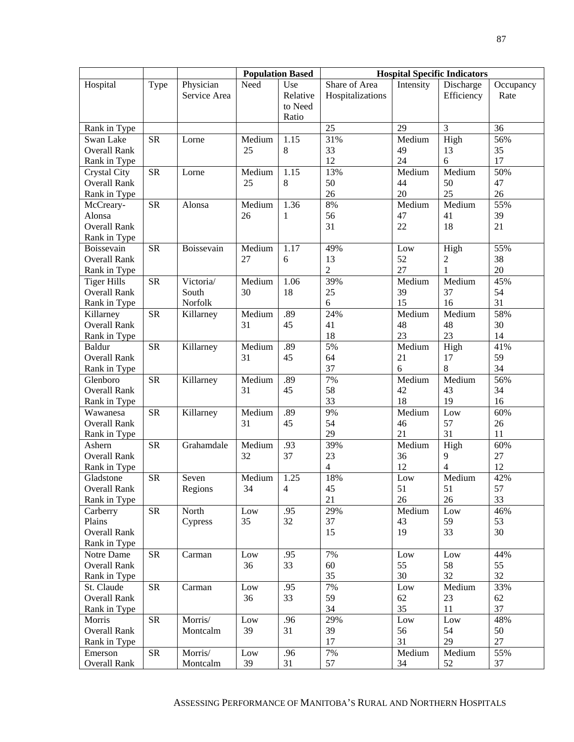|                              |            |              | <b>Population Based</b>     |          |                  | <b>Hospital Specific Indicators</b> |                             |           |  |
|------------------------------|------------|--------------|-----------------------------|----------|------------------|-------------------------------------|-----------------------------|-----------|--|
| Hospital                     | Type       | Physician    | Need                        | Use      | Share of Area    | Intensity                           | Discharge                   | Occupancy |  |
|                              |            | Service Area |                             | Relative | Hospitalizations |                                     | Efficiency                  | Rate      |  |
|                              |            |              |                             | to Need  |                  |                                     |                             |           |  |
|                              |            |              |                             | Ratio    |                  |                                     |                             |           |  |
| Rank in Type                 |            |              |                             |          | 25               | 29                                  | 3                           | 36        |  |
| Swan Lake                    | <b>SR</b>  | Lorne        | Medium                      | 1.15     | 31%              | Medium                              | High                        | 56%       |  |
| <b>Overall Rank</b>          |            |              | 25                          | 8        | 33               | 49                                  | 13                          | 35        |  |
| Rank in Type                 |            |              |                             |          | 12               | 24                                  | 6                           | 17        |  |
| <b>Crystal City</b>          | <b>SR</b>  | Lorne        | $\overline{\text{M}}$ edium | 1.15     | 13%              | Medium                              | Medium                      | 50%       |  |
| <b>Overall Rank</b>          |            |              | 25                          | 8        | 50               | 44                                  | 50                          | 47        |  |
| Rank in Type                 |            |              |                             |          | 26               | 20                                  | 25                          | 26        |  |
| McCreary-                    | <b>SR</b>  | Alonsa       | Medium                      | 1.36     | 8%               | Medium                              | Medium                      | 55%       |  |
| Alonsa                       |            |              | 26                          | 1        | 56               | 47                                  | 41                          | 39        |  |
| <b>Overall Rank</b>          |            |              |                             |          | 31               | 22                                  | 18                          | 21        |  |
| Rank in Type                 |            |              |                             |          |                  |                                     |                             |           |  |
| Boissevain                   | <b>SR</b>  | Boissevain   | Medium                      | 1.17     | 49%              | Low                                 | High                        | 55%       |  |
| Overall Rank                 |            |              | 27                          | 6        | 13               | 52                                  | 2                           | 38        |  |
| Rank in Type                 |            |              |                             |          | $\mathbf{2}$     | 27                                  | 1                           | 20        |  |
| <b>Tiger Hills</b>           | <b>SR</b>  | Victoria/    | Medium                      | 1.06     | 39%              | Medium                              | Medium                      | 45%       |  |
| <b>Overall Rank</b>          |            | South        | 30                          | 18       | 25               | 39                                  | 37                          | 54        |  |
| Rank in Type                 |            | Norfolk      |                             |          | 6                | 15                                  | 16                          | 31        |  |
| Killarney                    | <b>SR</b>  | Killarney    | Medium                      | .89      | 24%              | Medium                              | Medium                      | 58%       |  |
| <b>Overall Rank</b>          |            |              | 31                          | 45       | 41               | 48                                  | 48                          | 30        |  |
| Rank in Type                 |            |              |                             |          | 18               | 23                                  | 23                          | 14        |  |
| Baldur                       | <b>SR</b>  | Killarney    | Medium                      | .89      | 5%               | Medium                              | High                        | 41%       |  |
| <b>Overall Rank</b>          |            |              | 31                          | 45       | 64               | 21                                  | 17                          | 59        |  |
| Rank in Type                 |            |              |                             |          | 37               | 6                                   | 8                           | 34        |  |
| Glenboro                     | <b>SR</b>  | Killarney    | Medium                      | .89      | 7%               | Medium                              | $\overline{\text{M}}$ edium | 56%       |  |
| <b>Overall Rank</b>          |            |              | 31                          | 45       | 58               | 42                                  | 43                          | 34        |  |
| Rank in Type                 |            |              |                             |          | 33               | 18                                  | 19                          | 16        |  |
| Wawanesa                     | <b>SR</b>  | Killarney    | Medium                      | .89      | 9%               | Medium                              | Low                         | 60%       |  |
| <b>Overall Rank</b>          |            |              | 31                          | 45       | 54               | 46                                  | 57                          | 26        |  |
| Rank in Type                 |            |              |                             |          | 29               | 21                                  | 31                          | 11        |  |
| Ashern                       | <b>SR</b>  | Grahamdale   | Medium                      | .93      | 39%              | Medium                              | High                        | 60%       |  |
| <b>Overall Rank</b>          |            |              | 32                          | 37       | 23               | 36                                  | 9                           | 27        |  |
| Rank in Type                 |            |              |                             |          | $\overline{4}$   | 12                                  | 4                           | 12        |  |
| Gladstone                    | <b>SR</b>  | Seven        | Medium                      | 1.25     | 18%              | Low                                 | Medium                      | 42%       |  |
| Overall Rank<br>Rank in Type |            | Regions      | 34                          | 4        | 45<br>21         | 51<br>26                            | 51<br>26                    | 57<br>33  |  |
| Carberry                     | ${\rm SR}$ | North        | Low                         | .95      | 29%              | Medium                              | Low                         | 46%       |  |
| Plains                       |            |              | 35                          | 32       | 37               | 43                                  | 59                          | 53        |  |
| <b>Overall Rank</b>          |            | Cypress      |                             |          | 15               | 19                                  | 33                          | 30        |  |
| Rank in Type                 |            |              |                             |          |                  |                                     |                             |           |  |
| Notre Dame                   | ${\rm SR}$ | Carman       | Low                         | .95      | 7%               | Low                                 | Low                         | 44%       |  |
| <b>Overall Rank</b>          |            |              | 36                          | 33       | 60               | 55                                  | 58                          | 55        |  |
| Rank in Type                 |            |              |                             |          | 35               | 30                                  | 32                          | 32        |  |
| St. Claude                   | <b>SR</b>  | Carman       | Low                         | .95      | 7%               | Low                                 | Medium                      | 33%       |  |
| <b>Overall Rank</b>          |            |              | 36                          | 33       | 59               | 62                                  | 23                          | 62        |  |
| Rank in Type                 |            |              |                             |          | 34               | 35                                  | 11                          | 37        |  |
| Morris                       | <b>SR</b>  | Morris/      | Low                         | .96      | 29%              | Low                                 | Low                         | 48%       |  |
| <b>Overall Rank</b>          |            | Montcalm     | 39                          | 31       | 39               | 56                                  | 54                          | 50        |  |
| Rank in Type                 |            |              |                             |          | 17               | 31                                  | 29                          | 27        |  |
| Emerson                      | ${\rm SR}$ | Morris/      | Low                         | .96      | 7%               | Medium                              | Medium                      | 55%       |  |
| <b>Overall Rank</b>          |            | Montcalm     | 39                          | 31       | 57               | 34                                  | 52                          | 37        |  |
|                              |            |              |                             |          |                  |                                     |                             |           |  |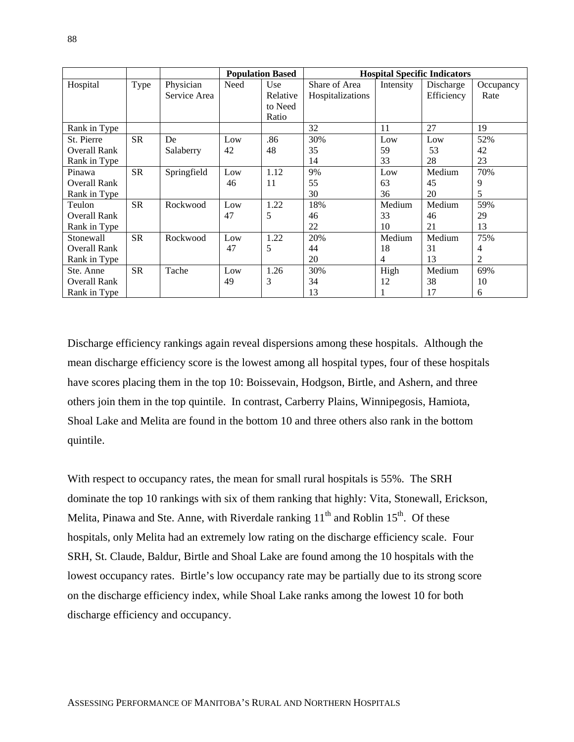|                     |           |              | <b>Population Based</b> |          | <b>Hospital Specific Indicators</b> |           |            |           |
|---------------------|-----------|--------------|-------------------------|----------|-------------------------------------|-----------|------------|-----------|
| Hospital            | Type      | Physician    | Need                    | Use      | Share of Area                       | Intensity | Discharge  | Occupancy |
|                     |           | Service Area |                         | Relative | Hospitalizations                    |           | Efficiency | Rate      |
|                     |           |              |                         | to Need  |                                     |           |            |           |
|                     |           |              |                         | Ratio    |                                     |           |            |           |
| Rank in Type        |           |              |                         |          | 32                                  | 11        | 27         | 19        |
| St. Pierre          | SR        | De           | Low                     | .86      | 30%                                 | Low       | Low        | 52%       |
| <b>Overall Rank</b> |           | Salaberry    | 42                      | 48       | 35                                  | 59        | 53         | 42        |
| Rank in Type        |           |              |                         |          | 14                                  | 33        | 28         | 23        |
| Pinawa              | SR        | Springfield  | Low                     | 1.12     | 9%                                  | Low       | Medium     | 70%       |
| Overall Rank        |           |              | 46                      | 11       | 55                                  | 63        | 45         | 9         |
| Rank in Type        |           |              |                         |          | 30                                  | 36        | 20         | 5         |
| Teulon              | <b>SR</b> | Rockwood     | Low                     | 1.22     | 18%                                 | Medium    | Medium     | 59%       |
| <b>Overall Rank</b> |           |              | 47                      | 5        | 46                                  | 33        | 46         | 29        |
| Rank in Type        |           |              |                         |          | 22                                  | 10        | 21         | 13        |
| Stonewall           | SR        | Rockwood     | Low                     | 1.22     | 20%                                 | Medium    | Medium     | 75%       |
| <b>Overall Rank</b> |           |              | 47                      | 5        | 44                                  | 18        | 31         | 4         |
| Rank in Type        |           |              |                         |          | 20                                  | 4         | 13         | 2         |
| Ste. Anne           | <b>SR</b> | Tache        | Low                     | 1.26     | 30%                                 | High      | Medium     | 69%       |
| Overall Rank        |           |              | 49                      | 3        | 34                                  | 12        | 38         | 10        |
| Rank in Type        |           |              |                         |          | 13                                  |           | 17         | 6         |

Discharge efficiency rankings again reveal dispersions among these hospitals. Although the mean discharge efficiency score is the lowest among all hospital types, four of these hospitals have scores placing them in the top 10: Boissevain, Hodgson, Birtle, and Ashern, and three others join them in the top quintile. In contrast, Carberry Plains, Winnipegosis, Hamiota, Shoal Lake and Melita are found in the bottom 10 and three others also rank in the bottom quintile.

With respect to occupancy rates, the mean for small rural hospitals is 55%. The SRH dominate the top 10 rankings with six of them ranking that highly: Vita, Stonewall, Erickson, Melita, Pinawa and Ste. Anne, with Riverdale ranking  $11<sup>th</sup>$  and Roblin  $15<sup>th</sup>$ . Of these hospitals, only Melita had an extremely low rating on the discharge efficiency scale. Four SRH, St. Claude, Baldur, Birtle and Shoal Lake are found among the 10 hospitals with the lowest occupancy rates. Birtle's low occupancy rate may be partially due to its strong score on the discharge efficiency index, while Shoal Lake ranks among the lowest 10 for both discharge efficiency and occupancy.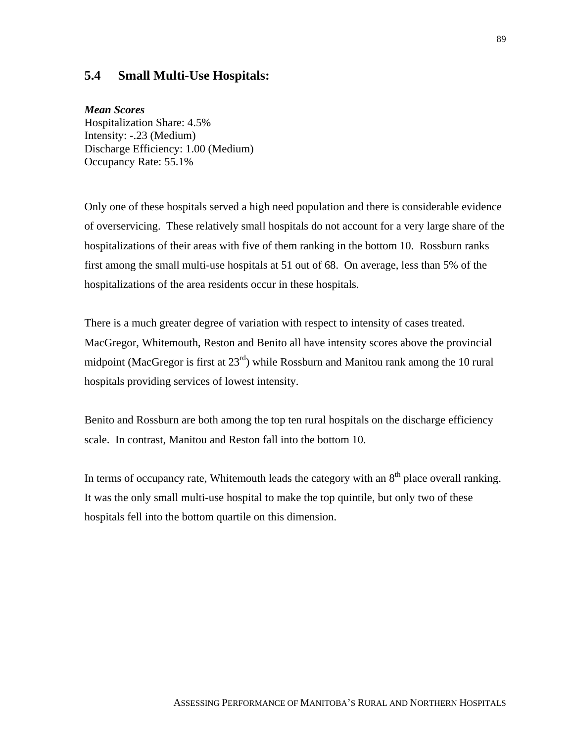#### **5.4 Small Multi-Use Hospitals:**

#### *Mean Scores*

Hospitalization Share: 4.5% Intensity: -.23 (Medium) Discharge Efficiency: 1.00 (Medium) Occupancy Rate: 55.1%

Only one of these hospitals served a high need population and there is considerable evidence of overservicing. These relatively small hospitals do not account for a very large share of the hospitalizations of their areas with five of them ranking in the bottom 10. Rossburn ranks first among the small multi-use hospitals at 51 out of 68. On average, less than 5% of the hospitalizations of the area residents occur in these hospitals.

There is a much greater degree of variation with respect to intensity of cases treated. MacGregor, Whitemouth, Reston and Benito all have intensity scores above the provincial midpoint (MacGregor is first at  $23<sup>rd</sup>$ ) while Rossburn and Manitou rank among the 10 rural hospitals providing services of lowest intensity.

Benito and Rossburn are both among the top ten rural hospitals on the discharge efficiency scale. In contrast, Manitou and Reston fall into the bottom 10.

In terms of occupancy rate, Whitemouth leads the category with an  $8<sup>th</sup>$  place overall ranking. It was the only small multi-use hospital to make the top quintile, but only two of these hospitals fell into the bottom quartile on this dimension.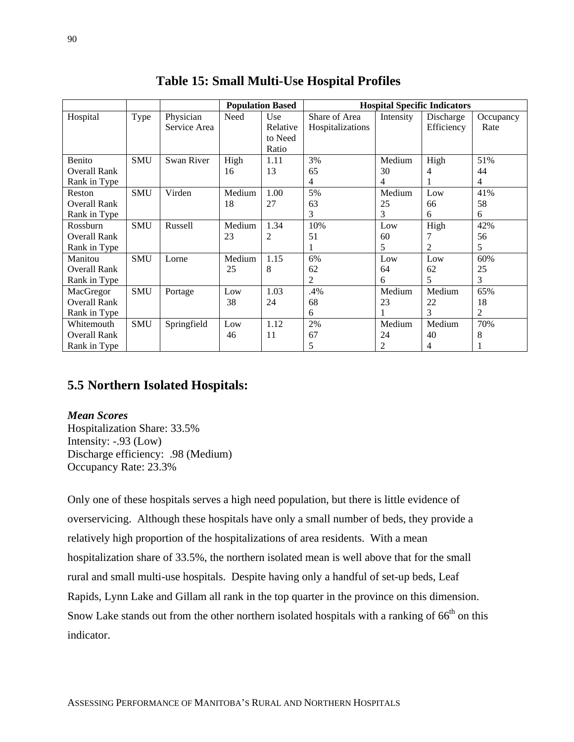|                     |            |              | <b>Population Based</b> |          | <b>Hospital Specific Indicators</b> |           |            |                |
|---------------------|------------|--------------|-------------------------|----------|-------------------------------------|-----------|------------|----------------|
| Hospital            | Type       | Physician    | Need                    | Use      | Share of Area                       | Intensity | Discharge  | Occupancy      |
|                     |            | Service Area |                         | Relative | Hospitalizations                    |           | Efficiency | Rate           |
|                     |            |              |                         | to Need  |                                     |           |            |                |
|                     |            |              |                         | Ratio    |                                     |           |            |                |
| <b>Benito</b>       | <b>SMU</b> | Swan River   | High                    | 1.11     | 3%                                  | Medium    | High       | 51%            |
| <b>Overall Rank</b> |            |              | 16                      | 13       | 65                                  | 30        | 4          | 44             |
| Rank in Type        |            |              |                         |          | $\overline{4}$                      | 4         |            | $\overline{4}$ |
| Reston              | <b>SMU</b> | Virden       | Medium                  | 1.00     | 5%                                  | Medium    | Low        | 41%            |
| <b>Overall Rank</b> |            |              | 18                      | 27       | 63                                  | 25        | 66         | 58             |
| Rank in Type        |            |              |                         |          | 3                                   | 3         | 6          | 6              |
| Rossburn            | <b>SMU</b> | Russell      | Medium                  | 1.34     | 10%                                 | Low       | High       | 42%            |
| <b>Overall Rank</b> |            |              | 23                      | 2        | 51                                  | 60        |            | 56             |
| Rank in Type        |            |              |                         |          |                                     | 5         | 2          | 5              |
| Manitou             | <b>SMU</b> | Lorne        | Medium                  | 1.15     | 6%                                  | Low       | Low        | 60%            |
| <b>Overall Rank</b> |            |              | 25                      | 8        | 62                                  | 64        | 62         | 25             |
| Rank in Type        |            |              |                         |          | 2                                   | 6         | 5          | 3              |
| MacGregor           | <b>SMU</b> | Portage      | Low                     | 1.03     | .4%                                 | Medium    | Medium     | 65%            |
| Overall Rank        |            |              | 38                      | 24       | 68                                  | 23        | 22         | 18             |
| Rank in Type        |            |              |                         |          | 6                                   |           | 3          | 2              |
| Whitemouth          | <b>SMU</b> | Springfield  | Low                     | 1.12     | 2%                                  | Medium    | Medium     | 70%            |
| <b>Overall Rank</b> |            |              | 46                      | 11       | 67                                  | 24        | 40         | 8              |
| Rank in Type        |            |              |                         |          | 5                                   | 2         | 4          |                |

**Table 15: Small Multi-Use Hospital Profiles**

### **5.5 Northern Isolated Hospitals:**

#### *Mean Scores*

Hospitalization Share: 33.5% Intensity: -.93 (Low) Discharge efficiency: .98 (Medium) Occupancy Rate: 23.3%

Only one of these hospitals serves a high need population, but there is little evidence of overservicing. Although these hospitals have only a small number of beds, they provide a relatively high proportion of the hospitalizations of area residents. With a mean hospitalization share of 33.5%, the northern isolated mean is well above that for the small rural and small multi-use hospitals. Despite having only a handful of set-up beds, Leaf Rapids, Lynn Lake and Gillam all rank in the top quarter in the province on this dimension. Snow Lake stands out from the other northern isolated hospitals with a ranking of  $66<sup>th</sup>$  on this indicator.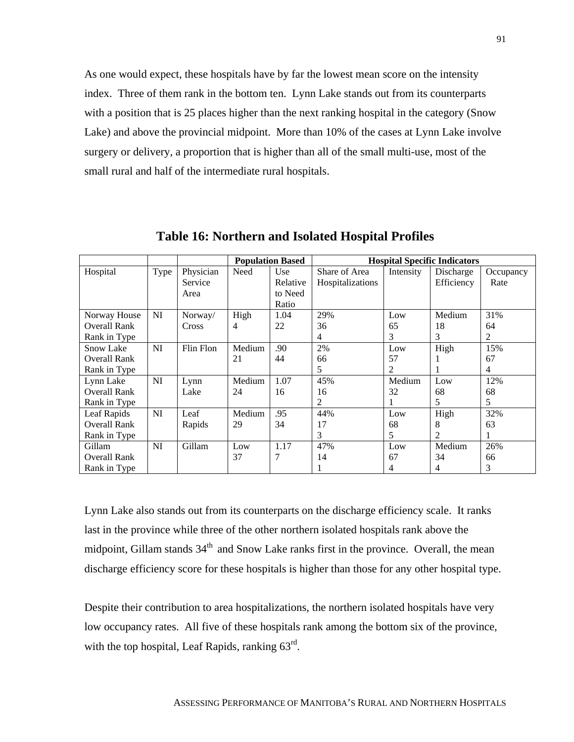As one would expect, these hospitals have by far the lowest mean score on the intensity index. Three of them rank in the bottom ten. Lynn Lake stands out from its counterparts with a position that is 25 places higher than the next ranking hospital in the category (Snow Lake) and above the provincial midpoint. More than 10% of the cases at Lynn Lake involve surgery or delivery, a proportion that is higher than all of the small multi-use, most of the small rural and half of the intermediate rural hospitals.

|                     |           |              | <b>Population Based</b> |          | <b>Hospital Specific Indicators</b> |           |            |           |
|---------------------|-----------|--------------|-------------------------|----------|-------------------------------------|-----------|------------|-----------|
| Hospital            | Type      | Physician    | Need                    | Use      | Share of Area                       | Intensity | Discharge  | Occupancy |
|                     |           | Service      |                         | Relative | Hospitalizations                    |           | Efficiency | Rate      |
|                     |           | Area         |                         | to Need  |                                     |           |            |           |
|                     |           |              |                         | Ratio    |                                     |           |            |           |
| Norway House        | NI        | Norway/      | High                    | 1.04     | 29%                                 | Low       | Medium     | 31%       |
| <b>Overall Rank</b> |           | <b>Cross</b> | 4                       | 22       | 36                                  | 65        | 18         | 64        |
| Rank in Type        |           |              |                         |          | 4                                   | 3         | 3          | 2         |
| <b>Snow Lake</b>    | NI        | Flin Flon    | Medium                  | .90      | 2%                                  | Low       | High       | 15%       |
| <b>Overall Rank</b> |           |              | 21                      | 44       | 66                                  | 57        |            | 67        |
| Rank in Type        |           |              |                         |          | 5                                   | 2         |            | 4         |
| Lynn Lake           | NI        | Lynn         | Medium                  | 1.07     | 45%                                 | Medium    | Low        | 12%       |
| <b>Overall Rank</b> |           | Lake         | 24                      | 16       | 16                                  | 32        | 68         | 68        |
| Rank in Type        |           |              |                         |          | 2                                   |           | 5          | 5         |
| Leaf Rapids         | <b>NI</b> | Leaf         | Medium                  | .95      | 44%                                 | Low       | High       | 32%       |
| <b>Overall Rank</b> |           | Rapids       | 29                      | 34       | 17                                  | 68        | 8          | 63        |
| Rank in Type        |           |              |                         |          | 3                                   | 5         | 2          |           |
| Gillam              | NI        | Gillam       | Low                     | 1.17     | 47%                                 | Low       | Medium     | 26%       |
| <b>Overall Rank</b> |           |              | 37                      | 7        | 14                                  | 67        | 34         | 66        |
| Rank in Type        |           |              |                         |          |                                     | 4         | 4          | 3         |

**Table 16: Northern and Isolated Hospital Profiles**

Lynn Lake also stands out from its counterparts on the discharge efficiency scale. It ranks last in the province while three of the other northern isolated hospitals rank above the midpoint, Gillam stands 34<sup>th</sup> and Snow Lake ranks first in the province. Overall, the mean discharge efficiency score for these hospitals is higher than those for any other hospital type.

Despite their contribution to area hospitalizations, the northern isolated hospitals have very low occupancy rates. All five of these hospitals rank among the bottom six of the province, with the top hospital, Leaf Rapids, ranking 63<sup>rd</sup>.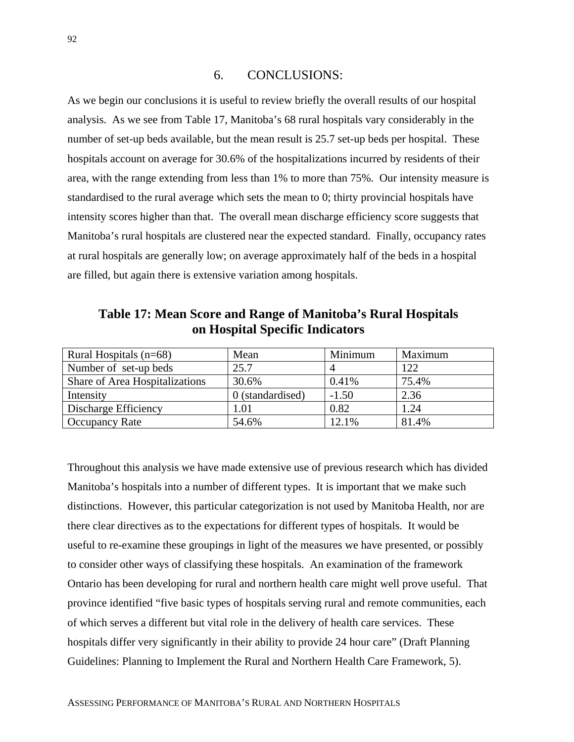#### 6. CONCLUSIONS:

As we begin our conclusions it is useful to review briefly the overall results of our hospital analysis. As we see from Table 17, Manitoba's 68 rural hospitals vary considerably in the number of set-up beds available, but the mean result is 25.7 set-up beds per hospital. These hospitals account on average for 30.6% of the hospitalizations incurred by residents of their area, with the range extending from less than 1% to more than 75%. Our intensity measure is standardised to the rural average which sets the mean to 0; thirty provincial hospitals have intensity scores higher than that. The overall mean discharge efficiency score suggests that Manitoba's rural hospitals are clustered near the expected standard. Finally, occupancy rates at rural hospitals are generally low; on average approximately half of the beds in a hospital are filled, but again there is extensive variation among hospitals.

**Table 17: Mean Score and Range of Manitoba's Rural Hospitals on Hospital Specific Indicators**

| Rural Hospitals $(n=68)$       | Mean             | Minimum | Maximum |
|--------------------------------|------------------|---------|---------|
| Number of set-up beds          | 25.7             |         | 122     |
| Share of Area Hospitalizations | 30.6%            | 0.41%   | 75.4%   |
| Intensity                      | 0 (standardised) | $-1.50$ | 2.36    |
| Discharge Efficiency           | 1.01             | 0.82    | 1.24    |
| <b>Occupancy Rate</b>          | 54.6%            | 12.1%   | 81.4%   |

Throughout this analysis we have made extensive use of previous research which has divided Manitoba's hospitals into a number of different types. It is important that we make such distinctions. However, this particular categorization is not used by Manitoba Health, nor are there clear directives as to the expectations for different types of hospitals. It would be useful to re-examine these groupings in light of the measures we have presented, or possibly to consider other ways of classifying these hospitals. An examination of the framework Ontario has been developing for rural and northern health care might well prove useful. That province identified "five basic types of hospitals serving rural and remote communities, each of which serves a different but vital role in the delivery of health care services. These hospitals differ very significantly in their ability to provide 24 hour care" (Draft Planning Guidelines: Planning to Implement the Rural and Northern Health Care Framework, 5).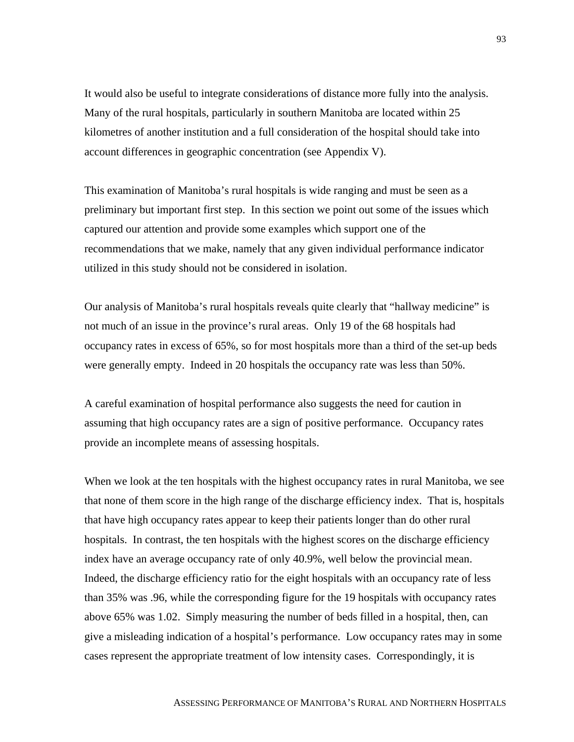It would also be useful to integrate considerations of distance more fully into the analysis. Many of the rural hospitals, particularly in southern Manitoba are located within 25 kilometres of another institution and a full consideration of the hospital should take into account differences in geographic concentration (see Appendix V).

This examination of Manitoba's rural hospitals is wide ranging and must be seen as a preliminary but important first step. In this section we point out some of the issues which captured our attention and provide some examples which support one of the recommendations that we make, namely that any given individual performance indicator utilized in this study should not be considered in isolation.

Our analysis of Manitoba's rural hospitals reveals quite clearly that "hallway medicine" is not much of an issue in the province's rural areas. Only 19 of the 68 hospitals had occupancy rates in excess of 65%, so for most hospitals more than a third of the set-up beds were generally empty. Indeed in 20 hospitals the occupancy rate was less than 50%.

A careful examination of hospital performance also suggests the need for caution in assuming that high occupancy rates are a sign of positive performance. Occupancy rates provide an incomplete means of assessing hospitals.

When we look at the ten hospitals with the highest occupancy rates in rural Manitoba, we see that none of them score in the high range of the discharge efficiency index. That is, hospitals that have high occupancy rates appear to keep their patients longer than do other rural hospitals. In contrast, the ten hospitals with the highest scores on the discharge efficiency index have an average occupancy rate of only 40.9%, well below the provincial mean. Indeed, the discharge efficiency ratio for the eight hospitals with an occupancy rate of less than 35% was .96, while the corresponding figure for the 19 hospitals with occupancy rates above 65% was 1.02. Simply measuring the number of beds filled in a hospital, then, can give a misleading indication of a hospital's performance. Low occupancy rates may in some cases represent the appropriate treatment of low intensity cases. Correspondingly, it is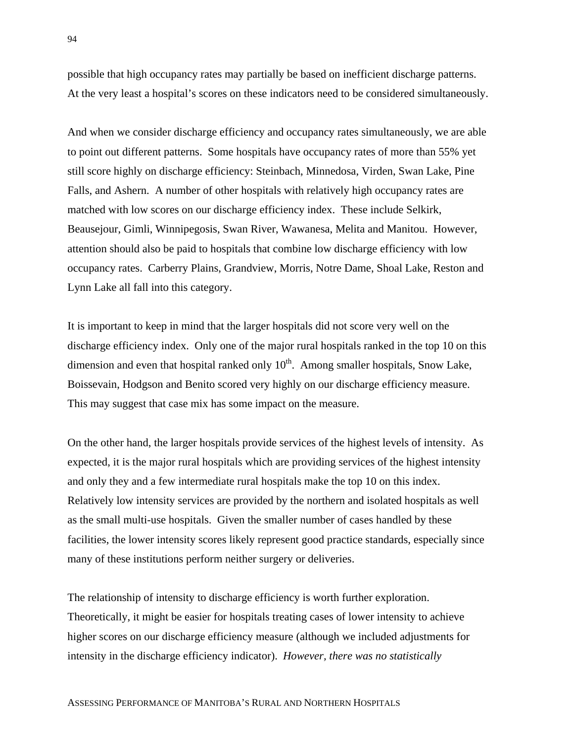possible that high occupancy rates may partially be based on inefficient discharge patterns. At the very least a hospital's scores on these indicators need to be considered simultaneously.

And when we consider discharge efficiency and occupancy rates simultaneously, we are able to point out different patterns. Some hospitals have occupancy rates of more than 55% yet still score highly on discharge efficiency: Steinbach, Minnedosa, Virden, Swan Lake, Pine Falls, and Ashern. A number of other hospitals with relatively high occupancy rates are matched with low scores on our discharge efficiency index. These include Selkirk, Beausejour, Gimli, Winnipegosis, Swan River, Wawanesa, Melita and Manitou. However, attention should also be paid to hospitals that combine low discharge efficiency with low occupancy rates. Carberry Plains, Grandview, Morris, Notre Dame, Shoal Lake, Reston and Lynn Lake all fall into this category.

It is important to keep in mind that the larger hospitals did not score very well on the discharge efficiency index. Only one of the major rural hospitals ranked in the top 10 on this dimension and even that hospital ranked only  $10<sup>th</sup>$ . Among smaller hospitals, Snow Lake, Boissevain, Hodgson and Benito scored very highly on our discharge efficiency measure. This may suggest that case mix has some impact on the measure.

On the other hand, the larger hospitals provide services of the highest levels of intensity. As expected, it is the major rural hospitals which are providing services of the highest intensity and only they and a few intermediate rural hospitals make the top 10 on this index. Relatively low intensity services are provided by the northern and isolated hospitals as well as the small multi-use hospitals. Given the smaller number of cases handled by these facilities, the lower intensity scores likely represent good practice standards, especially since many of these institutions perform neither surgery or deliveries.

The relationship of intensity to discharge efficiency is worth further exploration. Theoretically, it might be easier for hospitals treating cases of lower intensity to achieve higher scores on our discharge efficiency measure (although we included adjustments for intensity in the discharge efficiency indicator). *However, there was no statistically*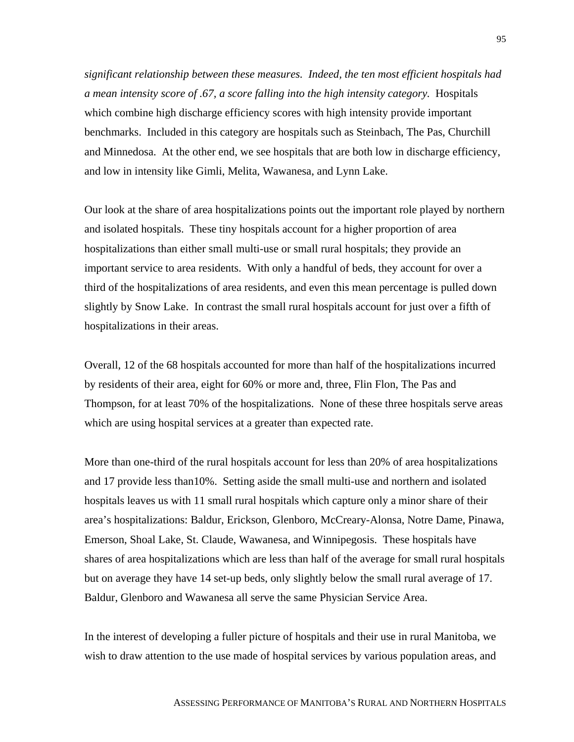*significant relationship between these measures. Indeed, the ten most efficient hospitals had a mean intensity score of .67, a score falling into the high intensity category.* Hospitals which combine high discharge efficiency scores with high intensity provide important benchmarks. Included in this category are hospitals such as Steinbach, The Pas, Churchill and Minnedosa. At the other end, we see hospitals that are both low in discharge efficiency, and low in intensity like Gimli, Melita, Wawanesa, and Lynn Lake.

Our look at the share of area hospitalizations points out the important role played by northern and isolated hospitals. These tiny hospitals account for a higher proportion of area hospitalizations than either small multi-use or small rural hospitals; they provide an important service to area residents. With only a handful of beds, they account for over a third of the hospitalizations of area residents, and even this mean percentage is pulled down slightly by Snow Lake. In contrast the small rural hospitals account for just over a fifth of hospitalizations in their areas.

Overall, 12 of the 68 hospitals accounted for more than half of the hospitalizations incurred by residents of their area, eight for 60% or more and, three, Flin Flon, The Pas and Thompson, for at least 70% of the hospitalizations. None of these three hospitals serve areas which are using hospital services at a greater than expected rate.

More than one-third of the rural hospitals account for less than 20% of area hospitalizations and 17 provide less than10%. Setting aside the small multi-use and northern and isolated hospitals leaves us with 11 small rural hospitals which capture only a minor share of their area's hospitalizations: Baldur, Erickson, Glenboro, McCreary-Alonsa, Notre Dame, Pinawa, Emerson, Shoal Lake, St. Claude, Wawanesa, and Winnipegosis. These hospitals have shares of area hospitalizations which are less than half of the average for small rural hospitals but on average they have 14 set-up beds, only slightly below the small rural average of 17. Baldur, Glenboro and Wawanesa all serve the same Physician Service Area.

In the interest of developing a fuller picture of hospitals and their use in rural Manitoba, we wish to draw attention to the use made of hospital services by various population areas, and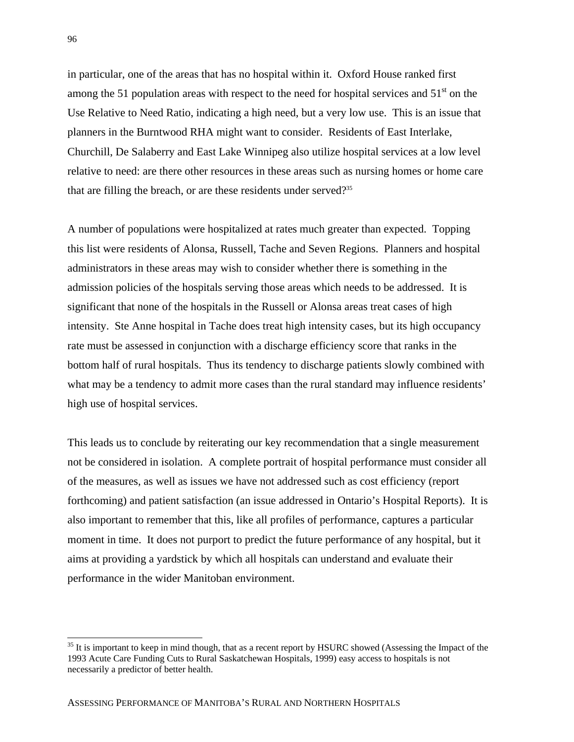in particular, one of the areas that has no hospital within it. Oxford House ranked first among the 51 population areas with respect to the need for hospital services and  $51<sup>st</sup>$  on the Use Relative to Need Ratio, indicating a high need, but a very low use. This is an issue that planners in the Burntwood RHA might want to consider. Residents of East Interlake, Churchill, De Salaberry and East Lake Winnipeg also utilize hospital services at a low level relative to need: are there other resources in these areas such as nursing homes or home care that are filling the breach, or are these residents under served? $35$ 

A number of populations were hospitalized at rates much greater than expected. Topping this list were residents of Alonsa, Russell, Tache and Seven Regions. Planners and hospital administrators in these areas may wish to consider whether there is something in the admission policies of the hospitals serving those areas which needs to be addressed. It is significant that none of the hospitals in the Russell or Alonsa areas treat cases of high intensity. Ste Anne hospital in Tache does treat high intensity cases, but its high occupancy rate must be assessed in conjunction with a discharge efficiency score that ranks in the bottom half of rural hospitals. Thus its tendency to discharge patients slowly combined with what may be a tendency to admit more cases than the rural standard may influence residents' high use of hospital services.

This leads us to conclude by reiterating our key recommendation that a single measurement not be considered in isolation. A complete portrait of hospital performance must consider all of the measures, as well as issues we have not addressed such as cost efficiency (report forthcoming) and patient satisfaction (an issue addressed in Ontario's Hospital Reports). It is also important to remember that this, like all profiles of performance, captures a particular moment in time. It does not purport to predict the future performance of any hospital, but it aims at providing a yardstick by which all hospitals can understand and evaluate their performance in the wider Manitoban environment.

 $\overline{a}$ 

 $35$  It is important to keep in mind though, that as a recent report by HSURC showed (Assessing the Impact of the 1993 Acute Care Funding Cuts to Rural Saskatchewan Hospitals, 1999) easy access to hospitals is not necessarily a predictor of better health.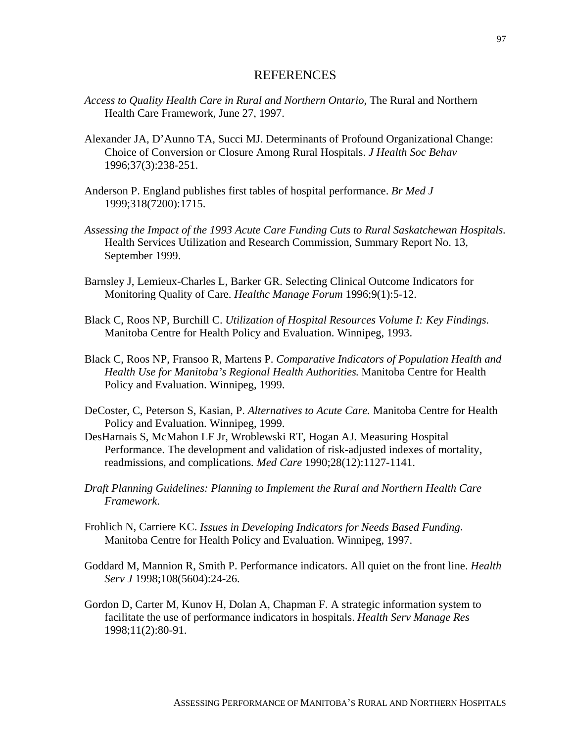#### **REFERENCES**

- *Access to Quality Health Care in Rural and Northern Ontario*, The Rural and Northern Health Care Framework, June 27, 1997.
- Alexander JA, D'Aunno TA, Succi MJ. Determinants of Profound Organizational Change: Choice of Conversion or Closure Among Rural Hospitals. *J Health Soc Behav* 1996;37(3):238-251.
- Anderson P. England publishes first tables of hospital performance. *Br Med J* 1999;318(7200):1715.
- *Assessing the Impact of the 1993 Acute Care Funding Cuts to Rural Saskatchewan Hospitals.* Health Services Utilization and Research Commission, Summary Report No. 13, September 1999.
- Barnsley J, Lemieux-Charles L, Barker GR. Selecting Clinical Outcome Indicators for Monitoring Quality of Care. *Healthc Manage Forum* 1996;9(1):5-12.
- Black C, Roos NP, Burchill C. *Utilization of Hospital Resources Volume I: Key Findings*. Manitoba Centre for Health Policy and Evaluation. Winnipeg, 1993.
- Black C, Roos NP, Fransoo R, Martens P. *Comparative Indicators of Population Health and Health Use for Manitoba's Regional Health Authorities*. Manitoba Centre for Health Policy and Evaluation. Winnipeg, 1999.
- DeCoster, C, Peterson S, Kasian, P. *Alternatives to Acute Care.* Manitoba Centre for Health Policy and Evaluation. Winnipeg, 1999.
- DesHarnais S, McMahon LF Jr, Wroblewski RT, Hogan AJ. Measuring Hospital Performance. The development and validation of risk-adjusted indexes of mortality, readmissions, and complications*. Med Care* 1990;28(12):1127-1141.
- *Draft Planning Guidelines: Planning to Implement the Rural and Northern Health Care Framework*.
- Frohlich N, Carriere KC. *Issues in Developing Indicators for Needs Based Funding*. Manitoba Centre for Health Policy and Evaluation. Winnipeg, 1997.
- Goddard M, Mannion R, Smith P. Performance indicators. All quiet on the front line. *Health Serv J* 1998;108(5604):24-26.
- Gordon D, Carter M, Kunov H, Dolan A, Chapman F. A strategic information system to facilitate the use of performance indicators in hospitals. *Health Serv Manage Res* 1998;11(2):80-91.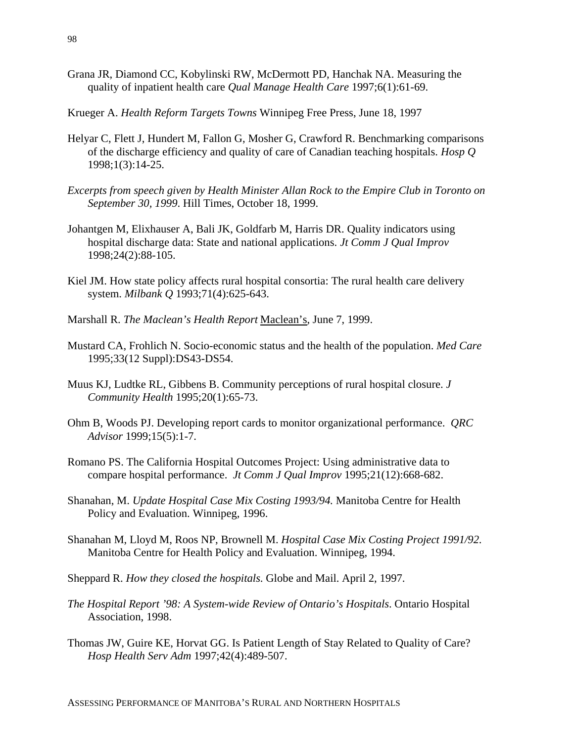- Grana JR, Diamond CC, Kobylinski RW, McDermott PD, Hanchak NA. Measuring the quality of inpatient health care *Qual Manage Health Care* 1997;6(1):61-69.
- Krueger A. *Health Reform Targets Towns* Winnipeg Free Press, June 18, 1997
- Helyar C, Flett J, Hundert M, Fallon G, Mosher G, Crawford R. Benchmarking comparisons of the discharge efficiency and quality of care of Canadian teaching hospitals. *Hosp Q* 1998;1(3):14-25.
- *Excerpts from speech given by Health Minister Allan Rock to the Empire Club in Toronto on September 30, 1999*. Hill Times, October 18, 1999.
- Johantgen M, Elixhauser A, Bali JK, Goldfarb M, Harris DR. Quality indicators using hospital discharge data: State and national applications. *Jt Comm J Qual Improv* 1998;24(2):88-105.
- Kiel JM. How state policy affects rural hospital consortia: The rural health care delivery system. *Milbank Q* 1993;71(4):625-643.
- Marshall R. *The Maclean's Health Report* Maclean's, June 7, 1999.
- Mustard CA, Frohlich N. Socio-economic status and the health of the population. *Med Care* 1995;33(12 Suppl):DS43-DS54.
- Muus KJ, Ludtke RL, Gibbens B. Community perceptions of rural hospital closure. *J Community Health* 1995;20(1):65-73.
- Ohm B, Woods PJ. Developing report cards to monitor organizational performance. *QRC Advisor* 1999;15(5):1-7.
- Romano PS. The California Hospital Outcomes Project: Using administrative data to compare hospital performance. *Jt Comm J Qual Improv* 1995;21(12):668-682.
- Shanahan, M. *Update Hospital Case Mix Costing 1993/94.* Manitoba Centre for Health Policy and Evaluation. Winnipeg, 1996.
- Shanahan M, Lloyd M, Roos NP, Brownell M. *Hospital Case Mix Costing Project 1991/92*. Manitoba Centre for Health Policy and Evaluation. Winnipeg, 1994.
- Sheppard R. *How they closed the hospitals*. Globe and Mail. April 2, 1997.
- *The Hospital Report '98: A System-wide Review of Ontario's Hospitals*. Ontario Hospital Association, 1998.
- Thomas JW, Guire KE, Horvat GG. Is Patient Length of Stay Related to Quality of Care? *Hosp Health Serv Adm* 1997;42(4):489-507.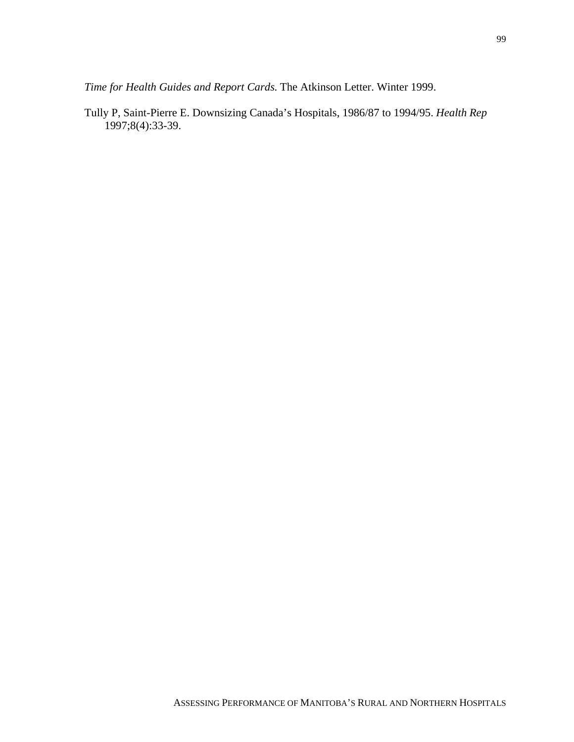*Time for Health Guides and Report Cards*. The Atkinson Letter. Winter 1999.

Tully P, Saint-Pierre E. Downsizing Canada's Hospitals, 1986/87 to 1994/95. *Health Rep* 1997;8(4):33-39.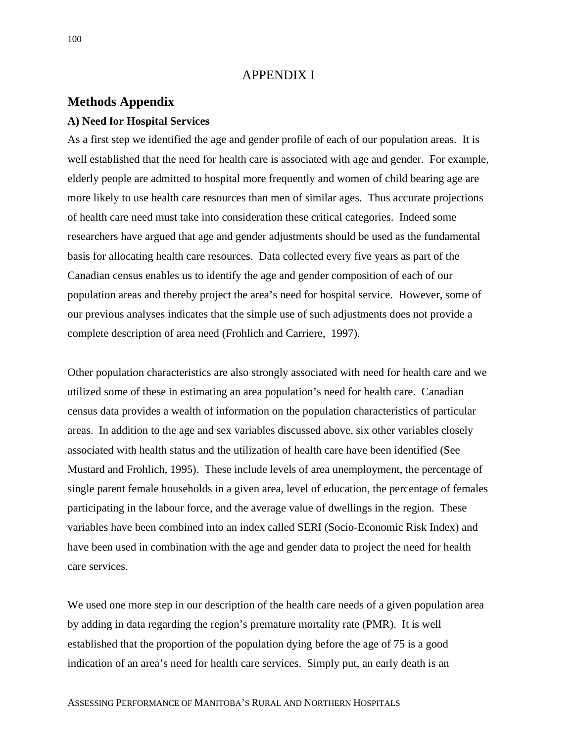#### APPENDIX I

#### **Methods Appendix**

#### **A) Need for Hospital Services**

As a first step we identified the age and gender profile of each of our population areas. It is well established that the need for health care is associated with age and gender. For example, elderly people are admitted to hospital more frequently and women of child bearing age are more likely to use health care resources than men of similar ages. Thus accurate projections of health care need must take into consideration these critical categories. Indeed some researchers have argued that age and gender adjustments should be used as the fundamental basis for allocating health care resources. Data collected every five years as part of the Canadian census enables us to identify the age and gender composition of each of our population areas and thereby project the area's need for hospital service. However, some of our previous analyses indicates that the simple use of such adjustments does not provide a complete description of area need (Frohlich and Carriere, 1997).

Other population characteristics are also strongly associated with need for health care and we utilized some of these in estimating an area population's need for health care. Canadian census data provides a wealth of information on the population characteristics of particular areas. In addition to the age and sex variables discussed above, six other variables closely associated with health status and the utilization of health care have been identified (See Mustard and Frohlich, 1995). These include levels of area unemployment, the percentage of single parent female households in a given area, level of education, the percentage of females participating in the labour force, and the average value of dwellings in the region. These variables have been combined into an index called SERI (Socio-Economic Risk Index) and have been used in combination with the age and gender data to project the need for health care services.

We used one more step in our description of the health care needs of a given population area by adding in data regarding the region's premature mortality rate (PMR). It is well established that the proportion of the population dying before the age of 75 is a good indication of an area's need for health care services. Simply put, an early death is an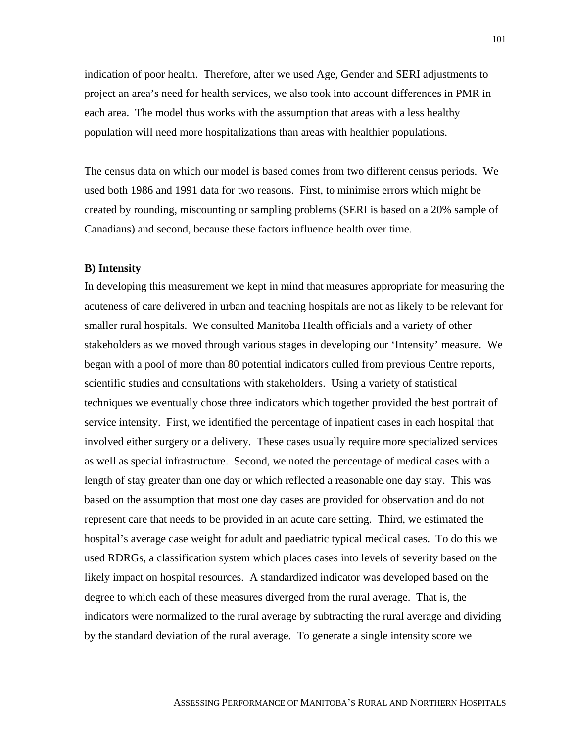indication of poor health. Therefore, after we used Age, Gender and SERI adjustments to project an area's need for health services, we also took into account differences in PMR in each area. The model thus works with the assumption that areas with a less healthy population will need more hospitalizations than areas with healthier populations.

The census data on which our model is based comes from two different census periods. We used both 1986 and 1991 data for two reasons. First, to minimise errors which might be created by rounding, miscounting or sampling problems (SERI is based on a 20% sample of Canadians) and second, because these factors influence health over time.

#### **B) Intensity**

In developing this measurement we kept in mind that measures appropriate for measuring the acuteness of care delivered in urban and teaching hospitals are not as likely to be relevant for smaller rural hospitals. We consulted Manitoba Health officials and a variety of other stakeholders as we moved through various stages in developing our 'Intensity' measure. We began with a pool of more than 80 potential indicators culled from previous Centre reports, scientific studies and consultations with stakeholders. Using a variety of statistical techniques we eventually chose three indicators which together provided the best portrait of service intensity. First, we identified the percentage of inpatient cases in each hospital that involved either surgery or a delivery. These cases usually require more specialized services as well as special infrastructure. Second, we noted the percentage of medical cases with a length of stay greater than one day or which reflected a reasonable one day stay. This was based on the assumption that most one day cases are provided for observation and do not represent care that needs to be provided in an acute care setting. Third, we estimated the hospital's average case weight for adult and paediatric typical medical cases. To do this we used RDRGs, a classification system which places cases into levels of severity based on the likely impact on hospital resources. A standardized indicator was developed based on the degree to which each of these measures diverged from the rural average. That is, the indicators were normalized to the rural average by subtracting the rural average and dividing by the standard deviation of the rural average. To generate a single intensity score we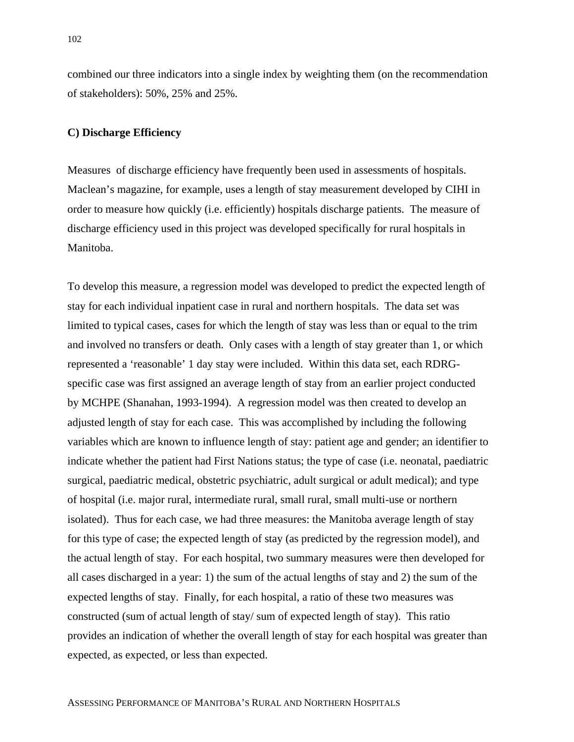combined our three indicators into a single index by weighting them (on the recommendation of stakeholders): 50%, 25% and 25%.

#### **C) Discharge Efficiency**

Measures of discharge efficiency have frequently been used in assessments of hospitals. Maclean's magazine, for example, uses a length of stay measurement developed by CIHI in order to measure how quickly (i.e. efficiently) hospitals discharge patients. The measure of discharge efficiency used in this project was developed specifically for rural hospitals in Manitoba.

To develop this measure, a regression model was developed to predict the expected length of stay for each individual inpatient case in rural and northern hospitals. The data set was limited to typical cases, cases for which the length of stay was less than or equal to the trim and involved no transfers or death. Only cases with a length of stay greater than 1, or which represented a 'reasonable' 1 day stay were included. Within this data set, each RDRGspecific case was first assigned an average length of stay from an earlier project conducted by MCHPE (Shanahan, 1993-1994). A regression model was then created to develop an adjusted length of stay for each case. This was accomplished by including the following variables which are known to influence length of stay: patient age and gender; an identifier to indicate whether the patient had First Nations status; the type of case (i.e. neonatal, paediatric surgical, paediatric medical, obstetric psychiatric, adult surgical or adult medical); and type of hospital (i.e. major rural, intermediate rural, small rural, small multi-use or northern isolated). Thus for each case, we had three measures: the Manitoba average length of stay for this type of case; the expected length of stay (as predicted by the regression model), and the actual length of stay. For each hospital, two summary measures were then developed for all cases discharged in a year: 1) the sum of the actual lengths of stay and 2) the sum of the expected lengths of stay. Finally, for each hospital, a ratio of these two measures was constructed (sum of actual length of stay/ sum of expected length of stay). This ratio provides an indication of whether the overall length of stay for each hospital was greater than expected, as expected, or less than expected.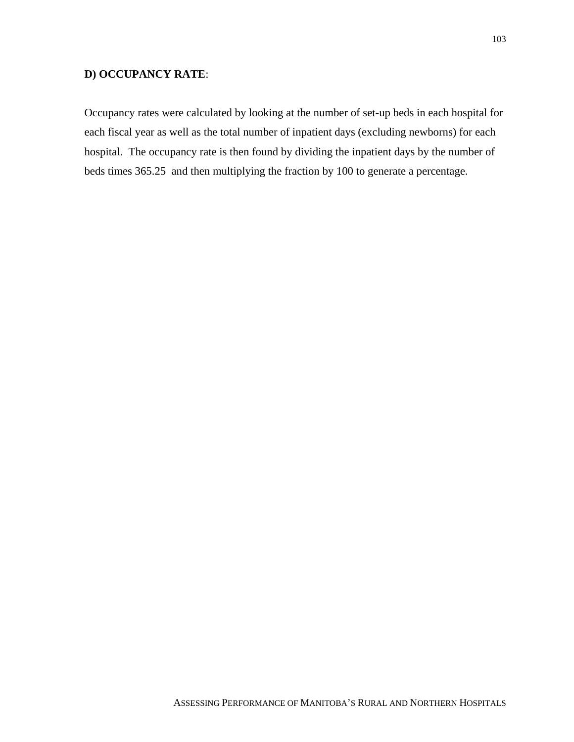#### **D) OCCUPANCY RATE**:

Occupancy rates were calculated by looking at the number of set-up beds in each hospital for each fiscal year as well as the total number of inpatient days (excluding newborns) for each hospital. The occupancy rate is then found by dividing the inpatient days by the number of beds times 365.25 and then multiplying the fraction by 100 to generate a percentage.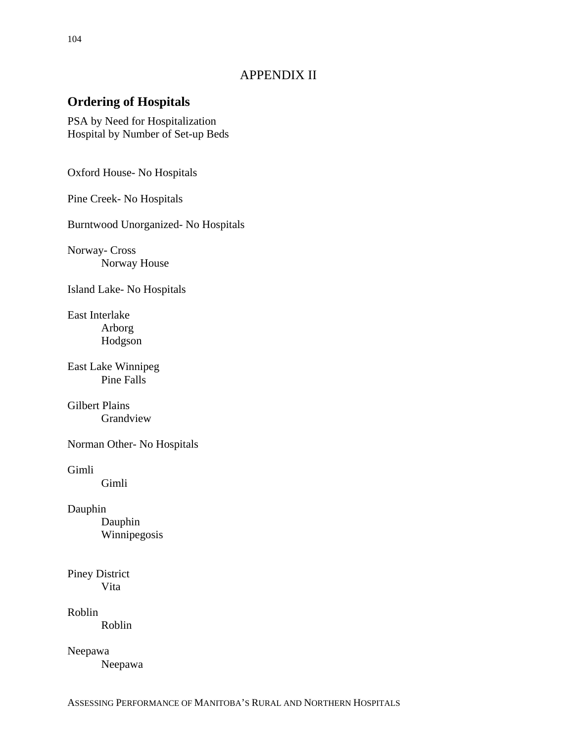### APPENDIX II

## **Ordering of Hospitals**

PSA by Need for Hospitalization Hospital by Number of Set-up Beds

Oxford House- No Hospitals

Pine Creek- No Hospitals

Burntwood Unorganized- No Hospitals

Norway- Cross Norway House

Island Lake- No Hospitals

East Interlake Arborg Hodgson

East Lake Winnipeg Pine Falls

Gilbert Plains Grandview

Norman Other- No Hospitals

Gimli

Gimli

Dauphin

Dauphin Winnipegosis

Piney District Vita

Roblin Roblin

Neepawa

Neepawa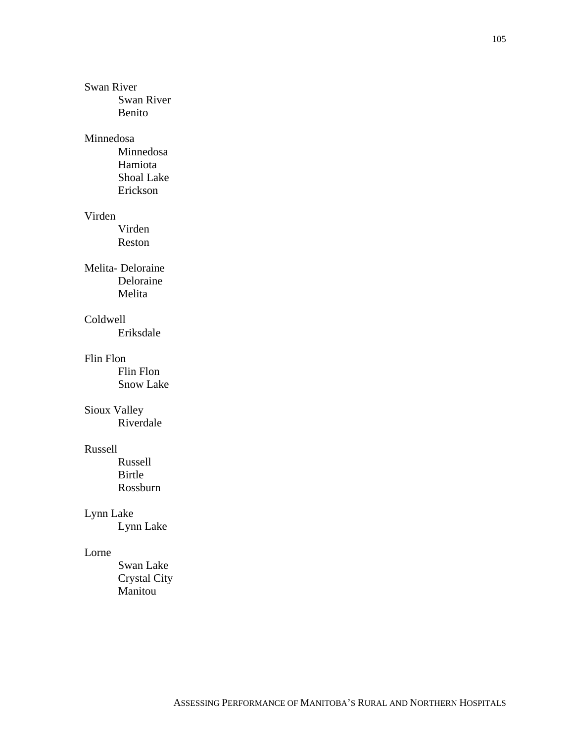#### Swan River

Swan River Benito

#### Minnedosa

Minnedosa Hamiota Shoal Lake Erickson

#### Virden

Virden Reston

#### Melita- Deloraine Deloraine Melita

#### Coldwell

Eriksdale

#### Flin Flon

Flin Flon Snow Lake

### Sioux Valley

Riverdale

#### Russell

Russell Birtle Rossburn

### Lynn Lake

Lynn Lake

#### Lorne

Swan Lake Crystal City Manitou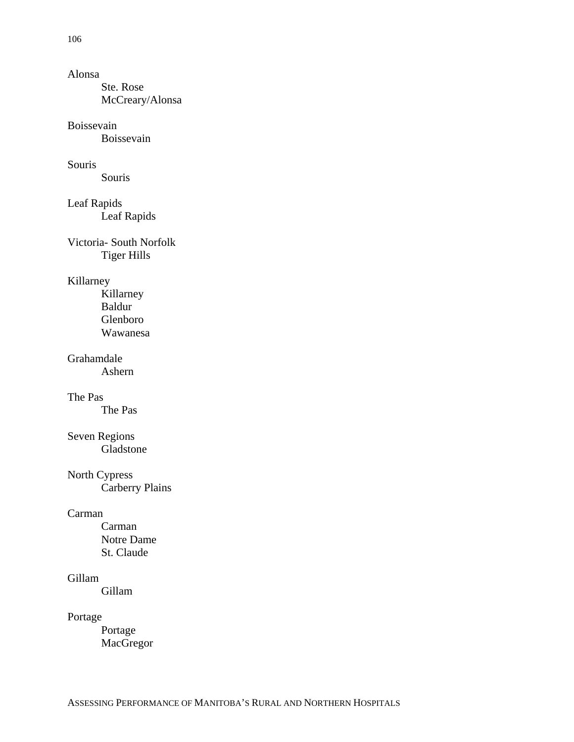#### Alonsa

Ste. Rose McCreary/Alonsa

#### Boissevain

Boissevain

#### Souris

Souris

### Leaf Rapids

Leaf Rapids

Victoria- South Norfolk Tiger Hills

### Killarney

Killarney Baldur Glenboro Wawanesa

### Grahamdale

Ashern

#### The Pas

The Pas

# Seven Regions

Gladstone

## North Cypress

Carberry Plains

#### Carman

Carman Notre Dame St. Claude

#### Gillam

Gillam

#### Portage

Portage MacGregor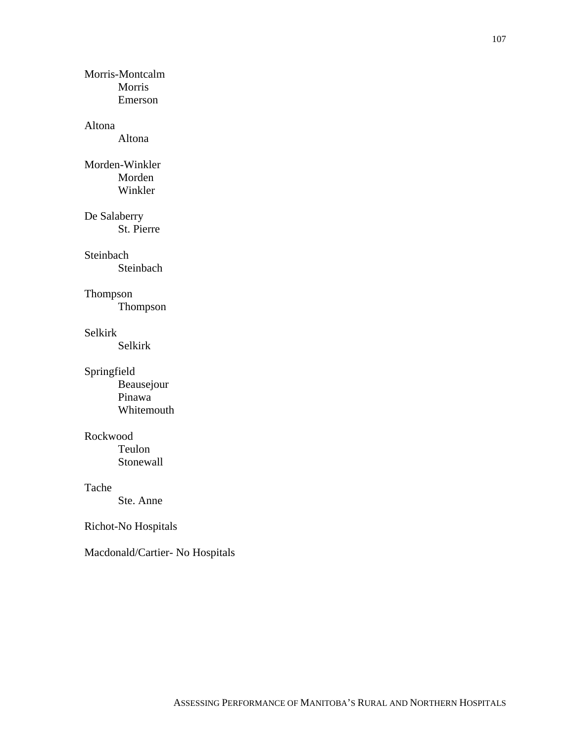Morris-Montcalm Morris Emerson

#### Altona

Altona

#### Morden-Winkler Morden Winkler

De Salaberry

St. Pierre

#### Steinbach

Steinbach

#### Thompson

Thompson

#### Selkirk

Selkirk

#### Springfield

Beausejour Pinawa Whitemouth

#### Rockwood

Teulon Stonewall

#### Tache

Ste. Anne

### Richot-No Hospitals

Macdonald/Cartier- No Hospitals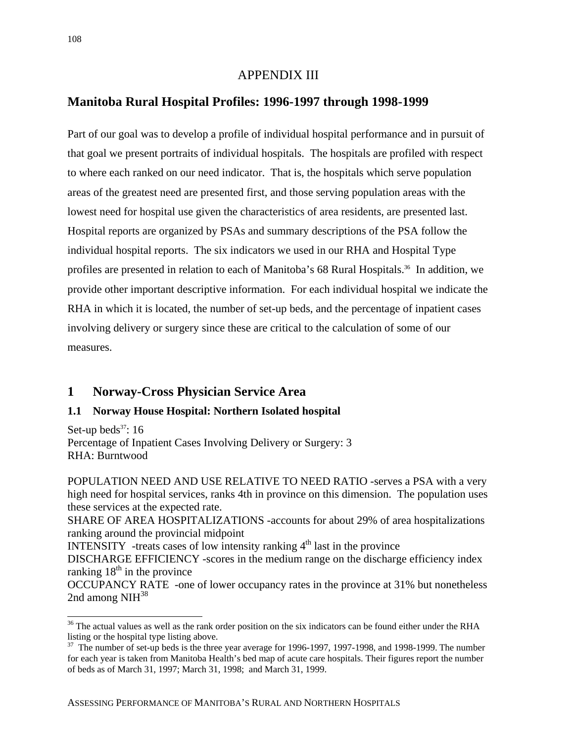#### APPENDIX III

#### **Manitoba Rural Hospital Profiles: 1996-1997 through 1998-1999**

Part of our goal was to develop a profile of individual hospital performance and in pursuit of that goal we present portraits of individual hospitals. The hospitals are profiled with respect to where each ranked on our need indicator. That is, the hospitals which serve population areas of the greatest need are presented first, and those serving population areas with the lowest need for hospital use given the characteristics of area residents, are presented last. Hospital reports are organized by PSAs and summary descriptions of the PSA follow the individual hospital reports. The six indicators we used in our RHA and Hospital Type profiles are presented in relation to each of Manitoba's 68 Rural Hospitals.<sup>36</sup> In addition, we provide other important descriptive information. For each individual hospital we indicate the RHA in which it is located, the number of set-up beds, and the percentage of inpatient cases involving delivery or surgery since these are critical to the calculation of some of our measures.

#### **1 Norway-Cross Physician Service Area**

#### **1.1 Norway House Hospital: Northern Isolated hospital**

Set-up beds<sup>37</sup>:  $16$ Percentage of Inpatient Cases Involving Delivery or Surgery: 3 RHA: Burntwood

POPULATION NEED AND USE RELATIVE TO NEED RATIO -serves a PSA with a very high need for hospital services, ranks 4th in province on this dimension. The population uses these services at the expected rate.

SHARE OF AREA HOSPITALIZATIONS -accounts for about 29% of area hospitalizations ranking around the provincial midpoint

INTENSITY -treats cases of low intensity ranking  $4<sup>th</sup>$  last in the province

DISCHARGE EFFICIENCY -scores in the medium range on the discharge efficiency index ranking  $18<sup>th</sup>$  in the province

OCCUPANCY RATE -one of lower occupancy rates in the province at 31% but nonetheless 2nd among  $NH<sup>38</sup>$ 

 $\overline{a}$ 

<sup>&</sup>lt;sup>36</sup> The actual values as well as the rank order position on the six indicators can be found either under the RHA listing or the hospital type listing above.

 $37$  The number of set-up beds is the three year average for 1996-1997, 1997-1998, and 1998-1999. The number for each year is taken from Manitoba Health's bed map of acute care hospitals. Their figures report the number of beds as of March 31, 1997; March 31, 1998; and March 31, 1999.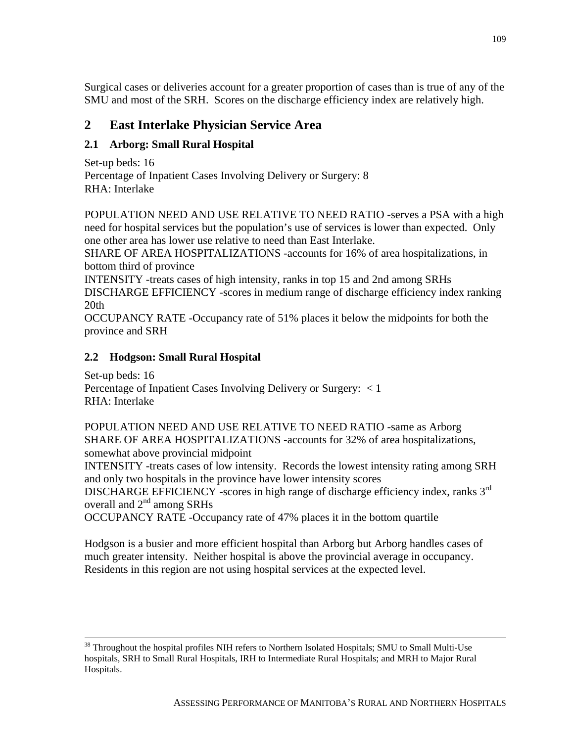Surgical cases or deliveries account for a greater proportion of cases than is true of any of the SMU and most of the SRH. Scores on the discharge efficiency index are relatively high.

# **2 East Interlake Physician Service Area**

## **2.1 Arborg: Small Rural Hospital**

Set-up beds: 16 Percentage of Inpatient Cases Involving Delivery or Surgery: 8 RHA: Interlake

POPULATION NEED AND USE RELATIVE TO NEED RATIO -serves a PSA with a high need for hospital services but the population's use of services is lower than expected. Only one other area has lower use relative to need than East Interlake.

SHARE OF AREA HOSPITALIZATIONS -accounts for 16% of area hospitalizations, in bottom third of province

INTENSITY -treats cases of high intensity, ranks in top 15 and 2nd among SRHs DISCHARGE EFFICIENCY -scores in medium range of discharge efficiency index ranking 20th

OCCUPANCY RATE -Occupancy rate of 51% places it below the midpoints for both the province and SRH

### **2.2 Hodgson: Small Rural Hospital**

Set-up beds: 16 Percentage of Inpatient Cases Involving Delivery or Surgery: < 1 RHA: Interlake

POPULATION NEED AND USE RELATIVE TO NEED RATIO -same as Arborg SHARE OF AREA HOSPITALIZATIONS -accounts for 32% of area hospitalizations, somewhat above provincial midpoint

INTENSITY -treats cases of low intensity. Records the lowest intensity rating among SRH and only two hospitals in the province have lower intensity scores

DISCHARGE EFFICIENCY -scores in high range of discharge efficiency index, ranks 3<sup>rd</sup> overall and 2<sup>nd</sup> among SRHs

OCCUPANCY RATE -Occupancy rate of 47% places it in the bottom quartile

Hodgson is a busier and more efficient hospital than Arborg but Arborg handles cases of much greater intensity. Neither hospital is above the provincial average in occupancy. Residents in this region are not using hospital services at the expected level.

<sup>&</sup>lt;sup>38</sup> Throughout the hospital profiles NIH refers to Northern Isolated Hospitals; SMU to Small Multi-Use hospitals, SRH to Small Rural Hospitals, IRH to Intermediate Rural Hospitals; and MRH to Major Rural Hospitals.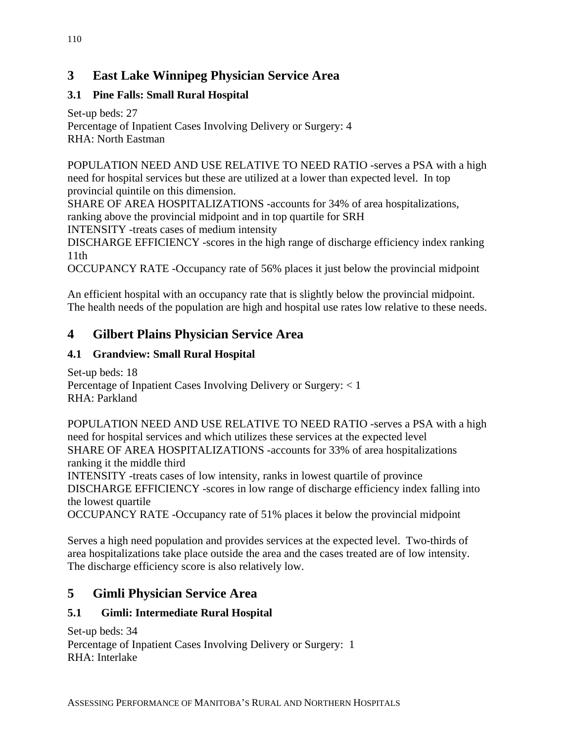# **3 East Lake Winnipeg Physician Service Area**

## **3.1 Pine Falls: Small Rural Hospital**

Set-up beds: 27 Percentage of Inpatient Cases Involving Delivery or Surgery: 4 RHA: North Eastman

POPULATION NEED AND USE RELATIVE TO NEED RATIO -serves a PSA with a high need for hospital services but these are utilized at a lower than expected level. In top provincial quintile on this dimension.

SHARE OF AREA HOSPITALIZATIONS -accounts for 34% of area hospitalizations, ranking above the provincial midpoint and in top quartile for SRH

INTENSITY -treats cases of medium intensity

DISCHARGE EFFICIENCY -scores in the high range of discharge efficiency index ranking 11th

OCCUPANCY RATE -Occupancy rate of 56% places it just below the provincial midpoint

An efficient hospital with an occupancy rate that is slightly below the provincial midpoint. The health needs of the population are high and hospital use rates low relative to these needs.

# **4 Gilbert Plains Physician Service Area**

## **4.1 Grandview: Small Rural Hospital**

Set-up beds: 18 Percentage of Inpatient Cases Involving Delivery or Surgery: < 1 RHA: Parkland

POPULATION NEED AND USE RELATIVE TO NEED RATIO -serves a PSA with a high need for hospital services and which utilizes these services at the expected level SHARE OF AREA HOSPITALIZATIONS -accounts for 33% of area hospitalizations ranking it the middle third INTENSITY -treats cases of low intensity, ranks in lowest quartile of province DISCHARGE EFFICIENCY -scores in low range of discharge efficiency index falling into

the lowest quartile

OCCUPANCY RATE -Occupancy rate of 51% places it below the provincial midpoint

Serves a high need population and provides services at the expected level. Two-thirds of area hospitalizations take place outside the area and the cases treated are of low intensity. The discharge efficiency score is also relatively low.

# **5 Gimli Physician Service Area**

## **5.1 Gimli: Intermediate Rural Hospital**

Set-up beds: 34 Percentage of Inpatient Cases Involving Delivery or Surgery: 1 RHA: Interlake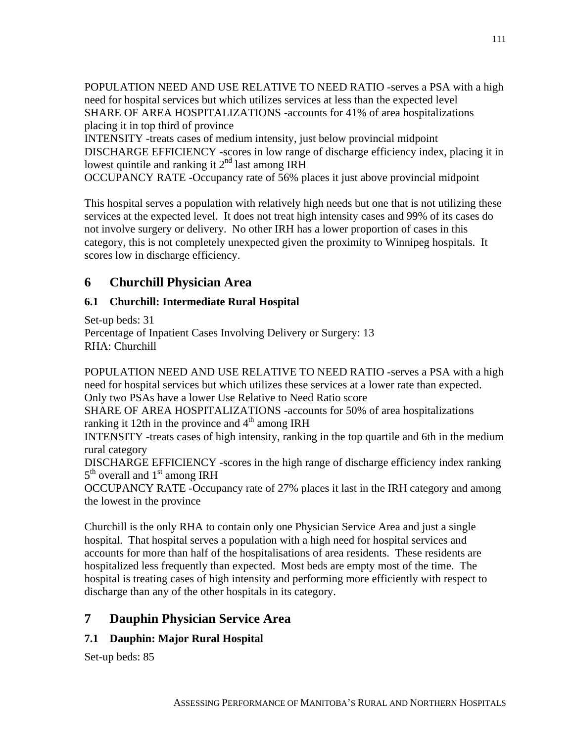POPULATION NEED AND USE RELATIVE TO NEED RATIO -serves a PSA with a high need for hospital services but which utilizes services at less than the expected level SHARE OF AREA HOSPITALIZATIONS -accounts for 41% of area hospitalizations placing it in top third of province

INTENSITY -treats cases of medium intensity, just below provincial midpoint DISCHARGE EFFICIENCY -scores in low range of discharge efficiency index, placing it in lowest quintile and ranking it  $2<sup>nd</sup>$  last among IRH

OCCUPANCY RATE -Occupancy rate of 56% places it just above provincial midpoint

This hospital serves a population with relatively high needs but one that is not utilizing these services at the expected level. It does not treat high intensity cases and 99% of its cases do not involve surgery or delivery. No other IRH has a lower proportion of cases in this category, this is not completely unexpected given the proximity to Winnipeg hospitals. It scores low in discharge efficiency.

# **6 Churchill Physician Area**

# **6.1 Churchill: Intermediate Rural Hospital**

Set-up beds: 31 Percentage of Inpatient Cases Involving Delivery or Surgery: 13 RHA: Churchill

POPULATION NEED AND USE RELATIVE TO NEED RATIO -serves a PSA with a high need for hospital services but which utilizes these services at a lower rate than expected. Only two PSAs have a lower Use Relative to Need Ratio score

SHARE OF AREA HOSPITALIZATIONS -accounts for 50% of area hospitalizations ranking it 12th in the province and  $4<sup>th</sup>$  among IRH

INTENSITY -treats cases of high intensity, ranking in the top quartile and 6th in the medium rural category

DISCHARGE EFFICIENCY -scores in the high range of discharge efficiency index ranking  $5<sup>th</sup>$  overall and  $1<sup>st</sup>$  among IRH

OCCUPANCY RATE -Occupancy rate of 27% places it last in the IRH category and among the lowest in the province

Churchill is the only RHA to contain only one Physician Service Area and just a single hospital. That hospital serves a population with a high need for hospital services and accounts for more than half of the hospitalisations of area residents. These residents are hospitalized less frequently than expected. Most beds are empty most of the time. The hospital is treating cases of high intensity and performing more efficiently with respect to discharge than any of the other hospitals in its category.

# **7 Dauphin Physician Service Area**

# **7.1 Dauphin: Major Rural Hospital**

Set-up beds: 85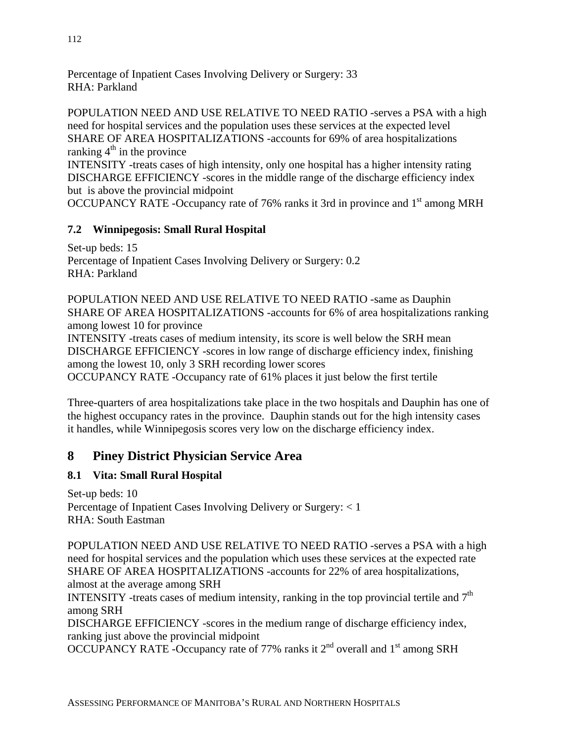Percentage of Inpatient Cases Involving Delivery or Surgery: 33 RHA: Parkland

POPULATION NEED AND USE RELATIVE TO NEED RATIO -serves a PSA with a high need for hospital services and the population uses these services at the expected level SHARE OF AREA HOSPITALIZATIONS -accounts for 69% of area hospitalizations ranking  $4<sup>th</sup>$  in the province

INTENSITY -treats cases of high intensity, only one hospital has a higher intensity rating DISCHARGE EFFICIENCY -scores in the middle range of the discharge efficiency index but is above the provincial midpoint

OCCUPANCY RATE -Occupancy rate of 76% ranks it 3rd in province and 1<sup>st</sup> among MRH

### **7.2 Winnipegosis: Small Rural Hospital**

Set-up beds: 15 Percentage of Inpatient Cases Involving Delivery or Surgery: 0.2 RHA: Parkland

POPULATION NEED AND USE RELATIVE TO NEED RATIO -same as Dauphin SHARE OF AREA HOSPITALIZATIONS -accounts for 6% of area hospitalizations ranking among lowest 10 for province

INTENSITY -treats cases of medium intensity, its score is well below the SRH mean DISCHARGE EFFICIENCY -scores in low range of discharge efficiency index, finishing among the lowest 10, only 3 SRH recording lower scores

OCCUPANCY RATE -Occupancy rate of 61% places it just below the first tertile

Three-quarters of area hospitalizations take place in the two hospitals and Dauphin has one of the highest occupancy rates in the province. Dauphin stands out for the high intensity cases it handles, while Winnipegosis scores very low on the discharge efficiency index.

## **8 Piney District Physician Service Area**

### **8.1 Vita: Small Rural Hospital**

Set-up beds: 10 Percentage of Inpatient Cases Involving Delivery or Surgery: < 1 RHA: South Eastman

POPULATION NEED AND USE RELATIVE TO NEED RATIO -serves a PSA with a high need for hospital services and the population which uses these services at the expected rate SHARE OF AREA HOSPITALIZATIONS -accounts for 22% of area hospitalizations, almost at the average among SRH

INTENSITY -treats cases of medium intensity, ranking in the top provincial tertile and  $7<sup>th</sup>$ among SRH

DISCHARGE EFFICIENCY -scores in the medium range of discharge efficiency index, ranking just above the provincial midpoint

OCCUPANCY RATE -Occupancy rate of 77% ranks it  $2<sup>nd</sup>$  overall and  $1<sup>st</sup>$  among SRH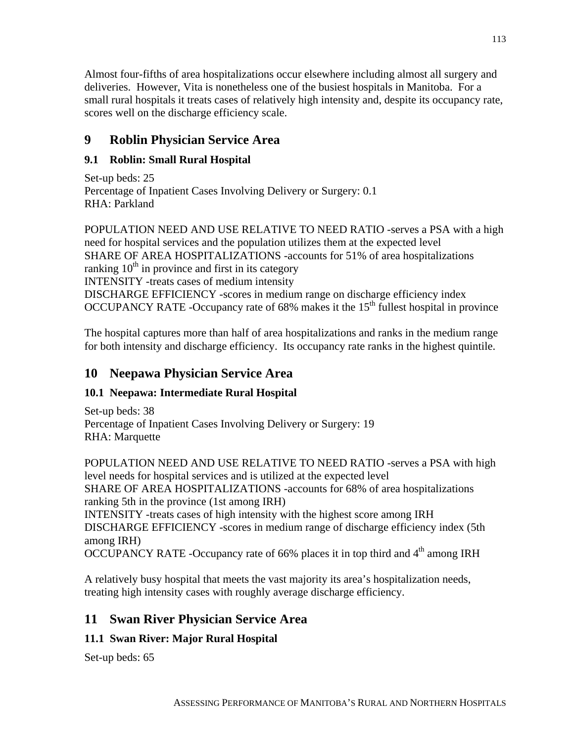Almost four-fifths of area hospitalizations occur elsewhere including almost all surgery and deliveries. However, Vita is nonetheless one of the busiest hospitals in Manitoba. For a small rural hospitals it treats cases of relatively high intensity and, despite its occupancy rate, scores well on the discharge efficiency scale.

# **9 Roblin Physician Service Area**

## **9.1 Roblin: Small Rural Hospital**

Set-up beds: 25 Percentage of Inpatient Cases Involving Delivery or Surgery: 0.1 RHA: Parkland

POPULATION NEED AND USE RELATIVE TO NEED RATIO -serves a PSA with a high need for hospital services and the population utilizes them at the expected level SHARE OF AREA HOSPITALIZATIONS -accounts for 51% of area hospitalizations ranking  $10<sup>th</sup>$  in province and first in its category INTENSITY -treats cases of medium intensity DISCHARGE EFFICIENCY -scores in medium range on discharge efficiency index OCCUPANCY RATE -Occupancy rate of 68% makes it the 15<sup>th</sup> fullest hospital in province

The hospital captures more than half of area hospitalizations and ranks in the medium range for both intensity and discharge efficiency. Its occupancy rate ranks in the highest quintile.

## **10 Neepawa Physician Service Area**

### **10.1 Neepawa: Intermediate Rural Hospital**

Set-up beds: 38 Percentage of Inpatient Cases Involving Delivery or Surgery: 19 RHA: Marquette

POPULATION NEED AND USE RELATIVE TO NEED RATIO -serves a PSA with high level needs for hospital services and is utilized at the expected level SHARE OF AREA HOSPITALIZATIONS -accounts for 68% of area hospitalizations ranking 5th in the province (1st among IRH)

INTENSITY -treats cases of high intensity with the highest score among IRH DISCHARGE EFFICIENCY -scores in medium range of discharge efficiency index (5th among IRH)

OCCUPANCY RATE -Occupancy rate of 66% places it in top third and  $4<sup>th</sup>$  among IRH

A relatively busy hospital that meets the vast majority its area's hospitalization needs, treating high intensity cases with roughly average discharge efficiency.

# **11 Swan River Physician Service Area**

# **11.1 Swan River: Major Rural Hospital**

Set-up beds: 65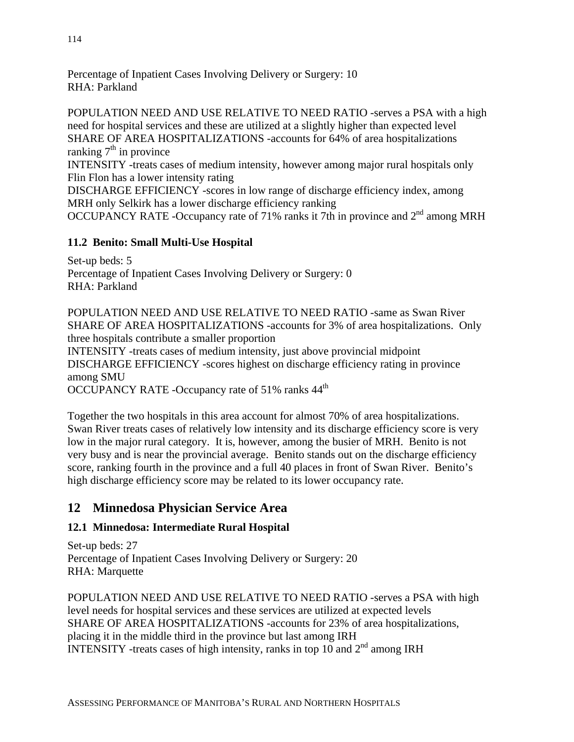Percentage of Inpatient Cases Involving Delivery or Surgery: 10 RHA: Parkland

POPULATION NEED AND USE RELATIVE TO NEED RATIO -serves a PSA with a high need for hospital services and these are utilized at a slightly higher than expected level SHARE OF AREA HOSPITALIZATIONS -accounts for 64% of area hospitalizations ranking  $7<sup>th</sup>$  in province

INTENSITY -treats cases of medium intensity, however among major rural hospitals only Flin Flon has a lower intensity rating

DISCHARGE EFFICIENCY -scores in low range of discharge efficiency index, among MRH only Selkirk has a lower discharge efficiency ranking

OCCUPANCY RATE -Occupancy rate of 71% ranks it 7th in province and  $2<sup>nd</sup>$  among MRH

## **11.2 Benito: Small Multi-Use Hospital**

Set-up beds: 5 Percentage of Inpatient Cases Involving Delivery or Surgery: 0 RHA: Parkland

POPULATION NEED AND USE RELATIVE TO NEED RATIO -same as Swan River SHARE OF AREA HOSPITALIZATIONS -accounts for 3% of area hospitalizations. Only three hospitals contribute a smaller proportion INTENSITY -treats cases of medium intensity, just above provincial midpoint DISCHARGE EFFICIENCY -scores highest on discharge efficiency rating in province among SMU

OCCUPANCY RATE -Occupancy rate of 51% ranks  $44<sup>th</sup>$ 

Together the two hospitals in this area account for almost 70% of area hospitalizations. Swan River treats cases of relatively low intensity and its discharge efficiency score is very low in the major rural category. It is, however, among the busier of MRH. Benito is not very busy and is near the provincial average. Benito stands out on the discharge efficiency score, ranking fourth in the province and a full 40 places in front of Swan River. Benito's high discharge efficiency score may be related to its lower occupancy rate.

# **12 Minnedosa Physician Service Area**

## **12.1 Minnedosa: Intermediate Rural Hospital**

Set-up beds: 27 Percentage of Inpatient Cases Involving Delivery or Surgery: 20 RHA: Marquette

POPULATION NEED AND USE RELATIVE TO NEED RATIO -serves a PSA with high level needs for hospital services and these services are utilized at expected levels SHARE OF AREA HOSPITALIZATIONS -accounts for 23% of area hospitalizations, placing it in the middle third in the province but last among IRH INTENSITY -treats cases of high intensity, ranks in top 10 and  $2<sup>nd</sup>$  among IRH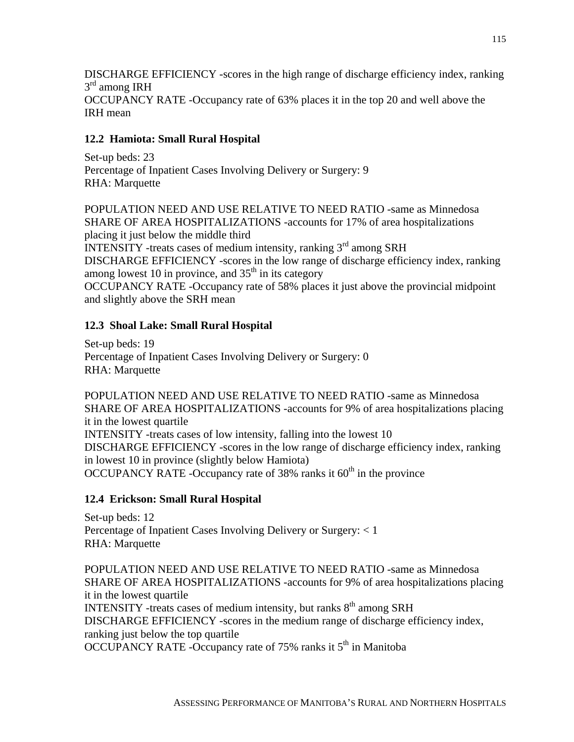DISCHARGE EFFICIENCY -scores in the high range of discharge efficiency index, ranking  $3<sup>rd</sup>$  among IRH OCCUPANCY RATE -Occupancy rate of 63% places it in the top 20 and well above the IRH mean

### **12.2 Hamiota: Small Rural Hospital**

Set-up beds: 23 Percentage of Inpatient Cases Involving Delivery or Surgery: 9 RHA: Marquette

POPULATION NEED AND USE RELATIVE TO NEED RATIO -same as Minnedosa SHARE OF AREA HOSPITALIZATIONS -accounts for 17% of area hospitalizations placing it just below the middle third INTENSITY -treats cases of medium intensity, ranking 3rd among SRH DISCHARGE EFFICIENCY -scores in the low range of discharge efficiency index, ranking among lowest 10 in province, and  $35<sup>th</sup>$  in its category OCCUPANCY RATE -Occupancy rate of 58% places it just above the provincial midpoint and slightly above the SRH mean

### **12.3 Shoal Lake: Small Rural Hospital**

Set-up beds: 19 Percentage of Inpatient Cases Involving Delivery or Surgery: 0 RHA: Marquette

POPULATION NEED AND USE RELATIVE TO NEED RATIO -same as Minnedosa SHARE OF AREA HOSPITALIZATIONS -accounts for 9% of area hospitalizations placing it in the lowest quartile INTENSITY -treats cases of low intensity, falling into the lowest 10 DISCHARGE EFFICIENCY -scores in the low range of discharge efficiency index, ranking in lowest 10 in province (slightly below Hamiota) OCCUPANCY RATE -Occupancy rate of  $38\%$  ranks it  $60<sup>th</sup>$  in the province

### **12.4 Erickson: Small Rural Hospital**

Set-up beds: 12 Percentage of Inpatient Cases Involving Delivery or Surgery: < 1 RHA: Marquette

POPULATION NEED AND USE RELATIVE TO NEED RATIO -same as Minnedosa SHARE OF AREA HOSPITALIZATIONS -accounts for 9% of area hospitalizations placing it in the lowest quartile INTENSITY -treats cases of medium intensity, but ranks  $8<sup>th</sup>$  among SRH DISCHARGE EFFICIENCY -scores in the medium range of discharge efficiency index, ranking just below the top quartile OCCUPANCY RATE -Occupancy rate of  $75\%$  ranks it  $5<sup>th</sup>$  in Manitoba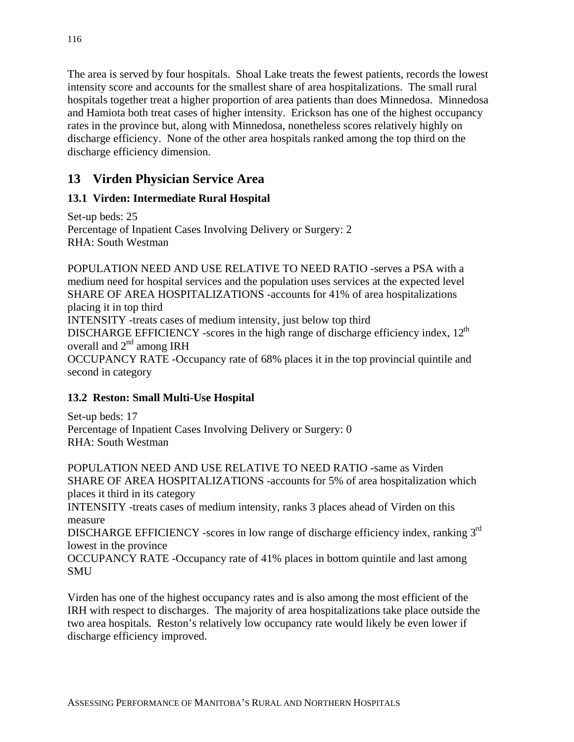The area is served by four hospitals. Shoal Lake treats the fewest patients, records the lowest intensity score and accounts for the smallest share of area hospitalizations. The small rural hospitals together treat a higher proportion of area patients than does Minnedosa. Minnedosa and Hamiota both treat cases of higher intensity. Erickson has one of the highest occupancy rates in the province but, along with Minnedosa, nonetheless scores relatively highly on discharge efficiency. None of the other area hospitals ranked among the top third on the discharge efficiency dimension.

# **13 Virden Physician Service Area**

## **13.1 Virden: Intermediate Rural Hospital**

Set-up beds: 25 Percentage of Inpatient Cases Involving Delivery or Surgery: 2 RHA: South Westman

POPULATION NEED AND USE RELATIVE TO NEED RATIO -serves a PSA with a medium need for hospital services and the population uses services at the expected level SHARE OF AREA HOSPITALIZATIONS -accounts for 41% of area hospitalizations placing it in top third INTENSITY -treats cases of medium intensity, just below top third DISCHARGE EFFICIENCY -scores in the high range of discharge efficiency index,  $12<sup>th</sup>$ overall and  $2<sup>nd</sup>$  among IRH OCCUPANCY RATE -Occupancy rate of 68% places it in the top provincial quintile and second in category

## **13.2 Reston: Small Multi-Use Hospital**

Set-up beds: 17 Percentage of Inpatient Cases Involving Delivery or Surgery: 0 RHA: South Westman

POPULATION NEED AND USE RELATIVE TO NEED RATIO -same as Virden SHARE OF AREA HOSPITALIZATIONS -accounts for 5% of area hospitalization which places it third in its category INTENSITY -treats cases of medium intensity, ranks 3 places ahead of Virden on this measure DISCHARGE EFFICIENCY -scores in low range of discharge efficiency index, ranking 3<sup>rd</sup> lowest in the province OCCUPANCY RATE -Occupancy rate of 41% places in bottom quintile and last among SMU

Virden has one of the highest occupancy rates and is also among the most efficient of the IRH with respect to discharges. The majority of area hospitalizations take place outside the two area hospitals. Reston's relatively low occupancy rate would likely be even lower if discharge efficiency improved.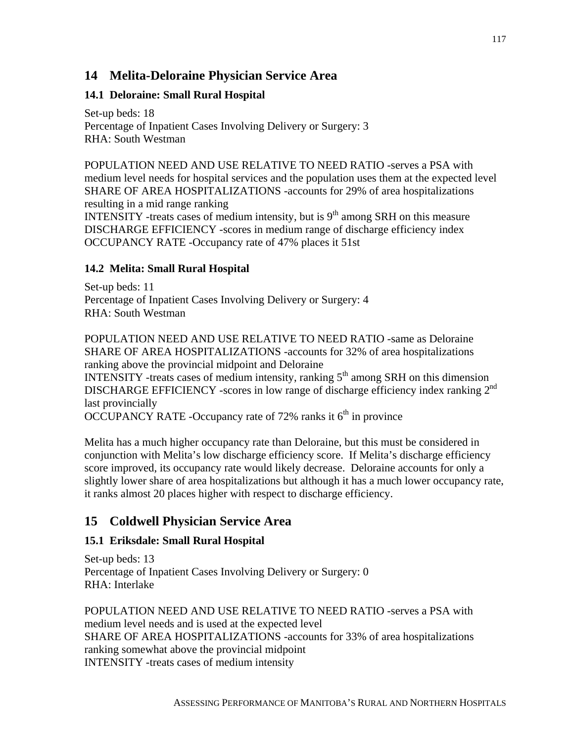## **14 Melita-Deloraine Physician Service Area**

#### **14.1 Deloraine: Small Rural Hospital**

Set-up beds: 18 Percentage of Inpatient Cases Involving Delivery or Surgery: 3 RHA: South Westman

POPULATION NEED AND USE RELATIVE TO NEED RATIO -serves a PSA with medium level needs for hospital services and the population uses them at the expected level SHARE OF AREA HOSPITALIZATIONS -accounts for 29% of area hospitalizations resulting in a mid range ranking INTENSITY -treats cases of medium intensity, but is  $9<sup>th</sup>$  among SRH on this measure

DISCHARGE EFFICIENCY -scores in medium range of discharge efficiency index OCCUPANCY RATE -Occupancy rate of 47% places it 51st

#### **14.2 Melita: Small Rural Hospital**

Set-up beds: 11 Percentage of Inpatient Cases Involving Delivery or Surgery: 4 RHA: South Westman

POPULATION NEED AND USE RELATIVE TO NEED RATIO -same as Deloraine SHARE OF AREA HOSPITALIZATIONS -accounts for 32% of area hospitalizations ranking above the provincial midpoint and Deloraine

INTENSITY -treats cases of medium intensity, ranking  $5<sup>th</sup>$  among SRH on this dimension DISCHARGE EFFICIENCY -scores in low range of discharge efficiency index ranking 2<sup>nd</sup> last provincially

OCCUPANCY RATE -Occupancy rate of 72% ranks it  $6<sup>th</sup>$  in province

Melita has a much higher occupancy rate than Deloraine, but this must be considered in conjunction with Melita's low discharge efficiency score. If Melita's discharge efficiency score improved, its occupancy rate would likely decrease. Deloraine accounts for only a slightly lower share of area hospitalizations but although it has a much lower occupancy rate, it ranks almost 20 places higher with respect to discharge efficiency.

### **15 Coldwell Physician Service Area**

#### **15.1 Eriksdale: Small Rural Hospital**

Set-up beds: 13 Percentage of Inpatient Cases Involving Delivery or Surgery: 0 RHA: Interlake

POPULATION NEED AND USE RELATIVE TO NEED RATIO -serves a PSA with medium level needs and is used at the expected level SHARE OF AREA HOSPITALIZATIONS -accounts for 33% of area hospitalizations ranking somewhat above the provincial midpoint INTENSITY -treats cases of medium intensity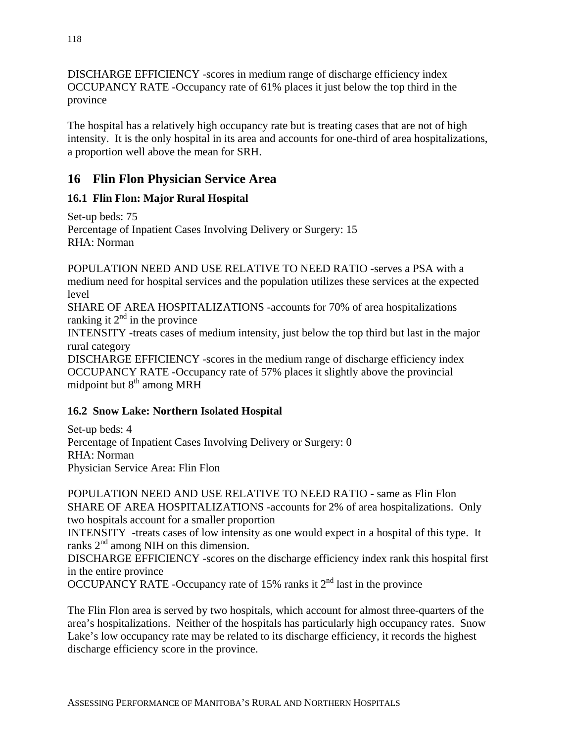DISCHARGE EFFICIENCY -scores in medium range of discharge efficiency index OCCUPANCY RATE -Occupancy rate of 61% places it just below the top third in the province

The hospital has a relatively high occupancy rate but is treating cases that are not of high intensity. It is the only hospital in its area and accounts for one-third of area hospitalizations, a proportion well above the mean for SRH.

# **16 Flin Flon Physician Service Area**

## **16.1 Flin Flon: Major Rural Hospital**

Set-up beds: 75 Percentage of Inpatient Cases Involving Delivery or Surgery: 15 RHA: Norman

POPULATION NEED AND USE RELATIVE TO NEED RATIO -serves a PSA with a medium need for hospital services and the population utilizes these services at the expected level

SHARE OF AREA HOSPITALIZATIONS -accounts for 70% of area hospitalizations ranking it  $2<sup>nd</sup>$  in the province

INTENSITY -treats cases of medium intensity, just below the top third but last in the major rural category

DISCHARGE EFFICIENCY -scores in the medium range of discharge efficiency index OCCUPANCY RATE -Occupancy rate of 57% places it slightly above the provincial midpoint but  $8<sup>th</sup>$  among MRH

### **16.2 Snow Lake: Northern Isolated Hospital**

Set-up beds: 4 Percentage of Inpatient Cases Involving Delivery or Surgery: 0 RHA: Norman Physician Service Area: Flin Flon

POPULATION NEED AND USE RELATIVE TO NEED RATIO - same as Flin Flon SHARE OF AREA HOSPITALIZATIONS -accounts for 2% of area hospitalizations. Only two hospitals account for a smaller proportion

INTENSITY -treats cases of low intensity as one would expect in a hospital of this type. It ranks  $2<sup>nd</sup>$  among NIH on this dimension.

DISCHARGE EFFICIENCY -scores on the discharge efficiency index rank this hospital first in the entire province

OCCUPANCY RATE -Occupancy rate of 15% ranks it  $2<sup>nd</sup>$  last in the province

The Flin Flon area is served by two hospitals, which account for almost three-quarters of the area's hospitalizations. Neither of the hospitals has particularly high occupancy rates. Snow Lake's low occupancy rate may be related to its discharge efficiency, it records the highest discharge efficiency score in the province.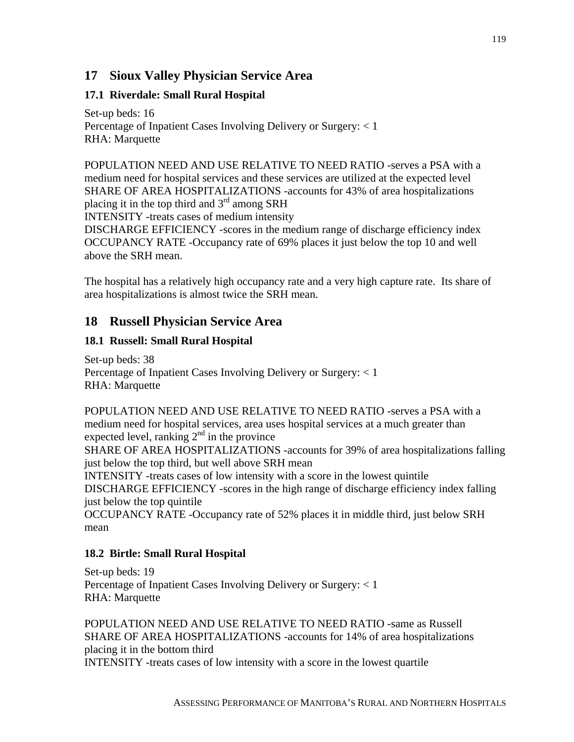## **17 Sioux Valley Physician Service Area**

#### **17.1 Riverdale: Small Rural Hospital**

Set-up beds: 16 Percentage of Inpatient Cases Involving Delivery or Surgery: < 1 RHA: Marquette

POPULATION NEED AND USE RELATIVE TO NEED RATIO -serves a PSA with a medium need for hospital services and these services are utilized at the expected level SHARE OF AREA HOSPITALIZATIONS -accounts for 43% of area hospitalizations placing it in the top third and  $3<sup>rd</sup>$  among SRH

INTENSITY -treats cases of medium intensity

DISCHARGE EFFICIENCY -scores in the medium range of discharge efficiency index OCCUPANCY RATE -Occupancy rate of 69% places it just below the top 10 and well above the SRH mean.

The hospital has a relatively high occupancy rate and a very high capture rate. Its share of area hospitalizations is almost twice the SRH mean.

### **18 Russell Physician Service Area**

#### **18.1 Russell: Small Rural Hospital**

Set-up beds: 38 Percentage of Inpatient Cases Involving Delivery or Surgery: < 1 RHA: Marquette

POPULATION NEED AND USE RELATIVE TO NEED RATIO -serves a PSA with a medium need for hospital services, area uses hospital services at a much greater than expected level, ranking  $2<sup>nd</sup>$  in the province

SHARE OF AREA HOSPITALIZATIONS -accounts for 39% of area hospitalizations falling just below the top third, but well above SRH mean

INTENSITY -treats cases of low intensity with a score in the lowest quintile DISCHARGE EFFICIENCY -scores in the high range of discharge efficiency index falling just below the top quintile

OCCUPANCY RATE -Occupancy rate of 52% places it in middle third, just below SRH mean

#### **18.2 Birtle: Small Rural Hospital**

Set-up beds: 19 Percentage of Inpatient Cases Involving Delivery or Surgery: < 1 RHA: Marquette

POPULATION NEED AND USE RELATIVE TO NEED RATIO -same as Russell SHARE OF AREA HOSPITALIZATIONS -accounts for 14% of area hospitalizations placing it in the bottom third INTENSITY -treats cases of low intensity with a score in the lowest quartile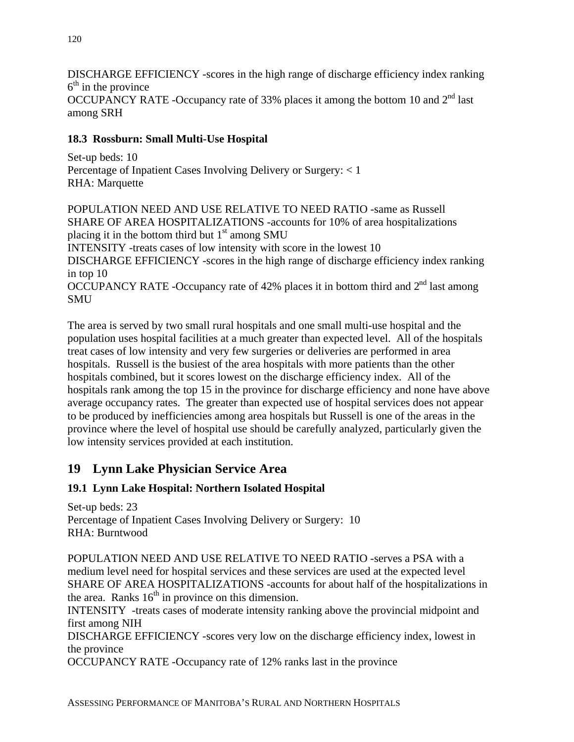DISCHARGE EFFICIENCY -scores in the high range of discharge efficiency index ranking  $6<sup>th</sup>$  in the province OCCUPANCY RATE -Occupancy rate of 33% places it among the bottom 10 and 2<sup>nd</sup> last among SRH

### **18.3 Rossburn: Small Multi-Use Hospital**

Set-up beds: 10 Percentage of Inpatient Cases Involving Delivery or Surgery: < 1 RHA: Marquette

POPULATION NEED AND USE RELATIVE TO NEED RATIO -same as Russell SHARE OF AREA HOSPITALIZATIONS -accounts for 10% of area hospitalizations placing it in the bottom third but  $1<sup>st</sup>$  among SMU INTENSITY -treats cases of low intensity with score in the lowest 10 DISCHARGE EFFICIENCY -scores in the high range of discharge efficiency index ranking in top 10 OCCUPANCY RATE -Occupancy rate of 42% places it in bottom third and  $2<sup>nd</sup>$  last among **SMU** 

The area is served by two small rural hospitals and one small multi-use hospital and the population uses hospital facilities at a much greater than expected level. All of the hospitals treat cases of low intensity and very few surgeries or deliveries are performed in area hospitals. Russell is the busiest of the area hospitals with more patients than the other hospitals combined, but it scores lowest on the discharge efficiency index. All of the hospitals rank among the top 15 in the province for discharge efficiency and none have above average occupancy rates. The greater than expected use of hospital services does not appear to be produced by inefficiencies among area hospitals but Russell is one of the areas in the province where the level of hospital use should be carefully analyzed, particularly given the low intensity services provided at each institution.

## **19 Lynn Lake Physician Service Area**

#### **19.1 Lynn Lake Hospital: Northern Isolated Hospital**

Set-up beds: 23 Percentage of Inpatient Cases Involving Delivery or Surgery: 10 RHA: Burntwood

POPULATION NEED AND USE RELATIVE TO NEED RATIO -serves a PSA with a medium level need for hospital services and these services are used at the expected level SHARE OF AREA HOSPITALIZATIONS -accounts for about half of the hospitalizations in the area. Ranks  $16<sup>th</sup>$  in province on this dimension.

INTENSITY -treats cases of moderate intensity ranking above the provincial midpoint and first among NIH

DISCHARGE EFFICIENCY -scores very low on the discharge efficiency index, lowest in the province

OCCUPANCY RATE -Occupancy rate of 12% ranks last in the province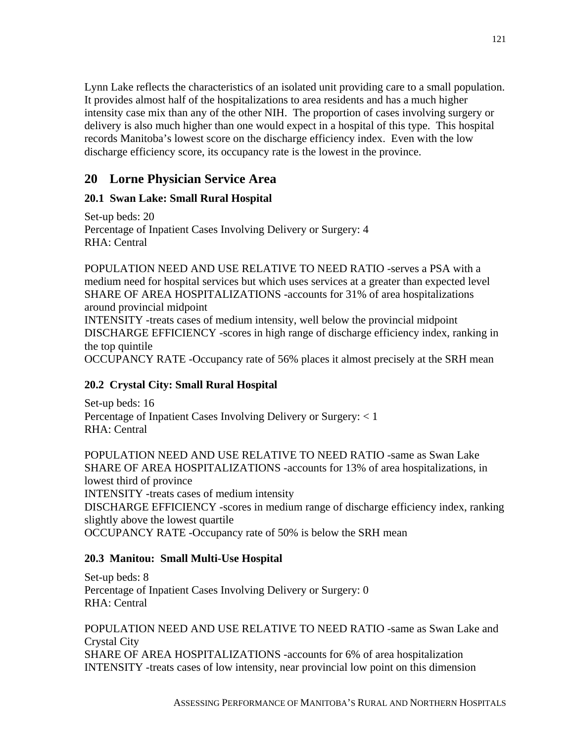Lynn Lake reflects the characteristics of an isolated unit providing care to a small population. It provides almost half of the hospitalizations to area residents and has a much higher intensity case mix than any of the other NIH. The proportion of cases involving surgery or delivery is also much higher than one would expect in a hospital of this type. This hospital records Manitoba's lowest score on the discharge efficiency index. Even with the low discharge efficiency score, its occupancy rate is the lowest in the province.

# **20 Lorne Physician Service Area**

### **20.1 Swan Lake: Small Rural Hospital**

Set-up beds: 20 Percentage of Inpatient Cases Involving Delivery or Surgery: 4 RHA: Central

POPULATION NEED AND USE RELATIVE TO NEED RATIO -serves a PSA with a medium need for hospital services but which uses services at a greater than expected level SHARE OF AREA HOSPITALIZATIONS -accounts for 31% of area hospitalizations around provincial midpoint

INTENSITY -treats cases of medium intensity, well below the provincial midpoint DISCHARGE EFFICIENCY -scores in high range of discharge efficiency index, ranking in the top quintile

OCCUPANCY RATE -Occupancy rate of 56% places it almost precisely at the SRH mean

#### **20.2 Crystal City: Small Rural Hospital**

Set-up beds: 16 Percentage of Inpatient Cases Involving Delivery or Surgery: < 1 RHA: Central

POPULATION NEED AND USE RELATIVE TO NEED RATIO -same as Swan Lake SHARE OF AREA HOSPITALIZATIONS -accounts for 13% of area hospitalizations, in lowest third of province INTENSITY -treats cases of medium intensity DISCHARGE EFFICIENCY -scores in medium range of discharge efficiency index, ranking slightly above the lowest quartile OCCUPANCY RATE -Occupancy rate of 50% is below the SRH mean

#### **20.3 Manitou: Small Multi-Use Hospital**

Set-up beds: 8 Percentage of Inpatient Cases Involving Delivery or Surgery: 0 RHA: Central

POPULATION NEED AND USE RELATIVE TO NEED RATIO -same as Swan Lake and Crystal City SHARE OF AREA HOSPITALIZATIONS -accounts for 6% of area hospitalization INTENSITY -treats cases of low intensity, near provincial low point on this dimension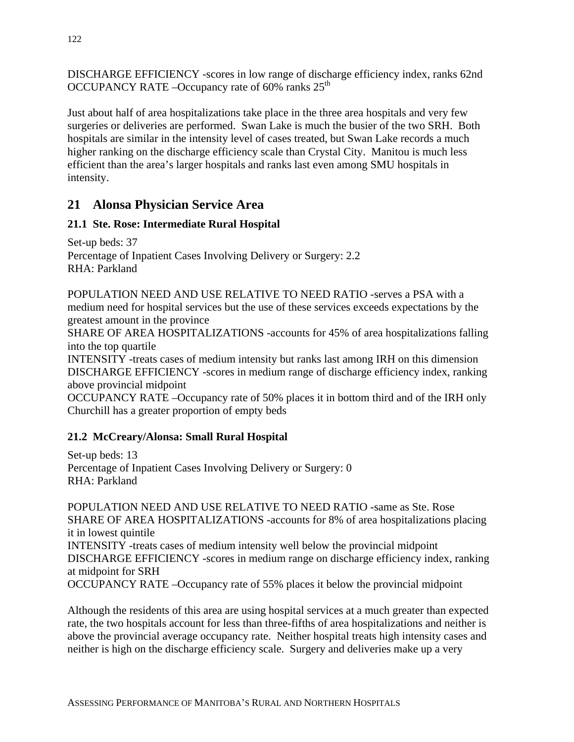DISCHARGE EFFICIENCY -scores in low range of discharge efficiency index, ranks 62nd OCCUPANCY RATE –Occupancy rate of  $60\%$  ranks  $25<sup>th</sup>$ 

Just about half of area hospitalizations take place in the three area hospitals and very few surgeries or deliveries are performed. Swan Lake is much the busier of the two SRH. Both hospitals are similar in the intensity level of cases treated, but Swan Lake records a much higher ranking on the discharge efficiency scale than Crystal City. Manitou is much less efficient than the area's larger hospitals and ranks last even among SMU hospitals in intensity.

## **21 Alonsa Physician Service Area**

### **21.1 Ste. Rose: Intermediate Rural Hospital**

Set-up beds: 37 Percentage of Inpatient Cases Involving Delivery or Surgery: 2.2 RHA: Parkland

POPULATION NEED AND USE RELATIVE TO NEED RATIO -serves a PSA with a medium need for hospital services but the use of these services exceeds expectations by the greatest amount in the province

SHARE OF AREA HOSPITALIZATIONS -accounts for 45% of area hospitalizations falling into the top quartile

INTENSITY -treats cases of medium intensity but ranks last among IRH on this dimension DISCHARGE EFFICIENCY -scores in medium range of discharge efficiency index, ranking above provincial midpoint

OCCUPANCY RATE –Occupancy rate of 50% places it in bottom third and of the IRH only Churchill has a greater proportion of empty beds

### **21.2 McCreary/Alonsa: Small Rural Hospital**

Set-up beds: 13 Percentage of Inpatient Cases Involving Delivery or Surgery: 0 RHA: Parkland

POPULATION NEED AND USE RELATIVE TO NEED RATIO -same as Ste. Rose SHARE OF AREA HOSPITALIZATIONS -accounts for 8% of area hospitalizations placing it in lowest quintile INTENSITY -treats cases of medium intensity well below the provincial midpoint DISCHARGE EFFICIENCY -scores in medium range on discharge efficiency index, ranking at midpoint for SRH

OCCUPANCY RATE –Occupancy rate of 55% places it below the provincial midpoint

Although the residents of this area are using hospital services at a much greater than expected rate, the two hospitals account for less than three-fifths of area hospitalizations and neither is above the provincial average occupancy rate. Neither hospital treats high intensity cases and neither is high on the discharge efficiency scale. Surgery and deliveries make up a very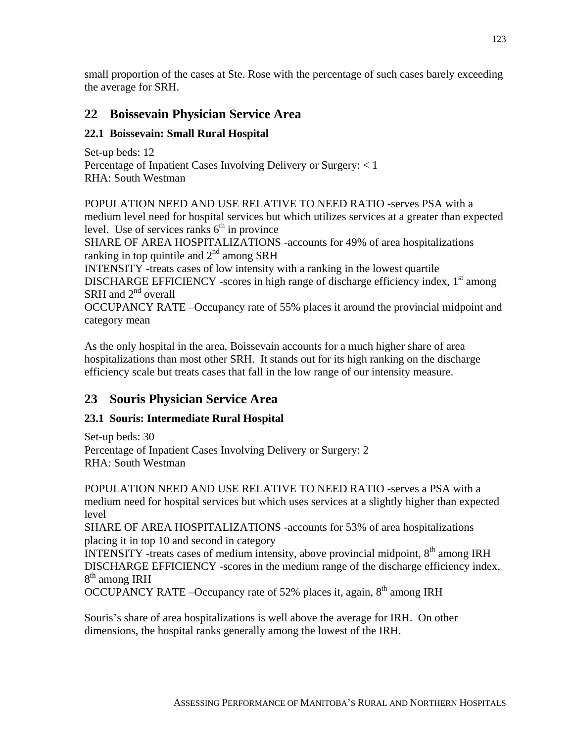small proportion of the cases at Ste. Rose with the percentage of such cases barely exceeding the average for SRH.

# **22 Boissevain Physician Service Area**

### **22.1 Boissevain: Small Rural Hospital**

Set-up beds: 12 Percentage of Inpatient Cases Involving Delivery or Surgery: < 1 RHA: South Westman

POPULATION NEED AND USE RELATIVE TO NEED RATIO -serves PSA with a medium level need for hospital services but which utilizes services at a greater than expected level. Use of services ranks  $6<sup>th</sup>$  in province

SHARE OF AREA HOSPITALIZATIONS -accounts for 49% of area hospitalizations ranking in top quintile and  $2<sup>nd</sup>$  among SRH

INTENSITY -treats cases of low intensity with a ranking in the lowest quartile DISCHARGE EFFICIENCY -scores in high range of discharge efficiency index,  $1<sup>st</sup>$  among SRH and  $2<sup>nd</sup>$  overall

OCCUPANCY RATE –Occupancy rate of 55% places it around the provincial midpoint and category mean

As the only hospital in the area, Boissevain accounts for a much higher share of area hospitalizations than most other SRH. It stands out for its high ranking on the discharge efficiency scale but treats cases that fall in the low range of our intensity measure.

# **23 Souris Physician Service Area**

### **23.1 Souris: Intermediate Rural Hospital**

Set-up beds: 30 Percentage of Inpatient Cases Involving Delivery or Surgery: 2 RHA: South Westman

POPULATION NEED AND USE RELATIVE TO NEED RATIO -serves a PSA with a medium need for hospital services but which uses services at a slightly higher than expected level

SHARE OF AREA HOSPITALIZATIONS -accounts for 53% of area hospitalizations placing it in top 10 and second in category

INTENSITY -treats cases of medium intensity, above provincial midpoint,  $8<sup>th</sup>$  among IRH DISCHARGE EFFICIENCY -scores in the medium range of the discharge efficiency index, 8<sup>th</sup> among IRH

OCCUPANCY RATE –Occupancy rate of 52% places it, again,  $8<sup>th</sup>$  among IRH

Souris's share of area hospitalizations is well above the average for IRH. On other dimensions, the hospital ranks generally among the lowest of the IRH.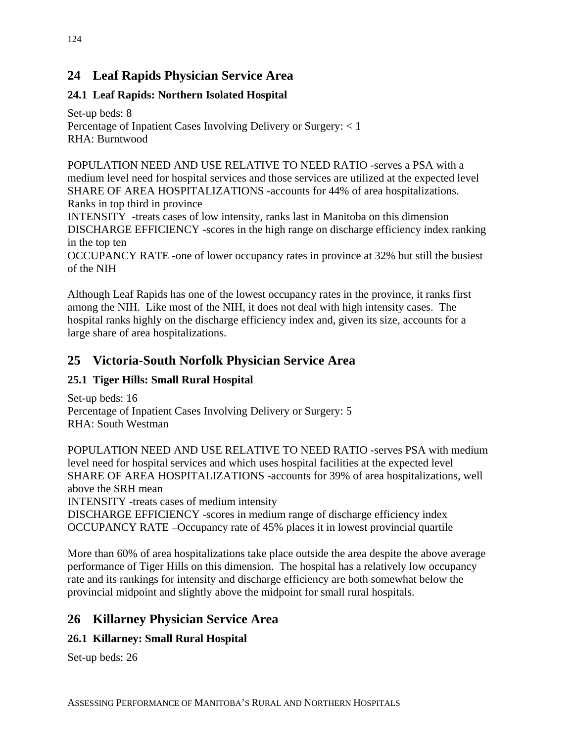# **24 Leaf Rapids Physician Service Area**

## **24.1 Leaf Rapids: Northern Isolated Hospital**

Set-up beds: 8 Percentage of Inpatient Cases Involving Delivery or Surgery: < 1 RHA: Burntwood

POPULATION NEED AND USE RELATIVE TO NEED RATIO -serves a PSA with a medium level need for hospital services and those services are utilized at the expected level SHARE OF AREA HOSPITALIZATIONS -accounts for 44% of area hospitalizations. Ranks in top third in province INTENSITY -treats cases of low intensity, ranks last in Manitoba on this dimension

DISCHARGE EFFICIENCY -scores in the high range on discharge efficiency index ranking in the top ten

OCCUPANCY RATE -one of lower occupancy rates in province at 32% but still the busiest of the NIH

Although Leaf Rapids has one of the lowest occupancy rates in the province, it ranks first among the NIH. Like most of the NIH, it does not deal with high intensity cases. The hospital ranks highly on the discharge efficiency index and, given its size, accounts for a large share of area hospitalizations.

# **25 Victoria-South Norfolk Physician Service Area**

### **25.1 Tiger Hills: Small Rural Hospital**

Set-up beds: 16 Percentage of Inpatient Cases Involving Delivery or Surgery: 5 RHA: South Westman

POPULATION NEED AND USE RELATIVE TO NEED RATIO -serves PSA with medium level need for hospital services and which uses hospital facilities at the expected level SHARE OF AREA HOSPITALIZATIONS -accounts for 39% of area hospitalizations, well above the SRH mean

INTENSITY -treats cases of medium intensity

DISCHARGE EFFICIENCY -scores in medium range of discharge efficiency index OCCUPANCY RATE –Occupancy rate of 45% places it in lowest provincial quartile

More than 60% of area hospitalizations take place outside the area despite the above average performance of Tiger Hills on this dimension. The hospital has a relatively low occupancy rate and its rankings for intensity and discharge efficiency are both somewhat below the provincial midpoint and slightly above the midpoint for small rural hospitals.

# **26 Killarney Physician Service Area**

## **26.1 Killarney: Small Rural Hospital**

Set-up beds: 26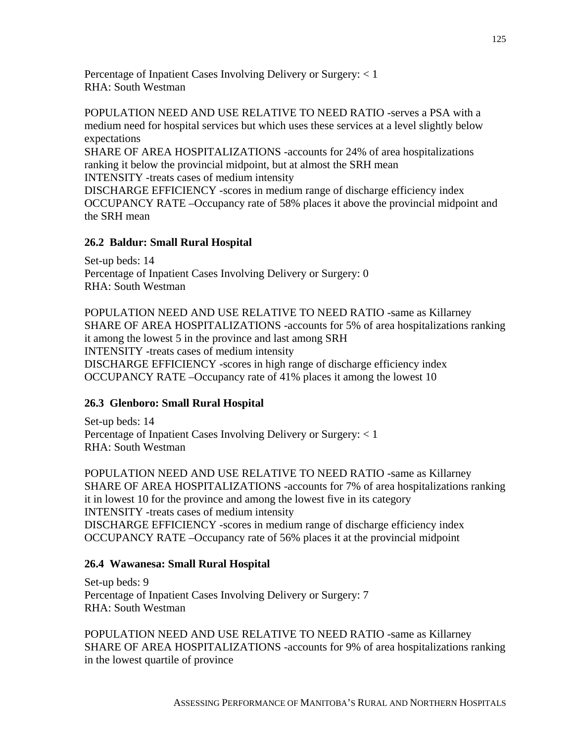Percentage of Inpatient Cases Involving Delivery or Surgery: < 1 RHA: South Westman

POPULATION NEED AND USE RELATIVE TO NEED RATIO -serves a PSA with a medium need for hospital services but which uses these services at a level slightly below expectations

SHARE OF AREA HOSPITALIZATIONS -accounts for 24% of area hospitalizations ranking it below the provincial midpoint, but at almost the SRH mean INTENSITY -treats cases of medium intensity

DISCHARGE EFFICIENCY -scores in medium range of discharge efficiency index OCCUPANCY RATE –Occupancy rate of 58% places it above the provincial midpoint and the SRH mean

#### **26.2 Baldur: Small Rural Hospital**

Set-up beds: 14 Percentage of Inpatient Cases Involving Delivery or Surgery: 0 RHA: South Westman

POPULATION NEED AND USE RELATIVE TO NEED RATIO -same as Killarney SHARE OF AREA HOSPITALIZATIONS -accounts for 5% of area hospitalizations ranking it among the lowest 5 in the province and last among SRH INTENSITY -treats cases of medium intensity DISCHARGE EFFICIENCY -scores in high range of discharge efficiency index OCCUPANCY RATE –Occupancy rate of 41% places it among the lowest 10

#### **26.3 Glenboro: Small Rural Hospital**

Set-up beds: 14 Percentage of Inpatient Cases Involving Delivery or Surgery: < 1 RHA: South Westman

POPULATION NEED AND USE RELATIVE TO NEED RATIO -same as Killarney SHARE OF AREA HOSPITALIZATIONS -accounts for 7% of area hospitalizations ranking it in lowest 10 for the province and among the lowest five in its category INTENSITY -treats cases of medium intensity DISCHARGE EFFICIENCY -scores in medium range of discharge efficiency index OCCUPANCY RATE –Occupancy rate of 56% places it at the provincial midpoint

#### **26.4 Wawanesa: Small Rural Hospital**

Set-up beds: 9 Percentage of Inpatient Cases Involving Delivery or Surgery: 7 RHA: South Westman

POPULATION NEED AND USE RELATIVE TO NEED RATIO -same as Killarney SHARE OF AREA HOSPITALIZATIONS -accounts for 9% of area hospitalizations ranking in the lowest quartile of province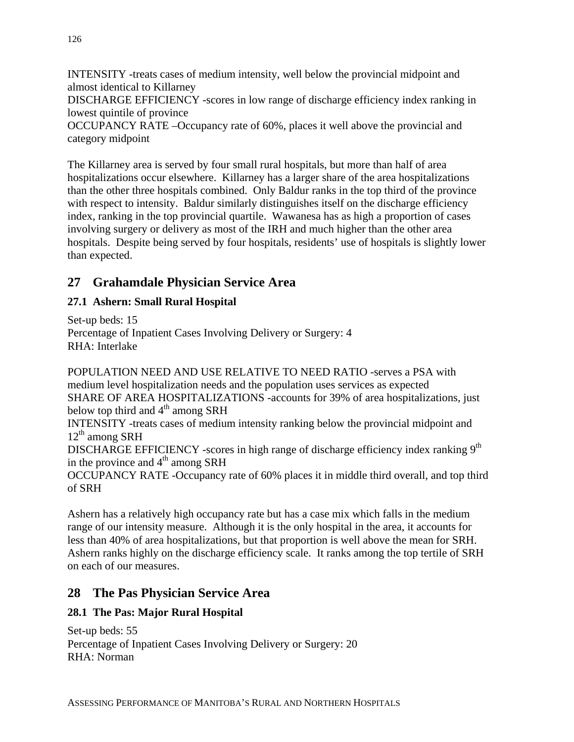INTENSITY -treats cases of medium intensity, well below the provincial midpoint and almost identical to Killarney DISCHARGE EFFICIENCY -scores in low range of discharge efficiency index ranking in lowest quintile of province OCCUPANCY RATE –Occupancy rate of 60%, places it well above the provincial and category midpoint

The Killarney area is served by four small rural hospitals, but more than half of area hospitalizations occur elsewhere. Killarney has a larger share of the area hospitalizations than the other three hospitals combined. Only Baldur ranks in the top third of the province with respect to intensity. Baldur similarly distinguishes itself on the discharge efficiency index, ranking in the top provincial quartile. Wawanesa has as high a proportion of cases involving surgery or delivery as most of the IRH and much higher than the other area hospitals. Despite being served by four hospitals, residents' use of hospitals is slightly lower than expected.

# **27 Grahamdale Physician Service Area**

### **27.1 Ashern: Small Rural Hospital**

Set-up beds: 15 Percentage of Inpatient Cases Involving Delivery or Surgery: 4 RHA: Interlake

POPULATION NEED AND USE RELATIVE TO NEED RATIO -serves a PSA with medium level hospitalization needs and the population uses services as expected SHARE OF AREA HOSPITALIZATIONS -accounts for 39% of area hospitalizations, just below top third and  $4<sup>th</sup>$  among SRH INTENSITY -treats cases of medium intensity ranking below the provincial midpoint and  $12<sup>th</sup>$  among SRH DISCHARGE EFFICIENCY -scores in high range of discharge efficiency index ranking  $9<sup>th</sup>$ in the province and  $4<sup>th</sup>$  among SRH OCCUPANCY RATE -Occupancy rate of 60% places it in middle third overall, and top third of SRH

Ashern has a relatively high occupancy rate but has a case mix which falls in the medium range of our intensity measure. Although it is the only hospital in the area, it accounts for less than 40% of area hospitalizations, but that proportion is well above the mean for SRH. Ashern ranks highly on the discharge efficiency scale. It ranks among the top tertile of SRH on each of our measures.

### **28 The Pas Physician Service Area**

### **28.1 The Pas: Major Rural Hospital**

Set-up beds: 55 Percentage of Inpatient Cases Involving Delivery or Surgery: 20 RHA: Norman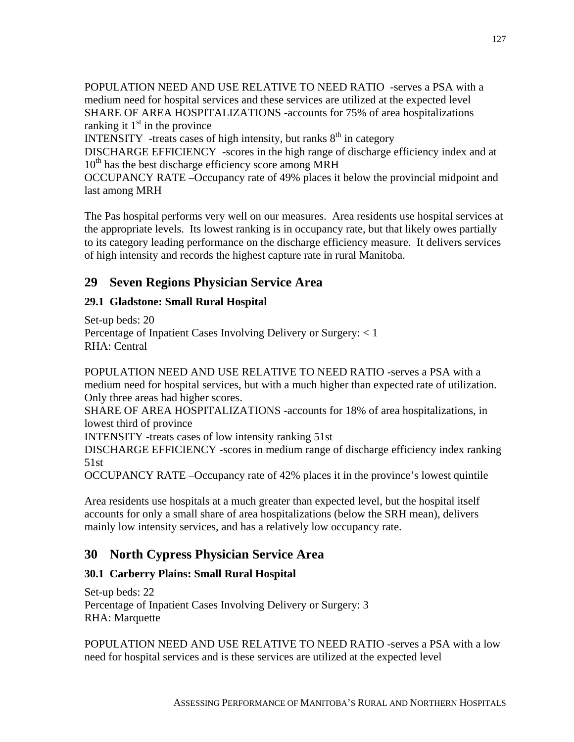POPULATION NEED AND USE RELATIVE TO NEED RATIO -serves a PSA with a medium need for hospital services and these services are utilized at the expected level SHARE OF AREA HOSPITALIZATIONS -accounts for 75% of area hospitalizations ranking it  $1<sup>st</sup>$  in the province

INTENSITY -treats cases of high intensity, but ranks  $8<sup>th</sup>$  in category

DISCHARGE EFFICIENCY -scores in the high range of discharge efficiency index and at  $10<sup>th</sup>$  has the best discharge efficiency score among MRH

OCCUPANCY RATE –Occupancy rate of 49% places it below the provincial midpoint and last among MRH

The Pas hospital performs very well on our measures. Area residents use hospital services at the appropriate levels. Its lowest ranking is in occupancy rate, but that likely owes partially to its category leading performance on the discharge efficiency measure. It delivers services of high intensity and records the highest capture rate in rural Manitoba.

# **29 Seven Regions Physician Service Area**

### **29.1 Gladstone: Small Rural Hospital**

Set-up beds: 20 Percentage of Inpatient Cases Involving Delivery or Surgery: < 1 RHA: Central

POPULATION NEED AND USE RELATIVE TO NEED RATIO -serves a PSA with a medium need for hospital services, but with a much higher than expected rate of utilization. Only three areas had higher scores.

SHARE OF AREA HOSPITALIZATIONS -accounts for 18% of area hospitalizations, in lowest third of province

INTENSITY -treats cases of low intensity ranking 51st

DISCHARGE EFFICIENCY -scores in medium range of discharge efficiency index ranking 51st

OCCUPANCY RATE –Occupancy rate of 42% places it in the province's lowest quintile

Area residents use hospitals at a much greater than expected level, but the hospital itself accounts for only a small share of area hospitalizations (below the SRH mean), delivers mainly low intensity services, and has a relatively low occupancy rate.

## **30 North Cypress Physician Service Area**

### **30.1 Carberry Plains: Small Rural Hospital**

Set-up beds: 22 Percentage of Inpatient Cases Involving Delivery or Surgery: 3 RHA: Marquette

POPULATION NEED AND USE RELATIVE TO NEED RATIO -serves a PSA with a low need for hospital services and is these services are utilized at the expected level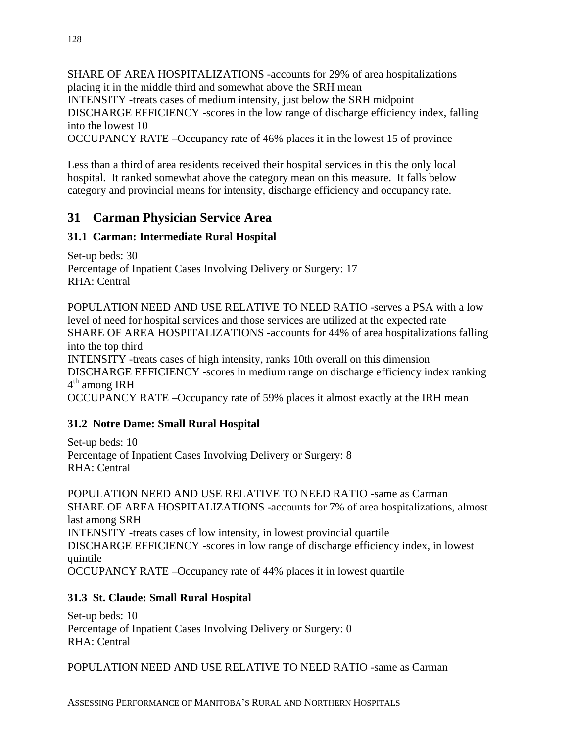SHARE OF AREA HOSPITALIZATIONS -accounts for 29% of area hospitalizations placing it in the middle third and somewhat above the SRH mean INTENSITY -treats cases of medium intensity, just below the SRH midpoint DISCHARGE EFFICIENCY -scores in the low range of discharge efficiency index, falling into the lowest 10

OCCUPANCY RATE –Occupancy rate of 46% places it in the lowest 15 of province

Less than a third of area residents received their hospital services in this the only local hospital. It ranked somewhat above the category mean on this measure. It falls below category and provincial means for intensity, discharge efficiency and occupancy rate.

## **31 Carman Physician Service Area**

### **31.1 Carman: Intermediate Rural Hospital**

Set-up beds: 30 Percentage of Inpatient Cases Involving Delivery or Surgery: 17 RHA: Central

POPULATION NEED AND USE RELATIVE TO NEED RATIO -serves a PSA with a low level of need for hospital services and those services are utilized at the expected rate SHARE OF AREA HOSPITALIZATIONS -accounts for 44% of area hospitalizations falling into the top third INTENSITY -treats cases of high intensity, ranks 10th overall on this dimension DISCHARGE EFFICIENCY -scores in medium range on discharge efficiency index ranking  $4<sup>th</sup>$  among IRH OCCUPANCY RATE –Occupancy rate of 59% places it almost exactly at the IRH mean

### **31.2 Notre Dame: Small Rural Hospital**

Set-up beds: 10 Percentage of Inpatient Cases Involving Delivery or Surgery: 8 RHA: Central

POPULATION NEED AND USE RELATIVE TO NEED RATIO -same as Carman SHARE OF AREA HOSPITALIZATIONS -accounts for 7% of area hospitalizations, almost last among SRH INTENSITY -treats cases of low intensity, in lowest provincial quartile DISCHARGE EFFICIENCY -scores in low range of discharge efficiency index, in lowest quintile OCCUPANCY RATE –Occupancy rate of 44% places it in lowest quartile

#### **31.3 St. Claude: Small Rural Hospital**

Set-up beds: 10 Percentage of Inpatient Cases Involving Delivery or Surgery: 0 RHA: Central

POPULATION NEED AND USE RELATIVE TO NEED RATIO -same as Carman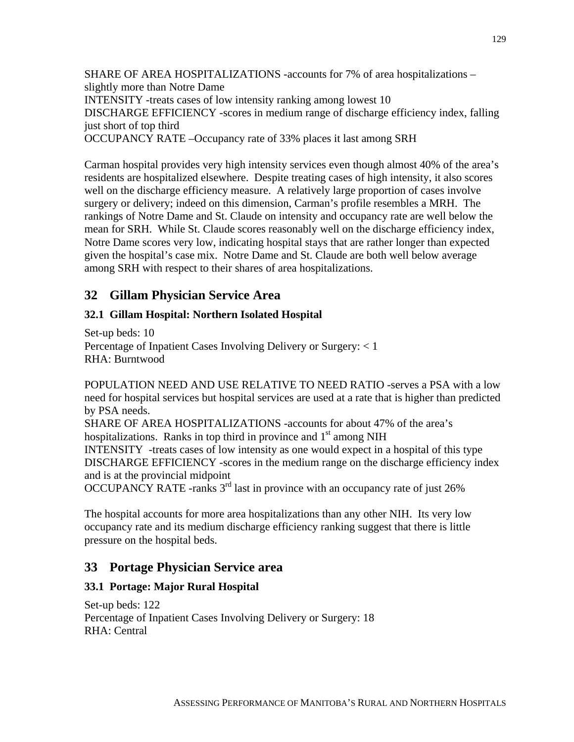SHARE OF AREA HOSPITALIZATIONS -accounts for 7% of area hospitalizations – slightly more than Notre Dame INTENSITY -treats cases of low intensity ranking among lowest 10 DISCHARGE EFFICIENCY -scores in medium range of discharge efficiency index, falling just short of top third OCCUPANCY RATE –Occupancy rate of 33% places it last among SRH

Carman hospital provides very high intensity services even though almost 40% of the area's residents are hospitalized elsewhere. Despite treating cases of high intensity, it also scores well on the discharge efficiency measure. A relatively large proportion of cases involve surgery or delivery; indeed on this dimension, Carman's profile resembles a MRH. The rankings of Notre Dame and St. Claude on intensity and occupancy rate are well below the mean for SRH. While St. Claude scores reasonably well on the discharge efficiency index, Notre Dame scores very low, indicating hospital stays that are rather longer than expected given the hospital's case mix. Notre Dame and St. Claude are both well below average among SRH with respect to their shares of area hospitalizations.

## **32 Gillam Physician Service Area**

#### **32.1 Gillam Hospital: Northern Isolated Hospital**

Set-up beds: 10 Percentage of Inpatient Cases Involving Delivery or Surgery: < 1 RHA: Burntwood

POPULATION NEED AND USE RELATIVE TO NEED RATIO -serves a PSA with a low need for hospital services but hospital services are used at a rate that is higher than predicted by PSA needs.

SHARE OF AREA HOSPITALIZATIONS -accounts for about 47% of the area's hospitalizations. Ranks in top third in province and  $1<sup>st</sup>$  among NIH INTENSITY -treats cases of low intensity as one would expect in a hospital of this type DISCHARGE EFFICIENCY -scores in the medium range on the discharge efficiency index and is at the provincial midpoint

OCCUPANCY RATE -ranks  $3<sup>rd</sup>$  last in province with an occupancy rate of just 26%

The hospital accounts for more area hospitalizations than any other NIH. Its very low occupancy rate and its medium discharge efficiency ranking suggest that there is little pressure on the hospital beds.

## **33 Portage Physician Service area**

#### **33.1 Portage: Major Rural Hospital**

Set-up beds: 122 Percentage of Inpatient Cases Involving Delivery or Surgery: 18 RHA: Central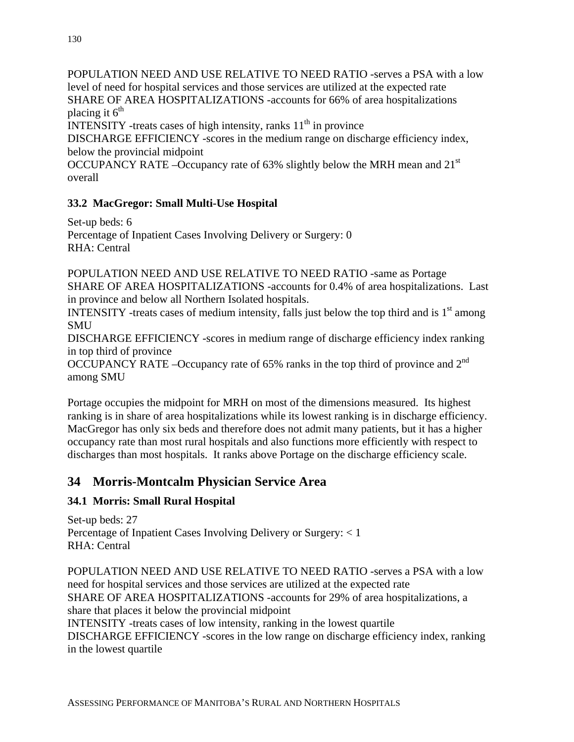POPULATION NEED AND USE RELATIVE TO NEED RATIO -serves a PSA with a low level of need for hospital services and those services are utilized at the expected rate SHARE OF AREA HOSPITALIZATIONS -accounts for 66% of area hospitalizations placing it  $6<sup>th</sup>$ 

INTENSITY -treats cases of high intensity, ranks  $11<sup>th</sup>$  in province

DISCHARGE EFFICIENCY -scores in the medium range on discharge efficiency index, below the provincial midpoint

OCCUPANCY RATE –Occupancy rate of 63% slightly below the MRH mean and 21st overall

### **33.2 MacGregor: Small Multi-Use Hospital**

Set-up beds: 6 Percentage of Inpatient Cases Involving Delivery or Surgery: 0 RHA: Central

POPULATION NEED AND USE RELATIVE TO NEED RATIO -same as Portage SHARE OF AREA HOSPITALIZATIONS -accounts for 0.4% of area hospitalizations. Last in province and below all Northern Isolated hospitals.

INTENSITY -treats cases of medium intensity, falls just below the top third and is  $1<sup>st</sup>$  among **SMU** 

DISCHARGE EFFICIENCY -scores in medium range of discharge efficiency index ranking in top third of province

OCCUPANCY RATE –Occupancy rate of 65% ranks in the top third of province and 2nd among SMU

Portage occupies the midpoint for MRH on most of the dimensions measured. Its highest ranking is in share of area hospitalizations while its lowest ranking is in discharge efficiency. MacGregor has only six beds and therefore does not admit many patients, but it has a higher occupancy rate than most rural hospitals and also functions more efficiently with respect to discharges than most hospitals. It ranks above Portage on the discharge efficiency scale.

# **34 Morris-Montcalm Physician Service Area**

### **34.1 Morris: Small Rural Hospital**

Set-up beds: 27 Percentage of Inpatient Cases Involving Delivery or Surgery: < 1 RHA: Central

POPULATION NEED AND USE RELATIVE TO NEED RATIO -serves a PSA with a low need for hospital services and those services are utilized at the expected rate SHARE OF AREA HOSPITALIZATIONS -accounts for 29% of area hospitalizations, a share that places it below the provincial midpoint INTENSITY -treats cases of low intensity, ranking in the lowest quartile DISCHARGE EFFICIENCY -scores in the low range on discharge efficiency index, ranking in the lowest quartile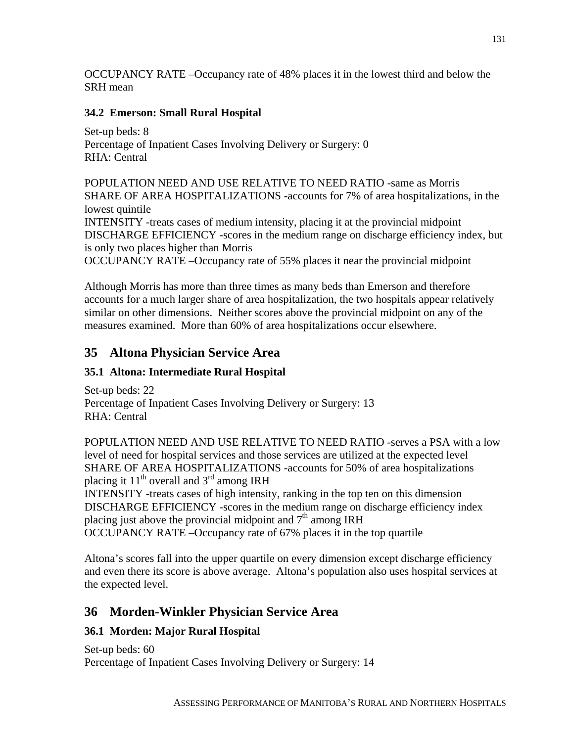OCCUPANCY RATE –Occupancy rate of 48% places it in the lowest third and below the SRH mean

### **34.2 Emerson: Small Rural Hospital**

Set-up beds: 8 Percentage of Inpatient Cases Involving Delivery or Surgery: 0 RHA: Central

POPULATION NEED AND USE RELATIVE TO NEED RATIO -same as Morris SHARE OF AREA HOSPITALIZATIONS -accounts for 7% of area hospitalizations, in the lowest quintile

INTENSITY -treats cases of medium intensity, placing it at the provincial midpoint DISCHARGE EFFICIENCY -scores in the medium range on discharge efficiency index, but is only two places higher than Morris

OCCUPANCY RATE –Occupancy rate of 55% places it near the provincial midpoint

Although Morris has more than three times as many beds than Emerson and therefore accounts for a much larger share of area hospitalization, the two hospitals appear relatively similar on other dimensions. Neither scores above the provincial midpoint on any of the measures examined. More than 60% of area hospitalizations occur elsewhere.

# **35 Altona Physician Service Area**

### **35.1 Altona: Intermediate Rural Hospital**

Set-up beds: 22 Percentage of Inpatient Cases Involving Delivery or Surgery: 13 RHA: Central

POPULATION NEED AND USE RELATIVE TO NEED RATIO -serves a PSA with a low level of need for hospital services and those services are utilized at the expected level SHARE OF AREA HOSPITALIZATIONS -accounts for 50% of area hospitalizations placing it  $11<sup>th</sup>$  overall and  $3<sup>rd</sup>$  among IRH

INTENSITY -treats cases of high intensity, ranking in the top ten on this dimension DISCHARGE EFFICIENCY -scores in the medium range on discharge efficiency index placing just above the provincial midpoint and  $7<sup>th</sup>$  among IRH OCCUPANCY RATE –Occupancy rate of 67% places it in the top quartile

Altona's scores fall into the upper quartile on every dimension except discharge efficiency and even there its score is above average. Altona's population also uses hospital services at the expected level.

# **36 Morden-Winkler Physician Service Area**

### **36.1 Morden: Major Rural Hospital**

Set-up beds: 60 Percentage of Inpatient Cases Involving Delivery or Surgery: 14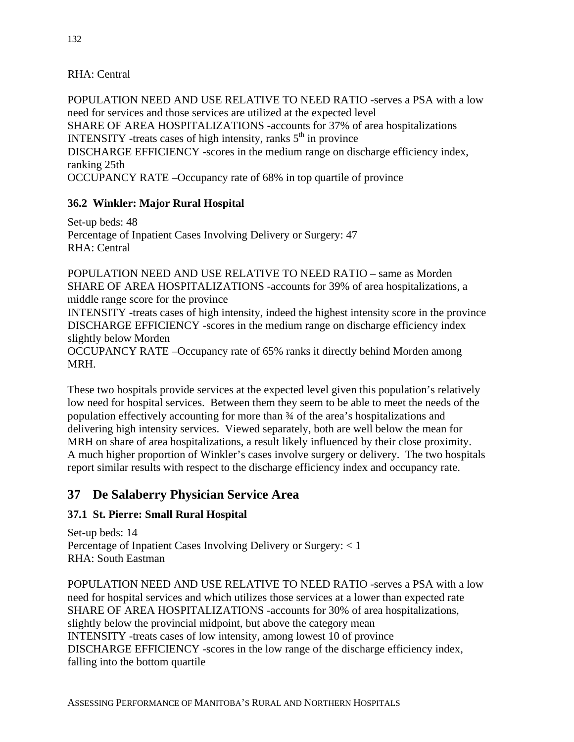#### RHA: Central

POPULATION NEED AND USE RELATIVE TO NEED RATIO -serves a PSA with a low need for services and those services are utilized at the expected level SHARE OF AREA HOSPITALIZATIONS -accounts for 37% of area hospitalizations INTENSITY -treats cases of high intensity, ranks  $5<sup>th</sup>$  in province DISCHARGE EFFICIENCY -scores in the medium range on discharge efficiency index, ranking 25th OCCUPANCY RATE –Occupancy rate of 68% in top quartile of province

#### **36.2 Winkler: Major Rural Hospital**

Set-up beds: 48 Percentage of Inpatient Cases Involving Delivery or Surgery: 47 RHA: Central

POPULATION NEED AND USE RELATIVE TO NEED RATIO – same as Morden SHARE OF AREA HOSPITALIZATIONS -accounts for 39% of area hospitalizations, a middle range score for the province

INTENSITY -treats cases of high intensity, indeed the highest intensity score in the province DISCHARGE EFFICIENCY -scores in the medium range on discharge efficiency index slightly below Morden

OCCUPANCY RATE –Occupancy rate of 65% ranks it directly behind Morden among MRH.

These two hospitals provide services at the expected level given this population's relatively low need for hospital services. Between them they seem to be able to meet the needs of the population effectively accounting for more than ¾ of the area's hospitalizations and delivering high intensity services. Viewed separately, both are well below the mean for MRH on share of area hospitalizations, a result likely influenced by their close proximity. A much higher proportion of Winkler's cases involve surgery or delivery. The two hospitals report similar results with respect to the discharge efficiency index and occupancy rate.

### **37 De Salaberry Physician Service Area**

#### **37.1 St. Pierre: Small Rural Hospital**

Set-up beds: 14 Percentage of Inpatient Cases Involving Delivery or Surgery: < 1 RHA: South Eastman

POPULATION NEED AND USE RELATIVE TO NEED RATIO -serves a PSA with a low need for hospital services and which utilizes those services at a lower than expected rate SHARE OF AREA HOSPITALIZATIONS -accounts for 30% of area hospitalizations, slightly below the provincial midpoint, but above the category mean INTENSITY -treats cases of low intensity, among lowest 10 of province DISCHARGE EFFICIENCY -scores in the low range of the discharge efficiency index, falling into the bottom quartile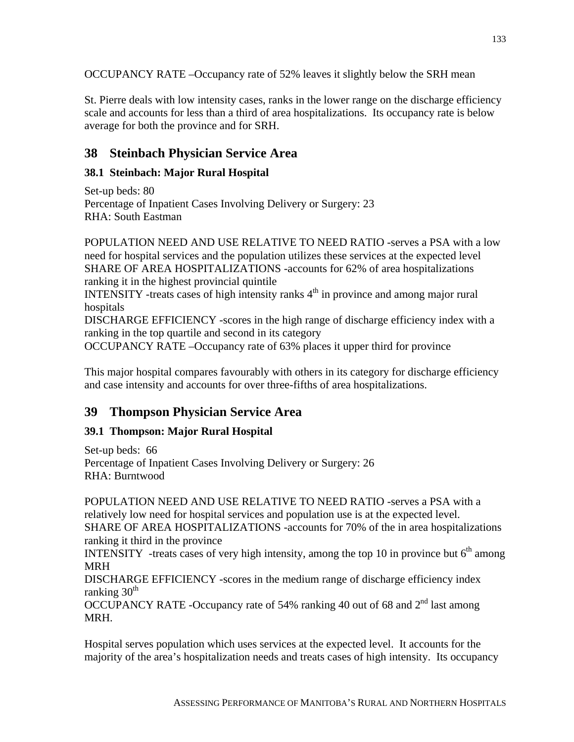OCCUPANCY RATE –Occupancy rate of 52% leaves it slightly below the SRH mean

St. Pierre deals with low intensity cases, ranks in the lower range on the discharge efficiency scale and accounts for less than a third of area hospitalizations. Its occupancy rate is below average for both the province and for SRH.

## **38 Steinbach Physician Service Area**

### **38.1 Steinbach: Major Rural Hospital**

Set-up beds: 80 Percentage of Inpatient Cases Involving Delivery or Surgery: 23 RHA: South Eastman

POPULATION NEED AND USE RELATIVE TO NEED RATIO -serves a PSA with a low need for hospital services and the population utilizes these services at the expected level SHARE OF AREA HOSPITALIZATIONS -accounts for 62% of area hospitalizations ranking it in the highest provincial quintile

INTENSITY -treats cases of high intensity ranks  $4<sup>th</sup>$  in province and among major rural hospitals

DISCHARGE EFFICIENCY -scores in the high range of discharge efficiency index with a ranking in the top quartile and second in its category

OCCUPANCY RATE –Occupancy rate of 63% places it upper third for province

This major hospital compares favourably with others in its category for discharge efficiency and case intensity and accounts for over three-fifths of area hospitalizations.

## **39 Thompson Physician Service Area**

#### **39.1 Thompson: Major Rural Hospital**

Set-up beds: 66 Percentage of Inpatient Cases Involving Delivery or Surgery: 26 RHA: Burntwood

POPULATION NEED AND USE RELATIVE TO NEED RATIO -serves a PSA with a relatively low need for hospital services and population use is at the expected level. SHARE OF AREA HOSPITALIZATIONS -accounts for 70% of the in area hospitalizations ranking it third in the province

INTENSITY -treats cases of very high intensity, among the top 10 in province but  $6<sup>th</sup>$  among MRH

DISCHARGE EFFICIENCY -scores in the medium range of discharge efficiency index ranking  $30<sup>th</sup>$ 

OCCUPANCY RATE -Occupancy rate of 54% ranking 40 out of 68 and  $2<sup>nd</sup>$  last among MRH.

Hospital serves population which uses services at the expected level. It accounts for the majority of the area's hospitalization needs and treats cases of high intensity. Its occupancy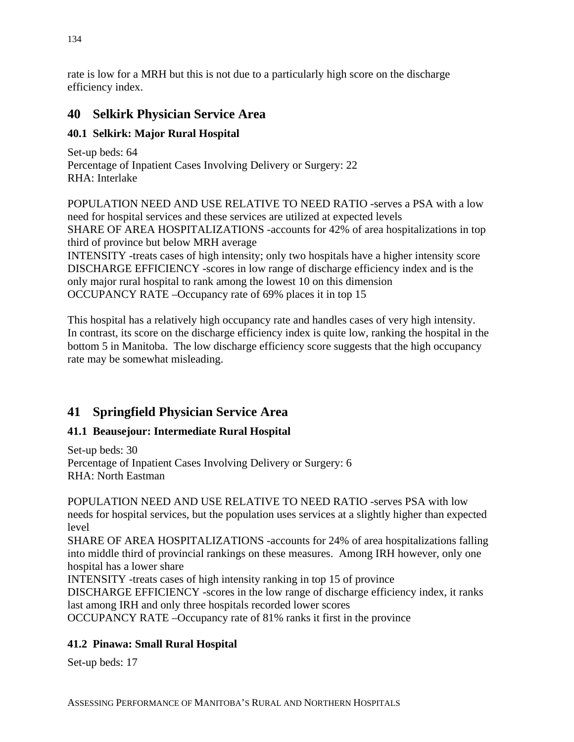rate is low for a MRH but this is not due to a particularly high score on the discharge efficiency index.

## **40 Selkirk Physician Service Area**

### **40.1 Selkirk: Major Rural Hospital**

Set-up beds: 64 Percentage of Inpatient Cases Involving Delivery or Surgery: 22 RHA: Interlake

POPULATION NEED AND USE RELATIVE TO NEED RATIO -serves a PSA with a low need for hospital services and these services are utilized at expected levels SHARE OF AREA HOSPITALIZATIONS -accounts for 42% of area hospitalizations in top third of province but below MRH average INTENSITY -treats cases of high intensity; only two hospitals have a higher intensity score DISCHARGE EFFICIENCY -scores in low range of discharge efficiency index and is the only major rural hospital to rank among the lowest 10 on this dimension OCCUPANCY RATE –Occupancy rate of 69% places it in top 15

This hospital has a relatively high occupancy rate and handles cases of very high intensity. In contrast, its score on the discharge efficiency index is quite low, ranking the hospital in the bottom 5 in Manitoba. The low discharge efficiency score suggests that the high occupancy rate may be somewhat misleading.

# **41 Springfield Physician Service Area**

### **41.1 Beausejour: Intermediate Rural Hospital**

Set-up beds: 30 Percentage of Inpatient Cases Involving Delivery or Surgery: 6 RHA: North Eastman

POPULATION NEED AND USE RELATIVE TO NEED RATIO -serves PSA with low needs for hospital services, but the population uses services at a slightly higher than expected level

SHARE OF AREA HOSPITALIZATIONS -accounts for 24% of area hospitalizations falling into middle third of provincial rankings on these measures. Among IRH however, only one hospital has a lower share

INTENSITY -treats cases of high intensity ranking in top 15 of province

DISCHARGE EFFICIENCY -scores in the low range of discharge efficiency index, it ranks last among IRH and only three hospitals recorded lower scores

OCCUPANCY RATE –Occupancy rate of 81% ranks it first in the province

## **41.2 Pinawa: Small Rural Hospital**

Set-up beds: 17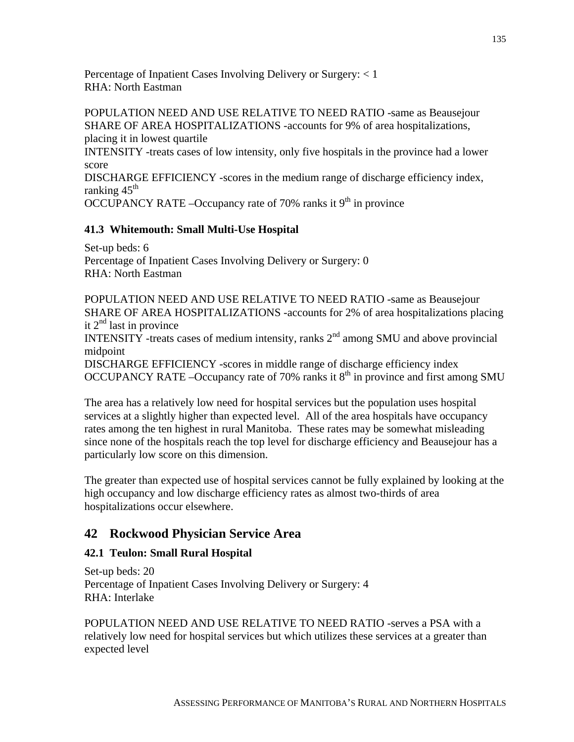Percentage of Inpatient Cases Involving Delivery or Surgery: < 1 RHA: North Eastman

POPULATION NEED AND USE RELATIVE TO NEED RATIO -same as Beausejour SHARE OF AREA HOSPITALIZATIONS -accounts for 9% of area hospitalizations, placing it in lowest quartile INTENSITY -treats cases of low intensity, only five hospitals in the province had a lower score DISCHARGE EFFICIENCY -scores in the medium range of discharge efficiency index, ranking  $45<sup>th</sup>$ OCCUPANCY RATE –Occupancy rate of 70% ranks it  $9<sup>th</sup>$  in province

#### **41.3 Whitemouth: Small Multi-Use Hospital**

Set-up beds: 6 Percentage of Inpatient Cases Involving Delivery or Surgery: 0 RHA: North Eastman

POPULATION NEED AND USE RELATIVE TO NEED RATIO -same as Beausejour SHARE OF AREA HOSPITALIZATIONS -accounts for 2% of area hospitalizations placing it  $2^{nd}$  last in province

INTENSITY -treats cases of medium intensity, ranks  $2<sup>nd</sup>$  among SMU and above provincial midpoint

DISCHARGE EFFICIENCY -scores in middle range of discharge efficiency index OCCUPANCY RATE –Occupancy rate of 70% ranks it  $8<sup>th</sup>$  in province and first among SMU

The area has a relatively low need for hospital services but the population uses hospital services at a slightly higher than expected level. All of the area hospitals have occupancy rates among the ten highest in rural Manitoba. These rates may be somewhat misleading since none of the hospitals reach the top level for discharge efficiency and Beausejour has a particularly low score on this dimension.

The greater than expected use of hospital services cannot be fully explained by looking at the high occupancy and low discharge efficiency rates as almost two-thirds of area hospitalizations occur elsewhere.

### **42 Rockwood Physician Service Area**

#### **42.1 Teulon: Small Rural Hospital**

Set-up beds: 20 Percentage of Inpatient Cases Involving Delivery or Surgery: 4 RHA: Interlake

POPULATION NEED AND USE RELATIVE TO NEED RATIO -serves a PSA with a relatively low need for hospital services but which utilizes these services at a greater than expected level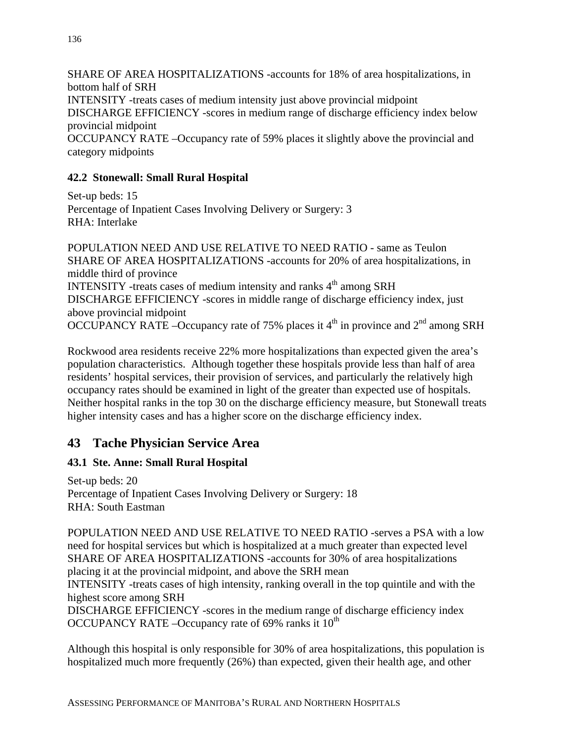SHARE OF AREA HOSPITALIZATIONS -accounts for 18% of area hospitalizations, in bottom half of SRH INTENSITY -treats cases of medium intensity just above provincial midpoint DISCHARGE EFFICIENCY -scores in medium range of discharge efficiency index below provincial midpoint OCCUPANCY RATE –Occupancy rate of 59% places it slightly above the provincial and category midpoints

#### **42.2 Stonewall: Small Rural Hospital**

Set-up beds: 15 Percentage of Inpatient Cases Involving Delivery or Surgery: 3 RHA: Interlake

POPULATION NEED AND USE RELATIVE TO NEED RATIO - same as Teulon SHARE OF AREA HOSPITALIZATIONS -accounts for 20% of area hospitalizations, in middle third of province INTENSITY -treats cases of medium intensity and ranks  $4<sup>th</sup>$  among SRH DISCHARGE EFFICIENCY -scores in middle range of discharge efficiency index, just above provincial midpoint OCCUPANCY RATE –Occupancy rate of 75% places it  $4<sup>th</sup>$  in province and  $2<sup>nd</sup>$  among SRH

Rockwood area residents receive 22% more hospitalizations than expected given the area's population characteristics. Although together these hospitals provide less than half of area residents' hospital services, their provision of services, and particularly the relatively high occupancy rates should be examined in light of the greater than expected use of hospitals. Neither hospital ranks in the top 30 on the discharge efficiency measure, but Stonewall treats higher intensity cases and has a higher score on the discharge efficiency index.

## **43 Tache Physician Service Area**

#### **43.1 Ste. Anne: Small Rural Hospital**

Set-up beds: 20 Percentage of Inpatient Cases Involving Delivery or Surgery: 18 RHA: South Eastman

POPULATION NEED AND USE RELATIVE TO NEED RATIO -serves a PSA with a low need for hospital services but which is hospitalized at a much greater than expected level SHARE OF AREA HOSPITALIZATIONS -accounts for 30% of area hospitalizations placing it at the provincial midpoint, and above the SRH mean INTENSITY -treats cases of high intensity, ranking overall in the top quintile and with the highest score among SRH DISCHARGE EFFICIENCY -scores in the medium range of discharge efficiency index OCCUPANCY RATE –Occupancy rate of 69% ranks it  $10^{th}$ 

Although this hospital is only responsible for 30% of area hospitalizations, this population is hospitalized much more frequently (26%) than expected, given their health age, and other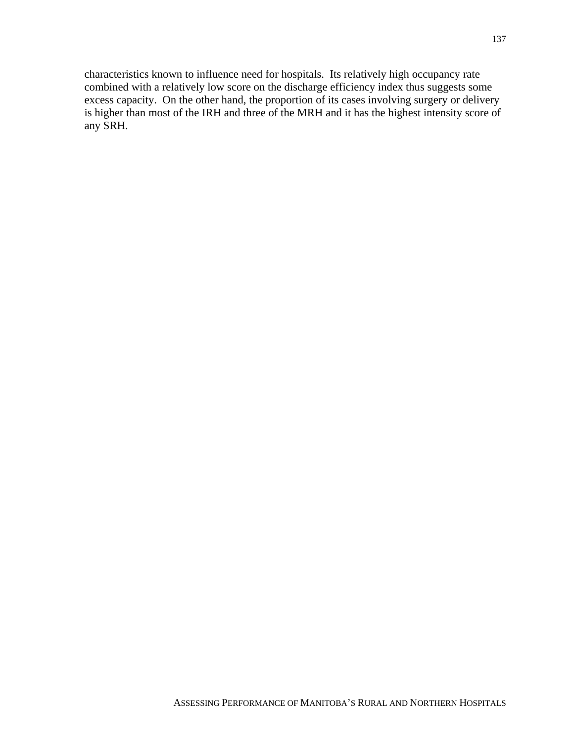characteristics known to influence need for hospitals. Its relatively high occupancy rate combined with a relatively low score on the discharge efficiency index thus suggests some excess capacity. On the other hand, the proportion of its cases involving surgery or delivery is higher than most of the IRH and three of the MRH and it has the highest intensity score of any SRH.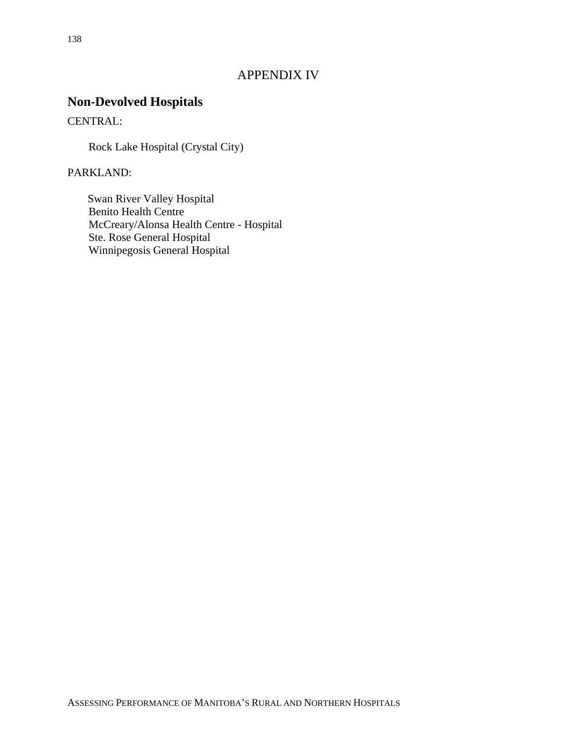### APPENDIX IV

# **Non-Devolved Hospitals**

CENTRAL:

Rock Lake Hospital (Crystal City)

PARKLAND:

Swan River Valley Hospital Benito Health Centre McCreary/Alonsa Health Centre - Hospital Ste. Rose General Hospital Winnipegosis General Hospital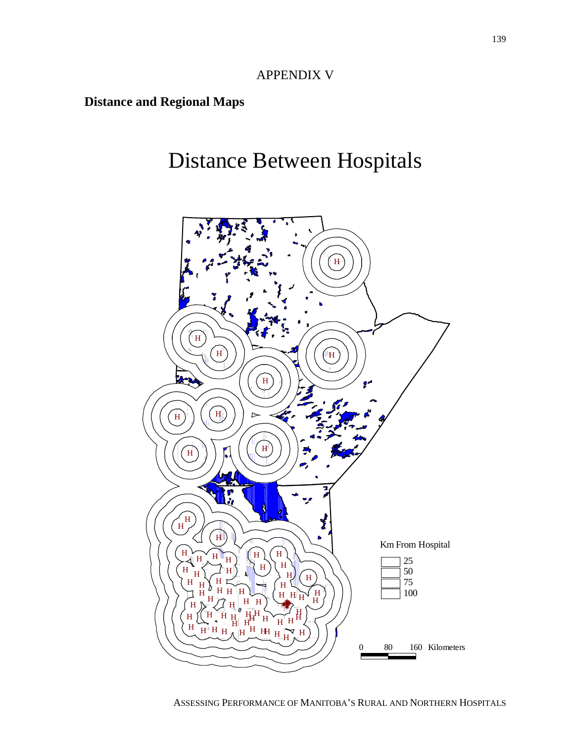## APPENDIX V

# **Distance and Regional Maps**

# Distance Between Hospitals

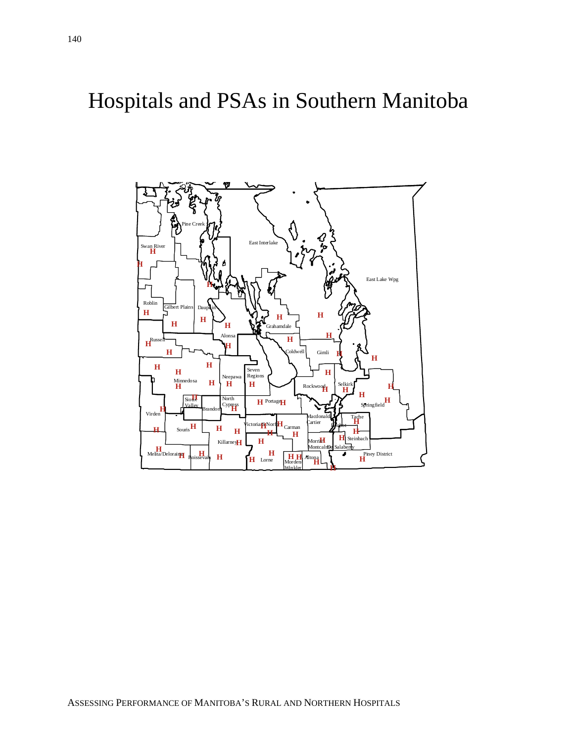Hospitals and PSAs in Southern Manitoba